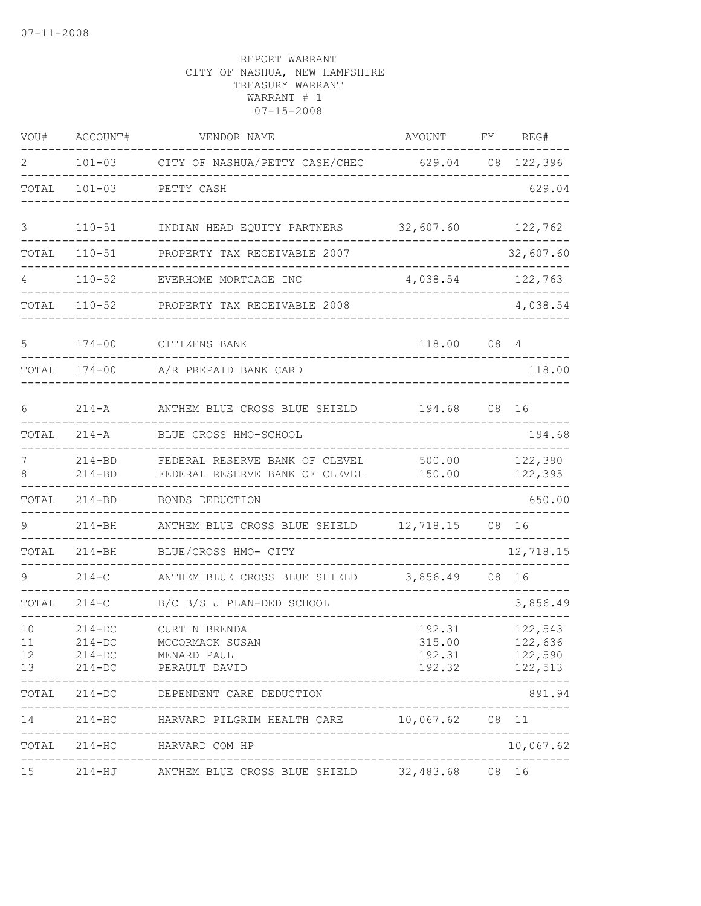| VOU#                 | ACCOUNT#                                           | VENDOR NAME                                                                            | AMOUNT                               | FY | REG#                                     |
|----------------------|----------------------------------------------------|----------------------------------------------------------------------------------------|--------------------------------------|----|------------------------------------------|
| $\overline{2}$       | $101 - 03$                                         | CITY OF NASHUA/PETTY CASH/CHEC 629.04 08 122,396                                       |                                      |    |                                          |
| TOTAL                | $101 - 03$                                         | PETTY CASH                                                                             |                                      |    | 629.04                                   |
| 3                    | $110 - 51$                                         | INDIAN HEAD EQUITY PARTNERS 32,607.60                                                  |                                      |    | 122,762                                  |
| TOTAL                | $110 - 51$                                         | PROPERTY TAX RECEIVABLE 2007                                                           |                                      |    | 32,607.60                                |
| 4                    | $110 - 52$                                         | EVERHOME MORTGAGE INC                                                                  | 4,038.54                             |    | 122,763                                  |
| TOTAL                | $110 - 52$                                         | PROPERTY TAX RECEIVABLE 2008                                                           |                                      |    | 4,038.54                                 |
| 5                    | $174 - 00$                                         | CITIZENS BANK                                                                          | 118.00                               | 08 | 4                                        |
| TOTAL                | $174 - 00$                                         | A/R PREPAID BANK CARD                                                                  |                                      |    | 118.00                                   |
| 6                    | $214 - A$                                          | ANTHEM BLUE CROSS BLUE SHIELD                                                          | 194.68                               |    | 08 16                                    |
| TOTAL                | $214 - A$                                          | BLUE CROSS HMO-SCHOOL                                                                  |                                      |    | 194.68                                   |
| 7<br>8               | $214 - BD$<br>$214 - BD$                           | FEDERAL RESERVE BANK OF CLEVEL<br>FEDERAL RESERVE BANK OF CLEVEL                       | 500.00<br>150.00                     |    | 122,390<br>122,395                       |
| TOTAL                | $214 - BD$                                         | BONDS DEDUCTION                                                                        |                                      |    | 650.00                                   |
| 9                    | $214 - BH$                                         | ANTHEM BLUE CROSS BLUE SHIELD 12,718.15                                                |                                      |    | 08 16                                    |
| TOTAL                | $214 - BH$                                         | BLUE/CROSS HMO- CITY                                                                   |                                      |    | 12,718.15                                |
|                      | $214-C$                                            | ANTHEM BLUE CROSS BLUE SHIELD                                                          | 3,856.49                             | 08 | 16                                       |
| TOTAL                | $214-C$                                            | B/C B/S J PLAN-DED SCHOOL                                                              |                                      |    | 3,856.49                                 |
| 10<br>11<br>12<br>13 | $214-DC$<br>$214 - DC$<br>$214 - DC$<br>$214 - DC$ | CURTIN BRENDA<br>MCCORMACK SUSAN<br>MENARD PAUL<br>PERAULT DAVID                       | 192.31<br>315.00<br>192.31<br>192.32 |    | 122,543<br>122,636<br>122,590<br>122,513 |
|                      | -----------------<br>____________________          | TOTAL 214-DC DEPENDENT CARE DEDUCTION                                                  | ----------------------               |    | 891.94                                   |
|                      |                                                    | 14 214-HC HARVARD PILGRIM HEALTH CARE 10,067.62 08 11<br>_____________________________ |                                      |    | ---------------                          |
|                      |                                                    | TOTAL 214-HC HARVARD COM HP                                                            |                                      |    | 10,067.62                                |
|                      |                                                    | 15  214-HJ ANTHEM BLUE CROSS BLUE SHIELD 32,483.68  08  16                             |                                      |    |                                          |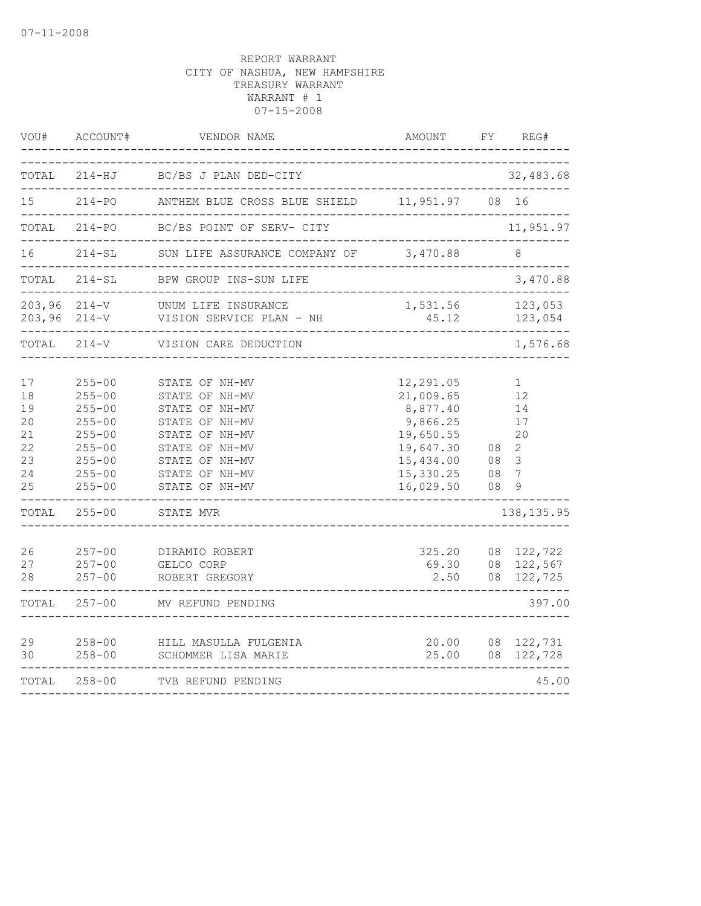| VOU#                                                        | ACCOUNT#                                                                                                                                 | VENDOR NAME                                                                                                                                                                 | AMOUNT                                                                                                          | FY                   | REG#                                                                    |
|-------------------------------------------------------------|------------------------------------------------------------------------------------------------------------------------------------------|-----------------------------------------------------------------------------------------------------------------------------------------------------------------------------|-----------------------------------------------------------------------------------------------------------------|----------------------|-------------------------------------------------------------------------|
| TOTAL                                                       | 214-HJ<br>_____________________                                                                                                          | BC/BS J PLAN DED-CITY                                                                                                                                                       |                                                                                                                 |                      | 32,483.68                                                               |
| 15                                                          | $214 - PO$                                                                                                                               | ANTHEM BLUE CROSS BLUE SHIELD 11,951.97 08 16                                                                                                                               |                                                                                                                 |                      | . _ _ _ _ _ _ _                                                         |
|                                                             | TOTAL 214-PO                                                                                                                             | BC/BS POINT OF SERV- CITY<br>------------------------------------                                                                                                           |                                                                                                                 |                      | 11,951.97                                                               |
|                                                             |                                                                                                                                          | 214-SL SUN LIFE ASSURANCE COMPANY OF 3,470.88<br>_____________________                                                                                                      |                                                                                                                 |                      | 8                                                                       |
|                                                             | TOTAL 214-SL                                                                                                                             | BPW GROUP INS-SUN LIFE                                                                                                                                                      |                                                                                                                 |                      | 3,470.88                                                                |
|                                                             | $203,96$ $214-V$<br>$203,96$ $214-V$                                                                                                     | UNUM LIFE INSURANCE<br>VISION SERVICE PLAN - NH                                                                                                                             | 1,531.56<br>45.12                                                                                               |                      | 123,053<br>123,054                                                      |
| TOTAL                                                       | $214-V$                                                                                                                                  | VISION CARE DEDUCTION                                                                                                                                                       |                                                                                                                 |                      | 1,576.68                                                                |
| 17<br>18<br>19<br>20<br>21<br>22<br>23<br>24<br>25<br>TOTAL | $255 - 00$<br>$255 - 00$<br>$255 - 00$<br>$255 - 00$<br>$255 - 00$<br>$255 - 00$<br>$255 - 00$<br>$255 - 00$<br>$255 - 00$<br>$255 - 00$ | STATE OF NH-MV<br>STATE OF NH-MV<br>STATE OF NH-MV<br>STATE OF NH-MV<br>STATE OF NH-MV<br>STATE OF NH-MV<br>STATE OF NH-MV<br>STATE OF NH-MV<br>STATE OF NH-MV<br>STATE MVR | 12,291.05<br>21,009.65<br>8,877.40<br>9,866.25<br>19,650.55<br>19,647.30<br>15,434.00<br>15,330.25<br>16,029.50 | 08<br>08<br>08<br>08 | 1<br>12<br>14<br>17<br>20<br>$\mathbf{2}$<br>3<br>7<br>9<br>138, 135.95 |
| 26<br>27<br>28                                              | $257 - 00$<br>$257 - 00$<br>$257 - 00$                                                                                                   | DIRAMIO ROBERT<br>GELCO CORP<br>ROBERT GREGORY                                                                                                                              | 325.20<br>69.30<br>2.50                                                                                         |                      | 08 122,722<br>08 122,567<br>08 122,725                                  |
| TOTAL                                                       | $257 - 00$                                                                                                                               | MV REFUND PENDING                                                                                                                                                           |                                                                                                                 |                      | 397.00                                                                  |
| 29<br>30                                                    | $258 - 00$<br>$258 - 00$                                                                                                                 | HILL MASULLA FULGENIA<br>SCHOMMER LISA MARIE                                                                                                                                | 20.00<br>25.00                                                                                                  | 08                   | 122,731<br>08 122,728                                                   |
| TOTAL                                                       | $258 - 00$                                                                                                                               | TVB REFUND PENDING<br>____________                                                                                                                                          |                                                                                                                 |                      | 45.00                                                                   |
|                                                             |                                                                                                                                          |                                                                                                                                                                             |                                                                                                                 |                      |                                                                         |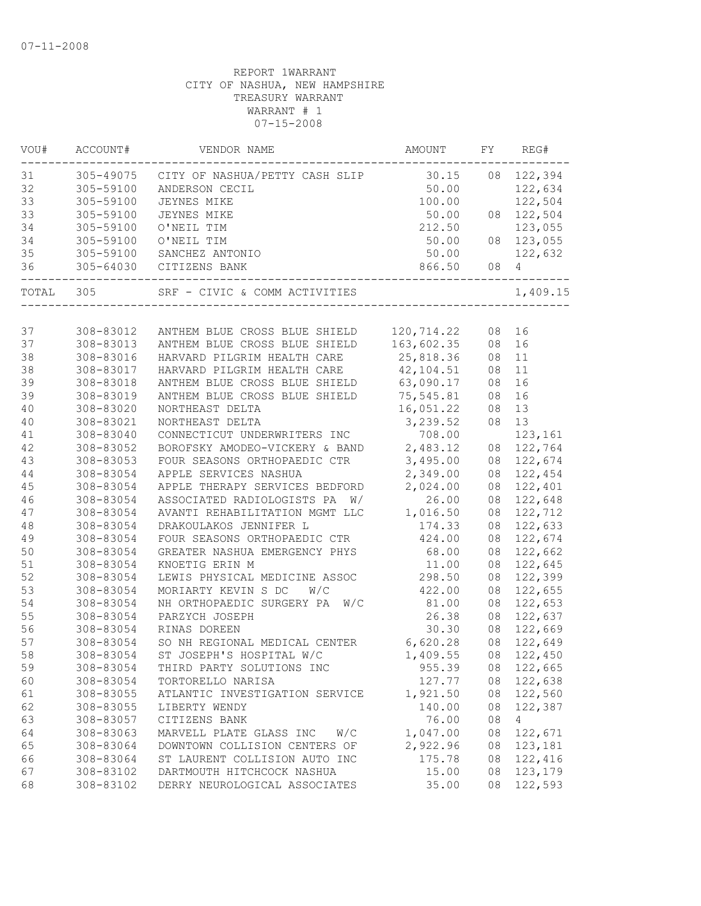| VOU#   | ACCOUNT#  | VENDOR NAME                                    | AMOUNT     | FY | REG#       |
|--------|-----------|------------------------------------------------|------------|----|------------|
| 31     |           | 305-49075 CITY OF NASHUA/PETTY CASH SLIP 30.15 |            |    | 08 122,394 |
| 32     | 305-59100 | ANDERSON CECIL                                 | 50.00      |    | 122,634    |
| 33     | 305-59100 | JEYNES MIKE                                    | 100.00     |    | 122,504    |
| 33     | 305-59100 | JEYNES MIKE                                    | 50.00      |    | 08 122,504 |
| 34     | 305-59100 | O'NEIL TIM                                     | 212.50     |    | 123,055    |
| 34     | 305-59100 | O'NEIL TIM                                     | 50.00      |    | 08 123,055 |
| 35     | 305-59100 | SANCHEZ ANTONIO                                | 50.00      |    | 122,632    |
| 36     | 305-64030 | CITIZENS BANK<br>--------                      | 866.50     | 08 | 4          |
|        | TOTAL 305 | SRF - CIVIC & COMM ACTIVITIES                  |            |    | 1,409.15   |
|        |           |                                                |            |    |            |
| 37     | 308-83012 | ANTHEM BLUE CROSS BLUE SHIELD                  | 120,714.22 | 08 | 16         |
| 37     | 308-83013 | ANTHEM BLUE CROSS BLUE SHIELD                  | 163,602.35 | 08 | 16         |
| 38     | 308-83016 | HARVARD PILGRIM HEALTH CARE                    | 25,818.36  | 08 | 11         |
| 38     | 308-83017 | HARVARD PILGRIM HEALTH CARE                    | 42,104.51  | 08 | 11         |
| 39     | 308-83018 | ANTHEM BLUE CROSS BLUE SHIELD                  | 63,090.17  | 08 | 16         |
| 39     | 308-83019 | ANTHEM BLUE CROSS BLUE SHIELD                  | 75,545.81  | 08 | 16         |
| 40     | 308-83020 | NORTHEAST DELTA                                | 16,051.22  | 08 | 13         |
| 40     | 308-83021 | NORTHEAST DELTA                                | 3,239.52   | 08 | 13         |
| 41     | 308-83040 | CONNECTICUT UNDERWRITERS INC                   | 708.00     |    | 123,161    |
| 42     | 308-83052 | BOROFSKY AMODEO-VICKERY & BAND 2,483.12        |            | 08 | 122,764    |
| 43     | 308-83053 | FOUR SEASONS ORTHOPAEDIC CTR                   | 3,495.00   | 08 | 122,674    |
| $4\,4$ | 308-83054 | APPLE SERVICES NASHUA                          | 2,349.00   | 08 | 122,454    |
| 45     | 308-83054 | APPLE THERAPY SERVICES BEDFORD                 | 2,024.00   | 08 | 122,401    |
| 46     | 308-83054 | ASSOCIATED RADIOLOGISTS PA W/                  | 26.00      | 08 | 122,648    |
| 47     | 308-83054 | AVANTI REHABILITATION MGMT LLC                 | 1,016.50   | 08 | 122,712    |
| $4\,8$ | 308-83054 | DRAKOULAKOS JENNIFER L                         | 174.33     | 08 | 122,633    |
| 49     | 308-83054 | FOUR SEASONS ORTHOPAEDIC CTR                   | 424.00     | 08 | 122,674    |
| 50     | 308-83054 | GREATER NASHUA EMERGENCY PHYS                  | 68.00      | 08 | 122,662    |
| 51     | 308-83054 | KNOETIG ERIN M                                 | 11.00      | 08 | 122,645    |
| 52     | 308-83054 | LEWIS PHYSICAL MEDICINE ASSOC                  | 298.50     | 08 | 122,399    |
| 53     | 308-83054 | MORIARTY KEVIN S DC<br>W/C                     | 422.00     | 08 | 122,655    |
| 54     | 308-83054 | NH ORTHOPAEDIC SURGERY PA W/C                  | 81.00      | 08 | 122,653    |
| 55     | 308-83054 | PARZYCH JOSEPH                                 | 26.38      |    | 08 122,637 |
| 56     | 308-83054 | RINAS DOREEN                                   | 30.30      | 08 | 122,669    |
| 57     | 308-83054 | SO NH REGIONAL MEDICAL CENTER 6,620.28         |            | 08 | 122,649    |
| 58     | 308-83054 | ST JOSEPH'S HOSPITAL W/C                       | 1,409.55   |    | 08 122,450 |
| 59     | 308-83054 | THIRD PARTY SOLUTIONS INC                      | 955.39     |    | 08 122,665 |
| 60     | 308-83054 | TORTORELLO NARISA                              | 127.77     |    | 08 122,638 |
| 61     | 308-83055 | ATLANTIC INVESTIGATION SERVICE                 | 1,921.50   | 08 | 122,560    |
| 62     | 308-83055 | LIBERTY WENDY                                  | 140.00     | 08 | 122,387    |
| 63     | 308-83057 | CITIZENS BANK                                  | 76.00      | 08 | 4          |
| 64     | 308-83063 | MARVELL PLATE GLASS INC<br>W/C                 | 1,047.00   | 08 | 122,671    |
| 65     | 308-83064 | DOWNTOWN COLLISION CENTERS OF                  | 2,922.96   | 08 | 123,181    |
| 66     | 308-83064 | ST LAURENT COLLISION AUTO INC                  | 175.78     | 08 | 122,416    |
| 67     | 308-83102 | DARTMOUTH HITCHCOCK NASHUA                     | 15.00      | 08 | 123,179    |
| 68     | 308-83102 | DERRY NEUROLOGICAL ASSOCIATES                  | 35.00      | 08 | 122,593    |
|        |           |                                                |            |    |            |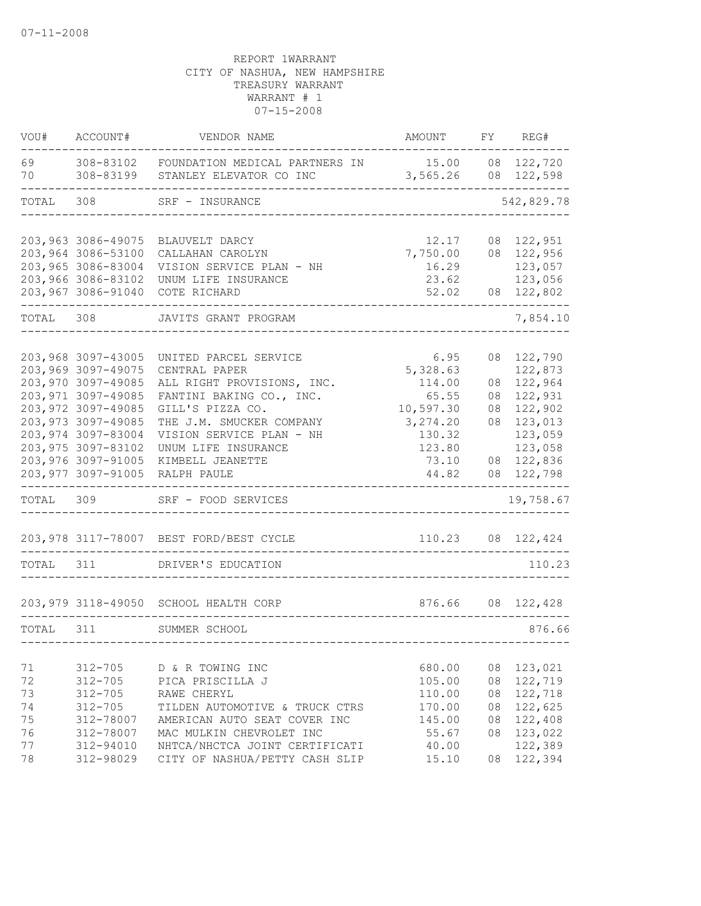| WOU#                                   | ACCOUNT#                                                                                                                                                                                                                     | VENDOR NAME                                                                                                                                                                                                                            | AMOUNT                                                                                             | FY                                     | REG#                                                                                                       |
|----------------------------------------|------------------------------------------------------------------------------------------------------------------------------------------------------------------------------------------------------------------------------|----------------------------------------------------------------------------------------------------------------------------------------------------------------------------------------------------------------------------------------|----------------------------------------------------------------------------------------------------|----------------------------------------|------------------------------------------------------------------------------------------------------------|
| 69<br>70                               | 308-83199                                                                                                                                                                                                                    | 308-83102 FOUNDATION MEDICAL PARTNERS IN<br>STANLEY ELEVATOR CO INC                                                                                                                                                                    | 15.00 08 122,720<br>3,565.26                                                                       |                                        | 08 122,598                                                                                                 |
| TOTAL                                  | 308                                                                                                                                                                                                                          | SRF - INSURANCE                                                                                                                                                                                                                        |                                                                                                    |                                        | 542,829.78                                                                                                 |
|                                        | 203,963 3086-49075<br>203,964 3086-53100<br>203,965 3086-83004<br>203,966 3086-83102<br>203,967 3086-91040                                                                                                                   | BLAUVELT DARCY<br>CALLAHAN CAROLYN<br>VISION SERVICE PLAN - NH<br>UNUM LIFE INSURANCE<br>COTE RICHARD                                                                                                                                  | 12.17<br>7,750.00<br>16.29<br>23.62<br>52.02                                                       | 08                                     | 122,951<br>08 122,956<br>123,057<br>123,056<br>08 122,802                                                  |
| TOTAL                                  | 308                                                                                                                                                                                                                          | JAVITS GRANT PROGRAM                                                                                                                                                                                                                   |                                                                                                    |                                        | 7,854.10                                                                                                   |
|                                        | 203,968 3097-43005<br>203,969 3097-49075<br>203,970 3097-49085<br>203, 971 3097-49085<br>203, 972 3097-49085<br>203, 973 3097-49085<br>203,974 3097-83004<br>203, 975 3097-83102<br>203,976 3097-91005<br>203,977 3097-91005 | UNITED PARCEL SERVICE<br>CENTRAL PAPER<br>ALL RIGHT PROVISIONS, INC.<br>FANTINI BAKING CO., INC.<br>GILL'S PIZZA CO.<br>THE J.M. SMUCKER COMPANY<br>VISION SERVICE PLAN - NH<br>UNUM LIFE INSURANCE<br>KIMBELL JEANETTE<br>RALPH PAULE | 6.95<br>5,328.63<br>114.00<br>65.55<br>10,597.30<br>3,274.20<br>130.32<br>123.80<br>73.10<br>44.82 | 08<br>08<br>08<br>08<br>08<br>08<br>08 | 122,790<br>122,873<br>122,964<br>122,931<br>122,902<br>123,013<br>123,059<br>123,058<br>122,836<br>122,798 |
| TOTAL                                  | 309                                                                                                                                                                                                                          | SRF - FOOD SERVICES                                                                                                                                                                                                                    |                                                                                                    |                                        | 19,758.67                                                                                                  |
|                                        |                                                                                                                                                                                                                              | 203,978 3117-78007 BEST FORD/BEST CYCLE                                                                                                                                                                                                | 110.23                                                                                             |                                        | 08 122,424                                                                                                 |
| TOTAL                                  | 311                                                                                                                                                                                                                          | DRIVER'S EDUCATION                                                                                                                                                                                                                     |                                                                                                    |                                        | 110.23                                                                                                     |
|                                        |                                                                                                                                                                                                                              | 203,979 3118-49050 SCHOOL HEALTH CORP                                                                                                                                                                                                  | 876.66                                                                                             | 08                                     | 122,428                                                                                                    |
| TOTAL                                  | 311                                                                                                                                                                                                                          | SUMMER SCHOOL                                                                                                                                                                                                                          |                                                                                                    |                                        | 876.66                                                                                                     |
| 71<br>72<br>73<br>74<br>75<br>76<br>77 | $312 - 705$<br>$312 - 705$<br>$312 - 705$<br>$312 - 705$<br>312-78007<br>312-78007<br>312-94010                                                                                                                              | D & R TOWING INC<br>PICA PRISCILLA J<br>RAWE CHERYL<br>TILDEN AUTOMOTIVE & TRUCK CTRS<br>AMERICAN AUTO SEAT COVER INC<br>MAC MULKIN CHEVROLET INC<br>NHTCA/NHCTCA JOINT CERTIFICATI                                                    | 680.00<br>105.00<br>110.00<br>170.00<br>145.00<br>55.67<br>40.00                                   | 08<br>08<br>08<br>08<br>08<br>08       | 123,021<br>122,719<br>122,718<br>122,625<br>122,408<br>123,022<br>122,389                                  |
| 78                                     | 312-98029                                                                                                                                                                                                                    | CITY OF NASHUA/PETTY CASH SLIP                                                                                                                                                                                                         | 15.10                                                                                              | 08                                     | 122,394                                                                                                    |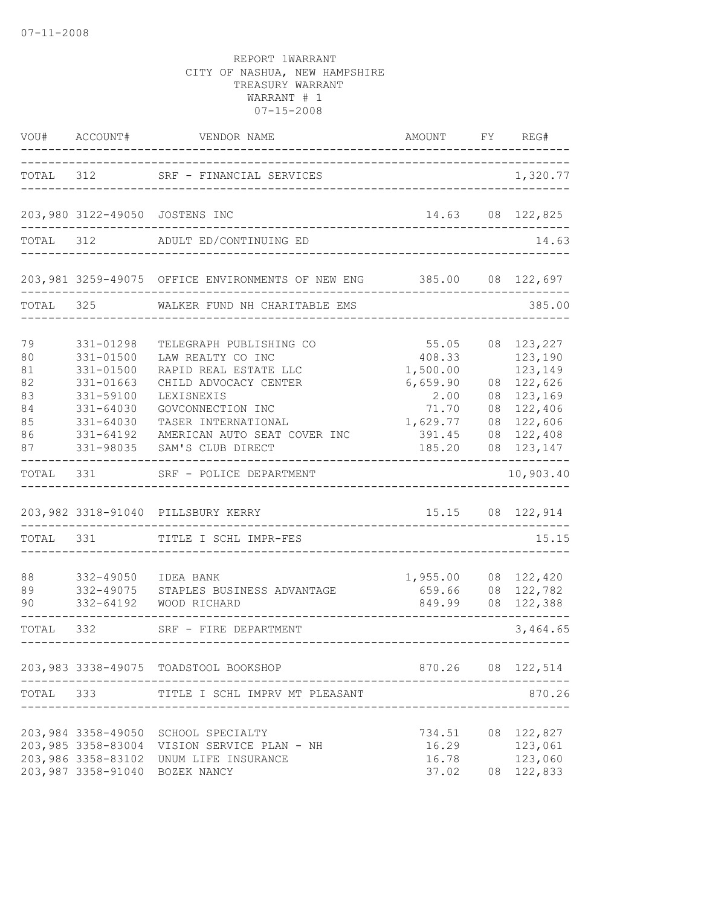|                                                    | VOU# ACCOUNT#                                                                                                             | VENDOR NAME                                                                                                                                                                                                   | AMOUNT FY REG#                                                                           |                                                                                                                      |
|----------------------------------------------------|---------------------------------------------------------------------------------------------------------------------------|---------------------------------------------------------------------------------------------------------------------------------------------------------------------------------------------------------------|------------------------------------------------------------------------------------------|----------------------------------------------------------------------------------------------------------------------|
|                                                    |                                                                                                                           | TOTAL 312 SRF - FINANCIAL SERVICES                                                                                                                                                                            |                                                                                          | 1,320.77                                                                                                             |
|                                                    |                                                                                                                           | 203,980 3122-49050 JOSTENS INC                                                                                                                                                                                | 14.63 08 122,825                                                                         |                                                                                                                      |
| TOTAL 312                                          |                                                                                                                           | ADULT ED/CONTINUING ED                                                                                                                                                                                        |                                                                                          | 14.63                                                                                                                |
|                                                    |                                                                                                                           | 203,981 3259-49075 OFFICE ENVIRONMENTS OF NEW ENG 385.00 08 122,697                                                                                                                                           |                                                                                          |                                                                                                                      |
| TOTAL 325                                          |                                                                                                                           | WALKER FUND NH CHARITABLE EMS                                                                                                                                                                                 |                                                                                          | 385.00                                                                                                               |
| 79<br>80<br>81<br>82<br>83<br>84<br>85<br>86<br>87 | 331-01298<br>331-01500<br>$331 - 01500$<br>331-01663<br>331-59100<br>$331 - 64030$<br>331-64030<br>331-64192<br>331-98035 | TELEGRAPH PUBLISHING CO<br>LAW REALTY CO INC<br>RAPID REAL ESTATE LLC<br>CHILD ADVOCACY CENTER<br>LEXISNEXIS<br>GOVCONNECTION INC<br>TASER INTERNATIONAL<br>AMERICAN AUTO SEAT COVER INC<br>SAM'S CLUB DIRECT | 55.05<br>408.33<br>1,500.00<br>6,659.90<br>2.00<br>71.70<br>1,629.77<br>391.45<br>185.20 | 08 123,227<br>123,190<br>123,149<br>08 122,626<br>08 123,169<br>08 122,406<br>08 122,606<br>08 122,408<br>08 123,147 |
| TOTAL                                              | 331                                                                                                                       | SRF - POLICE DEPARTMENT                                                                                                                                                                                       |                                                                                          | ---------<br>10,903.40                                                                                               |
|                                                    |                                                                                                                           | 203,982 3318-91040 PILLSBURY KERRY                                                                                                                                                                            | 15.15 08 122,914<br>--------                                                             |                                                                                                                      |
| TOTAL 331                                          |                                                                                                                           | TITLE I SCHL IMPR-FES                                                                                                                                                                                         |                                                                                          | 15.15                                                                                                                |
| 88<br>89<br>90                                     | 332-49050<br>332-49075<br>332-64192                                                                                       | IDEA BANK<br>STAPLES BUSINESS ADVANTAGE<br>WOOD RICHARD                                                                                                                                                       | 1,955.00<br>659.66<br>849.99                                                             | 08 122,420<br>08 122,782<br>08 122,388                                                                               |
| TOTAL 332                                          |                                                                                                                           | SRF - FIRE DEPARTMENT                                                                                                                                                                                         |                                                                                          | 3,464.65                                                                                                             |
|                                                    |                                                                                                                           | 203,983 3338-49075 TOADSTOOL BOOKSHOP                                                                                                                                                                         |                                                                                          | 870.26 08 122,514                                                                                                    |
| TOTAL                                              | 333                                                                                                                       | TITLE I SCHL IMPRV MT PLEASANT                                                                                                                                                                                |                                                                                          | 870.26                                                                                                               |
|                                                    | 203,984 3358-49050                                                                                                        | SCHOOL SPECIALTY<br>203,985 3358-83004 VISION SERVICE PLAN - NH<br>203,986 3358-83102 UNUM LIFE INSURANCE<br>203,987 3358-91040 BOZEK NANCY                                                                   | 734.51<br>16.29<br>16.78<br>37.02                                                        | 08 122,827<br>123,061<br>123,060<br>08 122,833                                                                       |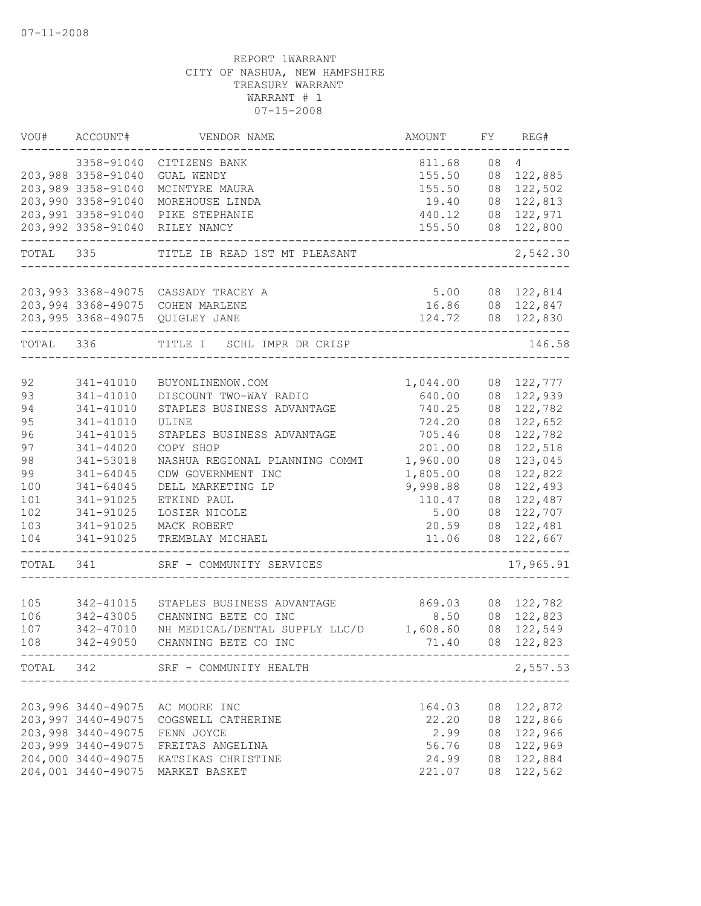| VOU#       | ACCOUNT#                                 | VENDOR NAME                                                  | AMOUNT                        | FY       | REG#                     |
|------------|------------------------------------------|--------------------------------------------------------------|-------------------------------|----------|--------------------------|
|            | 3358-91040                               | CITIZENS BANK                                                | 811.68                        | 08       | $\overline{4}$           |
|            | 203,988 3358-91040                       | <b>GUAL WENDY</b>                                            | 155.50                        |          | 08 122,885               |
|            | 203,989 3358-91040                       | MCINTYRE MAURA                                               | 155.50                        |          | 08 122,502               |
|            | 203,990 3358-91040                       | MOREHOUSE LINDA                                              | 19.40                         |          | 08 122,813               |
|            | 203,991 3358-91040                       | PIKE STEPHANIE                                               | 440.12                        |          | 08 122,971               |
|            | 203,992 3358-91040                       | RILEY NANCY                                                  | 155.50<br>___________________ |          | 08 122,800               |
| TOTAL 335  |                                          | TITLE IB READ 1ST MT PLEASANT<br>-----------                 |                               |          | 2,542.30                 |
|            |                                          |                                                              |                               |          |                          |
|            |                                          | 203,993 3368-49075 CASSADY TRACEY A                          | 5.00                          |          | 08 122,814               |
|            |                                          | 203,994 3368-49075 COHEN MARLENE                             | 16.86                         |          | 08 122,847               |
|            |                                          | 203,995 3368-49075 QUIGLEY JANE                              |                               |          | 124.72 08 122,830        |
| TOTAL      | 336                                      | TITLE I SCHL IMPR DR CRISP                                   |                               |          | 146.58                   |
|            |                                          |                                                              |                               |          |                          |
| 92         | 341-41010                                | BUYONLINENOW.COM                                             | 1,044.00                      |          | 08 122,777               |
| 93         | 341-41010                                | DISCOUNT TWO-WAY RADIO                                       | 640.00                        | 08       | 122,939                  |
| 94         | 341-41010                                | STAPLES BUSINESS ADVANTAGE                                   | 740.25                        | 08       | 122,782                  |
| 95         | 341-41010                                | ULINE                                                        | 724.20                        | 08       | 122,652                  |
| 96         | 341-41015                                | STAPLES BUSINESS ADVANTAGE                                   | 705.46                        | 08       | 122,782                  |
| 97         | 341-44020                                | COPY SHOP                                                    | 201.00                        | 08       | 122,518                  |
| 98         | 341-53018                                | NASHUA REGIONAL PLANNING COMMI                               | 1,960.00                      | 08       | 123,045                  |
| 99         | 341-64045                                | CDW GOVERNMENT INC                                           | 1,805.00                      | 08       | 122,822                  |
| 100        | 341-64045                                | DELL MARKETING LP                                            | 9,998.88                      | 08       | 122,493                  |
| 101        | 341-91025                                | ETKIND PAUL                                                  | 110.47                        | 08       | 122,487                  |
| 102        | 341-91025                                | LOSIER NICOLE                                                | 5.00                          | 08       | 122,707                  |
| 103<br>104 | 341-91025<br>341-91025                   | MACK ROBERT<br>TREMBLAY MICHAEL                              | 20.59                         |          | 08 122,481<br>08 122,667 |
|            |                                          |                                                              | 11.06                         |          |                          |
| TOTAL      | 341                                      | SRF - COMMUNITY SERVICES                                     |                               |          | 17,965.91                |
|            |                                          |                                                              |                               |          |                          |
| 105        | 342-41015                                | STAPLES BUSINESS ADVANTAGE                                   | 869.03                        |          | 08 122,782               |
| 106        | 342-43005<br>342-47010                   | CHANNING BETE CO INC                                         | 8.50<br>1,608.60              |          | 08 122,823               |
| 107        |                                          | NH MEDICAL/DENTAL SUPPLY LLC/D                               |                               |          | 08 122,549               |
| 108        | 342-49050                                | CHANNING BETE CO INC<br>____________________________________ | 71.40                         |          | 08 122,823               |
|            |                                          | TOTAL 342 SRF - COMMUNITY HEALTH<br>----------------------   |                               |          | 2,557.53                 |
|            |                                          |                                                              |                               |          |                          |
|            | 203,996 3440-49075                       | AC MOORE INC                                                 | 164.03                        | 08       | 122,872                  |
|            | 203,997 3440-49075                       | COGSWELL CATHERINE                                           | 22.20                         | 08       | 122,866                  |
|            | 203,998 3440-49075                       | FENN JOYCE                                                   | 2.99                          | 08       | 122,966                  |
|            | 203,999 3440-49075<br>204,000 3440-49075 | FREITAS ANGELINA                                             | 56.76                         | 08       | 122,969                  |
|            | 204,001 3440-49075                       | KATSIKAS CHRISTINE<br>MARKET BASKET                          | 24.99<br>221.07               | 08<br>08 | 122,884<br>122,562       |
|            |                                          |                                                              |                               |          |                          |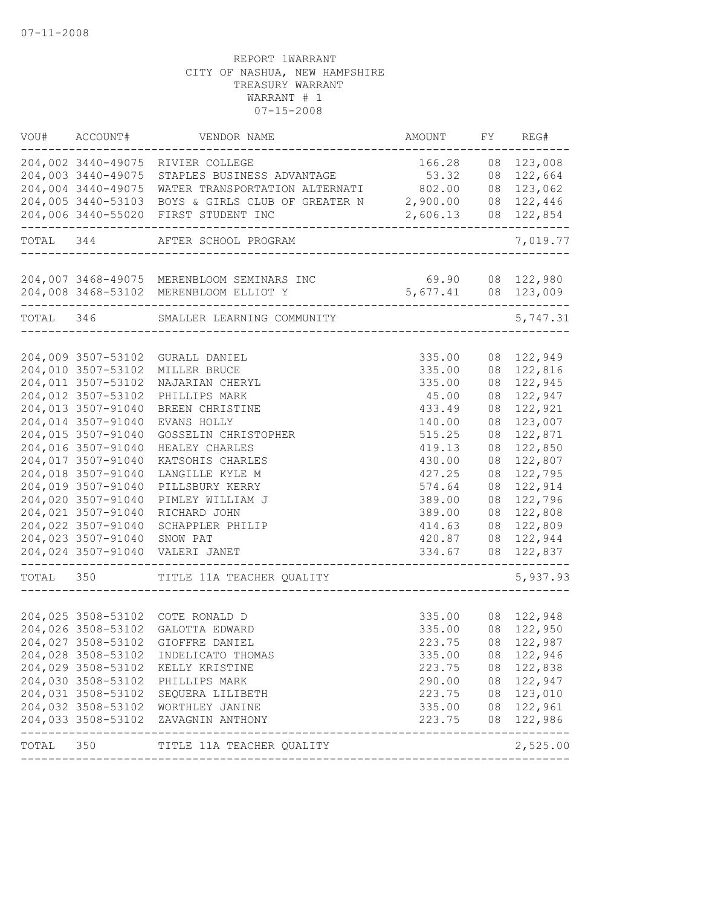| 204,002 3440-49075 RIVIER COLLEGE<br>166.28<br>08<br>123,008<br>STAPLES BUSINESS ADVANTAGE<br>204,003 3440-49075<br>53.32<br>08<br>122,664<br>WATER TRANSPORTATION ALTERNATI 802.00<br>204,004 3440-49075<br>123,062<br>08<br>204,005 3440-53103<br>BOYS & GIRLS CLUB OF GREATER N 2,900.00<br>122,446<br>08<br>204,006 3440-55020 FIRST STUDENT INC<br>2,606.13<br>08 122,854<br>-------<br>TOTAL 344 AFTER SCHOOL PROGRAM<br>7,019.77<br>_________________________________<br>69.90 08 122,980<br>5,677.41 08 123,009<br>204,007 3468-49075 MERENBLOOM SEMINARS INC<br>204,008 3468-53102 MERENBLOOM ELLIOT Y<br>TOTAL 346 SMALLER LEARNING COMMUNITY<br>5,747.31 |  |
|---------------------------------------------------------------------------------------------------------------------------------------------------------------------------------------------------------------------------------------------------------------------------------------------------------------------------------------------------------------------------------------------------------------------------------------------------------------------------------------------------------------------------------------------------------------------------------------------------------------------------------------------------------------------|--|
|                                                                                                                                                                                                                                                                                                                                                                                                                                                                                                                                                                                                                                                                     |  |
|                                                                                                                                                                                                                                                                                                                                                                                                                                                                                                                                                                                                                                                                     |  |
|                                                                                                                                                                                                                                                                                                                                                                                                                                                                                                                                                                                                                                                                     |  |
|                                                                                                                                                                                                                                                                                                                                                                                                                                                                                                                                                                                                                                                                     |  |
|                                                                                                                                                                                                                                                                                                                                                                                                                                                                                                                                                                                                                                                                     |  |
|                                                                                                                                                                                                                                                                                                                                                                                                                                                                                                                                                                                                                                                                     |  |
|                                                                                                                                                                                                                                                                                                                                                                                                                                                                                                                                                                                                                                                                     |  |
|                                                                                                                                                                                                                                                                                                                                                                                                                                                                                                                                                                                                                                                                     |  |
|                                                                                                                                                                                                                                                                                                                                                                                                                                                                                                                                                                                                                                                                     |  |
| 204,009 3507-53102<br>335.00<br>08<br>122,949<br>GURALL DANIEL                                                                                                                                                                                                                                                                                                                                                                                                                                                                                                                                                                                                      |  |
| 122,816<br>204,010 3507-53102<br>335.00<br>08<br>MILLER BRUCE                                                                                                                                                                                                                                                                                                                                                                                                                                                                                                                                                                                                       |  |
| 122,945<br>204,011 3507-53102<br>NAJARIAN CHERYL<br>335.00<br>08                                                                                                                                                                                                                                                                                                                                                                                                                                                                                                                                                                                                    |  |
| 204,012 3507-53102<br>122,947<br>45.00<br>08<br>PHILLIPS MARK                                                                                                                                                                                                                                                                                                                                                                                                                                                                                                                                                                                                       |  |
| 204,013 3507-91040<br>433.49<br>122,921<br>BREEN CHRISTINE<br>08                                                                                                                                                                                                                                                                                                                                                                                                                                                                                                                                                                                                    |  |
| 204,014 3507-91040<br>123,007<br>EVANS HOLLY<br>140.00<br>08                                                                                                                                                                                                                                                                                                                                                                                                                                                                                                                                                                                                        |  |
| 204,015 3507-91040<br>08<br>122,871<br>GOSSELIN CHRISTOPHER<br>515.25                                                                                                                                                                                                                                                                                                                                                                                                                                                                                                                                                                                               |  |
| 204,016 3507-91040<br>122,850<br>HEALEY CHARLES<br>08<br>419.13                                                                                                                                                                                                                                                                                                                                                                                                                                                                                                                                                                                                     |  |
| 08<br>204,017 3507-91040<br>KATSOHIS CHARLES<br>430.00<br>122,807                                                                                                                                                                                                                                                                                                                                                                                                                                                                                                                                                                                                   |  |
| 204,018 3507-91040<br>08<br>122,795<br>LANGILLE KYLE M<br>427.25                                                                                                                                                                                                                                                                                                                                                                                                                                                                                                                                                                                                    |  |
| 204,019 3507-91040<br>08<br>122,914<br>PILLSBURY KERRY<br>574.64                                                                                                                                                                                                                                                                                                                                                                                                                                                                                                                                                                                                    |  |
| 204,020 3507-91040<br>122,796<br>PIMLEY WILLIAM J<br>389.00<br>08                                                                                                                                                                                                                                                                                                                                                                                                                                                                                                                                                                                                   |  |
| 204,021 3507-91040<br>122,808<br>389.00<br>08<br>RICHARD JOHN                                                                                                                                                                                                                                                                                                                                                                                                                                                                                                                                                                                                       |  |
| 204,022 3507-91040<br>122,809<br>SCHAPPLER PHILIP<br>414.63<br>08                                                                                                                                                                                                                                                                                                                                                                                                                                                                                                                                                                                                   |  |
| 204,023 3507-91040<br>122,944<br>SNOW PAT<br>420.87<br>08                                                                                                                                                                                                                                                                                                                                                                                                                                                                                                                                                                                                           |  |
| 204,024 3507-91040<br>08 122,837<br>VALERI JANET<br>334.67                                                                                                                                                                                                                                                                                                                                                                                                                                                                                                                                                                                                          |  |
| 5,937.93<br>TOTAL 350<br>TITLE 11A TEACHER QUALITY                                                                                                                                                                                                                                                                                                                                                                                                                                                                                                                                                                                                                  |  |
|                                                                                                                                                                                                                                                                                                                                                                                                                                                                                                                                                                                                                                                                     |  |
| 204,025 3508-53102 COTE RONALD D<br>08 122,948<br>335.00                                                                                                                                                                                                                                                                                                                                                                                                                                                                                                                                                                                                            |  |
| 204,026 3508-53102<br>08 122,950<br>GALOTTA EDWARD<br>335.00                                                                                                                                                                                                                                                                                                                                                                                                                                                                                                                                                                                                        |  |
| 204,027 3508-53102 GIOFFRE DANIEL<br>223.75<br>08 122,987                                                                                                                                                                                                                                                                                                                                                                                                                                                                                                                                                                                                           |  |
| 204,028 3508-53102 INDELICATO THOMAS<br>08 122,946<br>335.00                                                                                                                                                                                                                                                                                                                                                                                                                                                                                                                                                                                                        |  |
| 204,029 3508-53102<br>223.75<br>08 122,838<br>KELLY KRISTINE                                                                                                                                                                                                                                                                                                                                                                                                                                                                                                                                                                                                        |  |
| 204,030 3508-53102<br>08 122,947<br>290.00<br>PHILLIPS MARK                                                                                                                                                                                                                                                                                                                                                                                                                                                                                                                                                                                                         |  |
| 204,031 3508-53102<br>08 123,010<br>223.75<br>SEQUERA LILIBETH                                                                                                                                                                                                                                                                                                                                                                                                                                                                                                                                                                                                      |  |
| 335.00 08 122,961<br>204,032 3508-53102 WORTHLEY JANINE                                                                                                                                                                                                                                                                                                                                                                                                                                                                                                                                                                                                             |  |
| 204,033 3508-53102<br>223.75 08 122,986<br>ZAVAGNIN ANTHONY<br>--------------                                                                                                                                                                                                                                                                                                                                                                                                                                                                                                                                                                                       |  |
| 2,525.00<br>TOTAL 350 TITLE 11A TEACHER QUALITY                                                                                                                                                                                                                                                                                                                                                                                                                                                                                                                                                                                                                     |  |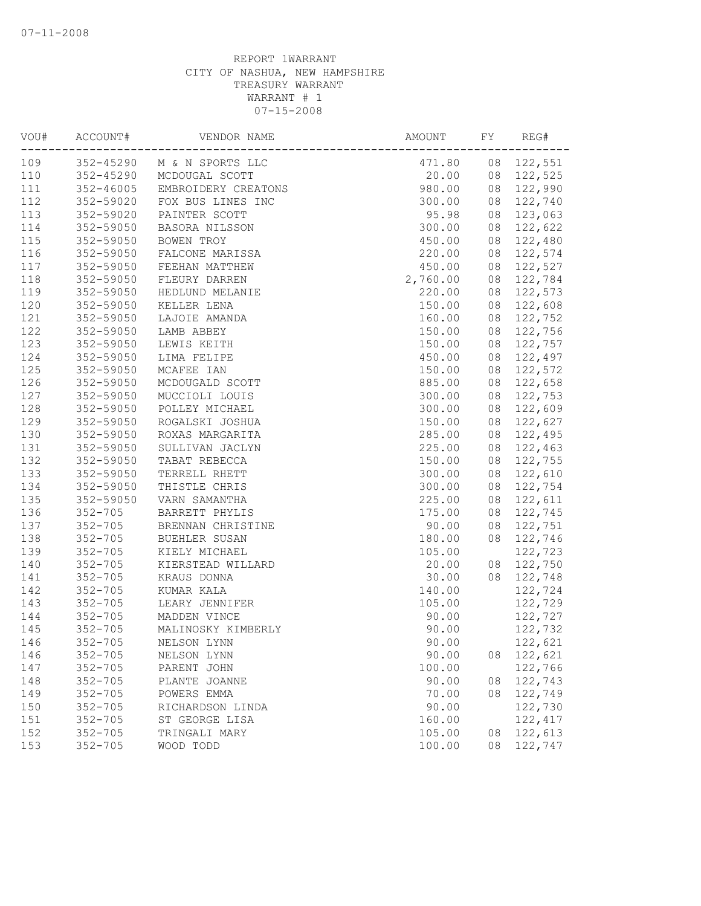| VOU# | ACCOUNT#      | VENDOR NAME                | AMOUNT   | FY | REG#       |
|------|---------------|----------------------------|----------|----|------------|
| 109  |               | 352-45290 M & N SPORTS LLC | 471.80   |    | 08 122,551 |
| 110  | 352-45290     | MCDOUGAL SCOTT             | 20.00    |    | 08 122,525 |
| 111  | $352 - 46005$ | EMBROIDERY CREATONS        | 980.00   | 08 | 122,990    |
| 112  | 352-59020     | FOX BUS LINES INC          | 300.00   | 08 | 122,740    |
| 113  | 352-59020     | PAINTER SCOTT              | 95.98    | 08 | 123,063    |
| 114  | 352-59050     | BASORA NILSSON             | 300.00   | 08 | 122,622    |
| 115  | 352-59050     | BOWEN TROY                 | 450.00   | 08 | 122,480    |
| 116  | 352-59050     | FALCONE MARISSA            | 220.00   | 08 | 122,574    |
| 117  | 352-59050     | FEEHAN MATTHEW             | 450.00   | 08 | 122,527    |
| 118  | 352-59050     | FLEURY DARREN              | 2,760.00 | 08 | 122,784    |
| 119  | 352-59050     | HEDLUND MELANIE            | 220.00   | 08 | 122,573    |
| 120  | 352-59050     | KELLER LENA                | 150.00   | 08 | 122,608    |
| 121  | 352-59050     | LAJOIE AMANDA              | 160.00   | 08 | 122,752    |
| 122  | 352-59050     | LAMB ABBEY                 | 150.00   | 08 | 122,756    |
| 123  | 352-59050     | LEWIS KEITH                | 150.00   | 08 | 122,757    |
| 124  | 352-59050     | LIMA FELIPE                | 450.00   | 08 | 122,497    |
| 125  | 352-59050     | MCAFEE IAN                 | 150.00   | 08 | 122,572    |
| 126  | 352-59050     | MCDOUGALD SCOTT            | 885.00   | 08 | 122,658    |
| 127  | 352-59050     | MUCCIOLI LOUIS             | 300.00   | 08 | 122,753    |
| 128  | 352-59050     | POLLEY MICHAEL             | 300.00   | 08 | 122,609    |
| 129  | 352-59050     | ROGALSKI JOSHUA            | 150.00   | 08 | 122,627    |
| 130  | 352-59050     | ROXAS MARGARITA            | 285.00   | 08 | 122,495    |
| 131  | 352-59050     | SULLIVAN JACLYN            | 225.00   | 08 | 122,463    |
| 132  | 352-59050     | TABAT REBECCA              | 150.00   | 08 | 122,755    |
| 133  | 352-59050     | TERRELL RHETT              | 300.00   | 08 | 122,610    |
| 134  | 352-59050     | THISTLE CHRIS              | 300.00   | 08 | 122,754    |
| 135  | 352-59050     | VARN SAMANTHA              | 225.00   | 08 | 122,611    |
| 136  | $352 - 705$   | BARRETT PHYLIS             | 175.00   | 08 | 122,745    |
| 137  | $352 - 705$   | BRENNAN CHRISTINE          | 90.00    | 08 | 122,751    |
| 138  | $352 - 705$   | BUEHLER SUSAN              | 180.00   | 08 | 122,746    |
| 139  | $352 - 705$   | KIELY MICHAEL              | 105.00   |    | 122,723    |
| 140  | $352 - 705$   | KIERSTEAD WILLARD          | 20.00    | 08 | 122,750    |
| 141  | $352 - 705$   | KRAUS DONNA                | 30.00    | 08 | 122,748    |
| 142  | $352 - 705$   | KUMAR KALA                 | 140.00   |    | 122,724    |
| 143  | $352 - 705$   | LEARY JENNIFER             | 105.00   |    | 122,729    |
| 144  | $352 - 705$   | MADDEN VINCE               | 90.00    |    | 122,727    |
| 145  | $352 - 705$   | MALINOSKY KIMBERLY         | 90.00    |    | 122,732    |
| 146  | $352 - 705$   | NELSON LYNN                | 90.00    |    | 122,621    |
| 146  | $352 - 705$   | NELSON LYNN                | 90.00    | 08 | 122,621    |
| 147  | $352 - 705$   | PARENT JOHN                | 100.00   |    | 122,766    |
| 148  | $352 - 705$   | PLANTE JOANNE              | 90.00    | 08 | 122,743    |
| 149  | $352 - 705$   | POWERS EMMA                | 70.00    | 08 | 122,749    |
| 150  | $352 - 705$   | RICHARDSON LINDA           | 90.00    |    | 122,730    |
| 151  | $352 - 705$   | ST GEORGE LISA             | 160.00   |    | 122,417    |
| 152  | $352 - 705$   | TRINGALI MARY              | 105.00   | 08 | 122,613    |
| 153  | $352 - 705$   | WOOD TODD                  | 100.00   | 08 | 122,747    |
|      |               |                            |          |    |            |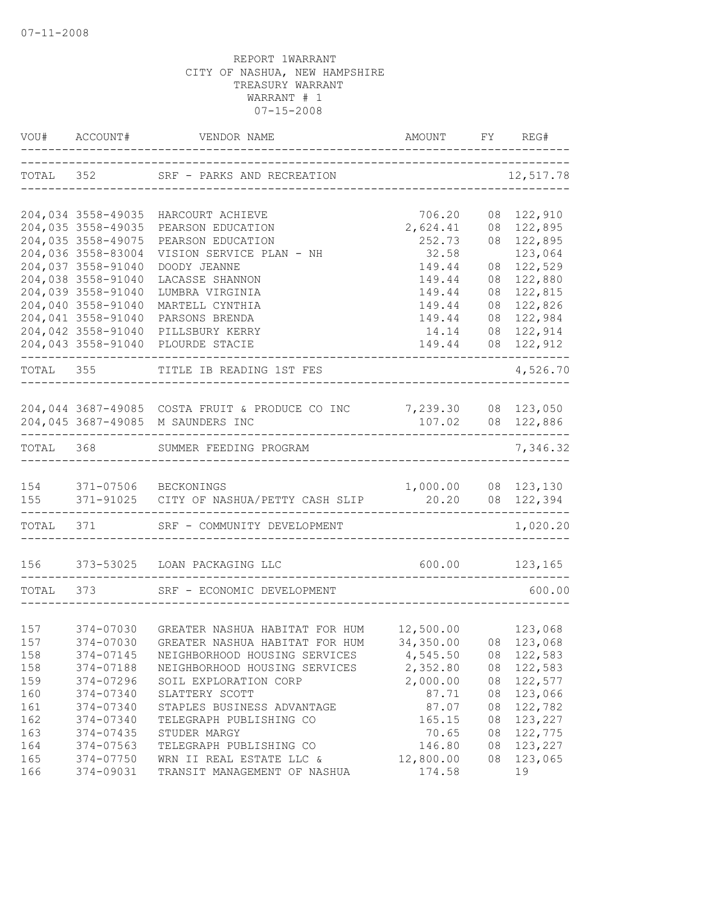|           | VOU# ACCOUNT#                | VENDOR NAME                                                                                              |                                                                                   |    | FY REG#                                   |
|-----------|------------------------------|----------------------------------------------------------------------------------------------------------|-----------------------------------------------------------------------------------|----|-------------------------------------------|
|           |                              | TOTAL 352 SRF - PARKS AND RECREATION                                                                     |                                                                                   |    | 12,517.78                                 |
|           | 204,034 3558-49035           | HARCOURT ACHIEVE                                                                                         | 706.20                                                                            |    | 08 122,910                                |
|           | 204,035 3558-49035           | PEARSON EDUCATION                                                                                        | 2,624.41                                                                          |    | 08 122,895                                |
|           | 204,035 3558-49075           | PEARSON EDUCATION                                                                                        | 252.73                                                                            |    | 08 122,895                                |
|           | 204,036 3558-83004           | VISION SERVICE PLAN - NH                                                                                 | 32.58                                                                             |    | 123,064                                   |
|           | 204,037 3558-91040           | DOODY JEANNE                                                                                             | 149.44                                                                            | 08 | 122,529                                   |
|           | 204,038 3558-91040           | LACASSE SHANNON                                                                                          | 149.44                                                                            | 08 | 122,880                                   |
|           | 204,039 3558-91040           | LUMBRA VIRGINIA                                                                                          | 149.44                                                                            | 08 | 122,815                                   |
|           | 204,040 3558-91040           | MARTELL CYNTHIA                                                                                          | 149.44                                                                            |    | 08 122,826                                |
|           | 204,041 3558-91040           | PARSONS BRENDA                                                                                           | 149.44                                                                            |    | 08 122,984                                |
|           | 204,042 3558-91040           | PILLSBURY KERRY                                                                                          | 14.14                                                                             |    | 08 122,914                                |
|           |                              | 204,043 3558-91040 PLOURDE STACIE<br>-----------                                                         | 149.44                                                                            |    | 08 122,912<br>. _ _ _ _ _ _ _ _ _ _ _ _ _ |
| TOTAL 355 |                              | TITLE IB READING 1ST FES                                                                                 |                                                                                   |    | 4,526.70                                  |
|           |                              |                                                                                                          |                                                                                   |    |                                           |
|           |                              | 204,044 3687-49085 COSTA FRUIT & PRODUCE CO INC 7,239.30 08 123,050<br>204,045 3687-49085 M SAUNDERS INC | 107.02                                                                            |    | 08 122,886                                |
| TOTAL 368 | ---------------------------- | SUMMER FEEDING PROGRAM                                                                                   | -------------------------------------                                             |    | 7,346.32                                  |
|           |                              |                                                                                                          |                                                                                   |    |                                           |
|           |                              | 154 371-07506 BECKONINGS                                                                                 | $\begin{array}{cccc} 1,000.00 & 08 & 123,130 \\ 20.20 & 08 & 122,394 \end{array}$ |    |                                           |
|           | --------------------         | 155 371-91025 CITY OF NASHUA/PETTY CASH SLIP                                                             |                                                                                   |    |                                           |
| TOTAL 371 |                              | SRF - COMMUNITY DEVELOPMENT                                                                              |                                                                                   |    | 1,020.20                                  |
|           |                              | 156 373-53025 LOAN PACKAGING LLC                                                                         |                                                                                   |    | 600.00 123,165                            |
| TOTAL 373 |                              | SRF - ECONOMIC DEVELOPMENT                                                                               |                                                                                   |    | 600.00                                    |
|           |                              |                                                                                                          |                                                                                   |    |                                           |
| 157       | 374-07030                    | GREATER NASHUA HABITAT FOR HUM 12,500.00 123,068                                                         |                                                                                   |    |                                           |
| 157       | 374-07030                    | GREATER NASHUA HABITAT FOR HUM 34,350.00 08 123,068                                                      |                                                                                   |    |                                           |
| 158       | 374-07145                    | NEIGHBORHOOD HOUSING SERVICES                                                                            | 4,545.50                                                                          |    | 08 122,583                                |
| 158       | 374-07188                    | NEIGHBORHOOD HOUSING SERVICES 2,352.80                                                                   |                                                                                   |    | 08 122,583                                |
| 159       | 374-07296                    | SOIL EXPLORATION CORP                                                                                    | 2,000.00                                                                          |    | 08 122,577                                |
| 160       | 374-07340                    | SLATTERY SCOTT                                                                                           | 87.71                                                                             | 08 | 123,066                                   |
| 161       | 374-07340                    | STAPLES BUSINESS ADVANTAGE                                                                               | 87.07                                                                             |    | 08 122,782                                |
| 162       | 374-07340                    | TELEGRAPH PUBLISHING CO                                                                                  | 165.15                                                                            |    | 08 123,227                                |
| 163       | 374-07435                    | STUDER MARGY                                                                                             | 70.65                                                                             |    | 08 122,775                                |
| 164       | 374-07563                    | TELEGRAPH PUBLISHING CO                                                                                  | 146.80                                                                            |    | 08 123,227                                |
| 165       | 374-07750                    | WRN II REAL ESTATE LLC &                                                                                 | 12,800.00                                                                         |    | 08 123,065                                |
| 166       | 374-09031                    | TRANSIT MANAGEMENT OF NASHUA                                                                             | 174.58                                                                            |    | 19                                        |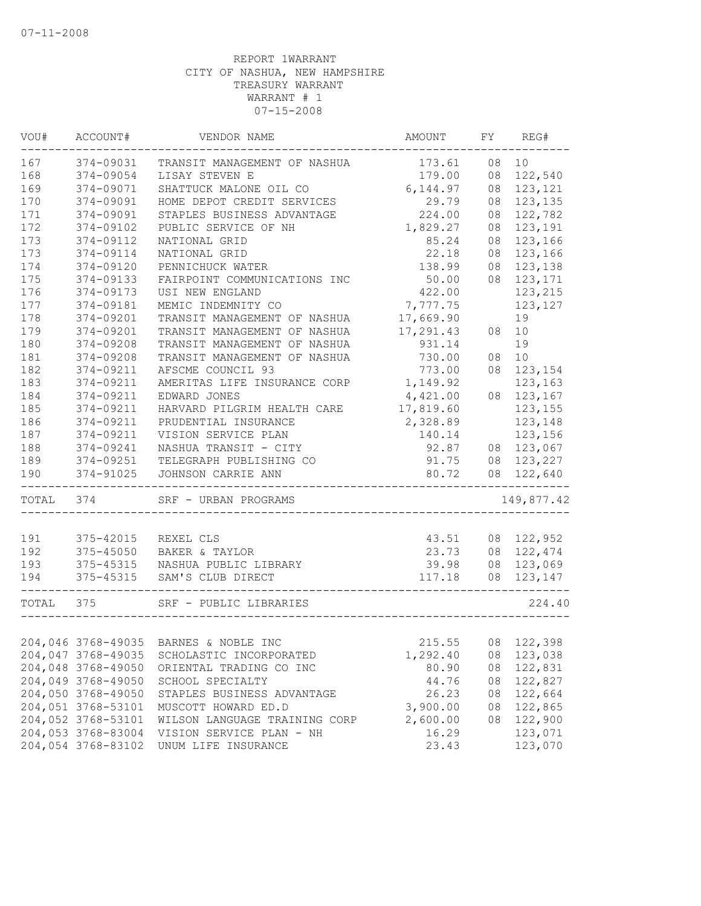| VOU#      | ACCOUNT#           | VENDOR NAME                           | AMOUNT    | FY | REG#              |
|-----------|--------------------|---------------------------------------|-----------|----|-------------------|
| 167       | 374-09031          | TRANSIT MANAGEMENT OF NASHUA          | 173.61    | 08 | 10                |
| 168       | 374-09054          | LISAY STEVEN E                        | 179.00    | 08 | 122,540           |
| 169       | 374-09071          | SHATTUCK MALONE OIL CO                | 6, 144.97 | 08 | 123,121           |
| 170       | 374-09091          | HOME DEPOT CREDIT SERVICES            | 29.79     | 08 | 123,135           |
| 171       | 374-09091          | STAPLES BUSINESS ADVANTAGE            | 224.00    | 08 | 122,782           |
| 172       | 374-09102          | PUBLIC SERVICE OF NH                  | 1,829.27  | 08 | 123,191           |
| 173       | 374-09112          | NATIONAL GRID                         | 85.24     | 08 | 123,166           |
| 173       | 374-09114          | NATIONAL GRID                         | 22.18     | 08 | 123,166           |
| 174       | 374-09120          | PENNICHUCK WATER                      | 138.99    | 08 | 123,138           |
| 175       | 374-09133          | FAIRPOINT COMMUNICATIONS INC          | 50.00     | 08 | 123,171           |
| 176       | 374-09173          | USI NEW ENGLAND                       | 422.00    |    | 123,215           |
| 177       | 374-09181          | MEMIC INDEMNITY CO                    | 7,777.75  |    | 123, 127          |
| 178       | 374-09201          | TRANSIT MANAGEMENT OF NASHUA          | 17,669.90 |    | 19                |
| 179       | 374-09201          | TRANSIT MANAGEMENT OF NASHUA          | 17,291.43 | 08 | 10                |
| 180       | 374-09208          | TRANSIT MANAGEMENT OF NASHUA          | 931.14    |    | 19                |
| 181       | 374-09208          | TRANSIT MANAGEMENT OF NASHUA          | 730.00    | 08 | 10                |
| 182       | 374-09211          | AFSCME COUNCIL 93                     | 773.00    | 08 | 123,154           |
| 183       | 374-09211          | AMERITAS LIFE INSURANCE CORP          | 1,149.92  |    | 123,163           |
| 184       | 374-09211          | EDWARD JONES                          | 4,421.00  |    | 08 123,167        |
| 185       | 374-09211          | HARVARD PILGRIM HEALTH CARE           | 17,819.60 |    | 123,155           |
| 186       | 374-09211          | PRUDENTIAL INSURANCE                  | 2,328.89  |    | 123,148           |
| 187       | 374-09211          | VISION SERVICE PLAN                   | 140.14    |    | 123,156           |
| 188       | 374-09241          | NASHUA TRANSIT - CITY                 |           |    | 92.87 08 123,067  |
| 189       | 374-09251          | TELEGRAPH PUBLISHING CO               | 91.75     |    | 08 123,227        |
| 190       | 374-91025          | JOHNSON CARRIE ANN                    | 80.72     |    | 08 122,640        |
| TOTAL 374 |                    | SRF - URBAN PROGRAMS                  |           |    | 149,877.42        |
|           |                    |                                       |           |    |                   |
| 191       | 375-42015          | REXEL CLS                             | 43.51     |    | 08 122,952        |
| 192       | 375-45050          | BAKER & TAYLOR                        |           |    | 23.73 08 122,474  |
| 193       | 375-45315          | NASHUA PUBLIC LIBRARY                 | 39.98     |    | 08 123,069        |
| 194       | 375-45315          | SAM'S CLUB DIRECT                     |           |    | 117.18 08 123,147 |
| TOTAL     | 375                | SRF - PUBLIC LIBRARIES                |           |    | 224.40            |
|           |                    | 204,046 3768-49035 BARNES & NOBLE INC |           |    | 215.55 08 122,398 |
|           | 204,047 3768-49035 | SCHOLASTIC INCORPORATED               | 1,292.40  |    | 08 123,038        |
|           | 204,048 3768-49050 | ORIENTAL TRADING CO INC               | 80.90     |    | 08 122,831        |
|           | 204,049 3768-49050 | SCHOOL SPECIALTY                      | 44.76     | 08 | 122,827           |
|           | 204,050 3768-49050 | STAPLES BUSINESS ADVANTAGE            | 26.23     | 08 | 122,664           |
|           | 204,051 3768-53101 | MUSCOTT HOWARD ED.D                   | 3,900.00  | 08 | 122,865           |
|           | 204,052 3768-53101 | WILSON LANGUAGE TRAINING CORP         | 2,600.00  | 08 | 122,900           |
|           | 204,053 3768-83004 | VISION SERVICE PLAN - NH              | 16.29     |    | 123,071           |
|           | 204,054 3768-83102 | UNUM LIFE INSURANCE                   | 23.43     |    | 123,070           |
|           |                    |                                       |           |    |                   |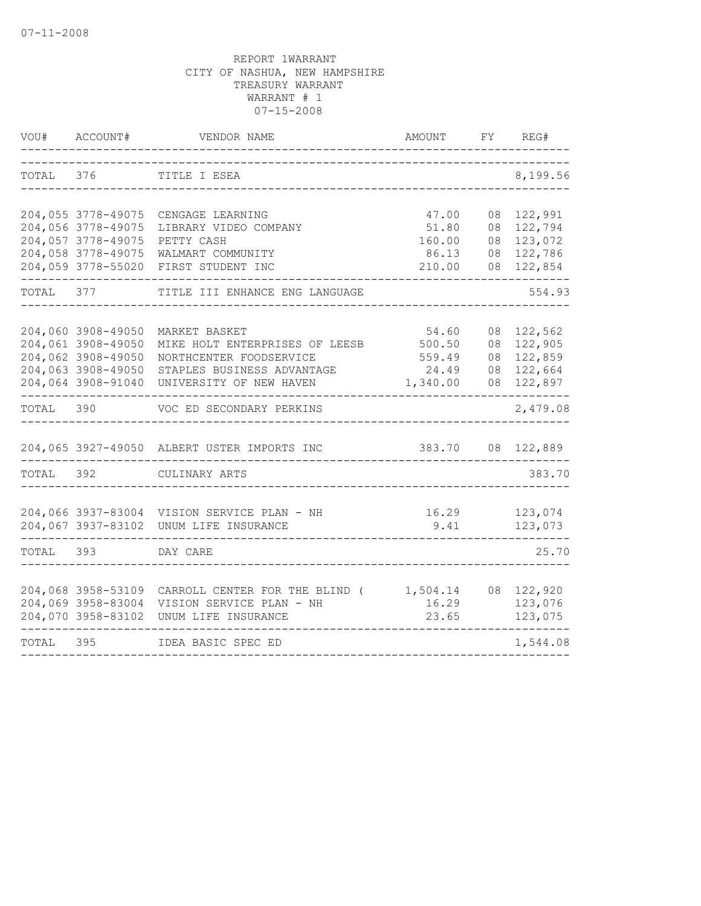| VOU#      | ACCOUNT#                                                                                                   | VENDOR NAME                                                                                                                         | AMOUNT                                         | FY                   | REG#                                                      |
|-----------|------------------------------------------------------------------------------------------------------------|-------------------------------------------------------------------------------------------------------------------------------------|------------------------------------------------|----------------------|-----------------------------------------------------------|
| TOTAL     | 376                                                                                                        | TITLE I ESEA                                                                                                                        |                                                |                      | 8,199.56                                                  |
|           | 204,055 3778-49075<br>204,056 3778-49075<br>204,057 3778-49075<br>204,058 3778-49075<br>204,059 3778-55020 | CENGAGE LEARNING<br>LIBRARY VIDEO COMPANY<br>PETTY CASH<br>WALMART COMMUNITY<br>FIRST STUDENT INC                                   | 47.00<br>51.80<br>160.00<br>86.13<br>210.00    | 08<br>08<br>08       | 122,991<br>122,794<br>08 123,072<br>122,786<br>08 122,854 |
| TOTAL     | 377                                                                                                        | TITLE III ENHANCE ENG LANGUAGE                                                                                                      |                                                |                      | 554.93                                                    |
|           | 204,060 3908-49050<br>204,061 3908-49050<br>204,062 3908-49050<br>204,063 3908-49050<br>204,064 3908-91040 | MARKET BASKET<br>MIKE HOLT ENTERPRISES OF LEESB<br>NORTHCENTER FOODSERVICE<br>STAPLES BUSINESS ADVANTAGE<br>UNIVERSITY OF NEW HAVEN | 54.60<br>500.50<br>559.49<br>24.49<br>1,340.00 | 08<br>08<br>08<br>08 | 122,562<br>122,905<br>122,859<br>122,664<br>08 122,897    |
| TOTAL     | 390                                                                                                        | VOC ED SECONDARY PERKINS                                                                                                            |                                                |                      | 2,479.08                                                  |
| TOTAL 392 |                                                                                                            | 204,065 3927-49050 ALBERT USTER IMPORTS INC<br>CULINARY ARTS                                                                        | 383.70                                         |                      | 08 122,889<br>383.70                                      |
|           |                                                                                                            | 204,066 3937-83004 VISION SERVICE PLAN - NH<br>204,067 3937-83102 UNUM LIFE INSURANCE                                               | 16.29<br>9.41                                  |                      | 123,074<br>123,073                                        |
| TOTAL 393 |                                                                                                            | DAY CARE                                                                                                                            |                                                |                      | 25.70                                                     |
|           | 204,068 3958-53109<br>204,069 3958-83004<br>204,070 3958-83102                                             | CARROLL CENTER FOR THE BLIND (<br>VISION SERVICE PLAN - NH<br>UNUM LIFE INSURANCE                                                   | 1,504.14<br>16.29<br>23.65                     |                      | 08 122,920<br>123,076<br>123,075                          |
| TOTAL     | 395                                                                                                        | IDEA BASIC SPEC ED                                                                                                                  |                                                |                      | 1,544.08                                                  |
|           |                                                                                                            |                                                                                                                                     |                                                |                      |                                                           |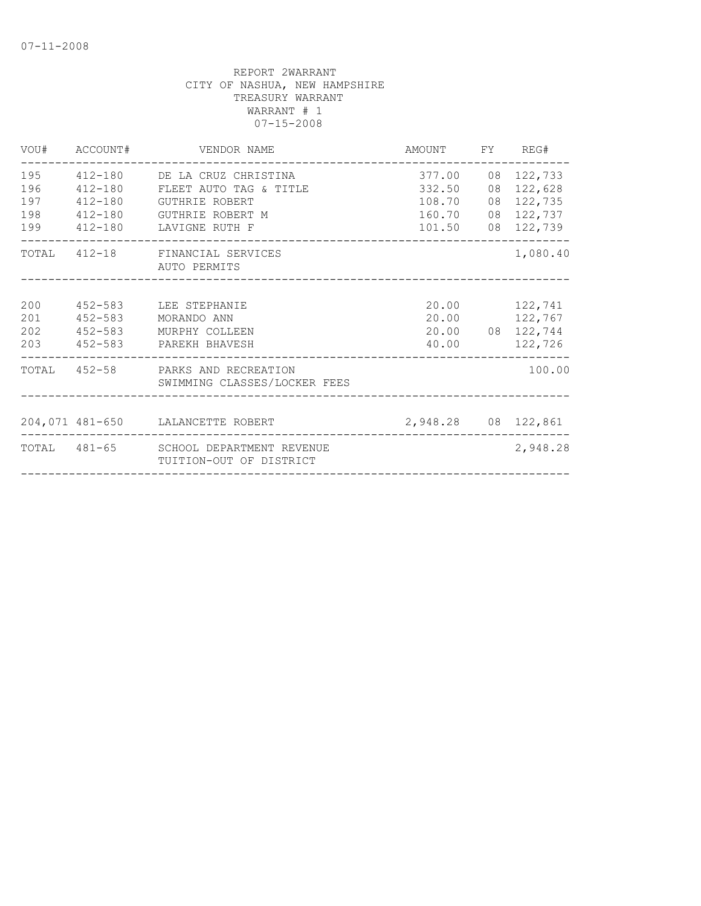| ACCOUNT#                   |                                                 |                                                                                                                                                                                                                                                                                                                            |          | FY REG#                                                                                                               |
|----------------------------|-------------------------------------------------|----------------------------------------------------------------------------------------------------------------------------------------------------------------------------------------------------------------------------------------------------------------------------------------------------------------------------|----------|-----------------------------------------------------------------------------------------------------------------------|
| $412 - 180$<br>$412 - 180$ | FLEET AUTO TAG & TITLE<br><b>GUTHRIE ROBERT</b> |                                                                                                                                                                                                                                                                                                                            | 08<br>08 | 08 122,733<br>122,628<br>122,735<br>08 122,737<br>08 122,739                                                          |
|                            | AUTO PERMITS                                    |                                                                                                                                                                                                                                                                                                                            |          | 1,080.40                                                                                                              |
| 452-583                    | MORANDO ANN<br>MURPHY COLLEEN                   | 40.00                                                                                                                                                                                                                                                                                                                      |          | 122,741<br>122,767<br>122,726                                                                                         |
|                            | SWIMMING CLASSES/LOCKER FEES                    |                                                                                                                                                                                                                                                                                                                            |          | 100.00                                                                                                                |
|                            |                                                 |                                                                                                                                                                                                                                                                                                                            |          |                                                                                                                       |
|                            | TUITION-OUT OF DISTRICT                         |                                                                                                                                                                                                                                                                                                                            |          | 2,948.28                                                                                                              |
|                            |                                                 | VENDOR NAME<br>412-180 DE LA CRUZ CHRISTINA<br>412-180 GUTHRIE ROBERT M<br>412-180 LAVIGNE RUTH F<br>TOTAL 412-18 FINANCIAL SERVICES<br>452-583 LEE STEPHANIE<br>$452 - 583$<br>452-583 PAREKH BHAVESH<br>TOTAL 452-58 PARKS AND RECREATION<br>204,071 481-650 LALANCETTE ROBERT<br>TOTAL 481-65 SCHOOL DEPARTMENT REVENUE |          | AMOUNT<br>377.00<br>332.50<br>108.70<br>160.70<br>101.50<br>20.00<br>20.00<br>20.00 08 122,744<br>2,948.28 08 122,861 |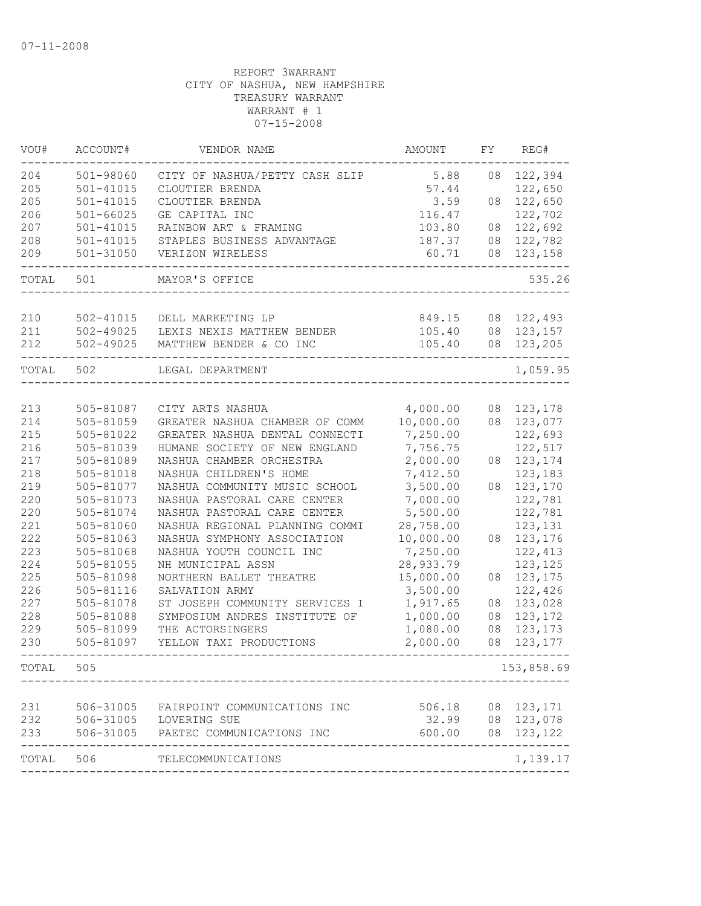| 122,394<br>501-98060<br>5.88<br>CITY OF NASHUA/PETTY CASH SLIP<br>08<br>$501 - 41015$<br>57.44<br>122,650<br>CLOUTIER BRENDA<br>3.59<br>122,650<br>501-41015<br>CLOUTIER BRENDA<br>08<br>$501 - 66025$<br>GE CAPITAL INC<br>122,702<br>116.47<br>122,692<br>$501 - 41015$<br>RAINBOW ART & FRAMING<br>103.80<br>08<br>$501 - 41015$<br>STAPLES BUSINESS ADVANTAGE<br>122,782<br>187.37<br>08<br>$501 - 31050$<br>08<br>123,158<br>VERIZON WIRELESS<br>60.71<br>501<br>MAYOR'S OFFICE<br>210<br>502-41015<br>08 122,493<br>DELL MARKETING LP<br>849.15<br>211<br>502-49025<br>LEXIS NEXIS MATTHEW BENDER<br>105.40<br>08 123,157<br>502-49025<br>MATTHEW BENDER & CO INC<br>08 123,205<br>105.40<br>502<br>LEGAL DEPARTMENT<br>4,000.00<br>505-81087<br>CITY ARTS NASHUA<br>08<br>123,178<br>10,000.00<br>505-81059<br>GREATER NASHUA CHAMBER OF COMM<br>123,077<br>08<br>7,250.00<br>122,693<br>505-81022<br>GREATER NASHUA DENTAL CONNECTI<br>505-81039<br>HUMANE SOCIETY OF NEW ENGLAND<br>7,756.75<br>122,517<br>NASHUA CHAMBER ORCHESTRA<br>2,000.00<br>123,174<br>505-81089<br>08<br>505-81018<br>NASHUA CHILDREN'S HOME<br>7,412.50<br>123,183<br>219<br>NASHUA COMMUNITY MUSIC SCHOOL<br>3,500.00<br>123,170<br>505-81077<br>08<br>220<br>NASHUA PASTORAL CARE CENTER<br>7,000.00<br>122,781<br>505-81073<br>220<br>NASHUA PASTORAL CARE CENTER<br>5,500.00<br>122,781<br>505-81074<br>28,758.00<br>123, 131<br>505-81060<br>NASHUA REGIONAL PLANNING COMMI<br>222<br>10,000.00<br>505-81063<br>NASHUA SYMPHONY ASSOCIATION<br>123,176<br>08<br>7,250.00<br>122,413<br>505-81068<br>NASHUA YOUTH COUNCIL INC<br>505-81055<br>28,933.79<br>123,125<br>NH MUNICIPAL ASSN<br>505-81098<br>15,000.00<br>123, 175<br>NORTHERN BALLET THEATRE<br>08<br>3,500.00<br>$505 - 81116$<br>122,426<br>SALVATION ARMY<br>505-81078<br>ST JOSEPH COMMUNITY SERVICES I<br>1,917.65<br>123,028<br>08<br>1,000.00<br>123, 172<br>505-81088<br>SYMPOSIUM ANDRES INSTITUTE OF<br>08<br>505-81099<br>THE ACTORSINGERS<br>1,080.00<br>08<br>123, 173<br>2,000.00<br>123,177<br>505-81097<br>YELLOW TAXI PRODUCTIONS<br>08<br>.<br>505<br>153,858.69<br>506-31005<br>123,171<br>231<br>506.18<br>08<br>FAIRPOINT COMMUNICATIONS INC<br>232<br>08<br>123,078<br>506-31005<br>32.99<br>LOVERING SUE<br>233<br>123,122<br>506-31005<br>PAETEC COMMUNICATIONS INC<br>600.00<br>08<br>506<br>TELECOMMUNICATIONS | VOU#  | ACCOUNT# | VENDOR NAME | AMOUNT | FY | REG#     |
|--------------------------------------------------------------------------------------------------------------------------------------------------------------------------------------------------------------------------------------------------------------------------------------------------------------------------------------------------------------------------------------------------------------------------------------------------------------------------------------------------------------------------------------------------------------------------------------------------------------------------------------------------------------------------------------------------------------------------------------------------------------------------------------------------------------------------------------------------------------------------------------------------------------------------------------------------------------------------------------------------------------------------------------------------------------------------------------------------------------------------------------------------------------------------------------------------------------------------------------------------------------------------------------------------------------------------------------------------------------------------------------------------------------------------------------------------------------------------------------------------------------------------------------------------------------------------------------------------------------------------------------------------------------------------------------------------------------------------------------------------------------------------------------------------------------------------------------------------------------------------------------------------------------------------------------------------------------------------------------------------------------------------------------------------------------------------------------------------------------------------------------------------------------------------------------------------------------------------------------------------------------------------------------------------------------------------------------------------------------------------------------------|-------|----------|-------------|--------|----|----------|
|                                                                                                                                                                                                                                                                                                                                                                                                                                                                                                                                                                                                                                                                                                                                                                                                                                                                                                                                                                                                                                                                                                                                                                                                                                                                                                                                                                                                                                                                                                                                                                                                                                                                                                                                                                                                                                                                                                                                                                                                                                                                                                                                                                                                                                                                                                                                                                                            | 204   |          |             |        |    |          |
|                                                                                                                                                                                                                                                                                                                                                                                                                                                                                                                                                                                                                                                                                                                                                                                                                                                                                                                                                                                                                                                                                                                                                                                                                                                                                                                                                                                                                                                                                                                                                                                                                                                                                                                                                                                                                                                                                                                                                                                                                                                                                                                                                                                                                                                                                                                                                                                            | 205   |          |             |        |    |          |
|                                                                                                                                                                                                                                                                                                                                                                                                                                                                                                                                                                                                                                                                                                                                                                                                                                                                                                                                                                                                                                                                                                                                                                                                                                                                                                                                                                                                                                                                                                                                                                                                                                                                                                                                                                                                                                                                                                                                                                                                                                                                                                                                                                                                                                                                                                                                                                                            | 205   |          |             |        |    |          |
|                                                                                                                                                                                                                                                                                                                                                                                                                                                                                                                                                                                                                                                                                                                                                                                                                                                                                                                                                                                                                                                                                                                                                                                                                                                                                                                                                                                                                                                                                                                                                                                                                                                                                                                                                                                                                                                                                                                                                                                                                                                                                                                                                                                                                                                                                                                                                                                            | 206   |          |             |        |    |          |
|                                                                                                                                                                                                                                                                                                                                                                                                                                                                                                                                                                                                                                                                                                                                                                                                                                                                                                                                                                                                                                                                                                                                                                                                                                                                                                                                                                                                                                                                                                                                                                                                                                                                                                                                                                                                                                                                                                                                                                                                                                                                                                                                                                                                                                                                                                                                                                                            | 207   |          |             |        |    |          |
|                                                                                                                                                                                                                                                                                                                                                                                                                                                                                                                                                                                                                                                                                                                                                                                                                                                                                                                                                                                                                                                                                                                                                                                                                                                                                                                                                                                                                                                                                                                                                                                                                                                                                                                                                                                                                                                                                                                                                                                                                                                                                                                                                                                                                                                                                                                                                                                            | 208   |          |             |        |    |          |
|                                                                                                                                                                                                                                                                                                                                                                                                                                                                                                                                                                                                                                                                                                                                                                                                                                                                                                                                                                                                                                                                                                                                                                                                                                                                                                                                                                                                                                                                                                                                                                                                                                                                                                                                                                                                                                                                                                                                                                                                                                                                                                                                                                                                                                                                                                                                                                                            | 209   |          |             |        |    |          |
|                                                                                                                                                                                                                                                                                                                                                                                                                                                                                                                                                                                                                                                                                                                                                                                                                                                                                                                                                                                                                                                                                                                                                                                                                                                                                                                                                                                                                                                                                                                                                                                                                                                                                                                                                                                                                                                                                                                                                                                                                                                                                                                                                                                                                                                                                                                                                                                            | TOTAL |          |             |        |    | 535.26   |
|                                                                                                                                                                                                                                                                                                                                                                                                                                                                                                                                                                                                                                                                                                                                                                                                                                                                                                                                                                                                                                                                                                                                                                                                                                                                                                                                                                                                                                                                                                                                                                                                                                                                                                                                                                                                                                                                                                                                                                                                                                                                                                                                                                                                                                                                                                                                                                                            |       |          |             |        |    |          |
|                                                                                                                                                                                                                                                                                                                                                                                                                                                                                                                                                                                                                                                                                                                                                                                                                                                                                                                                                                                                                                                                                                                                                                                                                                                                                                                                                                                                                                                                                                                                                                                                                                                                                                                                                                                                                                                                                                                                                                                                                                                                                                                                                                                                                                                                                                                                                                                            |       |          |             |        |    |          |
|                                                                                                                                                                                                                                                                                                                                                                                                                                                                                                                                                                                                                                                                                                                                                                                                                                                                                                                                                                                                                                                                                                                                                                                                                                                                                                                                                                                                                                                                                                                                                                                                                                                                                                                                                                                                                                                                                                                                                                                                                                                                                                                                                                                                                                                                                                                                                                                            | 212   |          |             |        |    |          |
|                                                                                                                                                                                                                                                                                                                                                                                                                                                                                                                                                                                                                                                                                                                                                                                                                                                                                                                                                                                                                                                                                                                                                                                                                                                                                                                                                                                                                                                                                                                                                                                                                                                                                                                                                                                                                                                                                                                                                                                                                                                                                                                                                                                                                                                                                                                                                                                            | TOTAL |          |             |        |    | 1,059.95 |
|                                                                                                                                                                                                                                                                                                                                                                                                                                                                                                                                                                                                                                                                                                                                                                                                                                                                                                                                                                                                                                                                                                                                                                                                                                                                                                                                                                                                                                                                                                                                                                                                                                                                                                                                                                                                                                                                                                                                                                                                                                                                                                                                                                                                                                                                                                                                                                                            |       |          |             |        |    |          |
|                                                                                                                                                                                                                                                                                                                                                                                                                                                                                                                                                                                                                                                                                                                                                                                                                                                                                                                                                                                                                                                                                                                                                                                                                                                                                                                                                                                                                                                                                                                                                                                                                                                                                                                                                                                                                                                                                                                                                                                                                                                                                                                                                                                                                                                                                                                                                                                            | 213   |          |             |        |    |          |
|                                                                                                                                                                                                                                                                                                                                                                                                                                                                                                                                                                                                                                                                                                                                                                                                                                                                                                                                                                                                                                                                                                                                                                                                                                                                                                                                                                                                                                                                                                                                                                                                                                                                                                                                                                                                                                                                                                                                                                                                                                                                                                                                                                                                                                                                                                                                                                                            | 214   |          |             |        |    |          |
|                                                                                                                                                                                                                                                                                                                                                                                                                                                                                                                                                                                                                                                                                                                                                                                                                                                                                                                                                                                                                                                                                                                                                                                                                                                                                                                                                                                                                                                                                                                                                                                                                                                                                                                                                                                                                                                                                                                                                                                                                                                                                                                                                                                                                                                                                                                                                                                            | 215   |          |             |        |    |          |
|                                                                                                                                                                                                                                                                                                                                                                                                                                                                                                                                                                                                                                                                                                                                                                                                                                                                                                                                                                                                                                                                                                                                                                                                                                                                                                                                                                                                                                                                                                                                                                                                                                                                                                                                                                                                                                                                                                                                                                                                                                                                                                                                                                                                                                                                                                                                                                                            | 216   |          |             |        |    |          |
|                                                                                                                                                                                                                                                                                                                                                                                                                                                                                                                                                                                                                                                                                                                                                                                                                                                                                                                                                                                                                                                                                                                                                                                                                                                                                                                                                                                                                                                                                                                                                                                                                                                                                                                                                                                                                                                                                                                                                                                                                                                                                                                                                                                                                                                                                                                                                                                            | 217   |          |             |        |    |          |
|                                                                                                                                                                                                                                                                                                                                                                                                                                                                                                                                                                                                                                                                                                                                                                                                                                                                                                                                                                                                                                                                                                                                                                                                                                                                                                                                                                                                                                                                                                                                                                                                                                                                                                                                                                                                                                                                                                                                                                                                                                                                                                                                                                                                                                                                                                                                                                                            | 218   |          |             |        |    |          |
|                                                                                                                                                                                                                                                                                                                                                                                                                                                                                                                                                                                                                                                                                                                                                                                                                                                                                                                                                                                                                                                                                                                                                                                                                                                                                                                                                                                                                                                                                                                                                                                                                                                                                                                                                                                                                                                                                                                                                                                                                                                                                                                                                                                                                                                                                                                                                                                            |       |          |             |        |    |          |
|                                                                                                                                                                                                                                                                                                                                                                                                                                                                                                                                                                                                                                                                                                                                                                                                                                                                                                                                                                                                                                                                                                                                                                                                                                                                                                                                                                                                                                                                                                                                                                                                                                                                                                                                                                                                                                                                                                                                                                                                                                                                                                                                                                                                                                                                                                                                                                                            |       |          |             |        |    |          |
|                                                                                                                                                                                                                                                                                                                                                                                                                                                                                                                                                                                                                                                                                                                                                                                                                                                                                                                                                                                                                                                                                                                                                                                                                                                                                                                                                                                                                                                                                                                                                                                                                                                                                                                                                                                                                                                                                                                                                                                                                                                                                                                                                                                                                                                                                                                                                                                            |       |          |             |        |    |          |
|                                                                                                                                                                                                                                                                                                                                                                                                                                                                                                                                                                                                                                                                                                                                                                                                                                                                                                                                                                                                                                                                                                                                                                                                                                                                                                                                                                                                                                                                                                                                                                                                                                                                                                                                                                                                                                                                                                                                                                                                                                                                                                                                                                                                                                                                                                                                                                                            | 221   |          |             |        |    |          |
|                                                                                                                                                                                                                                                                                                                                                                                                                                                                                                                                                                                                                                                                                                                                                                                                                                                                                                                                                                                                                                                                                                                                                                                                                                                                                                                                                                                                                                                                                                                                                                                                                                                                                                                                                                                                                                                                                                                                                                                                                                                                                                                                                                                                                                                                                                                                                                                            |       |          |             |        |    |          |
|                                                                                                                                                                                                                                                                                                                                                                                                                                                                                                                                                                                                                                                                                                                                                                                                                                                                                                                                                                                                                                                                                                                                                                                                                                                                                                                                                                                                                                                                                                                                                                                                                                                                                                                                                                                                                                                                                                                                                                                                                                                                                                                                                                                                                                                                                                                                                                                            | 223   |          |             |        |    |          |
|                                                                                                                                                                                                                                                                                                                                                                                                                                                                                                                                                                                                                                                                                                                                                                                                                                                                                                                                                                                                                                                                                                                                                                                                                                                                                                                                                                                                                                                                                                                                                                                                                                                                                                                                                                                                                                                                                                                                                                                                                                                                                                                                                                                                                                                                                                                                                                                            | 224   |          |             |        |    |          |
|                                                                                                                                                                                                                                                                                                                                                                                                                                                                                                                                                                                                                                                                                                                                                                                                                                                                                                                                                                                                                                                                                                                                                                                                                                                                                                                                                                                                                                                                                                                                                                                                                                                                                                                                                                                                                                                                                                                                                                                                                                                                                                                                                                                                                                                                                                                                                                                            | 225   |          |             |        |    |          |
|                                                                                                                                                                                                                                                                                                                                                                                                                                                                                                                                                                                                                                                                                                                                                                                                                                                                                                                                                                                                                                                                                                                                                                                                                                                                                                                                                                                                                                                                                                                                                                                                                                                                                                                                                                                                                                                                                                                                                                                                                                                                                                                                                                                                                                                                                                                                                                                            | 226   |          |             |        |    |          |
|                                                                                                                                                                                                                                                                                                                                                                                                                                                                                                                                                                                                                                                                                                                                                                                                                                                                                                                                                                                                                                                                                                                                                                                                                                                                                                                                                                                                                                                                                                                                                                                                                                                                                                                                                                                                                                                                                                                                                                                                                                                                                                                                                                                                                                                                                                                                                                                            | 227   |          |             |        |    |          |
|                                                                                                                                                                                                                                                                                                                                                                                                                                                                                                                                                                                                                                                                                                                                                                                                                                                                                                                                                                                                                                                                                                                                                                                                                                                                                                                                                                                                                                                                                                                                                                                                                                                                                                                                                                                                                                                                                                                                                                                                                                                                                                                                                                                                                                                                                                                                                                                            | 228   |          |             |        |    |          |
|                                                                                                                                                                                                                                                                                                                                                                                                                                                                                                                                                                                                                                                                                                                                                                                                                                                                                                                                                                                                                                                                                                                                                                                                                                                                                                                                                                                                                                                                                                                                                                                                                                                                                                                                                                                                                                                                                                                                                                                                                                                                                                                                                                                                                                                                                                                                                                                            | 229   |          |             |        |    |          |
|                                                                                                                                                                                                                                                                                                                                                                                                                                                                                                                                                                                                                                                                                                                                                                                                                                                                                                                                                                                                                                                                                                                                                                                                                                                                                                                                                                                                                                                                                                                                                                                                                                                                                                                                                                                                                                                                                                                                                                                                                                                                                                                                                                                                                                                                                                                                                                                            | 230   |          |             |        |    |          |
|                                                                                                                                                                                                                                                                                                                                                                                                                                                                                                                                                                                                                                                                                                                                                                                                                                                                                                                                                                                                                                                                                                                                                                                                                                                                                                                                                                                                                                                                                                                                                                                                                                                                                                                                                                                                                                                                                                                                                                                                                                                                                                                                                                                                                                                                                                                                                                                            | TOTAL |          |             |        |    |          |
|                                                                                                                                                                                                                                                                                                                                                                                                                                                                                                                                                                                                                                                                                                                                                                                                                                                                                                                                                                                                                                                                                                                                                                                                                                                                                                                                                                                                                                                                                                                                                                                                                                                                                                                                                                                                                                                                                                                                                                                                                                                                                                                                                                                                                                                                                                                                                                                            |       |          |             |        |    |          |
|                                                                                                                                                                                                                                                                                                                                                                                                                                                                                                                                                                                                                                                                                                                                                                                                                                                                                                                                                                                                                                                                                                                                                                                                                                                                                                                                                                                                                                                                                                                                                                                                                                                                                                                                                                                                                                                                                                                                                                                                                                                                                                                                                                                                                                                                                                                                                                                            |       |          |             |        |    |          |
|                                                                                                                                                                                                                                                                                                                                                                                                                                                                                                                                                                                                                                                                                                                                                                                                                                                                                                                                                                                                                                                                                                                                                                                                                                                                                                                                                                                                                                                                                                                                                                                                                                                                                                                                                                                                                                                                                                                                                                                                                                                                                                                                                                                                                                                                                                                                                                                            |       |          |             |        |    |          |
|                                                                                                                                                                                                                                                                                                                                                                                                                                                                                                                                                                                                                                                                                                                                                                                                                                                                                                                                                                                                                                                                                                                                                                                                                                                                                                                                                                                                                                                                                                                                                                                                                                                                                                                                                                                                                                                                                                                                                                                                                                                                                                                                                                                                                                                                                                                                                                                            |       |          |             |        |    |          |
|                                                                                                                                                                                                                                                                                                                                                                                                                                                                                                                                                                                                                                                                                                                                                                                                                                                                                                                                                                                                                                                                                                                                                                                                                                                                                                                                                                                                                                                                                                                                                                                                                                                                                                                                                                                                                                                                                                                                                                                                                                                                                                                                                                                                                                                                                                                                                                                            | TOTAL |          |             |        |    | 1,139.17 |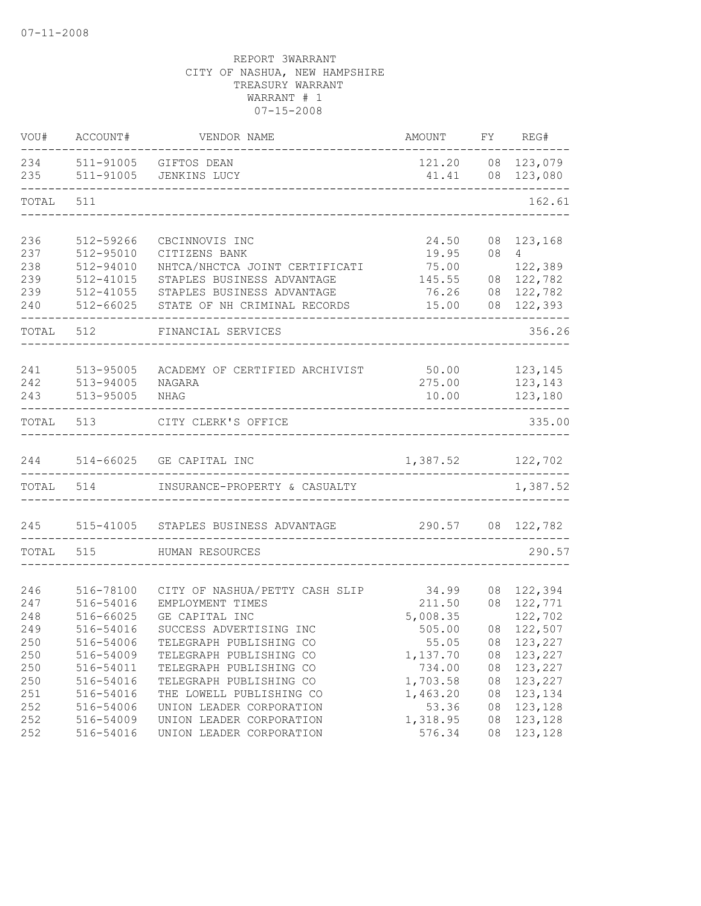| VOU#  | ACCOUNT#      | VENDOR NAME                          | AMOUNT            | FY | REG#              |
|-------|---------------|--------------------------------------|-------------------|----|-------------------|
| 234   |               | 511-91005 GIFTOS DEAN                |                   |    | 121.20 08 123,079 |
| 235   |               | 511-91005 JENKINS LUCY               | 41.41             |    | 08 123,080        |
| TOTAL | 511           |                                      |                   |    | 162.61            |
| 236   | 512-59266     | CBCINNOVIS INC                       | 24.50             | 08 | 123,168           |
| 237   | 512-95010     | CITIZENS BANK                        | 19.95             | 08 | $4\degree$        |
| 238   | 512-94010     | NHTCA/NHCTCA JOINT CERTIFICATI       | 75.00             |    | 122,389           |
| 239   | 512-41015     | STAPLES BUSINESS ADVANTAGE           | 145.55            |    | 08 122,782        |
| 239   | $512 - 41055$ | STAPLES BUSINESS ADVANTAGE           | 76.26             |    | 08 122,782        |
| 240   | 512-66025     | STATE OF NH CRIMINAL RECORDS         | 15.00             |    | 08 122,393        |
| TOTAL | 512           | FINANCIAL SERVICES                   |                   |    | 356.26            |
| 241   | 513-95005     | ACADEMY OF CERTIFIED ARCHIVIST 50.00 |                   |    | 123,145           |
| 242   | 513-94005     | NAGARA                               | 275.00            |    | 123,143           |
| 243   | 513-95005     | NHAG                                 | 10.00             |    | 123,180           |
|       |               |                                      |                   |    |                   |
| TOTAL | 513           | CITY CLERK'S OFFICE                  |                   |    | 335.00            |
| 244   |               | 514-66025 GE CAPITAL INC             | 1,387.52 122,702  |    |                   |
|       |               |                                      |                   |    |                   |
| TOTAL | 514           | INSURANCE-PROPERTY & CASUALTY        |                   |    | 1,387.52          |
| 245   |               | 515-41005 STAPLES BUSINESS ADVANTAGE | 290.57 08 122,782 |    |                   |
| TOTAL | 515           | HUMAN RESOURCES                      |                   |    | 290.57            |
|       |               |                                      |                   |    |                   |
| 246   | 516-78100     | CITY OF NASHUA/PETTY CASH SLIP       | 34.99             |    | 08 122,394        |
| 247   | 516-54016     | EMPLOYMENT TIMES                     | 211.50            |    | 08 122,771        |
| 248   | 516-66025     | GE CAPITAL INC                       | 5,008.35          |    | 122,702           |
| 249   | 516-54016     | SUCCESS ADVERTISING INC              | 505.00            |    | 08 122,507        |
| 250   | 516-54006     | TELEGRAPH PUBLISHING CO              | 55.05             |    | 08 123,227        |
| 250   | 516-54009     | TELEGRAPH PUBLISHING CO              | 1,137.70          | 08 | 123,227           |
| 250   | 516-54011     | TELEGRAPH PUBLISHING CO              | 734.00            | 08 | 123,227           |
| 250   | 516-54016     | TELEGRAPH PUBLISHING CO              | 1,703.58          | 08 | 123,227           |
| 251   | 516-54016     | THE LOWELL PUBLISHING CO             | 1,463.20          | 08 | 123,134           |
| 252   | 516-54006     | UNION LEADER CORPORATION             | 53.36             | 08 | 123,128           |
| 252   | 516-54009     | UNION LEADER CORPORATION             | 1,318.95          | 08 | 123,128           |
| 252   | 516-54016     | UNION LEADER CORPORATION             | 576.34            | 08 | 123,128           |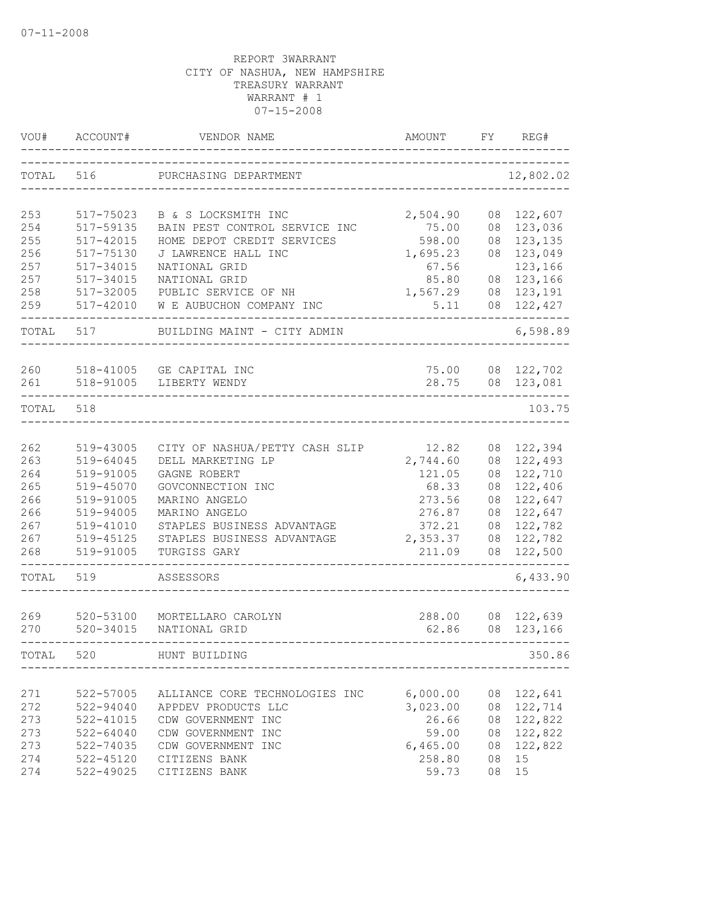| VOU#       | ACCOUNT#                   | VENDOR NAME                               | AMOUNT             | FY       | REG#                     |
|------------|----------------------------|-------------------------------------------|--------------------|----------|--------------------------|
| TOTAL      | 516                        | PURCHASING DEPARTMENT                     |                    |          | 12,802.02                |
| 253        | 517-75023                  | B & S LOCKSMITH INC                       | 2,504.90           |          | 08 122,607               |
| 254        | 517-59135                  | BAIN PEST CONTROL SERVICE INC             | 75.00              | 08       | 123,036                  |
| 255        | 517-42015                  | HOME DEPOT CREDIT SERVICES                | 598.00             | 08       | 123,135                  |
| 256        | 517-75130                  | J LAWRENCE HALL INC                       | 1,695.23           | 08       | 123,049                  |
| 257        | 517-34015                  | NATIONAL GRID                             | 67.56              |          | 123,166                  |
| 257        | 517-34015                  | NATIONAL GRID                             | 85.80              | 08       | 123,166                  |
| 258        | 517-32005                  | PUBLIC SERVICE OF NH                      | 1,567.29           | 08       | 123,191                  |
| 259        | 517-42010                  | W E AUBUCHON COMPANY INC                  | 5.11               |          | 08 122,427               |
| TOTAL 517  |                            | BUILDING MAINT - CITY ADMIN               |                    |          | 6,598.89                 |
| 260<br>261 | 518-91005                  | 518-41005 GE CAPITAL INC<br>LIBERTY WENDY | 75.00<br>28.75     |          | 08 122,702<br>08 123,081 |
|            |                            |                                           |                    |          |                          |
| TOTAL      | 518                        |                                           |                    |          | 103.75                   |
| 262        | 519-43005                  | CITY OF NASHUA/PETTY CASH SLIP            | 12.82              | 08       | 122,394                  |
| 263        | 519-64045                  | DELL MARKETING LP                         | 2,744.60           | 08       | 122,493                  |
| 264        | 519-91005                  | GAGNE ROBERT                              | 121.05             | 08       | 122,710                  |
| 265        | 519-45070                  | GOVCONNECTION INC                         | 68.33              | 08       | 122,406                  |
| 266        | 519-91005                  | MARINO ANGELO                             | 273.56             | 08       | 122,647                  |
| 266        | 519-94005                  | MARINO ANGELO                             | 276.87             | 08       | 122,647                  |
| 267        | 519-41010                  | STAPLES BUSINESS ADVANTAGE                | 372.21             | 08       | 122,782                  |
| 267        | 519-45125                  | STAPLES BUSINESS ADVANTAGE                | 2,353.37           | 08       | 122,782                  |
| 268        | 519-91005                  | TURGISS GARY                              | 211.09             | 08       | 122,500                  |
| TOTAL      | 519                        | ASSESSORS                                 |                    |          | 6,433.90                 |
| 269        | 520-53100                  | MORTELLARO CAROLYN                        | 288.00             | 08       | 122,639                  |
| 270        | $520 - 34015$              | NATIONAL GRID                             | 62.86              |          | 08 123,166               |
| TOTAL      | 520                        | HUNT BUILDING                             |                    |          | 350.86                   |
|            |                            |                                           |                    |          |                          |
| 271        | 522-57005                  | ALLIANCE CORE TECHNOLOGIES INC            | 6,000.00           | 08       | 122,641                  |
| 272        | 522-94040                  | APPDEV PRODUCTS LLC                       | 3,023.00           | 08       | 122,714                  |
| 273        | 522-41015                  | CDW GOVERNMENT INC                        | 26.66              | 08       | 122,822                  |
| 273        | $522 - 64040$<br>522-74035 | CDW GOVERNMENT INC                        | 59.00              | 08       | 122,822<br>122,822       |
| 273<br>274 | 522-45120                  | CDW GOVERNMENT INC<br>CITIZENS BANK       | 6,465.00<br>258.80 | 08<br>08 | 15                       |
| 274        | 522-49025                  | CITIZENS BANK                             | 59.73              | 08       | 15                       |
|            |                            |                                           |                    |          |                          |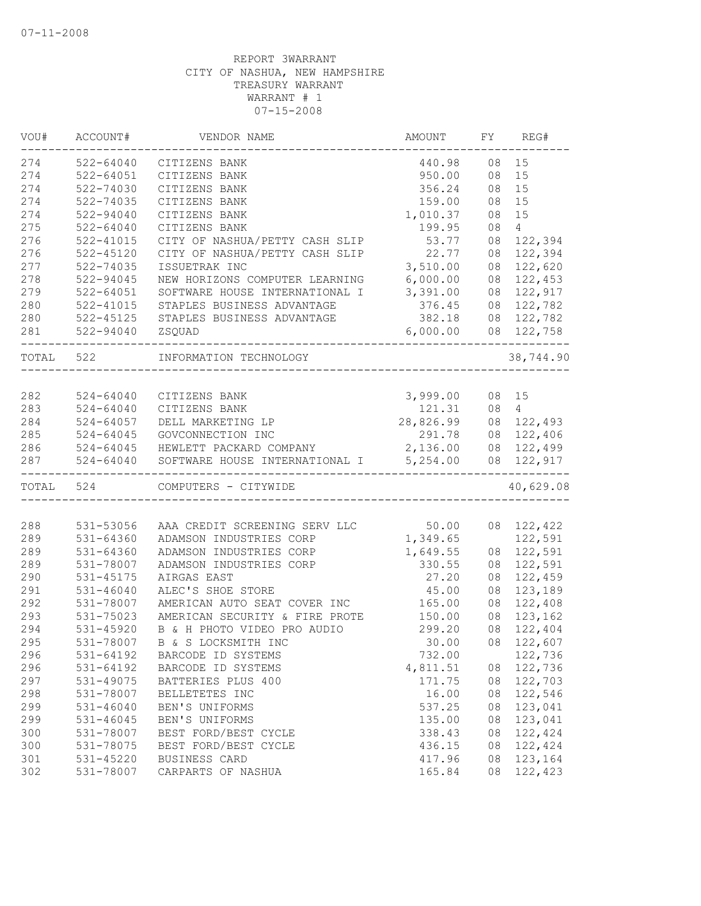| 15<br>522-64040<br>440.98<br>08<br>CITIZENS BANK<br>$522 - 64051$<br>950.00<br>08<br>15<br>CITIZENS BANK<br>522-74030<br>356.24<br>08<br>15<br>CITIZENS BANK<br>522-74035<br>159.00<br>15<br>CITIZENS BANK<br>08<br>15<br>1,010.37<br>08<br>522-94040<br>CITIZENS BANK<br>08<br>$\overline{4}$<br>$522 - 64040$<br>CITIZENS BANK<br>199.95<br>08<br>122,394<br>$522 - 41015$<br>53.77<br>CITY OF NASHUA/PETTY CASH SLIP<br>276<br>22.77<br>122,394<br>$522 - 45120$<br>CITY OF NASHUA/PETTY CASH SLIP<br>08<br>277<br>3,510.00<br>08<br>122,620<br>$522 - 74035$<br>ISSUETRAK INC<br>278<br>522-94045<br>6,000.00<br>122,453<br>NEW HORIZONS COMPUTER LEARNING<br>08<br>279<br>$522 - 64051$<br>SOFTWARE HOUSE INTERNATIONAL I<br>3,391.00<br>08 122,917<br>280<br>$522 - 41015$<br>STAPLES BUSINESS ADVANTAGE<br>376.45<br>08 122,782<br>280<br>08 122,782<br>522-45125<br>STAPLES BUSINESS ADVANTAGE<br>382.18<br>281<br>522-94040<br>6,000.00<br>08 122,758<br>ZSQUAD<br>522<br>INFORMATION TECHNOLOGY<br>38,744.90<br>TOTAL<br>3,999.00<br>524-64040<br>CITIZENS BANK<br>08 15<br>$524 - 64040$<br>121.31<br>08<br>$\overline{4}$<br>CITIZENS BANK<br>$524 - 64057$<br>DELL MARKETING LP<br>28,826.99<br>08 122,493<br>524-64045<br>08 122,406<br>GOVCONNECTION INC<br>291.78<br>2,136.00<br>08 122,499<br>$524 - 64045$<br>HEWLETT PACKARD COMPANY<br>524-64040<br>08 122,917<br>SOFTWARE HOUSE INTERNATIONAL I<br>5,254.00<br>TOTAL 524<br>COMPUTERS - CITYWIDE<br>531-53056<br>AAA CREDIT SCREENING SERV LLC<br>50.00<br>08 122,422<br>531-64360<br>ADAMSON INDUSTRIES CORP<br>1,349.65<br>122,591<br>531-64360<br>1,649.55<br>122,591<br>ADAMSON INDUSTRIES CORP<br>08<br>122,591<br>531-78007<br>ADAMSON INDUSTRIES CORP<br>330.55<br>08<br>122,459<br>531-45175<br>AIRGAS EAST<br>27.20<br>08<br>123,189<br>$531 - 46040$<br>ALEC'S SHOE STORE<br>45.00<br>08<br>122,408<br>531-78007<br>AMERICAN AUTO SEAT COVER INC<br>165.00<br>08<br>AMERICAN SECURITY & FIRE PROTE<br>123,162<br>531-75023<br>150.00<br>08<br>B & H PHOTO VIDEO PRO AUDIO<br>122,404<br>531-45920<br>299.20<br>08<br>295<br>531-78007<br>B & S LOCKSMITH INC<br>30.00<br>08 122,607<br>296<br>732.00<br>122,736<br>531-64192<br>BARCODE ID SYSTEMS<br>296<br>$531 - 64192$<br>4,811.51<br>08 122,736<br>BARCODE ID SYSTEMS<br>297<br>531-49075<br>171.75<br>08<br>122,703<br>BATTERIES PLUS 400<br>16.00<br>298<br>531-78007<br>08<br>122,546<br>BELLETETES INC<br>299<br>$531 - 46040$<br>BEN'S UNIFORMS<br>537.25<br>08<br>123,041<br>123,041<br>299<br>531-46045<br>BEN'S UNIFORMS<br>135.00<br>08<br>300<br>531-78007<br>BEST FORD/BEST CYCLE<br>338.43<br>122,424<br>08<br>300<br>531-78075<br>BEST FORD/BEST CYCLE<br>436.15<br>122,424<br>08<br>301<br>531-45220<br>417.96<br>08<br>123,164<br>BUSINESS CARD<br>531-78007<br>CARPARTS OF NASHUA<br>165.84<br>08<br>122,423 | VOU# | ACCOUNT# | VENDOR NAME | AMOUNT | FY REG#   |
|------------------------------------------------------------------------------------------------------------------------------------------------------------------------------------------------------------------------------------------------------------------------------------------------------------------------------------------------------------------------------------------------------------------------------------------------------------------------------------------------------------------------------------------------------------------------------------------------------------------------------------------------------------------------------------------------------------------------------------------------------------------------------------------------------------------------------------------------------------------------------------------------------------------------------------------------------------------------------------------------------------------------------------------------------------------------------------------------------------------------------------------------------------------------------------------------------------------------------------------------------------------------------------------------------------------------------------------------------------------------------------------------------------------------------------------------------------------------------------------------------------------------------------------------------------------------------------------------------------------------------------------------------------------------------------------------------------------------------------------------------------------------------------------------------------------------------------------------------------------------------------------------------------------------------------------------------------------------------------------------------------------------------------------------------------------------------------------------------------------------------------------------------------------------------------------------------------------------------------------------------------------------------------------------------------------------------------------------------------------------------------------------------------------------------------------------------------------------------------------------------------------------------------------------------------------------------------------------------------------------------------------------------------------------------------------------------------------------------------------------------------------------------------------------------------------------------------------------------------------|------|----------|-------------|--------|-----------|
|                                                                                                                                                                                                                                                                                                                                                                                                                                                                                                                                                                                                                                                                                                                                                                                                                                                                                                                                                                                                                                                                                                                                                                                                                                                                                                                                                                                                                                                                                                                                                                                                                                                                                                                                                                                                                                                                                                                                                                                                                                                                                                                                                                                                                                                                                                                                                                                                                                                                                                                                                                                                                                                                                                                                                                                                                                                                  | 274  |          |             |        |           |
|                                                                                                                                                                                                                                                                                                                                                                                                                                                                                                                                                                                                                                                                                                                                                                                                                                                                                                                                                                                                                                                                                                                                                                                                                                                                                                                                                                                                                                                                                                                                                                                                                                                                                                                                                                                                                                                                                                                                                                                                                                                                                                                                                                                                                                                                                                                                                                                                                                                                                                                                                                                                                                                                                                                                                                                                                                                                  | 274  |          |             |        |           |
|                                                                                                                                                                                                                                                                                                                                                                                                                                                                                                                                                                                                                                                                                                                                                                                                                                                                                                                                                                                                                                                                                                                                                                                                                                                                                                                                                                                                                                                                                                                                                                                                                                                                                                                                                                                                                                                                                                                                                                                                                                                                                                                                                                                                                                                                                                                                                                                                                                                                                                                                                                                                                                                                                                                                                                                                                                                                  | 274  |          |             |        |           |
|                                                                                                                                                                                                                                                                                                                                                                                                                                                                                                                                                                                                                                                                                                                                                                                                                                                                                                                                                                                                                                                                                                                                                                                                                                                                                                                                                                                                                                                                                                                                                                                                                                                                                                                                                                                                                                                                                                                                                                                                                                                                                                                                                                                                                                                                                                                                                                                                                                                                                                                                                                                                                                                                                                                                                                                                                                                                  | 274  |          |             |        |           |
|                                                                                                                                                                                                                                                                                                                                                                                                                                                                                                                                                                                                                                                                                                                                                                                                                                                                                                                                                                                                                                                                                                                                                                                                                                                                                                                                                                                                                                                                                                                                                                                                                                                                                                                                                                                                                                                                                                                                                                                                                                                                                                                                                                                                                                                                                                                                                                                                                                                                                                                                                                                                                                                                                                                                                                                                                                                                  | 274  |          |             |        |           |
|                                                                                                                                                                                                                                                                                                                                                                                                                                                                                                                                                                                                                                                                                                                                                                                                                                                                                                                                                                                                                                                                                                                                                                                                                                                                                                                                                                                                                                                                                                                                                                                                                                                                                                                                                                                                                                                                                                                                                                                                                                                                                                                                                                                                                                                                                                                                                                                                                                                                                                                                                                                                                                                                                                                                                                                                                                                                  | 275  |          |             |        |           |
|                                                                                                                                                                                                                                                                                                                                                                                                                                                                                                                                                                                                                                                                                                                                                                                                                                                                                                                                                                                                                                                                                                                                                                                                                                                                                                                                                                                                                                                                                                                                                                                                                                                                                                                                                                                                                                                                                                                                                                                                                                                                                                                                                                                                                                                                                                                                                                                                                                                                                                                                                                                                                                                                                                                                                                                                                                                                  | 276  |          |             |        |           |
|                                                                                                                                                                                                                                                                                                                                                                                                                                                                                                                                                                                                                                                                                                                                                                                                                                                                                                                                                                                                                                                                                                                                                                                                                                                                                                                                                                                                                                                                                                                                                                                                                                                                                                                                                                                                                                                                                                                                                                                                                                                                                                                                                                                                                                                                                                                                                                                                                                                                                                                                                                                                                                                                                                                                                                                                                                                                  |      |          |             |        |           |
|                                                                                                                                                                                                                                                                                                                                                                                                                                                                                                                                                                                                                                                                                                                                                                                                                                                                                                                                                                                                                                                                                                                                                                                                                                                                                                                                                                                                                                                                                                                                                                                                                                                                                                                                                                                                                                                                                                                                                                                                                                                                                                                                                                                                                                                                                                                                                                                                                                                                                                                                                                                                                                                                                                                                                                                                                                                                  |      |          |             |        |           |
|                                                                                                                                                                                                                                                                                                                                                                                                                                                                                                                                                                                                                                                                                                                                                                                                                                                                                                                                                                                                                                                                                                                                                                                                                                                                                                                                                                                                                                                                                                                                                                                                                                                                                                                                                                                                                                                                                                                                                                                                                                                                                                                                                                                                                                                                                                                                                                                                                                                                                                                                                                                                                                                                                                                                                                                                                                                                  |      |          |             |        |           |
|                                                                                                                                                                                                                                                                                                                                                                                                                                                                                                                                                                                                                                                                                                                                                                                                                                                                                                                                                                                                                                                                                                                                                                                                                                                                                                                                                                                                                                                                                                                                                                                                                                                                                                                                                                                                                                                                                                                                                                                                                                                                                                                                                                                                                                                                                                                                                                                                                                                                                                                                                                                                                                                                                                                                                                                                                                                                  |      |          |             |        |           |
|                                                                                                                                                                                                                                                                                                                                                                                                                                                                                                                                                                                                                                                                                                                                                                                                                                                                                                                                                                                                                                                                                                                                                                                                                                                                                                                                                                                                                                                                                                                                                                                                                                                                                                                                                                                                                                                                                                                                                                                                                                                                                                                                                                                                                                                                                                                                                                                                                                                                                                                                                                                                                                                                                                                                                                                                                                                                  |      |          |             |        |           |
|                                                                                                                                                                                                                                                                                                                                                                                                                                                                                                                                                                                                                                                                                                                                                                                                                                                                                                                                                                                                                                                                                                                                                                                                                                                                                                                                                                                                                                                                                                                                                                                                                                                                                                                                                                                                                                                                                                                                                                                                                                                                                                                                                                                                                                                                                                                                                                                                                                                                                                                                                                                                                                                                                                                                                                                                                                                                  |      |          |             |        |           |
|                                                                                                                                                                                                                                                                                                                                                                                                                                                                                                                                                                                                                                                                                                                                                                                                                                                                                                                                                                                                                                                                                                                                                                                                                                                                                                                                                                                                                                                                                                                                                                                                                                                                                                                                                                                                                                                                                                                                                                                                                                                                                                                                                                                                                                                                                                                                                                                                                                                                                                                                                                                                                                                                                                                                                                                                                                                                  |      |          |             |        |           |
|                                                                                                                                                                                                                                                                                                                                                                                                                                                                                                                                                                                                                                                                                                                                                                                                                                                                                                                                                                                                                                                                                                                                                                                                                                                                                                                                                                                                                                                                                                                                                                                                                                                                                                                                                                                                                                                                                                                                                                                                                                                                                                                                                                                                                                                                                                                                                                                                                                                                                                                                                                                                                                                                                                                                                                                                                                                                  |      |          |             |        |           |
|                                                                                                                                                                                                                                                                                                                                                                                                                                                                                                                                                                                                                                                                                                                                                                                                                                                                                                                                                                                                                                                                                                                                                                                                                                                                                                                                                                                                                                                                                                                                                                                                                                                                                                                                                                                                                                                                                                                                                                                                                                                                                                                                                                                                                                                                                                                                                                                                                                                                                                                                                                                                                                                                                                                                                                                                                                                                  |      |          |             |        |           |
|                                                                                                                                                                                                                                                                                                                                                                                                                                                                                                                                                                                                                                                                                                                                                                                                                                                                                                                                                                                                                                                                                                                                                                                                                                                                                                                                                                                                                                                                                                                                                                                                                                                                                                                                                                                                                                                                                                                                                                                                                                                                                                                                                                                                                                                                                                                                                                                                                                                                                                                                                                                                                                                                                                                                                                                                                                                                  |      |          |             |        |           |
|                                                                                                                                                                                                                                                                                                                                                                                                                                                                                                                                                                                                                                                                                                                                                                                                                                                                                                                                                                                                                                                                                                                                                                                                                                                                                                                                                                                                                                                                                                                                                                                                                                                                                                                                                                                                                                                                                                                                                                                                                                                                                                                                                                                                                                                                                                                                                                                                                                                                                                                                                                                                                                                                                                                                                                                                                                                                  | 282  |          |             |        |           |
|                                                                                                                                                                                                                                                                                                                                                                                                                                                                                                                                                                                                                                                                                                                                                                                                                                                                                                                                                                                                                                                                                                                                                                                                                                                                                                                                                                                                                                                                                                                                                                                                                                                                                                                                                                                                                                                                                                                                                                                                                                                                                                                                                                                                                                                                                                                                                                                                                                                                                                                                                                                                                                                                                                                                                                                                                                                                  | 283  |          |             |        |           |
|                                                                                                                                                                                                                                                                                                                                                                                                                                                                                                                                                                                                                                                                                                                                                                                                                                                                                                                                                                                                                                                                                                                                                                                                                                                                                                                                                                                                                                                                                                                                                                                                                                                                                                                                                                                                                                                                                                                                                                                                                                                                                                                                                                                                                                                                                                                                                                                                                                                                                                                                                                                                                                                                                                                                                                                                                                                                  | 284  |          |             |        |           |
|                                                                                                                                                                                                                                                                                                                                                                                                                                                                                                                                                                                                                                                                                                                                                                                                                                                                                                                                                                                                                                                                                                                                                                                                                                                                                                                                                                                                                                                                                                                                                                                                                                                                                                                                                                                                                                                                                                                                                                                                                                                                                                                                                                                                                                                                                                                                                                                                                                                                                                                                                                                                                                                                                                                                                                                                                                                                  | 285  |          |             |        |           |
|                                                                                                                                                                                                                                                                                                                                                                                                                                                                                                                                                                                                                                                                                                                                                                                                                                                                                                                                                                                                                                                                                                                                                                                                                                                                                                                                                                                                                                                                                                                                                                                                                                                                                                                                                                                                                                                                                                                                                                                                                                                                                                                                                                                                                                                                                                                                                                                                                                                                                                                                                                                                                                                                                                                                                                                                                                                                  | 286  |          |             |        |           |
|                                                                                                                                                                                                                                                                                                                                                                                                                                                                                                                                                                                                                                                                                                                                                                                                                                                                                                                                                                                                                                                                                                                                                                                                                                                                                                                                                                                                                                                                                                                                                                                                                                                                                                                                                                                                                                                                                                                                                                                                                                                                                                                                                                                                                                                                                                                                                                                                                                                                                                                                                                                                                                                                                                                                                                                                                                                                  | 287  |          |             |        |           |
|                                                                                                                                                                                                                                                                                                                                                                                                                                                                                                                                                                                                                                                                                                                                                                                                                                                                                                                                                                                                                                                                                                                                                                                                                                                                                                                                                                                                                                                                                                                                                                                                                                                                                                                                                                                                                                                                                                                                                                                                                                                                                                                                                                                                                                                                                                                                                                                                                                                                                                                                                                                                                                                                                                                                                                                                                                                                  |      |          |             |        | 40,629.08 |
|                                                                                                                                                                                                                                                                                                                                                                                                                                                                                                                                                                                                                                                                                                                                                                                                                                                                                                                                                                                                                                                                                                                                                                                                                                                                                                                                                                                                                                                                                                                                                                                                                                                                                                                                                                                                                                                                                                                                                                                                                                                                                                                                                                                                                                                                                                                                                                                                                                                                                                                                                                                                                                                                                                                                                                                                                                                                  |      |          |             |        |           |
|                                                                                                                                                                                                                                                                                                                                                                                                                                                                                                                                                                                                                                                                                                                                                                                                                                                                                                                                                                                                                                                                                                                                                                                                                                                                                                                                                                                                                                                                                                                                                                                                                                                                                                                                                                                                                                                                                                                                                                                                                                                                                                                                                                                                                                                                                                                                                                                                                                                                                                                                                                                                                                                                                                                                                                                                                                                                  | 288  |          |             |        |           |
|                                                                                                                                                                                                                                                                                                                                                                                                                                                                                                                                                                                                                                                                                                                                                                                                                                                                                                                                                                                                                                                                                                                                                                                                                                                                                                                                                                                                                                                                                                                                                                                                                                                                                                                                                                                                                                                                                                                                                                                                                                                                                                                                                                                                                                                                                                                                                                                                                                                                                                                                                                                                                                                                                                                                                                                                                                                                  | 289  |          |             |        |           |
|                                                                                                                                                                                                                                                                                                                                                                                                                                                                                                                                                                                                                                                                                                                                                                                                                                                                                                                                                                                                                                                                                                                                                                                                                                                                                                                                                                                                                                                                                                                                                                                                                                                                                                                                                                                                                                                                                                                                                                                                                                                                                                                                                                                                                                                                                                                                                                                                                                                                                                                                                                                                                                                                                                                                                                                                                                                                  | 289  |          |             |        |           |
|                                                                                                                                                                                                                                                                                                                                                                                                                                                                                                                                                                                                                                                                                                                                                                                                                                                                                                                                                                                                                                                                                                                                                                                                                                                                                                                                                                                                                                                                                                                                                                                                                                                                                                                                                                                                                                                                                                                                                                                                                                                                                                                                                                                                                                                                                                                                                                                                                                                                                                                                                                                                                                                                                                                                                                                                                                                                  | 289  |          |             |        |           |
|                                                                                                                                                                                                                                                                                                                                                                                                                                                                                                                                                                                                                                                                                                                                                                                                                                                                                                                                                                                                                                                                                                                                                                                                                                                                                                                                                                                                                                                                                                                                                                                                                                                                                                                                                                                                                                                                                                                                                                                                                                                                                                                                                                                                                                                                                                                                                                                                                                                                                                                                                                                                                                                                                                                                                                                                                                                                  | 290  |          |             |        |           |
|                                                                                                                                                                                                                                                                                                                                                                                                                                                                                                                                                                                                                                                                                                                                                                                                                                                                                                                                                                                                                                                                                                                                                                                                                                                                                                                                                                                                                                                                                                                                                                                                                                                                                                                                                                                                                                                                                                                                                                                                                                                                                                                                                                                                                                                                                                                                                                                                                                                                                                                                                                                                                                                                                                                                                                                                                                                                  | 291  |          |             |        |           |
|                                                                                                                                                                                                                                                                                                                                                                                                                                                                                                                                                                                                                                                                                                                                                                                                                                                                                                                                                                                                                                                                                                                                                                                                                                                                                                                                                                                                                                                                                                                                                                                                                                                                                                                                                                                                                                                                                                                                                                                                                                                                                                                                                                                                                                                                                                                                                                                                                                                                                                                                                                                                                                                                                                                                                                                                                                                                  | 292  |          |             |        |           |
|                                                                                                                                                                                                                                                                                                                                                                                                                                                                                                                                                                                                                                                                                                                                                                                                                                                                                                                                                                                                                                                                                                                                                                                                                                                                                                                                                                                                                                                                                                                                                                                                                                                                                                                                                                                                                                                                                                                                                                                                                                                                                                                                                                                                                                                                                                                                                                                                                                                                                                                                                                                                                                                                                                                                                                                                                                                                  | 293  |          |             |        |           |
|                                                                                                                                                                                                                                                                                                                                                                                                                                                                                                                                                                                                                                                                                                                                                                                                                                                                                                                                                                                                                                                                                                                                                                                                                                                                                                                                                                                                                                                                                                                                                                                                                                                                                                                                                                                                                                                                                                                                                                                                                                                                                                                                                                                                                                                                                                                                                                                                                                                                                                                                                                                                                                                                                                                                                                                                                                                                  | 294  |          |             |        |           |
|                                                                                                                                                                                                                                                                                                                                                                                                                                                                                                                                                                                                                                                                                                                                                                                                                                                                                                                                                                                                                                                                                                                                                                                                                                                                                                                                                                                                                                                                                                                                                                                                                                                                                                                                                                                                                                                                                                                                                                                                                                                                                                                                                                                                                                                                                                                                                                                                                                                                                                                                                                                                                                                                                                                                                                                                                                                                  |      |          |             |        |           |
|                                                                                                                                                                                                                                                                                                                                                                                                                                                                                                                                                                                                                                                                                                                                                                                                                                                                                                                                                                                                                                                                                                                                                                                                                                                                                                                                                                                                                                                                                                                                                                                                                                                                                                                                                                                                                                                                                                                                                                                                                                                                                                                                                                                                                                                                                                                                                                                                                                                                                                                                                                                                                                                                                                                                                                                                                                                                  |      |          |             |        |           |
|                                                                                                                                                                                                                                                                                                                                                                                                                                                                                                                                                                                                                                                                                                                                                                                                                                                                                                                                                                                                                                                                                                                                                                                                                                                                                                                                                                                                                                                                                                                                                                                                                                                                                                                                                                                                                                                                                                                                                                                                                                                                                                                                                                                                                                                                                                                                                                                                                                                                                                                                                                                                                                                                                                                                                                                                                                                                  |      |          |             |        |           |
|                                                                                                                                                                                                                                                                                                                                                                                                                                                                                                                                                                                                                                                                                                                                                                                                                                                                                                                                                                                                                                                                                                                                                                                                                                                                                                                                                                                                                                                                                                                                                                                                                                                                                                                                                                                                                                                                                                                                                                                                                                                                                                                                                                                                                                                                                                                                                                                                                                                                                                                                                                                                                                                                                                                                                                                                                                                                  |      |          |             |        |           |
|                                                                                                                                                                                                                                                                                                                                                                                                                                                                                                                                                                                                                                                                                                                                                                                                                                                                                                                                                                                                                                                                                                                                                                                                                                                                                                                                                                                                                                                                                                                                                                                                                                                                                                                                                                                                                                                                                                                                                                                                                                                                                                                                                                                                                                                                                                                                                                                                                                                                                                                                                                                                                                                                                                                                                                                                                                                                  |      |          |             |        |           |
|                                                                                                                                                                                                                                                                                                                                                                                                                                                                                                                                                                                                                                                                                                                                                                                                                                                                                                                                                                                                                                                                                                                                                                                                                                                                                                                                                                                                                                                                                                                                                                                                                                                                                                                                                                                                                                                                                                                                                                                                                                                                                                                                                                                                                                                                                                                                                                                                                                                                                                                                                                                                                                                                                                                                                                                                                                                                  |      |          |             |        |           |
|                                                                                                                                                                                                                                                                                                                                                                                                                                                                                                                                                                                                                                                                                                                                                                                                                                                                                                                                                                                                                                                                                                                                                                                                                                                                                                                                                                                                                                                                                                                                                                                                                                                                                                                                                                                                                                                                                                                                                                                                                                                                                                                                                                                                                                                                                                                                                                                                                                                                                                                                                                                                                                                                                                                                                                                                                                                                  |      |          |             |        |           |
|                                                                                                                                                                                                                                                                                                                                                                                                                                                                                                                                                                                                                                                                                                                                                                                                                                                                                                                                                                                                                                                                                                                                                                                                                                                                                                                                                                                                                                                                                                                                                                                                                                                                                                                                                                                                                                                                                                                                                                                                                                                                                                                                                                                                                                                                                                                                                                                                                                                                                                                                                                                                                                                                                                                                                                                                                                                                  |      |          |             |        |           |
|                                                                                                                                                                                                                                                                                                                                                                                                                                                                                                                                                                                                                                                                                                                                                                                                                                                                                                                                                                                                                                                                                                                                                                                                                                                                                                                                                                                                                                                                                                                                                                                                                                                                                                                                                                                                                                                                                                                                                                                                                                                                                                                                                                                                                                                                                                                                                                                                                                                                                                                                                                                                                                                                                                                                                                                                                                                                  |      |          |             |        |           |
|                                                                                                                                                                                                                                                                                                                                                                                                                                                                                                                                                                                                                                                                                                                                                                                                                                                                                                                                                                                                                                                                                                                                                                                                                                                                                                                                                                                                                                                                                                                                                                                                                                                                                                                                                                                                                                                                                                                                                                                                                                                                                                                                                                                                                                                                                                                                                                                                                                                                                                                                                                                                                                                                                                                                                                                                                                                                  |      |          |             |        |           |
|                                                                                                                                                                                                                                                                                                                                                                                                                                                                                                                                                                                                                                                                                                                                                                                                                                                                                                                                                                                                                                                                                                                                                                                                                                                                                                                                                                                                                                                                                                                                                                                                                                                                                                                                                                                                                                                                                                                                                                                                                                                                                                                                                                                                                                                                                                                                                                                                                                                                                                                                                                                                                                                                                                                                                                                                                                                                  | 302  |          |             |        |           |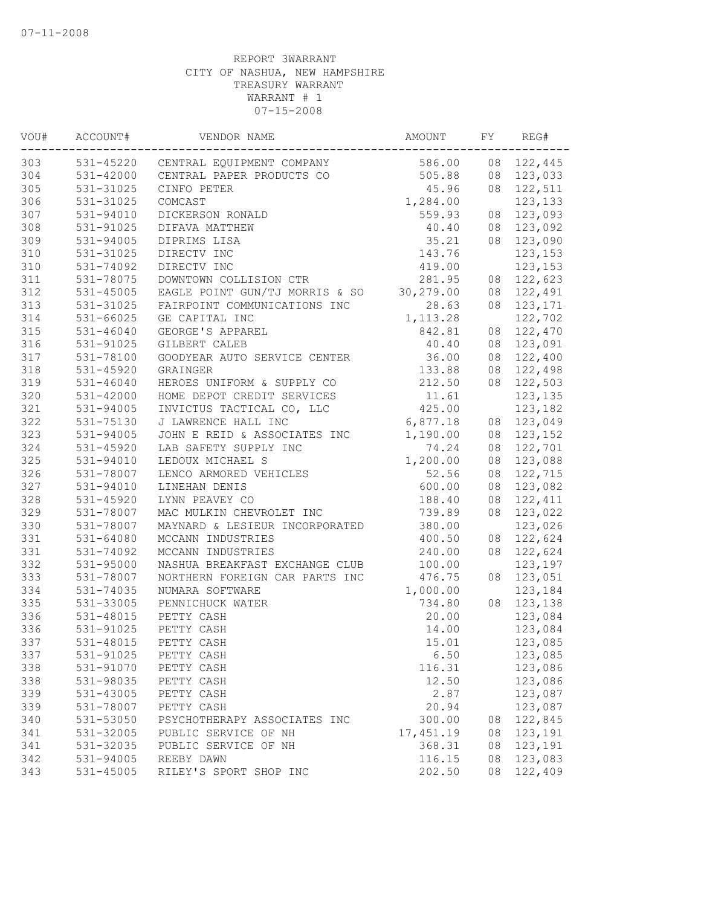| VOU# | ACCOUNT#      | VENDOR NAME                              | AMOUNT     | FY | REG#       |
|------|---------------|------------------------------------------|------------|----|------------|
| 303  | $531 - 45220$ | CENTRAL EQUIPMENT COMPANY                | 586.00     |    | 08 122,445 |
| 304  | 531-42000     | CENTRAL PAPER PRODUCTS CO                | 505.88     |    | 08 123,033 |
| 305  | 531-31025     | CINFO PETER                              | 45.96      |    | 08 122,511 |
| 306  | 531-31025     | COMCAST                                  | 1,284.00   |    | 123,133    |
| 307  | 531-94010     | DICKERSON RONALD                         | 559.93     | 08 | 123,093    |
| 308  | 531-91025     | DIFAVA MATTHEW                           | 40.40      | 08 | 123,092    |
| 309  | 531-94005     | DIPRIMS LISA                             | 35.21      | 08 | 123,090    |
| 310  | 531-31025     | DIRECTV INC                              | 143.76     |    | 123, 153   |
| 310  | 531-74092     | DIRECTV INC                              | 419.00     |    | 123,153    |
| 311  | 531-78075     | DOWNTOWN COLLISION CTR                   | 281.95     |    | 08 122,623 |
| 312  | 531-45005     | EAGLE POINT GUN/TJ MORRIS & SO 30,279.00 |            |    | 08 122,491 |
| 313  | 531-31025     | FAIRPOINT COMMUNICATIONS INC             | 28.63      | 08 | 123,171    |
| 314  | $531 - 66025$ | GE CAPITAL INC                           | 1, 113.28  |    | 122,702    |
| 315  | $531 - 46040$ | GEORGE'S APPAREL                         | 842.81     | 08 | 122,470    |
| 316  | 531-91025     | GILBERT CALEB                            | 40.40      | 08 | 123,091    |
| 317  | 531-78100     | GOODYEAR AUTO SERVICE CENTER             | 36.00      | 08 | 122,400    |
| 318  | 531-45920     | GRAINGER                                 | 133.88     | 08 | 122,498    |
| 319  | 531-46040     | HEROES UNIFORM & SUPPLY CO               | 212.50     | 08 | 122,503    |
| 320  | $531 - 42000$ | HOME DEPOT CREDIT SERVICES               | 11.61      |    | 123,135    |
| 321  | 531-94005     | INVICTUS TACTICAL CO, LLC                | 425.00     |    | 123,182    |
| 322  | 531-75130     | J LAWRENCE HALL INC                      | 6,877.18   | 08 | 123,049    |
| 323  | 531-94005     | JOHN E REID & ASSOCIATES INC             | 1,190.00   | 08 | 123,152    |
| 324  | $531 - 45920$ | LAB SAFETY SUPPLY INC                    | 74.24      | 08 | 122,701    |
| 325  | 531-94010     | LEDOUX MICHAEL S                         | 1,200.00   | 08 | 123,088    |
| 326  | 531-78007     | LENCO ARMORED VEHICLES                   | 52.56      | 08 | 122,715    |
| 327  | 531-94010     | LINEHAN DENIS                            | 600.00     | 08 | 123,082    |
| 328  | 531-45920     | LYNN PEAVEY CO                           | 188.40     | 08 | 122,411    |
| 329  | 531-78007     | MAC MULKIN CHEVROLET INC                 | 739.89     | 08 | 123,022    |
| 330  | 531-78007     | MAYNARD & LESIEUR INCORPORATED           | 380.00     |    | 123,026    |
| 331  | 531-64080     | MCCANN INDUSTRIES                        | 400.50     | 08 | 122,624    |
| 331  | 531-74092     | MCCANN INDUSTRIES                        | 240.00     | 08 | 122,624    |
| 332  | 531-95000     | NASHUA BREAKFAST EXCHANGE CLUB           | 100.00     |    | 123,197    |
| 333  | 531-78007     | NORTHERN FOREIGN CAR PARTS INC           | 476.75     | 08 | 123,051    |
| 334  | 531-74035     | NUMARA SOFTWARE                          | 1,000.00   |    | 123,184    |
| 335  | 531-33005     | PENNICHUCK WATER                         | 734.80     | 08 | 123,138    |
| 336  | 531-48015     | PETTY CASH                               | 20.00      |    | 123,084    |
| 336  | 531-91025     | PETTY CASH                               | 14.00      |    | 123,084    |
| 337  | 531-48015     | PETTY CASH                               | 15.01      |    | 123,085    |
| 337  | 531-91025     | PETTY CASH                               | 6.50       |    | 123,085    |
| 338  | 531-91070     | PETTY CASH                               | 116.31     |    | 123,086    |
| 338  | 531-98035     | PETTY CASH                               | 12.50      |    | 123,086    |
| 339  | 531-43005     | PETTY CASH                               | 2.87       |    | 123,087    |
| 339  | 531-78007     | PETTY CASH                               | 20.94      |    | 123,087    |
| 340  | 531-53050     | PSYCHOTHERAPY ASSOCIATES INC             | 300.00     | 08 | 122,845    |
| 341  | 531-32005     | PUBLIC SERVICE OF NH                     | 17, 451.19 | 08 | 123,191    |
| 341  | 531-32035     | PUBLIC SERVICE OF NH                     | 368.31     | 08 | 123,191    |
| 342  | 531-94005     | REEBY DAWN                               | 116.15     | 08 | 123,083    |
| 343  | 531-45005     | RILEY'S SPORT SHOP INC                   | 202.50     | 08 | 122,409    |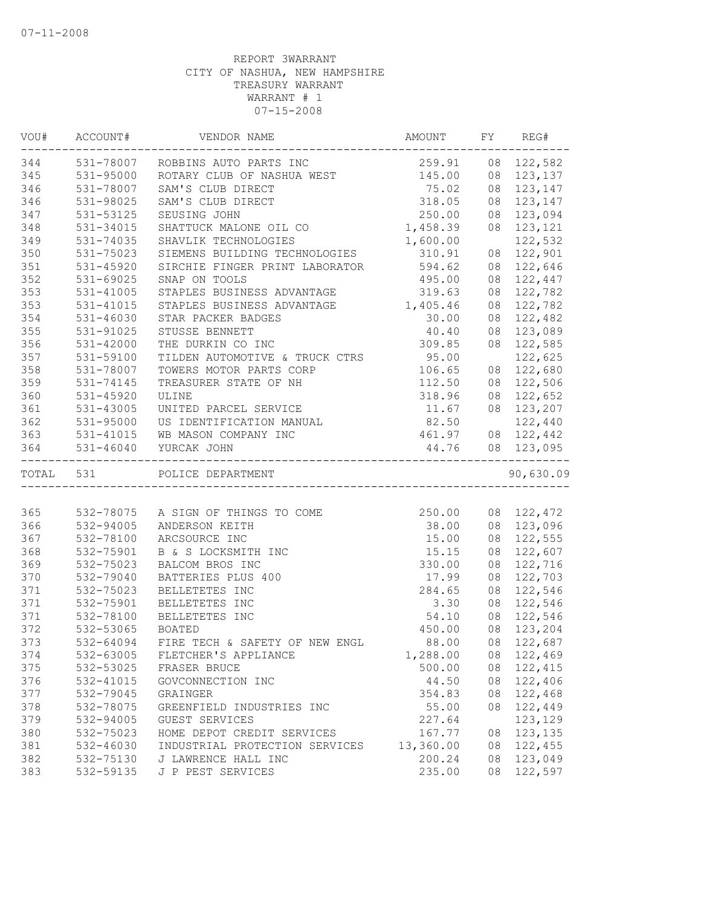| 344 531-78007 ROBBINS AUTO PARTS INC<br>259.91 08 122,582<br>145.00<br>345<br>531-95000 ROTARY CLUB OF NASHUA WEST<br>08 123,137<br>346<br>531-78007<br>SAM'S CLUB DIRECT<br>75.02<br>08 123,147<br>346<br>SAM'S CLUB DIRECT<br>318.05<br>08 123,147<br>531-98025<br>347<br>250.00<br>123,094<br>531-53125<br>SEUSING JOHN<br>08<br>SHATTUCK MALONE OIL CO<br>348<br>531-34015<br>1,458.39<br>08 123,121<br>349<br>1,600.00<br>122,532<br>531-74035<br>SHAVLIK TECHNOLOGIES<br>SIEMENS BUILDING TECHNOLOGIES<br>08 122,901<br>350<br>531-75023<br>310.91<br>351<br>594.62<br>08 122,646<br>531-45920<br>SIRCHIE FINGER PRINT LABORATOR<br>352<br>495.00<br>08 122,447<br>531-69025<br>SNAP ON TOOLS<br>353<br>STAPLES BUSINESS ADVANTAGE<br>531-41005<br>319.63<br>08 122,782<br>353<br>STAPLES BUSINESS ADVANTAGE 1,405.46<br>531-41015<br>08 122,782<br>354<br>531-46030<br>30.00<br>08 122,482<br>STAR PACKER BADGES<br>355<br>STUSSE BENNETT<br>40.40<br>08 123,089<br>531-91025<br>356<br>THE DURKIN CO INC<br>309.85<br>531-42000<br>08 122,585<br>357<br>95.00<br>531-59100<br>TILDEN AUTOMOTIVE & TRUCK CTRS<br>122,625<br>08 122,680<br>358<br>531-78007<br>TOWERS MOTOR PARTS CORP<br>106.65<br>359<br>08 122,506<br>TREASURER STATE OF NH<br>112.50<br>531-74145<br>318.96<br>360<br>08 122,652<br>531-45920<br>ULINE<br>08 123,207<br>361<br>11.67<br>531-43005<br>UNITED PARCEL SERVICE<br>362<br>531-95000<br>US IDENTIFICATION MANUAL<br>82.50<br>122,440<br>363<br>WB MASON COMPANY INC<br>461.97 08 122,442<br>531-41015<br>44.76 08 123,095<br>364<br>$531 - 46040$<br>YURCAK JOHN<br>____________________________<br>TOTAL 531<br>POLICE DEPARTMENT<br>532-78075 A SIGN OF THINGS TO COME 250.00<br>365<br>08 122,472<br>38.00<br>532-94005<br>08 123,096<br>366<br>ANDERSON KEITH<br>367<br>532-78100<br>ARCSOURCE INC<br>15.00<br>08 122,555<br>368<br>532-75901<br>B & S LOCKSMITH INC<br>08 122,607<br>15.15<br>369<br>330.00<br>532-75023<br>BALCOM BROS INC<br>08<br>122,716<br>370<br>17.99<br>122,703<br>532-79040<br>BATTERIES PLUS 400<br>08<br>371<br>08 122,546<br>532-75023<br>BELLETETES INC<br>284.65<br>08 122,546<br>371<br>532-75901<br>BELLETETES INC<br>$3.30$<br>$54.10$<br>371<br>08 122,546<br>532-78100<br>BELLETETES INC<br>450.00<br>372<br>532-53065<br>08<br>123,204<br><b>BOATED</b><br>373<br>532-64094 FIRE TECH & SAFETY OF NEW ENGL<br>88.00<br>08 122,687<br>374<br>532-63005<br>08 122,469<br>FLETCHER'S APPLIANCE<br>1,288.00<br>375<br>532-53025<br>08 122,415<br>FRASER BRUCE<br>500.00<br>376<br>532-41015<br>44.50<br>08 122,406<br>GOVCONNECTION INC<br>377<br>532-79045<br>354.83<br>08<br>122,468<br>GRAINGER<br>378<br>532-78075<br>55.00<br>08<br>122,449<br>GREENFIELD INDUSTRIES INC<br>123,129<br>379<br>532-94005<br>GUEST SERVICES<br>227.64<br>08 123,135<br>380<br>532-75023<br>HOME DEPOT CREDIT SERVICES<br>167.77 | VOU# | ACCOUNT# | VENDOR NAME | AMOUNT | FY | REG#      |
|---------------------------------------------------------------------------------------------------------------------------------------------------------------------------------------------------------------------------------------------------------------------------------------------------------------------------------------------------------------------------------------------------------------------------------------------------------------------------------------------------------------------------------------------------------------------------------------------------------------------------------------------------------------------------------------------------------------------------------------------------------------------------------------------------------------------------------------------------------------------------------------------------------------------------------------------------------------------------------------------------------------------------------------------------------------------------------------------------------------------------------------------------------------------------------------------------------------------------------------------------------------------------------------------------------------------------------------------------------------------------------------------------------------------------------------------------------------------------------------------------------------------------------------------------------------------------------------------------------------------------------------------------------------------------------------------------------------------------------------------------------------------------------------------------------------------------------------------------------------------------------------------------------------------------------------------------------------------------------------------------------------------------------------------------------------------------------------------------------------------------------------------------------------------------------------------------------------------------------------------------------------------------------------------------------------------------------------------------------------------------------------------------------------------------------------------------------------------------------------------------------------------------------------------------------------------------------------------------------------------------------------------------------------------------------------------------------------------------------------------------------------------------------------------------------------------------------------------------------------------------------------------|------|----------|-------------|--------|----|-----------|
|                                                                                                                                                                                                                                                                                                                                                                                                                                                                                                                                                                                                                                                                                                                                                                                                                                                                                                                                                                                                                                                                                                                                                                                                                                                                                                                                                                                                                                                                                                                                                                                                                                                                                                                                                                                                                                                                                                                                                                                                                                                                                                                                                                                                                                                                                                                                                                                                                                                                                                                                                                                                                                                                                                                                                                                                                                                                                             |      |          |             |        |    |           |
|                                                                                                                                                                                                                                                                                                                                                                                                                                                                                                                                                                                                                                                                                                                                                                                                                                                                                                                                                                                                                                                                                                                                                                                                                                                                                                                                                                                                                                                                                                                                                                                                                                                                                                                                                                                                                                                                                                                                                                                                                                                                                                                                                                                                                                                                                                                                                                                                                                                                                                                                                                                                                                                                                                                                                                                                                                                                                             |      |          |             |        |    |           |
|                                                                                                                                                                                                                                                                                                                                                                                                                                                                                                                                                                                                                                                                                                                                                                                                                                                                                                                                                                                                                                                                                                                                                                                                                                                                                                                                                                                                                                                                                                                                                                                                                                                                                                                                                                                                                                                                                                                                                                                                                                                                                                                                                                                                                                                                                                                                                                                                                                                                                                                                                                                                                                                                                                                                                                                                                                                                                             |      |          |             |        |    |           |
|                                                                                                                                                                                                                                                                                                                                                                                                                                                                                                                                                                                                                                                                                                                                                                                                                                                                                                                                                                                                                                                                                                                                                                                                                                                                                                                                                                                                                                                                                                                                                                                                                                                                                                                                                                                                                                                                                                                                                                                                                                                                                                                                                                                                                                                                                                                                                                                                                                                                                                                                                                                                                                                                                                                                                                                                                                                                                             |      |          |             |        |    |           |
|                                                                                                                                                                                                                                                                                                                                                                                                                                                                                                                                                                                                                                                                                                                                                                                                                                                                                                                                                                                                                                                                                                                                                                                                                                                                                                                                                                                                                                                                                                                                                                                                                                                                                                                                                                                                                                                                                                                                                                                                                                                                                                                                                                                                                                                                                                                                                                                                                                                                                                                                                                                                                                                                                                                                                                                                                                                                                             |      |          |             |        |    |           |
|                                                                                                                                                                                                                                                                                                                                                                                                                                                                                                                                                                                                                                                                                                                                                                                                                                                                                                                                                                                                                                                                                                                                                                                                                                                                                                                                                                                                                                                                                                                                                                                                                                                                                                                                                                                                                                                                                                                                                                                                                                                                                                                                                                                                                                                                                                                                                                                                                                                                                                                                                                                                                                                                                                                                                                                                                                                                                             |      |          |             |        |    |           |
|                                                                                                                                                                                                                                                                                                                                                                                                                                                                                                                                                                                                                                                                                                                                                                                                                                                                                                                                                                                                                                                                                                                                                                                                                                                                                                                                                                                                                                                                                                                                                                                                                                                                                                                                                                                                                                                                                                                                                                                                                                                                                                                                                                                                                                                                                                                                                                                                                                                                                                                                                                                                                                                                                                                                                                                                                                                                                             |      |          |             |        |    |           |
|                                                                                                                                                                                                                                                                                                                                                                                                                                                                                                                                                                                                                                                                                                                                                                                                                                                                                                                                                                                                                                                                                                                                                                                                                                                                                                                                                                                                                                                                                                                                                                                                                                                                                                                                                                                                                                                                                                                                                                                                                                                                                                                                                                                                                                                                                                                                                                                                                                                                                                                                                                                                                                                                                                                                                                                                                                                                                             |      |          |             |        |    |           |
|                                                                                                                                                                                                                                                                                                                                                                                                                                                                                                                                                                                                                                                                                                                                                                                                                                                                                                                                                                                                                                                                                                                                                                                                                                                                                                                                                                                                                                                                                                                                                                                                                                                                                                                                                                                                                                                                                                                                                                                                                                                                                                                                                                                                                                                                                                                                                                                                                                                                                                                                                                                                                                                                                                                                                                                                                                                                                             |      |          |             |        |    |           |
|                                                                                                                                                                                                                                                                                                                                                                                                                                                                                                                                                                                                                                                                                                                                                                                                                                                                                                                                                                                                                                                                                                                                                                                                                                                                                                                                                                                                                                                                                                                                                                                                                                                                                                                                                                                                                                                                                                                                                                                                                                                                                                                                                                                                                                                                                                                                                                                                                                                                                                                                                                                                                                                                                                                                                                                                                                                                                             |      |          |             |        |    |           |
|                                                                                                                                                                                                                                                                                                                                                                                                                                                                                                                                                                                                                                                                                                                                                                                                                                                                                                                                                                                                                                                                                                                                                                                                                                                                                                                                                                                                                                                                                                                                                                                                                                                                                                                                                                                                                                                                                                                                                                                                                                                                                                                                                                                                                                                                                                                                                                                                                                                                                                                                                                                                                                                                                                                                                                                                                                                                                             |      |          |             |        |    |           |
|                                                                                                                                                                                                                                                                                                                                                                                                                                                                                                                                                                                                                                                                                                                                                                                                                                                                                                                                                                                                                                                                                                                                                                                                                                                                                                                                                                                                                                                                                                                                                                                                                                                                                                                                                                                                                                                                                                                                                                                                                                                                                                                                                                                                                                                                                                                                                                                                                                                                                                                                                                                                                                                                                                                                                                                                                                                                                             |      |          |             |        |    |           |
|                                                                                                                                                                                                                                                                                                                                                                                                                                                                                                                                                                                                                                                                                                                                                                                                                                                                                                                                                                                                                                                                                                                                                                                                                                                                                                                                                                                                                                                                                                                                                                                                                                                                                                                                                                                                                                                                                                                                                                                                                                                                                                                                                                                                                                                                                                                                                                                                                                                                                                                                                                                                                                                                                                                                                                                                                                                                                             |      |          |             |        |    |           |
|                                                                                                                                                                                                                                                                                                                                                                                                                                                                                                                                                                                                                                                                                                                                                                                                                                                                                                                                                                                                                                                                                                                                                                                                                                                                                                                                                                                                                                                                                                                                                                                                                                                                                                                                                                                                                                                                                                                                                                                                                                                                                                                                                                                                                                                                                                                                                                                                                                                                                                                                                                                                                                                                                                                                                                                                                                                                                             |      |          |             |        |    |           |
|                                                                                                                                                                                                                                                                                                                                                                                                                                                                                                                                                                                                                                                                                                                                                                                                                                                                                                                                                                                                                                                                                                                                                                                                                                                                                                                                                                                                                                                                                                                                                                                                                                                                                                                                                                                                                                                                                                                                                                                                                                                                                                                                                                                                                                                                                                                                                                                                                                                                                                                                                                                                                                                                                                                                                                                                                                                                                             |      |          |             |        |    |           |
|                                                                                                                                                                                                                                                                                                                                                                                                                                                                                                                                                                                                                                                                                                                                                                                                                                                                                                                                                                                                                                                                                                                                                                                                                                                                                                                                                                                                                                                                                                                                                                                                                                                                                                                                                                                                                                                                                                                                                                                                                                                                                                                                                                                                                                                                                                                                                                                                                                                                                                                                                                                                                                                                                                                                                                                                                                                                                             |      |          |             |        |    |           |
|                                                                                                                                                                                                                                                                                                                                                                                                                                                                                                                                                                                                                                                                                                                                                                                                                                                                                                                                                                                                                                                                                                                                                                                                                                                                                                                                                                                                                                                                                                                                                                                                                                                                                                                                                                                                                                                                                                                                                                                                                                                                                                                                                                                                                                                                                                                                                                                                                                                                                                                                                                                                                                                                                                                                                                                                                                                                                             |      |          |             |        |    |           |
|                                                                                                                                                                                                                                                                                                                                                                                                                                                                                                                                                                                                                                                                                                                                                                                                                                                                                                                                                                                                                                                                                                                                                                                                                                                                                                                                                                                                                                                                                                                                                                                                                                                                                                                                                                                                                                                                                                                                                                                                                                                                                                                                                                                                                                                                                                                                                                                                                                                                                                                                                                                                                                                                                                                                                                                                                                                                                             |      |          |             |        |    |           |
|                                                                                                                                                                                                                                                                                                                                                                                                                                                                                                                                                                                                                                                                                                                                                                                                                                                                                                                                                                                                                                                                                                                                                                                                                                                                                                                                                                                                                                                                                                                                                                                                                                                                                                                                                                                                                                                                                                                                                                                                                                                                                                                                                                                                                                                                                                                                                                                                                                                                                                                                                                                                                                                                                                                                                                                                                                                                                             |      |          |             |        |    |           |
|                                                                                                                                                                                                                                                                                                                                                                                                                                                                                                                                                                                                                                                                                                                                                                                                                                                                                                                                                                                                                                                                                                                                                                                                                                                                                                                                                                                                                                                                                                                                                                                                                                                                                                                                                                                                                                                                                                                                                                                                                                                                                                                                                                                                                                                                                                                                                                                                                                                                                                                                                                                                                                                                                                                                                                                                                                                                                             |      |          |             |        |    |           |
|                                                                                                                                                                                                                                                                                                                                                                                                                                                                                                                                                                                                                                                                                                                                                                                                                                                                                                                                                                                                                                                                                                                                                                                                                                                                                                                                                                                                                                                                                                                                                                                                                                                                                                                                                                                                                                                                                                                                                                                                                                                                                                                                                                                                                                                                                                                                                                                                                                                                                                                                                                                                                                                                                                                                                                                                                                                                                             |      |          |             |        |    |           |
|                                                                                                                                                                                                                                                                                                                                                                                                                                                                                                                                                                                                                                                                                                                                                                                                                                                                                                                                                                                                                                                                                                                                                                                                                                                                                                                                                                                                                                                                                                                                                                                                                                                                                                                                                                                                                                                                                                                                                                                                                                                                                                                                                                                                                                                                                                                                                                                                                                                                                                                                                                                                                                                                                                                                                                                                                                                                                             |      |          |             |        |    |           |
|                                                                                                                                                                                                                                                                                                                                                                                                                                                                                                                                                                                                                                                                                                                                                                                                                                                                                                                                                                                                                                                                                                                                                                                                                                                                                                                                                                                                                                                                                                                                                                                                                                                                                                                                                                                                                                                                                                                                                                                                                                                                                                                                                                                                                                                                                                                                                                                                                                                                                                                                                                                                                                                                                                                                                                                                                                                                                             |      |          |             |        |    |           |
|                                                                                                                                                                                                                                                                                                                                                                                                                                                                                                                                                                                                                                                                                                                                                                                                                                                                                                                                                                                                                                                                                                                                                                                                                                                                                                                                                                                                                                                                                                                                                                                                                                                                                                                                                                                                                                                                                                                                                                                                                                                                                                                                                                                                                                                                                                                                                                                                                                                                                                                                                                                                                                                                                                                                                                                                                                                                                             |      |          |             |        |    | 90,630.09 |
|                                                                                                                                                                                                                                                                                                                                                                                                                                                                                                                                                                                                                                                                                                                                                                                                                                                                                                                                                                                                                                                                                                                                                                                                                                                                                                                                                                                                                                                                                                                                                                                                                                                                                                                                                                                                                                                                                                                                                                                                                                                                                                                                                                                                                                                                                                                                                                                                                                                                                                                                                                                                                                                                                                                                                                                                                                                                                             |      |          |             |        |    |           |
|                                                                                                                                                                                                                                                                                                                                                                                                                                                                                                                                                                                                                                                                                                                                                                                                                                                                                                                                                                                                                                                                                                                                                                                                                                                                                                                                                                                                                                                                                                                                                                                                                                                                                                                                                                                                                                                                                                                                                                                                                                                                                                                                                                                                                                                                                                                                                                                                                                                                                                                                                                                                                                                                                                                                                                                                                                                                                             |      |          |             |        |    |           |
|                                                                                                                                                                                                                                                                                                                                                                                                                                                                                                                                                                                                                                                                                                                                                                                                                                                                                                                                                                                                                                                                                                                                                                                                                                                                                                                                                                                                                                                                                                                                                                                                                                                                                                                                                                                                                                                                                                                                                                                                                                                                                                                                                                                                                                                                                                                                                                                                                                                                                                                                                                                                                                                                                                                                                                                                                                                                                             |      |          |             |        |    |           |
|                                                                                                                                                                                                                                                                                                                                                                                                                                                                                                                                                                                                                                                                                                                                                                                                                                                                                                                                                                                                                                                                                                                                                                                                                                                                                                                                                                                                                                                                                                                                                                                                                                                                                                                                                                                                                                                                                                                                                                                                                                                                                                                                                                                                                                                                                                                                                                                                                                                                                                                                                                                                                                                                                                                                                                                                                                                                                             |      |          |             |        |    |           |
|                                                                                                                                                                                                                                                                                                                                                                                                                                                                                                                                                                                                                                                                                                                                                                                                                                                                                                                                                                                                                                                                                                                                                                                                                                                                                                                                                                                                                                                                                                                                                                                                                                                                                                                                                                                                                                                                                                                                                                                                                                                                                                                                                                                                                                                                                                                                                                                                                                                                                                                                                                                                                                                                                                                                                                                                                                                                                             |      |          |             |        |    |           |
|                                                                                                                                                                                                                                                                                                                                                                                                                                                                                                                                                                                                                                                                                                                                                                                                                                                                                                                                                                                                                                                                                                                                                                                                                                                                                                                                                                                                                                                                                                                                                                                                                                                                                                                                                                                                                                                                                                                                                                                                                                                                                                                                                                                                                                                                                                                                                                                                                                                                                                                                                                                                                                                                                                                                                                                                                                                                                             |      |          |             |        |    |           |
|                                                                                                                                                                                                                                                                                                                                                                                                                                                                                                                                                                                                                                                                                                                                                                                                                                                                                                                                                                                                                                                                                                                                                                                                                                                                                                                                                                                                                                                                                                                                                                                                                                                                                                                                                                                                                                                                                                                                                                                                                                                                                                                                                                                                                                                                                                                                                                                                                                                                                                                                                                                                                                                                                                                                                                                                                                                                                             |      |          |             |        |    |           |
|                                                                                                                                                                                                                                                                                                                                                                                                                                                                                                                                                                                                                                                                                                                                                                                                                                                                                                                                                                                                                                                                                                                                                                                                                                                                                                                                                                                                                                                                                                                                                                                                                                                                                                                                                                                                                                                                                                                                                                                                                                                                                                                                                                                                                                                                                                                                                                                                                                                                                                                                                                                                                                                                                                                                                                                                                                                                                             |      |          |             |        |    |           |
|                                                                                                                                                                                                                                                                                                                                                                                                                                                                                                                                                                                                                                                                                                                                                                                                                                                                                                                                                                                                                                                                                                                                                                                                                                                                                                                                                                                                                                                                                                                                                                                                                                                                                                                                                                                                                                                                                                                                                                                                                                                                                                                                                                                                                                                                                                                                                                                                                                                                                                                                                                                                                                                                                                                                                                                                                                                                                             |      |          |             |        |    |           |
|                                                                                                                                                                                                                                                                                                                                                                                                                                                                                                                                                                                                                                                                                                                                                                                                                                                                                                                                                                                                                                                                                                                                                                                                                                                                                                                                                                                                                                                                                                                                                                                                                                                                                                                                                                                                                                                                                                                                                                                                                                                                                                                                                                                                                                                                                                                                                                                                                                                                                                                                                                                                                                                                                                                                                                                                                                                                                             |      |          |             |        |    |           |
|                                                                                                                                                                                                                                                                                                                                                                                                                                                                                                                                                                                                                                                                                                                                                                                                                                                                                                                                                                                                                                                                                                                                                                                                                                                                                                                                                                                                                                                                                                                                                                                                                                                                                                                                                                                                                                                                                                                                                                                                                                                                                                                                                                                                                                                                                                                                                                                                                                                                                                                                                                                                                                                                                                                                                                                                                                                                                             |      |          |             |        |    |           |
|                                                                                                                                                                                                                                                                                                                                                                                                                                                                                                                                                                                                                                                                                                                                                                                                                                                                                                                                                                                                                                                                                                                                                                                                                                                                                                                                                                                                                                                                                                                                                                                                                                                                                                                                                                                                                                                                                                                                                                                                                                                                                                                                                                                                                                                                                                                                                                                                                                                                                                                                                                                                                                                                                                                                                                                                                                                                                             |      |          |             |        |    |           |
|                                                                                                                                                                                                                                                                                                                                                                                                                                                                                                                                                                                                                                                                                                                                                                                                                                                                                                                                                                                                                                                                                                                                                                                                                                                                                                                                                                                                                                                                                                                                                                                                                                                                                                                                                                                                                                                                                                                                                                                                                                                                                                                                                                                                                                                                                                                                                                                                                                                                                                                                                                                                                                                                                                                                                                                                                                                                                             |      |          |             |        |    |           |
|                                                                                                                                                                                                                                                                                                                                                                                                                                                                                                                                                                                                                                                                                                                                                                                                                                                                                                                                                                                                                                                                                                                                                                                                                                                                                                                                                                                                                                                                                                                                                                                                                                                                                                                                                                                                                                                                                                                                                                                                                                                                                                                                                                                                                                                                                                                                                                                                                                                                                                                                                                                                                                                                                                                                                                                                                                                                                             |      |          |             |        |    |           |
|                                                                                                                                                                                                                                                                                                                                                                                                                                                                                                                                                                                                                                                                                                                                                                                                                                                                                                                                                                                                                                                                                                                                                                                                                                                                                                                                                                                                                                                                                                                                                                                                                                                                                                                                                                                                                                                                                                                                                                                                                                                                                                                                                                                                                                                                                                                                                                                                                                                                                                                                                                                                                                                                                                                                                                                                                                                                                             |      |          |             |        |    |           |
|                                                                                                                                                                                                                                                                                                                                                                                                                                                                                                                                                                                                                                                                                                                                                                                                                                                                                                                                                                                                                                                                                                                                                                                                                                                                                                                                                                                                                                                                                                                                                                                                                                                                                                                                                                                                                                                                                                                                                                                                                                                                                                                                                                                                                                                                                                                                                                                                                                                                                                                                                                                                                                                                                                                                                                                                                                                                                             |      |          |             |        |    |           |
|                                                                                                                                                                                                                                                                                                                                                                                                                                                                                                                                                                                                                                                                                                                                                                                                                                                                                                                                                                                                                                                                                                                                                                                                                                                                                                                                                                                                                                                                                                                                                                                                                                                                                                                                                                                                                                                                                                                                                                                                                                                                                                                                                                                                                                                                                                                                                                                                                                                                                                                                                                                                                                                                                                                                                                                                                                                                                             |      |          |             |        |    |           |
|                                                                                                                                                                                                                                                                                                                                                                                                                                                                                                                                                                                                                                                                                                                                                                                                                                                                                                                                                                                                                                                                                                                                                                                                                                                                                                                                                                                                                                                                                                                                                                                                                                                                                                                                                                                                                                                                                                                                                                                                                                                                                                                                                                                                                                                                                                                                                                                                                                                                                                                                                                                                                                                                                                                                                                                                                                                                                             |      |          |             |        |    |           |
|                                                                                                                                                                                                                                                                                                                                                                                                                                                                                                                                                                                                                                                                                                                                                                                                                                                                                                                                                                                                                                                                                                                                                                                                                                                                                                                                                                                                                                                                                                                                                                                                                                                                                                                                                                                                                                                                                                                                                                                                                                                                                                                                                                                                                                                                                                                                                                                                                                                                                                                                                                                                                                                                                                                                                                                                                                                                                             |      |          |             |        |    |           |
| 08 122,455<br>381<br>532-46030<br>INDUSTRIAL PROTECTION SERVICES<br>13,360.00                                                                                                                                                                                                                                                                                                                                                                                                                                                                                                                                                                                                                                                                                                                                                                                                                                                                                                                                                                                                                                                                                                                                                                                                                                                                                                                                                                                                                                                                                                                                                                                                                                                                                                                                                                                                                                                                                                                                                                                                                                                                                                                                                                                                                                                                                                                                                                                                                                                                                                                                                                                                                                                                                                                                                                                                               |      |          |             |        |    |           |
| 382<br>532-75130<br>J LAWRENCE HALL INC<br>200.24<br>08 123,049                                                                                                                                                                                                                                                                                                                                                                                                                                                                                                                                                                                                                                                                                                                                                                                                                                                                                                                                                                                                                                                                                                                                                                                                                                                                                                                                                                                                                                                                                                                                                                                                                                                                                                                                                                                                                                                                                                                                                                                                                                                                                                                                                                                                                                                                                                                                                                                                                                                                                                                                                                                                                                                                                                                                                                                                                             |      |          |             |        |    |           |
| 235.00<br>383<br>532-59135<br>J P PEST SERVICES<br>08 122,597                                                                                                                                                                                                                                                                                                                                                                                                                                                                                                                                                                                                                                                                                                                                                                                                                                                                                                                                                                                                                                                                                                                                                                                                                                                                                                                                                                                                                                                                                                                                                                                                                                                                                                                                                                                                                                                                                                                                                                                                                                                                                                                                                                                                                                                                                                                                                                                                                                                                                                                                                                                                                                                                                                                                                                                                                               |      |          |             |        |    |           |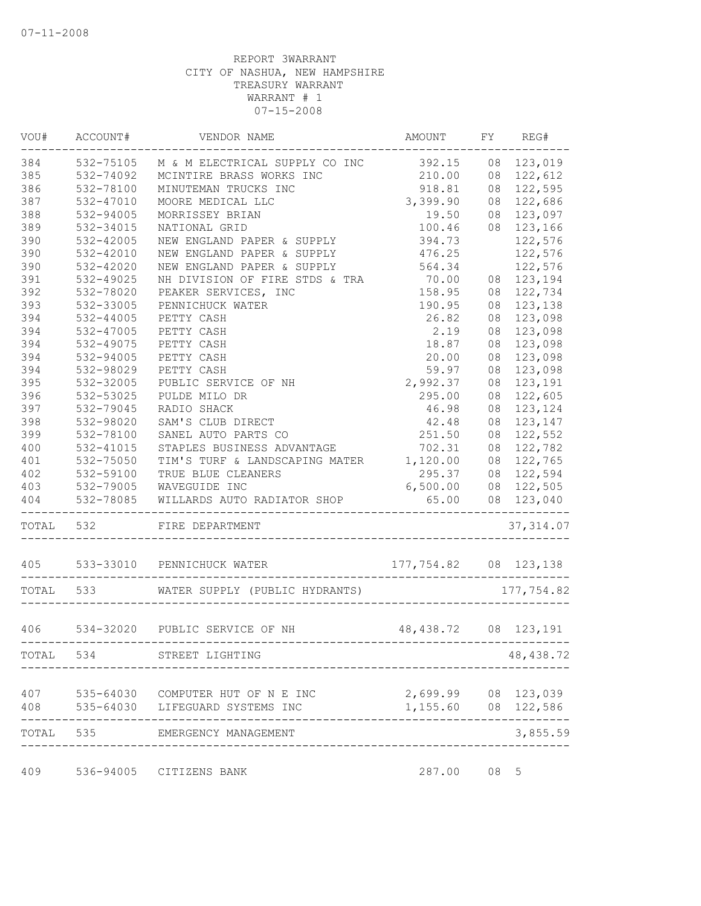| VOU#  | ACCOUNT#      | VENDOR NAME                             | AMOUNT                   | FY   | REG#            |
|-------|---------------|-----------------------------------------|--------------------------|------|-----------------|
| 384   | 532-75105     | M & M ELECTRICAL SUPPLY CO INC          | 392.15                   |      | 08 123,019      |
| 385   | 532-74092     | MCINTIRE BRASS WORKS INC                | 210.00                   | 08   | 122,612         |
| 386   | 532-78100     | MINUTEMAN TRUCKS INC                    | 918.81                   | 08   | 122,595         |
| 387   | 532-47010     | MOORE MEDICAL LLC                       | 3,399.90                 | 08   | 122,686         |
| 388   | 532-94005     | MORRISSEY BRIAN                         | 19.50                    | 08   | 123,097         |
| 389   | 532-34015     | NATIONAL GRID                           | 100.46                   | 08   | 123,166         |
| 390   | 532-42005     | NEW ENGLAND PAPER & SUPPLY              | 394.73                   |      | 122,576         |
| 390   | 532-42010     | NEW ENGLAND PAPER & SUPPLY              | 476.25                   |      | 122,576         |
| 390   | 532-42020     | NEW ENGLAND PAPER & SUPPLY              | 564.34                   |      | 122,576         |
| 391   | 532-49025     | NH DIVISION OF FIRE STDS & TRA          | 70.00                    |      | 08 123,194      |
| 392   | 532-78020     | PEAKER SERVICES, INC                    | 158.95                   | 08   | 122,734         |
| 393   | 532-33005     | PENNICHUCK WATER                        | 190.95                   | 08   | 123,138         |
| 394   | $532 - 44005$ | PETTY CASH                              | 26.82                    | 08   | 123,098         |
| 394   | 532-47005     | PETTY CASH                              | 2.19                     | 08   | 123,098         |
| 394   | 532-49075     | PETTY CASH                              | 18.87                    | 08   | 123,098         |
| 394   | 532-94005     | PETTY CASH                              | 20.00                    | 08   | 123,098         |
| 394   | 532-98029     | PETTY CASH                              | 59.97                    | 08   | 123,098         |
| 395   | 532-32005     | PUBLIC SERVICE OF NH                    | 2,992.37                 | 08   | 123,191         |
| 396   | 532-53025     | PULDE MILO DR                           | 295.00                   | 08   | 122,605         |
| 397   | 532-79045     | RADIO SHACK                             | 46.98                    | 08   | 123,124         |
| 398   | 532-98020     | SAM'S CLUB DIRECT                       | 42.48                    | 08   | 123,147         |
| 399   | 532-78100     | SANEL AUTO PARTS CO                     | 251.50                   | 08   | 122,552         |
| 400   | 532-41015     | STAPLES BUSINESS ADVANTAGE              | 702.31                   | 08   | 122,782         |
| 401   | 532-75050     | TIM'S TURF & LANDSCAPING MATER 1,120.00 |                          |      | 08 122,765      |
| 402   | 532-59100     | TRUE BLUE CLEANERS                      | 295.37                   |      | 08 122,594      |
| 403   | 532-79005     | WAVEGUIDE INC                           |                          |      | 08 122,505      |
| 404   | 532-78085     | WILLARDS AUTO RADIATOR SHOP             | $6,500.00$<br>$6,500.00$ |      | 08 123,040      |
|       | TOTAL 532     | FIRE DEPARTMENT                         |                          |      | 37, 314.07      |
|       |               | 405 533-33010 PENNICHUCK WATER          | 177,754.82 08 123,138    |      |                 |
|       | TOTAL 533     | WATER SUPPLY (PUBLIC HYDRANTS)          |                          |      | 177, 754.82     |
| 406   |               | 534-32020 PUBLIC SERVICE OF NH          | 48, 438.72 08 123, 191   |      |                 |
|       | 534           | STREET LIGHTING                         |                          |      | --------------- |
| TOTAL |               |                                         |                          |      | 48, 438.72      |
| 407   |               | 535-64030 COMPUTER HUT OF N E INC       | 2,699.99 08 123,039      |      |                 |
| 408   |               | 535-64030 LIFEGUARD SYSTEMS INC         | 1,155.60 08 122,586      |      |                 |
| TOTAL | 535           | EMERGENCY MANAGEMENT                    |                          |      | 3,855.59        |
| 409   |               | 536-94005 CITIZENS BANK                 | 287.00                   | 08 5 |                 |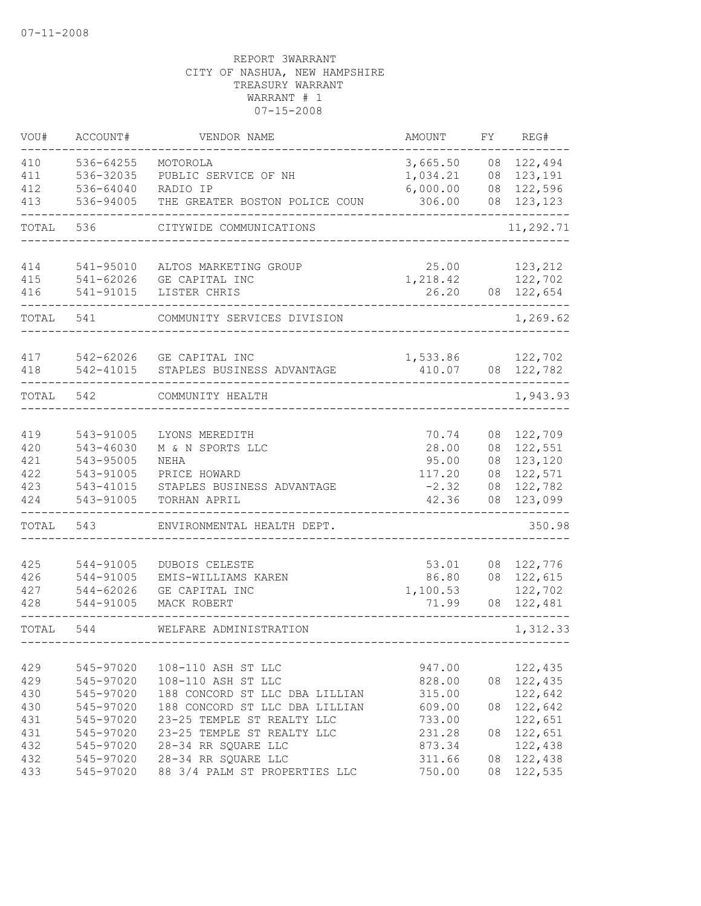| VOU#  | ACCOUNT#      | VENDOR NAME                    | AMOUNT   | FΥ | REG#       |
|-------|---------------|--------------------------------|----------|----|------------|
| 410   | 536-64255     | MOTOROLA                       | 3,665.50 | 08 | 122,494    |
| 411   | 536-32035     | PUBLIC SERVICE OF NH           | 1,034.21 | 08 | 123,191    |
| 412   | 536-64040     | RADIO IP                       | 6,000.00 | 08 | 122,596    |
| 413   | 536-94005     | THE GREATER BOSTON POLICE COUN | 306.00   | 08 | 123,123    |
| TOTAL | 536           | CITYWIDE COMMUNICATIONS        |          |    | 11,292.71  |
| 414   | 541-95010     | ALTOS MARKETING GROUP          | 25.00    |    | 123,212    |
| 415   | $541 - 62026$ | GE CAPITAL INC                 | 1,218.42 |    | 122,702    |
| 416   | 541-91015     | LISTER CHRIS                   | 26.20    |    | 08 122,654 |
| TOTAL | 541           | COMMUNITY SERVICES DIVISION    |          |    | 1,269.62   |
| 417   | 542-62026     | GE CAPITAL INC                 | 1,533.86 |    | 122,702    |
| 418   | 542-41015     | STAPLES BUSINESS ADVANTAGE     | 410.07   |    | 08 122,782 |
| TOTAL | 542           | COMMUNITY HEALTH               |          |    | 1,943.93   |
| 419   | 543-91005     | LYONS MEREDITH                 | 70.74    | 08 | 122,709    |
| 420   | 543-46030     | M & N SPORTS LLC               | 28.00    | 08 | 122,551    |
| 421   | 543-95005     | <b>NEHA</b>                    | 95.00    | 08 | 123,120    |
| 422   | 543-91005     | PRICE HOWARD                   | 117.20   | 08 | 122,571    |
| 423   | 543-41015     | STAPLES BUSINESS ADVANTAGE     | $-2.32$  | 08 | 122,782    |
| 424   | 543-91005     | TORHAN APRIL                   | 42.36    | 08 | 123,099    |
| TOTAL | 543           | ENVIRONMENTAL HEALTH DEPT.     |          |    | 350.98     |
| 425   | 544-91005     | DUBOIS CELESTE                 | 53.01    | 08 | 122,776    |
| 426   | 544-91005     | EMIS-WILLIAMS KAREN            | 86.80    | 08 | 122,615    |
| 427   | 544-62026     | GE CAPITAL INC                 | 1,100.53 |    | 122,702    |
| 428   | 544-91005     | MACK ROBERT                    | 71.99    |    | 08 122,481 |
| TOTAL | 544           | WELFARE ADMINISTRATION         |          |    | 1,312.33   |
|       |               |                                |          |    |            |
| 429   | 545-97020     | 108-110 ASH ST LLC             | 947.00   |    | 122,435    |
| 429   | 545-97020     | 108-110 ASH ST LLC             | 828.00   | 08 | 122,435    |
| 430   | 545-97020     | 188 CONCORD ST LLC DBA LILLIAN | 315.00   |    | 122,642    |
| 430   | 545-97020     | 188 CONCORD ST LLC DBA LILLIAN | 609.00   | 08 | 122,642    |
| 431   | 545-97020     | 23-25 TEMPLE ST REALTY LLC     | 733.00   |    | 122,651    |
| 431   | 545-97020     | 23-25 TEMPLE ST REALTY LLC     | 231.28   | 08 | 122,651    |
| 432   | 545-97020     | 28-34 RR SQUARE LLC            | 873.34   |    | 122,438    |
| 432   | 545-97020     | 28-34 RR SQUARE LLC            | 311.66   | 08 | 122,438    |
| 433   | 545-97020     | 88 3/4 PALM ST PROPERTIES LLC  | 750.00   | 08 | 122,535    |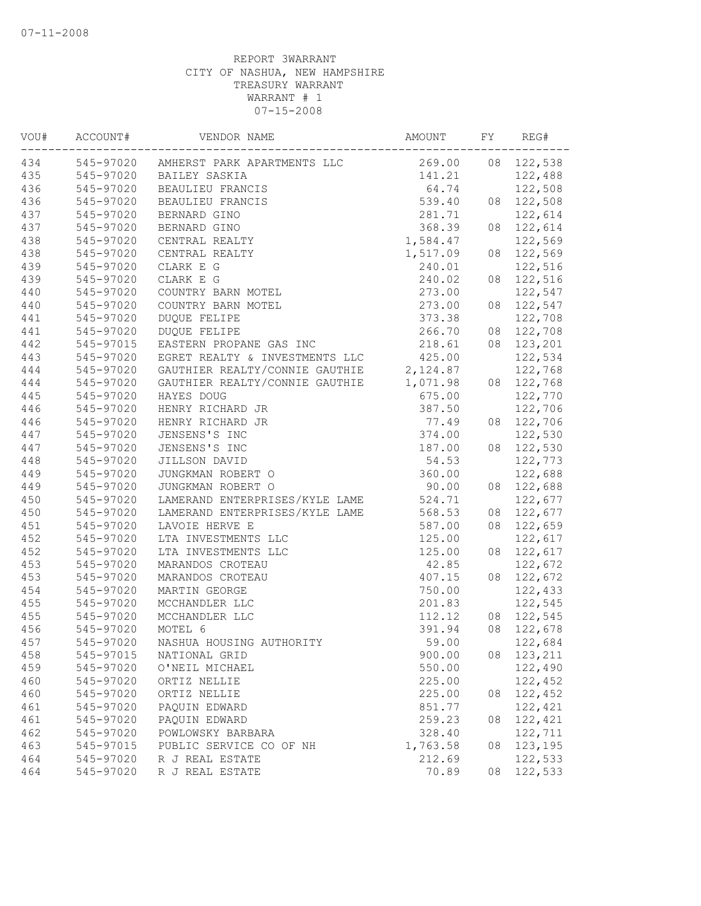| 545-97020<br>269.00<br>08 122,538<br>AMHERST PARK APARTMENTS LLC<br>545-97020<br>122,488<br>BAILEY SASKIA<br>141.21<br>545-97020<br>64.74<br>122,508<br>BEAULIEU FRANCIS<br>545-97020<br>539.40<br>122,508<br>BEAULIEU FRANCIS<br>08<br>545-97020<br>BERNARD GINO<br>281.71<br>122,614<br>545-97020<br>BERNARD GINO<br>368.39<br>122,614<br>08<br>1,584.47<br>122,569<br>545-97020<br>CENTRAL REALTY<br>122,569<br>545-97020<br>1,517.09<br>CENTRAL REALTY<br>08<br>545-97020<br>240.01<br>CLARK E G<br>122,516<br>545-97020<br>CLARK E G<br>240.02<br>122,516<br>08<br>545-97020<br>COUNTRY BARN MOTEL<br>273.00<br>122,547<br>545-97020<br>COUNTRY BARN MOTEL<br>273.00<br>122,547<br>08<br>545-97020<br>DUQUE FELIPE<br>373.38<br>122,708<br>545-97020<br>DUQUE FELIPE<br>266.70<br>122,708<br>08<br>545-97015<br>EASTERN PROPANE GAS INC<br>218.61<br>123,201<br>08<br>EGRET REALTY & INVESTMENTS LLC<br>122,534<br>545-97020<br>425.00<br>545-97020<br>GAUTHIER REALTY/CONNIE GAUTHIE<br>2,124.87<br>122,768<br>GAUTHIER REALTY/CONNIE GAUTHIE<br>545-97020<br>1,071.98<br>08 122,768<br>545-97020<br>675.00<br>122,770<br>HAYES DOUG<br>545-97020<br>HENRY RICHARD JR<br>387.50<br>122,706<br>545-97020<br>HENRY RICHARD JR<br>77.49<br>122,706<br>08<br>545-97020<br>JENSENS'S INC<br>374.00<br>122,530<br>545-97020<br>JENSENS'S INC<br>187.00<br>122,530<br>08<br>545-97020<br>54.53<br>122,773<br>JILLSON DAVID<br>545-97020<br>JUNGKMAN ROBERT O<br>360.00<br>122,688<br>90.00<br>545-97020<br>JUNGKMAN ROBERT O<br>122,688<br>08<br>524.71<br>545-97020<br>LAMERAND ENTERPRISES/KYLE LAME<br>122,677<br>545-97020<br>LAMERAND ENTERPRISES/KYLE LAME<br>568.53<br>122,677<br>08<br>545-97020<br>LAVOIE HERVE E<br>587.00<br>08<br>122,659<br>545-97020<br>LTA INVESTMENTS LLC<br>125.00<br>122,617<br>545-97020<br>125.00<br>122,617<br>LTA INVESTMENTS LLC<br>08<br>545-97020<br>42.85<br>122,672<br>MARANDOS CROTEAU<br>545-97020<br>407.15<br>122,672<br>MARANDOS CROTEAU<br>08<br>122,433<br>545-97020<br>MARTIN GEORGE<br>750.00<br>122,545<br>545-97020<br>MCCHANDLER LLC<br>201.83<br>545-97020<br>112.12<br>08 122,545<br>MCCHANDLER LLC<br>545-97020<br>MOTEL 6<br>391.94<br>08<br>122,678<br>59.00<br>545-97020<br>NASHUA HOUSING AUTHORITY<br>122,684<br>900.00<br>123,211<br>545-97015<br>NATIONAL GRID<br>08<br>550.00<br>122,490<br>545-97020<br>O'NEIL MICHAEL<br>122,452<br>545-97020<br>225.00<br>ORTIZ NELLIE<br>225.00<br>122,452<br>545-97020<br>ORTIZ NELLIE<br>08<br>122,421<br>851.77<br>545-97020<br>PAQUIN EDWARD<br>122,421<br>545-97020<br>PAQUIN EDWARD<br>259.23<br>08<br>545-97020<br>POWLOWSKY BARBARA<br>328.40<br>122,711<br>123,195<br>545-97015<br>1,763.58<br>PUBLIC SERVICE CO OF NH<br>08<br>545-97020<br>R J REAL ESTATE<br>212.69<br>122,533<br>545-97020<br>R J REAL ESTATE<br>70.89<br>08<br>122,533 | VOU# | ACCOUNT# | VENDOR NAME | AMOUNT | FY | REG# |
|-----------------------------------------------------------------------------------------------------------------------------------------------------------------------------------------------------------------------------------------------------------------------------------------------------------------------------------------------------------------------------------------------------------------------------------------------------------------------------------------------------------------------------------------------------------------------------------------------------------------------------------------------------------------------------------------------------------------------------------------------------------------------------------------------------------------------------------------------------------------------------------------------------------------------------------------------------------------------------------------------------------------------------------------------------------------------------------------------------------------------------------------------------------------------------------------------------------------------------------------------------------------------------------------------------------------------------------------------------------------------------------------------------------------------------------------------------------------------------------------------------------------------------------------------------------------------------------------------------------------------------------------------------------------------------------------------------------------------------------------------------------------------------------------------------------------------------------------------------------------------------------------------------------------------------------------------------------------------------------------------------------------------------------------------------------------------------------------------------------------------------------------------------------------------------------------------------------------------------------------------------------------------------------------------------------------------------------------------------------------------------------------------------------------------------------------------------------------------------------------------------------------------------------------------------------------------------------------------------------------------------------------------------------------------------------------------------------------------------------------------------------------------------------------------------------------------------------------------------------|------|----------|-------------|--------|----|------|
|                                                                                                                                                                                                                                                                                                                                                                                                                                                                                                                                                                                                                                                                                                                                                                                                                                                                                                                                                                                                                                                                                                                                                                                                                                                                                                                                                                                                                                                                                                                                                                                                                                                                                                                                                                                                                                                                                                                                                                                                                                                                                                                                                                                                                                                                                                                                                                                                                                                                                                                                                                                                                                                                                                                                                                                                                                                           | 434  |          |             |        |    |      |
|                                                                                                                                                                                                                                                                                                                                                                                                                                                                                                                                                                                                                                                                                                                                                                                                                                                                                                                                                                                                                                                                                                                                                                                                                                                                                                                                                                                                                                                                                                                                                                                                                                                                                                                                                                                                                                                                                                                                                                                                                                                                                                                                                                                                                                                                                                                                                                                                                                                                                                                                                                                                                                                                                                                                                                                                                                                           | 435  |          |             |        |    |      |
|                                                                                                                                                                                                                                                                                                                                                                                                                                                                                                                                                                                                                                                                                                                                                                                                                                                                                                                                                                                                                                                                                                                                                                                                                                                                                                                                                                                                                                                                                                                                                                                                                                                                                                                                                                                                                                                                                                                                                                                                                                                                                                                                                                                                                                                                                                                                                                                                                                                                                                                                                                                                                                                                                                                                                                                                                                                           | 436  |          |             |        |    |      |
|                                                                                                                                                                                                                                                                                                                                                                                                                                                                                                                                                                                                                                                                                                                                                                                                                                                                                                                                                                                                                                                                                                                                                                                                                                                                                                                                                                                                                                                                                                                                                                                                                                                                                                                                                                                                                                                                                                                                                                                                                                                                                                                                                                                                                                                                                                                                                                                                                                                                                                                                                                                                                                                                                                                                                                                                                                                           | 436  |          |             |        |    |      |
|                                                                                                                                                                                                                                                                                                                                                                                                                                                                                                                                                                                                                                                                                                                                                                                                                                                                                                                                                                                                                                                                                                                                                                                                                                                                                                                                                                                                                                                                                                                                                                                                                                                                                                                                                                                                                                                                                                                                                                                                                                                                                                                                                                                                                                                                                                                                                                                                                                                                                                                                                                                                                                                                                                                                                                                                                                                           | 437  |          |             |        |    |      |
|                                                                                                                                                                                                                                                                                                                                                                                                                                                                                                                                                                                                                                                                                                                                                                                                                                                                                                                                                                                                                                                                                                                                                                                                                                                                                                                                                                                                                                                                                                                                                                                                                                                                                                                                                                                                                                                                                                                                                                                                                                                                                                                                                                                                                                                                                                                                                                                                                                                                                                                                                                                                                                                                                                                                                                                                                                                           | 437  |          |             |        |    |      |
|                                                                                                                                                                                                                                                                                                                                                                                                                                                                                                                                                                                                                                                                                                                                                                                                                                                                                                                                                                                                                                                                                                                                                                                                                                                                                                                                                                                                                                                                                                                                                                                                                                                                                                                                                                                                                                                                                                                                                                                                                                                                                                                                                                                                                                                                                                                                                                                                                                                                                                                                                                                                                                                                                                                                                                                                                                                           | 438  |          |             |        |    |      |
|                                                                                                                                                                                                                                                                                                                                                                                                                                                                                                                                                                                                                                                                                                                                                                                                                                                                                                                                                                                                                                                                                                                                                                                                                                                                                                                                                                                                                                                                                                                                                                                                                                                                                                                                                                                                                                                                                                                                                                                                                                                                                                                                                                                                                                                                                                                                                                                                                                                                                                                                                                                                                                                                                                                                                                                                                                                           | 438  |          |             |        |    |      |
|                                                                                                                                                                                                                                                                                                                                                                                                                                                                                                                                                                                                                                                                                                                                                                                                                                                                                                                                                                                                                                                                                                                                                                                                                                                                                                                                                                                                                                                                                                                                                                                                                                                                                                                                                                                                                                                                                                                                                                                                                                                                                                                                                                                                                                                                                                                                                                                                                                                                                                                                                                                                                                                                                                                                                                                                                                                           | 439  |          |             |        |    |      |
|                                                                                                                                                                                                                                                                                                                                                                                                                                                                                                                                                                                                                                                                                                                                                                                                                                                                                                                                                                                                                                                                                                                                                                                                                                                                                                                                                                                                                                                                                                                                                                                                                                                                                                                                                                                                                                                                                                                                                                                                                                                                                                                                                                                                                                                                                                                                                                                                                                                                                                                                                                                                                                                                                                                                                                                                                                                           | 439  |          |             |        |    |      |
|                                                                                                                                                                                                                                                                                                                                                                                                                                                                                                                                                                                                                                                                                                                                                                                                                                                                                                                                                                                                                                                                                                                                                                                                                                                                                                                                                                                                                                                                                                                                                                                                                                                                                                                                                                                                                                                                                                                                                                                                                                                                                                                                                                                                                                                                                                                                                                                                                                                                                                                                                                                                                                                                                                                                                                                                                                                           | 440  |          |             |        |    |      |
|                                                                                                                                                                                                                                                                                                                                                                                                                                                                                                                                                                                                                                                                                                                                                                                                                                                                                                                                                                                                                                                                                                                                                                                                                                                                                                                                                                                                                                                                                                                                                                                                                                                                                                                                                                                                                                                                                                                                                                                                                                                                                                                                                                                                                                                                                                                                                                                                                                                                                                                                                                                                                                                                                                                                                                                                                                                           | 440  |          |             |        |    |      |
|                                                                                                                                                                                                                                                                                                                                                                                                                                                                                                                                                                                                                                                                                                                                                                                                                                                                                                                                                                                                                                                                                                                                                                                                                                                                                                                                                                                                                                                                                                                                                                                                                                                                                                                                                                                                                                                                                                                                                                                                                                                                                                                                                                                                                                                                                                                                                                                                                                                                                                                                                                                                                                                                                                                                                                                                                                                           | 441  |          |             |        |    |      |
|                                                                                                                                                                                                                                                                                                                                                                                                                                                                                                                                                                                                                                                                                                                                                                                                                                                                                                                                                                                                                                                                                                                                                                                                                                                                                                                                                                                                                                                                                                                                                                                                                                                                                                                                                                                                                                                                                                                                                                                                                                                                                                                                                                                                                                                                                                                                                                                                                                                                                                                                                                                                                                                                                                                                                                                                                                                           | 441  |          |             |        |    |      |
|                                                                                                                                                                                                                                                                                                                                                                                                                                                                                                                                                                                                                                                                                                                                                                                                                                                                                                                                                                                                                                                                                                                                                                                                                                                                                                                                                                                                                                                                                                                                                                                                                                                                                                                                                                                                                                                                                                                                                                                                                                                                                                                                                                                                                                                                                                                                                                                                                                                                                                                                                                                                                                                                                                                                                                                                                                                           | 442  |          |             |        |    |      |
|                                                                                                                                                                                                                                                                                                                                                                                                                                                                                                                                                                                                                                                                                                                                                                                                                                                                                                                                                                                                                                                                                                                                                                                                                                                                                                                                                                                                                                                                                                                                                                                                                                                                                                                                                                                                                                                                                                                                                                                                                                                                                                                                                                                                                                                                                                                                                                                                                                                                                                                                                                                                                                                                                                                                                                                                                                                           | 443  |          |             |        |    |      |
|                                                                                                                                                                                                                                                                                                                                                                                                                                                                                                                                                                                                                                                                                                                                                                                                                                                                                                                                                                                                                                                                                                                                                                                                                                                                                                                                                                                                                                                                                                                                                                                                                                                                                                                                                                                                                                                                                                                                                                                                                                                                                                                                                                                                                                                                                                                                                                                                                                                                                                                                                                                                                                                                                                                                                                                                                                                           | 444  |          |             |        |    |      |
|                                                                                                                                                                                                                                                                                                                                                                                                                                                                                                                                                                                                                                                                                                                                                                                                                                                                                                                                                                                                                                                                                                                                                                                                                                                                                                                                                                                                                                                                                                                                                                                                                                                                                                                                                                                                                                                                                                                                                                                                                                                                                                                                                                                                                                                                                                                                                                                                                                                                                                                                                                                                                                                                                                                                                                                                                                                           | 444  |          |             |        |    |      |
|                                                                                                                                                                                                                                                                                                                                                                                                                                                                                                                                                                                                                                                                                                                                                                                                                                                                                                                                                                                                                                                                                                                                                                                                                                                                                                                                                                                                                                                                                                                                                                                                                                                                                                                                                                                                                                                                                                                                                                                                                                                                                                                                                                                                                                                                                                                                                                                                                                                                                                                                                                                                                                                                                                                                                                                                                                                           | 445  |          |             |        |    |      |
|                                                                                                                                                                                                                                                                                                                                                                                                                                                                                                                                                                                                                                                                                                                                                                                                                                                                                                                                                                                                                                                                                                                                                                                                                                                                                                                                                                                                                                                                                                                                                                                                                                                                                                                                                                                                                                                                                                                                                                                                                                                                                                                                                                                                                                                                                                                                                                                                                                                                                                                                                                                                                                                                                                                                                                                                                                                           | 446  |          |             |        |    |      |
|                                                                                                                                                                                                                                                                                                                                                                                                                                                                                                                                                                                                                                                                                                                                                                                                                                                                                                                                                                                                                                                                                                                                                                                                                                                                                                                                                                                                                                                                                                                                                                                                                                                                                                                                                                                                                                                                                                                                                                                                                                                                                                                                                                                                                                                                                                                                                                                                                                                                                                                                                                                                                                                                                                                                                                                                                                                           | 446  |          |             |        |    |      |
|                                                                                                                                                                                                                                                                                                                                                                                                                                                                                                                                                                                                                                                                                                                                                                                                                                                                                                                                                                                                                                                                                                                                                                                                                                                                                                                                                                                                                                                                                                                                                                                                                                                                                                                                                                                                                                                                                                                                                                                                                                                                                                                                                                                                                                                                                                                                                                                                                                                                                                                                                                                                                                                                                                                                                                                                                                                           | 447  |          |             |        |    |      |
|                                                                                                                                                                                                                                                                                                                                                                                                                                                                                                                                                                                                                                                                                                                                                                                                                                                                                                                                                                                                                                                                                                                                                                                                                                                                                                                                                                                                                                                                                                                                                                                                                                                                                                                                                                                                                                                                                                                                                                                                                                                                                                                                                                                                                                                                                                                                                                                                                                                                                                                                                                                                                                                                                                                                                                                                                                                           | 447  |          |             |        |    |      |
|                                                                                                                                                                                                                                                                                                                                                                                                                                                                                                                                                                                                                                                                                                                                                                                                                                                                                                                                                                                                                                                                                                                                                                                                                                                                                                                                                                                                                                                                                                                                                                                                                                                                                                                                                                                                                                                                                                                                                                                                                                                                                                                                                                                                                                                                                                                                                                                                                                                                                                                                                                                                                                                                                                                                                                                                                                                           | 448  |          |             |        |    |      |
|                                                                                                                                                                                                                                                                                                                                                                                                                                                                                                                                                                                                                                                                                                                                                                                                                                                                                                                                                                                                                                                                                                                                                                                                                                                                                                                                                                                                                                                                                                                                                                                                                                                                                                                                                                                                                                                                                                                                                                                                                                                                                                                                                                                                                                                                                                                                                                                                                                                                                                                                                                                                                                                                                                                                                                                                                                                           | 449  |          |             |        |    |      |
|                                                                                                                                                                                                                                                                                                                                                                                                                                                                                                                                                                                                                                                                                                                                                                                                                                                                                                                                                                                                                                                                                                                                                                                                                                                                                                                                                                                                                                                                                                                                                                                                                                                                                                                                                                                                                                                                                                                                                                                                                                                                                                                                                                                                                                                                                                                                                                                                                                                                                                                                                                                                                                                                                                                                                                                                                                                           | 449  |          |             |        |    |      |
|                                                                                                                                                                                                                                                                                                                                                                                                                                                                                                                                                                                                                                                                                                                                                                                                                                                                                                                                                                                                                                                                                                                                                                                                                                                                                                                                                                                                                                                                                                                                                                                                                                                                                                                                                                                                                                                                                                                                                                                                                                                                                                                                                                                                                                                                                                                                                                                                                                                                                                                                                                                                                                                                                                                                                                                                                                                           | 450  |          |             |        |    |      |
|                                                                                                                                                                                                                                                                                                                                                                                                                                                                                                                                                                                                                                                                                                                                                                                                                                                                                                                                                                                                                                                                                                                                                                                                                                                                                                                                                                                                                                                                                                                                                                                                                                                                                                                                                                                                                                                                                                                                                                                                                                                                                                                                                                                                                                                                                                                                                                                                                                                                                                                                                                                                                                                                                                                                                                                                                                                           | 450  |          |             |        |    |      |
|                                                                                                                                                                                                                                                                                                                                                                                                                                                                                                                                                                                                                                                                                                                                                                                                                                                                                                                                                                                                                                                                                                                                                                                                                                                                                                                                                                                                                                                                                                                                                                                                                                                                                                                                                                                                                                                                                                                                                                                                                                                                                                                                                                                                                                                                                                                                                                                                                                                                                                                                                                                                                                                                                                                                                                                                                                                           | 451  |          |             |        |    |      |
|                                                                                                                                                                                                                                                                                                                                                                                                                                                                                                                                                                                                                                                                                                                                                                                                                                                                                                                                                                                                                                                                                                                                                                                                                                                                                                                                                                                                                                                                                                                                                                                                                                                                                                                                                                                                                                                                                                                                                                                                                                                                                                                                                                                                                                                                                                                                                                                                                                                                                                                                                                                                                                                                                                                                                                                                                                                           | 452  |          |             |        |    |      |
|                                                                                                                                                                                                                                                                                                                                                                                                                                                                                                                                                                                                                                                                                                                                                                                                                                                                                                                                                                                                                                                                                                                                                                                                                                                                                                                                                                                                                                                                                                                                                                                                                                                                                                                                                                                                                                                                                                                                                                                                                                                                                                                                                                                                                                                                                                                                                                                                                                                                                                                                                                                                                                                                                                                                                                                                                                                           | 452  |          |             |        |    |      |
|                                                                                                                                                                                                                                                                                                                                                                                                                                                                                                                                                                                                                                                                                                                                                                                                                                                                                                                                                                                                                                                                                                                                                                                                                                                                                                                                                                                                                                                                                                                                                                                                                                                                                                                                                                                                                                                                                                                                                                                                                                                                                                                                                                                                                                                                                                                                                                                                                                                                                                                                                                                                                                                                                                                                                                                                                                                           | 453  |          |             |        |    |      |
|                                                                                                                                                                                                                                                                                                                                                                                                                                                                                                                                                                                                                                                                                                                                                                                                                                                                                                                                                                                                                                                                                                                                                                                                                                                                                                                                                                                                                                                                                                                                                                                                                                                                                                                                                                                                                                                                                                                                                                                                                                                                                                                                                                                                                                                                                                                                                                                                                                                                                                                                                                                                                                                                                                                                                                                                                                                           | 453  |          |             |        |    |      |
|                                                                                                                                                                                                                                                                                                                                                                                                                                                                                                                                                                                                                                                                                                                                                                                                                                                                                                                                                                                                                                                                                                                                                                                                                                                                                                                                                                                                                                                                                                                                                                                                                                                                                                                                                                                                                                                                                                                                                                                                                                                                                                                                                                                                                                                                                                                                                                                                                                                                                                                                                                                                                                                                                                                                                                                                                                                           | 454  |          |             |        |    |      |
|                                                                                                                                                                                                                                                                                                                                                                                                                                                                                                                                                                                                                                                                                                                                                                                                                                                                                                                                                                                                                                                                                                                                                                                                                                                                                                                                                                                                                                                                                                                                                                                                                                                                                                                                                                                                                                                                                                                                                                                                                                                                                                                                                                                                                                                                                                                                                                                                                                                                                                                                                                                                                                                                                                                                                                                                                                                           | 455  |          |             |        |    |      |
|                                                                                                                                                                                                                                                                                                                                                                                                                                                                                                                                                                                                                                                                                                                                                                                                                                                                                                                                                                                                                                                                                                                                                                                                                                                                                                                                                                                                                                                                                                                                                                                                                                                                                                                                                                                                                                                                                                                                                                                                                                                                                                                                                                                                                                                                                                                                                                                                                                                                                                                                                                                                                                                                                                                                                                                                                                                           | 455  |          |             |        |    |      |
|                                                                                                                                                                                                                                                                                                                                                                                                                                                                                                                                                                                                                                                                                                                                                                                                                                                                                                                                                                                                                                                                                                                                                                                                                                                                                                                                                                                                                                                                                                                                                                                                                                                                                                                                                                                                                                                                                                                                                                                                                                                                                                                                                                                                                                                                                                                                                                                                                                                                                                                                                                                                                                                                                                                                                                                                                                                           | 456  |          |             |        |    |      |
|                                                                                                                                                                                                                                                                                                                                                                                                                                                                                                                                                                                                                                                                                                                                                                                                                                                                                                                                                                                                                                                                                                                                                                                                                                                                                                                                                                                                                                                                                                                                                                                                                                                                                                                                                                                                                                                                                                                                                                                                                                                                                                                                                                                                                                                                                                                                                                                                                                                                                                                                                                                                                                                                                                                                                                                                                                                           | 457  |          |             |        |    |      |
|                                                                                                                                                                                                                                                                                                                                                                                                                                                                                                                                                                                                                                                                                                                                                                                                                                                                                                                                                                                                                                                                                                                                                                                                                                                                                                                                                                                                                                                                                                                                                                                                                                                                                                                                                                                                                                                                                                                                                                                                                                                                                                                                                                                                                                                                                                                                                                                                                                                                                                                                                                                                                                                                                                                                                                                                                                                           | 458  |          |             |        |    |      |
|                                                                                                                                                                                                                                                                                                                                                                                                                                                                                                                                                                                                                                                                                                                                                                                                                                                                                                                                                                                                                                                                                                                                                                                                                                                                                                                                                                                                                                                                                                                                                                                                                                                                                                                                                                                                                                                                                                                                                                                                                                                                                                                                                                                                                                                                                                                                                                                                                                                                                                                                                                                                                                                                                                                                                                                                                                                           | 459  |          |             |        |    |      |
|                                                                                                                                                                                                                                                                                                                                                                                                                                                                                                                                                                                                                                                                                                                                                                                                                                                                                                                                                                                                                                                                                                                                                                                                                                                                                                                                                                                                                                                                                                                                                                                                                                                                                                                                                                                                                                                                                                                                                                                                                                                                                                                                                                                                                                                                                                                                                                                                                                                                                                                                                                                                                                                                                                                                                                                                                                                           | 460  |          |             |        |    |      |
|                                                                                                                                                                                                                                                                                                                                                                                                                                                                                                                                                                                                                                                                                                                                                                                                                                                                                                                                                                                                                                                                                                                                                                                                                                                                                                                                                                                                                                                                                                                                                                                                                                                                                                                                                                                                                                                                                                                                                                                                                                                                                                                                                                                                                                                                                                                                                                                                                                                                                                                                                                                                                                                                                                                                                                                                                                                           | 460  |          |             |        |    |      |
|                                                                                                                                                                                                                                                                                                                                                                                                                                                                                                                                                                                                                                                                                                                                                                                                                                                                                                                                                                                                                                                                                                                                                                                                                                                                                                                                                                                                                                                                                                                                                                                                                                                                                                                                                                                                                                                                                                                                                                                                                                                                                                                                                                                                                                                                                                                                                                                                                                                                                                                                                                                                                                                                                                                                                                                                                                                           | 461  |          |             |        |    |      |
|                                                                                                                                                                                                                                                                                                                                                                                                                                                                                                                                                                                                                                                                                                                                                                                                                                                                                                                                                                                                                                                                                                                                                                                                                                                                                                                                                                                                                                                                                                                                                                                                                                                                                                                                                                                                                                                                                                                                                                                                                                                                                                                                                                                                                                                                                                                                                                                                                                                                                                                                                                                                                                                                                                                                                                                                                                                           | 461  |          |             |        |    |      |
|                                                                                                                                                                                                                                                                                                                                                                                                                                                                                                                                                                                                                                                                                                                                                                                                                                                                                                                                                                                                                                                                                                                                                                                                                                                                                                                                                                                                                                                                                                                                                                                                                                                                                                                                                                                                                                                                                                                                                                                                                                                                                                                                                                                                                                                                                                                                                                                                                                                                                                                                                                                                                                                                                                                                                                                                                                                           | 462  |          |             |        |    |      |
|                                                                                                                                                                                                                                                                                                                                                                                                                                                                                                                                                                                                                                                                                                                                                                                                                                                                                                                                                                                                                                                                                                                                                                                                                                                                                                                                                                                                                                                                                                                                                                                                                                                                                                                                                                                                                                                                                                                                                                                                                                                                                                                                                                                                                                                                                                                                                                                                                                                                                                                                                                                                                                                                                                                                                                                                                                                           | 463  |          |             |        |    |      |
|                                                                                                                                                                                                                                                                                                                                                                                                                                                                                                                                                                                                                                                                                                                                                                                                                                                                                                                                                                                                                                                                                                                                                                                                                                                                                                                                                                                                                                                                                                                                                                                                                                                                                                                                                                                                                                                                                                                                                                                                                                                                                                                                                                                                                                                                                                                                                                                                                                                                                                                                                                                                                                                                                                                                                                                                                                                           | 464  |          |             |        |    |      |
|                                                                                                                                                                                                                                                                                                                                                                                                                                                                                                                                                                                                                                                                                                                                                                                                                                                                                                                                                                                                                                                                                                                                                                                                                                                                                                                                                                                                                                                                                                                                                                                                                                                                                                                                                                                                                                                                                                                                                                                                                                                                                                                                                                                                                                                                                                                                                                                                                                                                                                                                                                                                                                                                                                                                                                                                                                                           | 464  |          |             |        |    |      |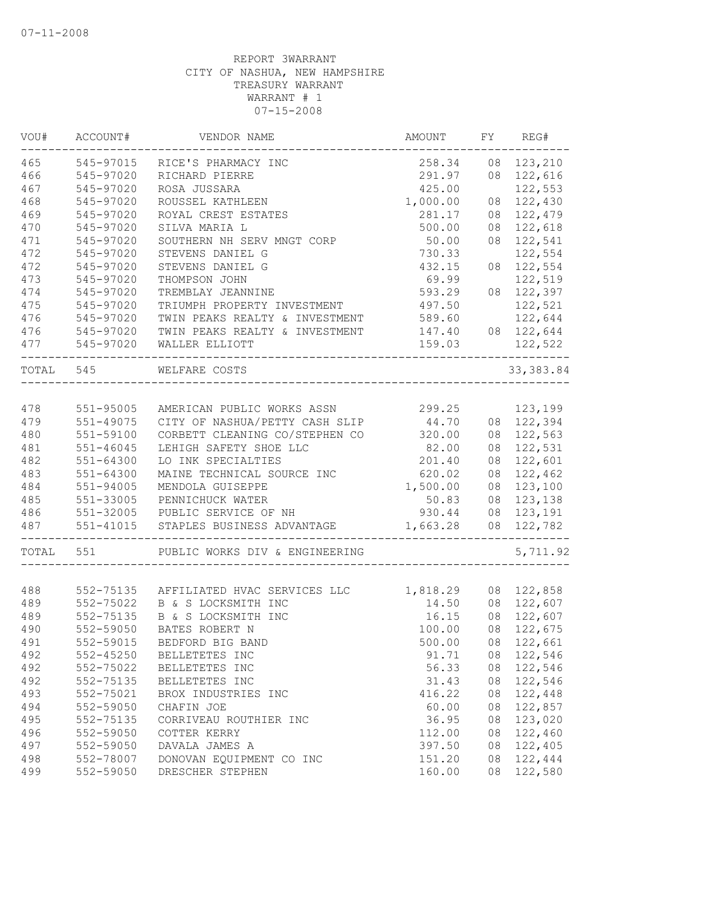| VOU#      | ACCOUNT#      | VENDOR NAME                    | AMOUNT   | FY | REG#       |
|-----------|---------------|--------------------------------|----------|----|------------|
| 465       | 545-97015     | RICE'S PHARMACY INC            | 258.34   | 08 | 123,210    |
| 466       | 545-97020     | RICHARD PIERRE                 | 291.97   | 08 | 122,616    |
| 467       | 545-97020     | ROSA JUSSARA                   | 425.00   |    | 122,553    |
| 468       | 545-97020     | ROUSSEL KATHLEEN               | 1,000.00 | 08 | 122,430    |
| 469       | 545-97020     | ROYAL CREST ESTATES            | 281.17   | 08 | 122,479    |
| 470       | 545-97020     | SILVA MARIA L                  | 500.00   | 08 | 122,618    |
| 471       | 545-97020     | SOUTHERN NH SERV MNGT CORP     | 50.00    | 08 | 122,541    |
| 472       | 545-97020     | STEVENS DANIEL G               | 730.33   |    | 122,554    |
| 472       | 545-97020     | STEVENS DANIEL G               | 432.15   | 08 | 122,554    |
| 473       | 545-97020     | THOMPSON JOHN                  | 69.99    |    | 122,519    |
| 474       | 545-97020     | TREMBLAY JEANNINE              | 593.29   |    | 08 122,397 |
| 475       | 545-97020     | TRIUMPH PROPERTY INVESTMENT    | 497.50   |    | 122,521    |
| 476       | 545-97020     | TWIN PEAKS REALTY & INVESTMENT | 589.60   |    | 122,644    |
| 476       | 545-97020     | TWIN PEAKS REALTY & INVESTMENT | 147.40   |    | 08 122,644 |
| 477       | 545-97020     | WALLER ELLIOTT                 | 159.03   |    | 122,522    |
| TOTAL 545 |               | WELFARE COSTS                  |          |    | 33, 383.84 |
|           |               |                                |          |    |            |
| 478       | $551 - 95005$ | AMERICAN PUBLIC WORKS ASSN     | 299.25   |    | 123,199    |
| 479       | 551-49075     | CITY OF NASHUA/PETTY CASH SLIP | 44.70    |    | 08 122,394 |
| 480       | 551-59100     | CORBETT CLEANING CO/STEPHEN CO | 320.00   | 08 | 122,563    |
| 481       | $551 - 46045$ | LEHIGH SAFETY SHOE LLC         | 82.00    | 08 | 122,531    |
| 482       | $551 - 64300$ | LO INK SPECIALTIES             | 201.40   | 08 | 122,601    |
| 483       | 551-64300     | MAINE TECHNICAL SOURCE INC     | 620.02   | 08 | 122,462    |
| 484       | 551-94005     | MENDOLA GUISEPPE               | 1,500.00 | 08 | 123,100    |
| 485       | 551-33005     | PENNICHUCK WATER               | 50.83    | 08 | 123,138    |
| 486       | 551-32005     | PUBLIC SERVICE OF NH           | 930.44   |    | 08 123,191 |
| 487       | 551-41015     | STAPLES BUSINESS ADVANTAGE     | 1,663.28 |    | 08 122,782 |
| TOTAL     | 551           | PUBLIC WORKS DIV & ENGINEERING |          |    | 5,711.92   |
|           |               |                                |          |    |            |
| 488       | 552-75135     | AFFILIATED HVAC SERVICES LLC   | 1,818.29 |    | 08 122,858 |
| 489       | 552-75022     | B & S LOCKSMITH INC            | 14.50    |    | 08 122,607 |
| 489       | 552-75135     | B & S LOCKSMITH INC            | 16.15    | 08 | 122,607    |
| 490       | 552-59050     | BATES ROBERT N                 | 100.00   | 08 | 122,675    |
| 491       | 552-59015     | BEDFORD BIG BAND               | 500.00   |    | 08 122,661 |
| 492       | 552-45250     | BELLETETES INC                 | 91.71    | 08 | 122,546    |
| 492       | 552-75022     | BELLETETES INC                 | 56.33    | 08 | 122,546    |
| 492       | 552-75135     | BELLETETES INC                 | 31.43    | 08 | 122,546    |
| 493       | 552-75021     | BROX INDUSTRIES INC            | 416.22   | 08 | 122,448    |
| 494       | 552-59050     | CHAFIN JOE                     | 60.00    | 08 | 122,857    |
| 495       | 552-75135     | CORRIVEAU ROUTHIER INC         | 36.95    | 08 | 123,020    |
| 496       | 552-59050     | COTTER KERRY                   | 112.00   | 08 | 122,460    |
| 497       | 552-59050     | DAVALA JAMES A                 | 397.50   | 08 | 122,405    |
| 498       | 552-78007     | DONOVAN EQUIPMENT CO INC       | 151.20   | 08 | 122,444    |
| 499       | 552-59050     | DRESCHER STEPHEN               | 160.00   | 08 | 122,580    |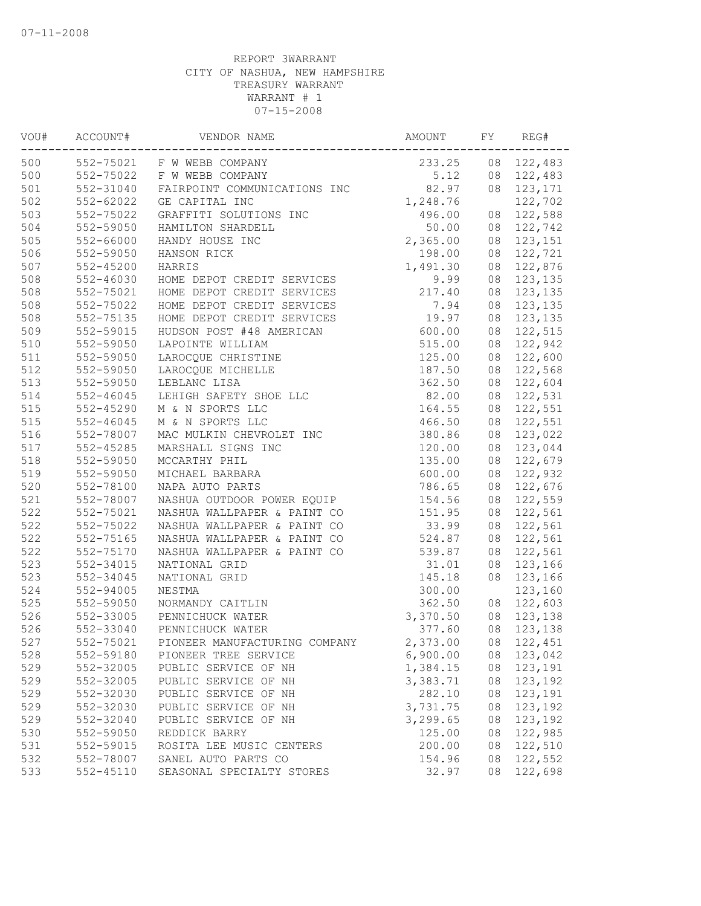| VOU# | ACCOUNT#      | VENDOR NAME                   | AMOUNT   | FY | REG#       |
|------|---------------|-------------------------------|----------|----|------------|
| 500  |               | 552-75021 F W WEBB COMPANY    | 233.25   |    | 08 122,483 |
| 500  |               | 552-75022 F W WEBB COMPANY    | 5.12     |    | 08 122,483 |
| 501  | 552-31040     | FAIRPOINT COMMUNICATIONS INC  | 82.97    |    | 08 123,171 |
| 502  | 552-62022     | GE CAPITAL INC                | 1,248.76 |    | 122,702    |
| 503  | 552-75022     | GRAFFITI SOLUTIONS INC        | 496.00   | 08 | 122,588    |
| 504  | 552-59050     | HAMILTON SHARDELL             | 50.00    | 08 | 122,742    |
| 505  | 552-66000     | HANDY HOUSE INC               | 2,365.00 | 08 | 123,151    |
| 506  | 552-59050     | HANSON RICK                   | 198.00   | 08 | 122,721    |
| 507  | $552 - 45200$ | HARRIS                        | 1,491.30 | 08 | 122,876    |
| 508  | 552-46030     | HOME DEPOT CREDIT SERVICES    | 9.99     | 08 | 123,135    |
| 508  | 552-75021     | HOME DEPOT CREDIT SERVICES    | 217.40   | 08 | 123,135    |
| 508  | 552-75022     | HOME DEPOT CREDIT SERVICES    | 7.94     | 08 | 123,135    |
| 508  | 552-75135     | HOME DEPOT CREDIT SERVICES    | 19.97    | 08 | 123,135    |
| 509  | 552-59015     | HUDSON POST #48 AMERICAN      | 600.00   | 08 | 122,515    |
| 510  | 552-59050     | LAPOINTE WILLIAM              | 515.00   | 08 | 122,942    |
| 511  | 552-59050     | LAROCQUE CHRISTINE            | 125.00   | 08 | 122,600    |
| 512  | 552-59050     | LAROCQUE MICHELLE             | 187.50   | 08 | 122,568    |
| 513  | 552-59050     | LEBLANC LISA                  | 362.50   | 08 | 122,604    |
| 514  | 552-46045     | LEHIGH SAFETY SHOE LLC        | 82.00    | 08 | 122,531    |
| 515  | 552-45290     | M & N SPORTS LLC              | 164.55   | 08 | 122,551    |
| 515  | $552 - 46045$ | M & N SPORTS LLC              | 466.50   | 08 | 122,551    |
| 516  | 552-78007     | MAC MULKIN CHEVROLET INC      | 380.86   | 08 | 123,022    |
| 517  | 552-45285     | MARSHALL SIGNS INC            | 120.00   | 08 | 123,044    |
| 518  | 552-59050     | MCCARTHY PHIL                 | 135.00   | 08 | 122,679    |
| 519  | 552-59050     | MICHAEL BARBARA               | 600.00   | 08 | 122,932    |
| 520  | 552-78100     | NAPA AUTO PARTS               | 786.65   | 08 | 122,676    |
| 521  | 552-78007     | NASHUA OUTDOOR POWER EQUIP    | 154.56   | 08 | 122,559    |
| 522  | 552-75021     | NASHUA WALLPAPER & PAINT CO   | 151.95   | 08 | 122,561    |
| 522  | 552-75022     | NASHUA WALLPAPER & PAINT CO   | 33.99    | 08 | 122,561    |
| 522  | 552-75165     | NASHUA WALLPAPER & PAINT CO   | 524.87   | 08 | 122,561    |
| 522  | 552-75170     | NASHUA WALLPAPER & PAINT CO   | 539.87   | 08 | 122,561    |
| 523  | 552-34015     | NATIONAL GRID                 | 31.01    | 08 | 123,166    |
| 523  | 552-34045     | NATIONAL GRID                 | 145.18   | 08 | 123,166    |
| 524  | 552-94005     | NESTMA                        | 300.00   |    | 123,160    |
| 525  | 552-59050     | NORMANDY CAITLIN              | 362.50   | 08 | 122,603    |
| 526  | 552-33005     | PENNICHUCK WATER              | 3,370.50 |    | 08 123,138 |
| 526  | 552-33040     | PENNICHUCK WATER              | 377.60   | 08 | 123,138    |
| 527  | 552-75021     | PIONEER MANUFACTURING COMPANY | 2,373.00 |    | 08 122,451 |
| 528  | 552-59180     | PIONEER TREE SERVICE          | 6,900.00 | 08 | 123,042    |
| 529  | 552-32005     | PUBLIC SERVICE OF NH          | 1,384.15 | 08 | 123,191    |
| 529  | 552-32005     | PUBLIC SERVICE OF NH          | 3,383.71 | 08 | 123,192    |
| 529  | 552-32030     | PUBLIC SERVICE OF NH          | 282.10   | 08 | 123,191    |
| 529  | 552-32030     | PUBLIC SERVICE OF NH          | 3,731.75 | 08 | 123,192    |
| 529  | 552-32040     | PUBLIC SERVICE OF NH          | 3,299.65 | 08 | 123,192    |
| 530  | 552-59050     | REDDICK BARRY                 | 125.00   | 08 | 122,985    |
| 531  | 552-59015     | ROSITA LEE MUSIC CENTERS      | 200.00   | 08 | 122,510    |
| 532  | 552-78007     | SANEL AUTO PARTS CO           | 154.96   | 08 | 122,552    |
| 533  | 552-45110     | SEASONAL SPECIALTY STORES     | 32.97    | 08 | 122,698    |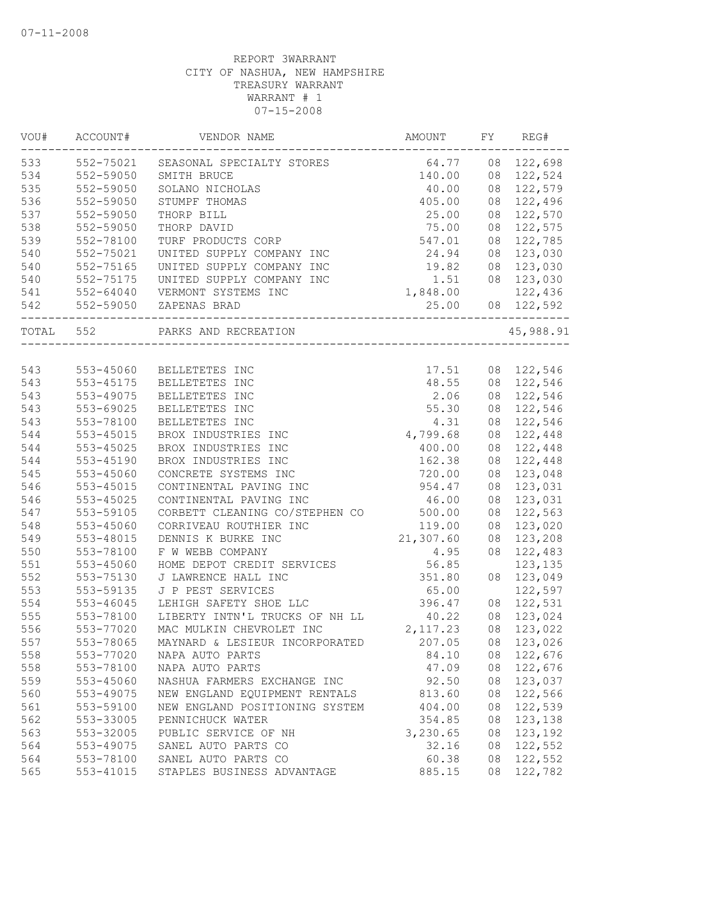| VOU# | ACCOUNT#      | VENDOR NAME                    | AMOUNT    | FY | REG#             |
|------|---------------|--------------------------------|-----------|----|------------------|
| 533  | 552-75021     | SEASONAL SPECIALTY STORES      | 64.77     |    | 08 122,698       |
| 534  | 552-59050     | SMITH BRUCE                    | 140.00    |    | 08 122,524       |
| 535  | 552-59050     | SOLANO NICHOLAS                | 40.00     |    | 08 122,579       |
| 536  | 552-59050     | STUMPF THOMAS                  | 405.00    | 08 | 122,496          |
| 537  | 552-59050     | THORP BILL                     | 25.00     | 08 | 122,570          |
| 538  | 552-59050     | THORP DAVID                    | 75.00     | 08 | 122,575          |
| 539  | 552-78100     | TURF PRODUCTS CORP             | 547.01    | 08 | 122,785          |
| 540  | 552-75021     | UNITED SUPPLY COMPANY INC      | 24.94     |    | 08 123,030       |
| 540  | $552 - 75165$ | UNITED SUPPLY COMPANY INC      | 19.82     |    | 08 123,030       |
| 540  | 552-75175     | UNITED SUPPLY COMPANY INC      | 1.51      |    | 08 123,030       |
| 541  |               | 552-64040 VERMONT SYSTEMS INC  | 1,848.00  |    | 122,436          |
| 542  |               | 552-59050 ZAPENAS BRAD         |           |    | 25.00 08 122,592 |
|      | TOTAL 552     | PARKS AND RECREATION           |           |    | 45,988.91        |
|      |               |                                |           |    |                  |
| 543  |               | 553-45060 BELLETETES INC       | 17.51     |    | 08 122,546       |
| 543  | 553-45175     | BELLETETES INC                 | 48.55     |    | 08 122,546       |
| 543  | 553-49075     | BELLETETES INC                 | 2.06      |    | 08 122,546       |
| 543  | 553-69025     | BELLETETES INC                 | 55.30     |    | 08 122,546       |
| 543  | 553-78100     | BELLETETES INC                 | 4.31      |    | 08 122,546       |
| 544  | 553-45015     | BROX INDUSTRIES INC            | 4,799.68  | 08 | 122,448          |
| 544  | 553-45025     | BROX INDUSTRIES INC            | 400.00    | 08 | 122,448          |
| 544  | 553-45190     | BROX INDUSTRIES INC            | 162.38    | 08 | 122,448          |
| 545  | 553-45060     | CONCRETE SYSTEMS INC           | 720.00    | 08 | 123,048          |
| 546  | 553-45015     | CONTINENTAL PAVING INC         | 954.47    | 08 | 123,031          |
| 546  | $553 - 45025$ | CONTINENTAL PAVING INC         | 46.00     | 08 | 123,031          |
| 547  | 553-59105     | CORBETT CLEANING CO/STEPHEN CO | 500.00    |    | 08 122,563       |
| 548  | 553-45060     | CORRIVEAU ROUTHIER INC         | 119.00    |    | 08 123,020       |
| 549  | 553-48015     | DENNIS K BURKE INC             | 21,307.60 | 08 | 123,208          |
| 550  | 553-78100     | F W WEBB COMPANY               | 4.95      | 08 | 122,483          |
| 551  | 553-45060     | HOME DEPOT CREDIT SERVICES     | 56.85     |    | 123,135          |
| 552  | 553-75130     | J LAWRENCE HALL INC            | 351.80    | 08 | 123,049          |
| 553  | 553-59135     | J P PEST SERVICES              | 65.00     |    | 122,597          |
| 554  | $553 - 46045$ | LEHIGH SAFETY SHOE LLC         | 396.47    | 08 | 122,531          |
| 555  | 553-78100     | LIBERTY INTN'L TRUCKS OF NH LL | 40.22     |    | 08 123,024       |
| 556  | 553-77020     | MAC MULKIN CHEVROLET INC       | 2,117.23  | 08 | 123,022          |
| 557  | 553-78065     | MAYNARD & LESIEUR INCORPORATED | 207.05    |    | 08 123,026       |
| 558  | 553-77020     | NAPA AUTO PARTS                | 84.10     | 08 | 122,676          |
| 558  | 553-78100     | NAPA AUTO PARTS                | 47.09     | 08 | 122,676          |
| 559  | 553-45060     | NASHUA FARMERS EXCHANGE INC    | 92.50     | 08 | 123,037          |
| 560  | 553-49075     | NEW ENGLAND EQUIPMENT RENTALS  | 813.60    | 08 | 122,566          |
| 561  | 553-59100     | NEW ENGLAND POSITIONING SYSTEM | 404.00    | 08 | 122,539          |
| 562  | 553-33005     | PENNICHUCK WATER               | 354.85    | 08 | 123,138          |
| 563  | 553-32005     | PUBLIC SERVICE OF NH           | 3,230.65  | 08 | 123,192          |
| 564  | 553-49075     | SANEL AUTO PARTS CO            | 32.16     | 08 | 122,552          |
| 564  | 553-78100     | SANEL AUTO PARTS CO            | 60.38     | 08 | 122,552          |
| 565  | 553-41015     | STAPLES BUSINESS ADVANTAGE     | 885.15    | 08 | 122,782          |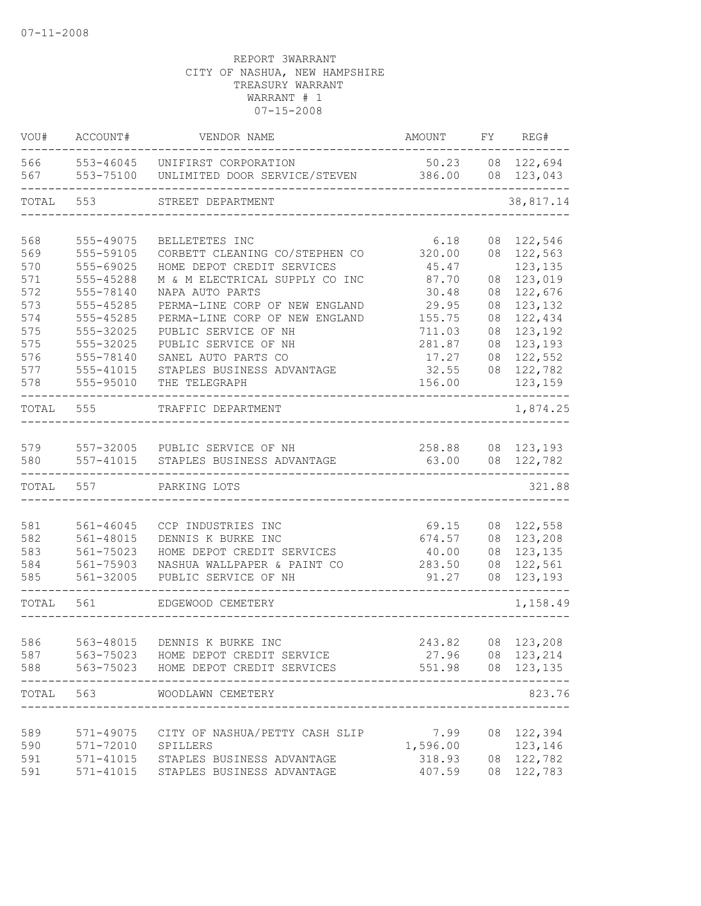| VOU#       | ACCOUNT#               | VENDOR NAME                                                  | AMOUNT                     | FY       | REG#                           |
|------------|------------------------|--------------------------------------------------------------|----------------------------|----------|--------------------------------|
| 566<br>567 | 553-46045<br>553-75100 | UNIFIRST CORPORATION<br>UNLIMITED DOOR SERVICE/STEVEN        | 386.00                     |          | 50.23 08 122,694<br>08 123,043 |
| TOTAL      | 553                    | STREET DEPARTMENT                                            |                            |          | 38,817.14                      |
|            |                        |                                                              |                            |          |                                |
| 568        | 555-49075              | BELLETETES INC                                               | 6.18                       | 08       | 122,546                        |
| 569        | 555-59105              | CORBETT CLEANING CO/STEPHEN CO                               | 320.00                     | 08       | 122,563                        |
| 570        | 555-69025              | HOME DEPOT CREDIT SERVICES                                   | 45.47                      |          | 123,135                        |
| 571        | 555-45288              | M & M ELECTRICAL SUPPLY CO INC                               | 87.70                      | 08       | 123,019                        |
| 572        | 555-78140              | NAPA AUTO PARTS                                              | 30.48                      | 08       | 122,676                        |
| 573        | 555-45285              | PERMA-LINE CORP OF NEW ENGLAND                               | 29.95                      | 08       | 123,132                        |
| 574        | 555-45285              | PERMA-LINE CORP OF NEW ENGLAND                               | 155.75                     | 08       | 122,434                        |
| 575<br>575 | 555-32025<br>555-32025 | PUBLIC SERVICE OF NH<br>PUBLIC SERVICE OF NH                 | 711.03<br>281.87           | 08<br>08 | 123,192<br>123,193             |
| 576        | 555-78140              | SANEL AUTO PARTS CO                                          | 17.27                      | 08       | 122,552                        |
| 577        | 555-41015              | STAPLES BUSINESS ADVANTAGE                                   | 32.55                      | 08       | 122,782                        |
| 578        | 555-95010              | THE TELEGRAPH                                                | 156.00                     |          | 123,159                        |
| TOTAL      | 555                    | TRAFFIC DEPARTMENT                                           |                            |          | 1,874.25                       |
|            |                        |                                                              |                            |          |                                |
| 579<br>580 | 557-41015              | 557-32005 PUBLIC SERVICE OF NH<br>STAPLES BUSINESS ADVANTAGE | 258.88<br>63.00            |          | 08 123,193<br>08 122,782       |
| TOTAL      | 557                    | PARKING LOTS                                                 |                            |          | 321.88                         |
|            |                        |                                                              |                            |          |                                |
| 581        | $561 - 46045$          | CCP INDUSTRIES INC                                           | 69.15                      | 08       | 122,558                        |
| 582        | 561-48015              | DENNIS K BURKE INC                                           | 674.57                     | 08       | 123,208                        |
| 583        | 561-75023              | HOME DEPOT CREDIT SERVICES                                   | 40.00                      | 08       | 123,135                        |
| 584<br>585 | 561-75903<br>561-32005 | NASHUA WALLPAPER & PAINT CO<br>PUBLIC SERVICE OF NH          | 283.50<br>91.27            | 08<br>08 | 122,561<br>123,193             |
| TOTAL      | 561                    | EDGEWOOD CEMETERY                                            |                            |          | 1,158.49                       |
|            |                        |                                                              |                            |          |                                |
| 586        |                        | 563-48015 DENNIS K BURKE INC                                 | 243.82                     |          | 08 123,208                     |
| 587        |                        | 563-75023 HOME DEPOT CREDIT SERVICE                          |                            |          | 27.96 08 123,214               |
|            | ----------             | 588 563-75023 HOME DEPOT CREDIT SERVICES                     |                            |          | 551.98 08 123,135              |
|            | TOTAL 563              | WOODLAWN CEMETERY                                            | __________________________ |          | 823.76                         |
| 589        |                        | 571-49075 CITY OF NASHUA/PETTY CASH SLIP                     | 7.99                       |          | 08 122,394                     |
| 590        | 571-72010              | SPILLERS                                                     | 1,596.00                   |          | 123,146                        |
| 591        | 571-41015              | STAPLES BUSINESS ADVANTAGE                                   | 318.93                     |          | 08 122,782                     |
| 591        |                        | 571-41015 STAPLES BUSINESS ADVANTAGE                         | 407.59                     |          | 08 122,783                     |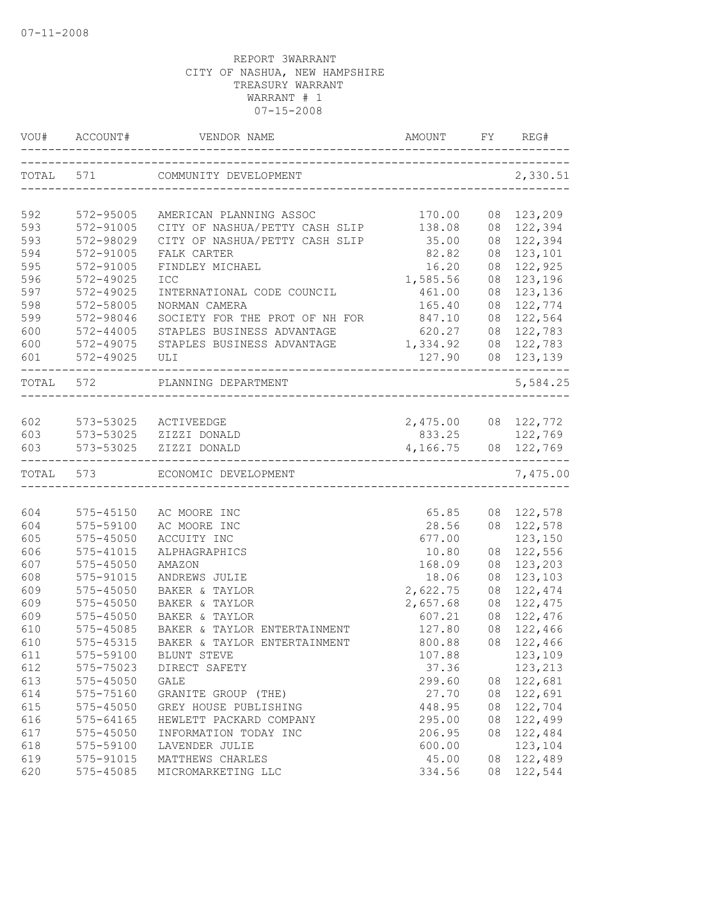|            | VOU# ACCOUNT#          | VENDOR NAME                                             | AMOUNT                                      |    | REG#               |
|------------|------------------------|---------------------------------------------------------|---------------------------------------------|----|--------------------|
|            | TOTAL 571              | COMMUNITY DEVELOPMENT                                   |                                             |    | 2,330.51           |
| 592        | 572-95005              | AMERICAN PLANNING ASSOC                                 | 170.00                                      |    | 08 123,209         |
| 593        | 572-91005              | CITY OF NASHUA/PETTY CASH SLIP                          | 138.08                                      |    | 08 122,394         |
| 593        | 572-98029              | CITY OF NASHUA/PETTY CASH SLIP                          | 35.00                                       |    | 08 122,394         |
| 594        | 572-91005              | FALK CARTER                                             | 82.82                                       | 08 | 123,101            |
| 595        | 572-91005              | FINDLEY MICHAEL                                         | 16.20                                       | 08 | 122,925            |
| 596        | 572-49025              | <b>ICC</b>                                              | 1,585.56                                    | 08 | 123,196            |
| 597        | 572-49025              | INTERNATIONAL CODE COUNCIL                              | 461.00                                      | 08 | 123,136            |
| 598        | 572-58005              | NORMAN CAMERA                                           | 165.40                                      | 08 | 122,774            |
| 599        | 572-98046              | SOCIETY FOR THE PROT OF NH FOR                          | 847.10                                      |    | 08 122,564         |
| 600        | 572-44005              | STAPLES BUSINESS ADVANTAGE                              | 620.27                                      |    | 08 122,783         |
| 600        | 572-49075              | STAPLES BUSINESS ADVANTAGE                              | 1,334.92                                    |    | 08 122,783         |
| 601        | 572-49025              | ULI                                                     | $127.90$ 08 $123,1$<br>-------------------- |    | 08 123,139         |
|            | TOTAL 572              | PLANNING DEPARTMENT<br>----------------------           |                                             |    | 5,584.25           |
|            |                        |                                                         |                                             |    |                    |
| 602        | 573-53025 ACTIVEEDGE   |                                                         | 2,475.00 08 122,772                         |    |                    |
| 603        |                        | 573-53025 ZIZZI DONALD                                  | 833.25 122,769                              |    |                    |
| 603        |                        | 573-53025 ZIZZI DONALD<br>----------------------------- | 4, 166. 75 08 122, 769                      |    |                    |
|            | TOTAL 573              | ECONOMIC DEVELOPMENT                                    |                                             |    | 7,475.00           |
|            |                        |                                                         |                                             |    |                    |
| 604        | $575 - 45150$          | AC MOORE INC                                            | 65.85                                       |    | 08 122,578         |
| 604<br>605 | 575-59100              | AC MOORE INC                                            | 28.56                                       |    | 08 122,578         |
| 606        | 575-45050<br>575-41015 | ACCUITY INC                                             | 677.00                                      | 08 | 123,150<br>122,556 |
| 607        | $575 - 45050$          | ALPHAGRAPHICS<br>AMAZON                                 | 10.80<br>168.09                             | 08 | 123,203            |
| 608        | 575-91015              | ANDREWS JULIE                                           | 18.06                                       | 08 | 123,103            |
| 609        | 575-45050              | BAKER & TAYLOR                                          | 2,622.75                                    | 08 | 122,474            |
| 609        | 575-45050              | BAKER & TAYLOR                                          | 2,657.68                                    | 08 | 122,475            |
| 609        | $575 - 45050$          | BAKER & TAYLOR                                          | 607.21                                      | 08 | 122,476            |
| 610        | 575-45085              | BAKER & TAYLOR ENTERTAINMENT                            | 127.80                                      | 08 | 122,466            |
| 610        | 575-45315              | BAKER & TAYLOR ENTERTAINMENT                            | 800.88                                      |    | 08 122,466         |
| 611        | 575-59100              | BLUNT STEVE                                             | 107.88                                      |    | 123,109            |
| 612        | 575-75023              | DIRECT SAFETY                                           | 37.36                                       |    | 123,213            |
| 613        | $575 - 45050$          | GALE                                                    | 299.60                                      | 08 | 122,681            |
| 614        | 575-75160              | GRANITE GROUP (THE)                                     | 27.70                                       | 08 | 122,691            |
| 615        | 575-45050              | GREY HOUSE PUBLISHING                                   | 448.95                                      | 08 | 122,704            |
| 616        | $575 - 64165$          | HEWLETT PACKARD COMPANY                                 | 295.00                                      | 08 | 122,499            |
| 617        | 575-45050              | INFORMATION TODAY INC                                   | 206.95                                      | 08 | 122,484            |
| 618        | 575-59100              | LAVENDER JULIE                                          | 600.00                                      |    | 123,104            |
| 619        | 575-91015              | MATTHEWS CHARLES                                        | 45.00                                       | 08 | 122,489            |
| 620        | 575-45085              | MICROMARKETING LLC                                      | 334.56                                      | 08 | 122,544            |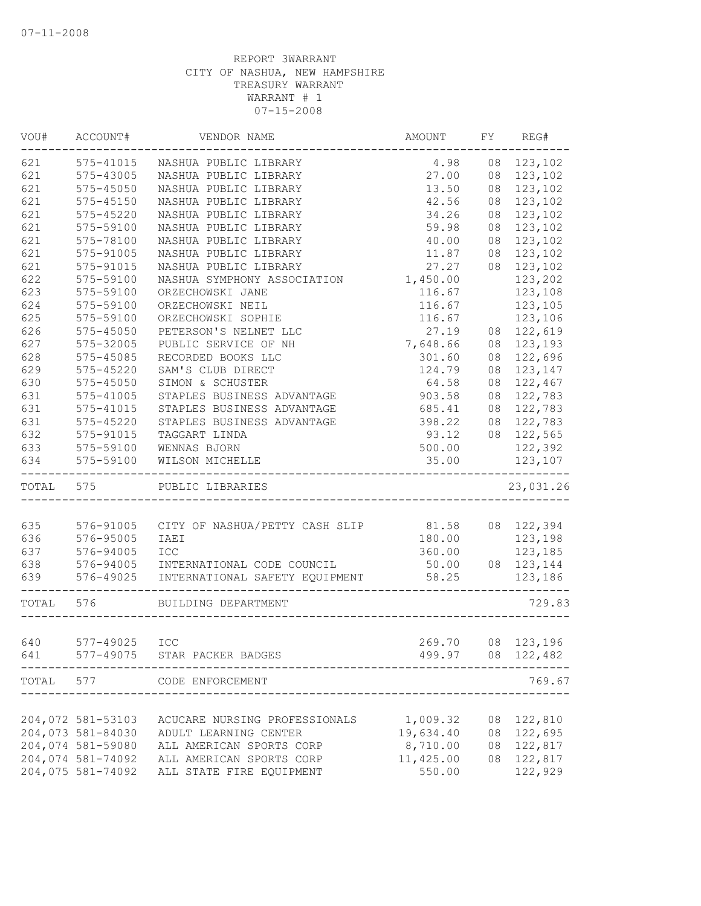| WOU#      | ACCOUNT#                               | VENDOR NAME                                                            | AMOUNT                | FY       | REG#               |
|-----------|----------------------------------------|------------------------------------------------------------------------|-----------------------|----------|--------------------|
| 621       | $575 - 41015$                          | NASHUA PUBLIC LIBRARY                                                  | 4.98                  | 08       | 123,102            |
| 621       | 575-43005                              | NASHUA PUBLIC LIBRARY                                                  | 27.00                 | 08       | 123,102            |
| 621       | 575-45050                              | NASHUA PUBLIC LIBRARY                                                  | 13.50                 | 08       | 123,102            |
| 621       | 575-45150                              | NASHUA PUBLIC LIBRARY                                                  | 42.56                 | 08       | 123,102            |
| 621       | 575-45220                              | NASHUA PUBLIC LIBRARY                                                  | 34.26                 | 08       | 123,102            |
| 621       | 575-59100                              | NASHUA PUBLIC LIBRARY                                                  | 59.98                 | 08       | 123,102            |
| 621       | 575-78100                              | NASHUA PUBLIC LIBRARY                                                  | 40.00                 | 08       | 123,102            |
| 621       | 575-91005                              | NASHUA PUBLIC LIBRARY                                                  | 11.87                 | 08       | 123,102            |
| 621       | 575-91015                              | NASHUA PUBLIC LIBRARY                                                  | 27.27                 | 08       | 123,102            |
| 622       | 575-59100                              | NASHUA SYMPHONY ASSOCIATION                                            | 1,450.00              |          | 123,202            |
| 623       | 575-59100                              | ORZECHOWSKI JANE                                                       | 116.67                |          | 123,108            |
| 624       | 575-59100                              | ORZECHOWSKI NEIL                                                       | 116.67                |          | 123,105            |
| 625       | 575-59100                              | ORZECHOWSKI SOPHIE                                                     | 116.67                |          | 123,106            |
| 626       | $575 - 45050$                          | PETERSON'S NELNET LLC                                                  | 27.19                 | 08       | 122,619            |
| 627       | 575-32005                              | PUBLIC SERVICE OF NH                                                   | 7,648.66              | 08       | 123,193            |
| 628       | 575-45085                              | RECORDED BOOKS LLC                                                     | 301.60                | 08       | 122,696            |
| 629       | $575 - 45220$                          | SAM'S CLUB DIRECT                                                      | 124.79                | 08       | 123,147            |
| 630       | 575-45050                              | SIMON & SCHUSTER                                                       | 64.58                 | 08       | 122,467            |
| 631       | 575-41005                              | STAPLES BUSINESS ADVANTAGE                                             | 903.58                | 08       | 122,783            |
| 631       | 575-41015                              | STAPLES BUSINESS ADVANTAGE                                             | 685.41                | 08       | 122,783            |
| 631       | 575-45220                              | STAPLES BUSINESS ADVANTAGE                                             | 398.22                |          | 08 122,783         |
| 632       | 575-91015                              | TAGGART LINDA                                                          | 93.12                 |          | 08 122,565         |
| 633       | 575-59100                              | WENNAS BJORN                                                           | 500.00                |          | 122,392            |
| 634       | 575-59100                              | WILSON MICHELLE                                                        | 35.00                 |          | 123,107            |
| TOTAL 575 |                                        | PUBLIC LIBRARIES                                                       |                       |          | 23,031.26          |
|           |                                        |                                                                        |                       |          |                    |
| 635       | 576-91005                              | CITY OF NASHUA/PETTY CASH SLIP 81.58 08 122,394                        |                       |          |                    |
| 636       | 576-95005                              | IAEI                                                                   | 180.00                |          | 123,198            |
| 637       | 576-94005                              | ICC                                                                    | 360.00                |          | 123,185            |
| 638       | $576 - 94005$                          | INTERNATIONAL CODE COUNCIL                                             | 50.00                 |          | 08 123,144         |
| 639       | 576-49025                              | INTERNATIONAL SAFETY EQUIPMENT<br>------------------------------------ | 58.25                 |          | 123,186            |
| TOTAL 576 |                                        | BUILDING DEPARTMENT                                                    |                       |          | 729.83             |
| 640       | 577-49025                              | ICC                                                                    | 269.70                |          | 08 123,196         |
| 641       | 577-49075                              | STAR PACKER BADGES                                                     | 499.97                |          | 08 122,482         |
|           |                                        |                                                                        |                       |          |                    |
| TOTAL 577 |                                        | CODE ENFORCEMENT                                                       |                       |          | 769.67             |
|           |                                        |                                                                        |                       |          | 122,810            |
|           | 204,072 581-53103<br>204,073 581-84030 | ACUCARE NURSING PROFESSIONALS<br>ADULT LEARNING CENTER                 | 1,009.32              | 08       | 122,695            |
|           | 204,074 581-59080                      |                                                                        | 19,634.40             | 08       |                    |
|           | 204,074 581-74092                      | ALL AMERICAN SPORTS CORP<br>ALL AMERICAN SPORTS CORP                   | 8,710.00<br>11,425.00 | 08<br>08 | 122,817<br>122,817 |
|           | 204,075 581-74092                      |                                                                        | 550.00                |          | 122,929            |
|           |                                        | ALL STATE FIRE EQUIPMENT                                               |                       |          |                    |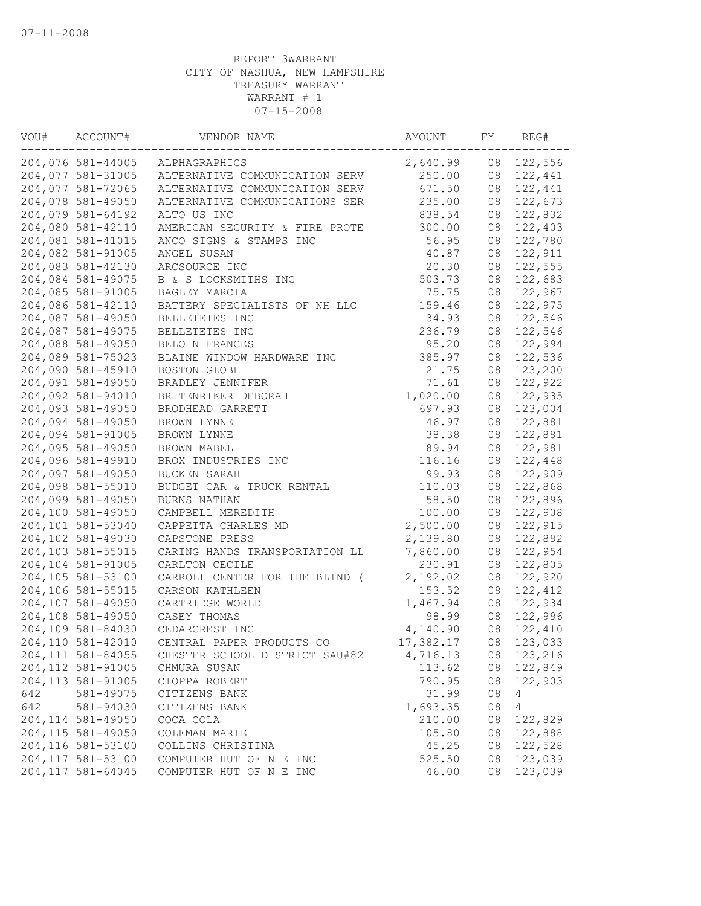| VOU# | ACCOUNT#           | VENDOR NAME                     | AMOUNT    | FY | REG#       |
|------|--------------------|---------------------------------|-----------|----|------------|
|      |                    | 204,076 581-44005 ALPHAGRAPHICS | 2,640.99  | 08 | 122,556    |
|      | 204,077 581-31005  | ALTERNATIVE COMMUNICATION SERV  | 250.00    | 08 | 122,441    |
|      | 204,077 581-72065  | ALTERNATIVE COMMUNICATION SERV  | 671.50    | 08 | 122,441    |
|      | 204,078 581-49050  | ALTERNATIVE COMMUNICATIONS SER  | 235.00    | 08 | 122,673    |
|      | 204,079 581-64192  | ALTO US INC                     | 838.54    | 08 | 122,832    |
|      | 204,080 581-42110  | AMERICAN SECURITY & FIRE PROTE  | 300.00    | 08 | 122,403    |
|      | 204,081 581-41015  | ANCO SIGNS & STAMPS INC         | 56.95     | 08 | 122,780    |
|      | 204,082 581-91005  | ANGEL SUSAN                     | 40.87     | 08 | 122,911    |
|      | 204,083 581-42130  | ARCSOURCE INC                   | 20.30     | 08 | 122,555    |
|      | 204,084 581-49075  | B & S LOCKSMITHS INC            | 503.73    | 08 | 122,683    |
|      | 204,085 581-91005  | BAGLEY MARCIA                   | 75.75     | 08 | 122,967    |
|      | 204,086 581-42110  | BATTERY SPECIALISTS OF NH LLC   | 159.46    | 08 | 122,975    |
|      | 204,087 581-49050  | BELLETETES INC                  | 34.93     | 08 | 122,546    |
|      | 204,087 581-49075  | BELLETETES INC                  | 236.79    | 08 | 122,546    |
|      | 204,088 581-49050  | BELOIN FRANCES                  | 95.20     | 08 | 122,994    |
|      | 204,089 581-75023  | BLAINE WINDOW HARDWARE INC      | 385.97    | 08 | 122,536    |
|      | 204,090 581-45910  | BOSTON GLOBE                    | 21.75     | 08 | 123,200    |
|      | 204,091 581-49050  | BRADLEY JENNIFER                | 71.61     | 08 | 122,922    |
|      | 204,092 581-94010  | BRITENRIKER DEBORAH             | 1,020.00  | 08 | 122,935    |
|      | 204,093 581-49050  | BRODHEAD GARRETT                | 697.93    | 08 | 123,004    |
|      | 204,094 581-49050  | BROWN LYNNE                     | 46.97     | 08 | 122,881    |
|      | 204,094 581-91005  | BROWN LYNNE                     | 38.38     | 08 | 122,881    |
|      | 204,095 581-49050  | BROWN MABEL                     | 89.94     | 08 | 122,981    |
|      | 204,096 581-49910  | BROX INDUSTRIES INC             | 116.16    | 08 | 122,448    |
|      | 204,097 581-49050  | BUCKEN SARAH                    | 99.93     | 08 | 122,909    |
|      | 204,098 581-55010  | BUDGET CAR & TRUCK RENTAL       | 110.03    | 08 | 122,868    |
|      | 204,099 581-49050  | BURNS NATHAN                    | 58.50     | 08 | 122,896    |
|      | 204,100 581-49050  | CAMPBELL MEREDITH               | 100.00    | 08 | 122,908    |
|      | 204,101 581-53040  | CAPPETTA CHARLES MD             | 2,500.00  | 08 | 122,915    |
|      | 204,102 581-49030  | CAPSTONE PRESS                  | 2,139.80  | 08 | 122,892    |
|      | 204,103 581-55015  | CARING HANDS TRANSPORTATION LL  | 7,860.00  | 08 | 122,954    |
|      | 204,104 581-91005  | CARLTON CECILE                  | 230.91    | 08 | 122,805    |
|      | 204,105 581-53100  | CARROLL CENTER FOR THE BLIND (  | 2,192.02  | 08 | 122,920    |
|      | 204,106 581-55015  | CARSON KATHLEEN                 | 153.52    | 08 | 122,412    |
|      | 204,107 581-49050  | CARTRIDGE WORLD                 | 1,467.94  | 08 | 122,934    |
|      | 204,108 581-49050  | CASEY THOMAS                    | 98.99     | 08 | 122,996    |
|      | 204,109 581-84030  | CEDARCREST INC                  | 4,140.90  | 08 | 122,410    |
|      | 204,110 581-42010  | CENTRAL PAPER PRODUCTS CO       | 17,382.17 |    | 08 123,033 |
|      | 204, 111 581-84055 | CHESTER SCHOOL DISTRICT SAU#82  | 4,716.13  |    | 08 123,216 |
|      | 204, 112 581-91005 | CHMURA SUSAN                    | 113.62    | 08 | 122,849    |
|      | 204, 113 581-91005 | CIOPPA ROBERT                   | 790.95    | 08 | 122,903    |
| 642  | 581-49075          | CITIZENS BANK                   | 31.99     | 08 | 4          |
| 642  | 581-94030          | CITIZENS BANK                   | 1,693.35  | 08 | 4          |
|      | 204, 114 581-49050 | COCA COLA                       | 210.00    | 08 | 122,829    |
|      | 204, 115 581-49050 | COLEMAN MARIE                   | 105.80    | 08 | 122,888    |
|      | 204,116 581-53100  | COLLINS CHRISTINA               | 45.25     | 08 | 122,528    |
|      | 204,117 581-53100  | COMPUTER HUT OF N E INC         | 525.50    | 08 | 123,039    |
|      | 204, 117 581-64045 | COMPUTER HUT OF N E INC         | 46.00     | 08 | 123,039    |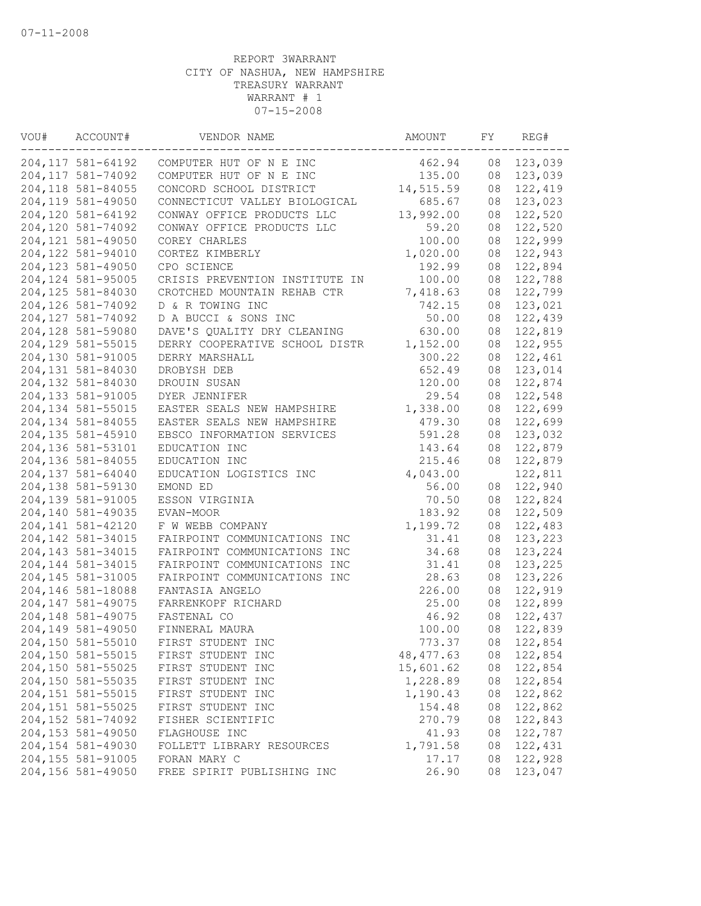| VOU# | ACCOUNT#                                 | VENDOR NAME                                | AMOUNT               | FY       | REG#               |
|------|------------------------------------------|--------------------------------------------|----------------------|----------|--------------------|
|      | 204, 117 581-64192                       | COMPUTER HUT OF N E INC                    | 462.94               | 08       | 123,039            |
|      | 204, 117 581-74092                       | COMPUTER HUT OF N E INC                    | 135.00               | 08       | 123,039            |
|      | 204, 118 581-84055                       | CONCORD SCHOOL DISTRICT                    | 14,515.59            | 08       | 122,419            |
|      | 204,119 581-49050                        | CONNECTICUT VALLEY BIOLOGICAL              | 685.67               | 08       | 123,023            |
|      | 204,120 581-64192                        | CONWAY OFFICE PRODUCTS LLC                 | 13,992.00            | 08       | 122,520            |
|      | 204,120 581-74092                        | CONWAY OFFICE PRODUCTS LLC                 | 59.20                | 08       | 122,520            |
|      | 204,121 581-49050                        | COREY CHARLES                              | 100.00               | 08       | 122,999            |
|      | 204,122 581-94010                        | CORTEZ KIMBERLY                            | 1,020.00             | 08       | 122,943            |
|      | 204, 123 581-49050                       | CPO SCIENCE                                | 192.99               | 08       | 122,894            |
|      | 204, 124 581-95005                       | CRISIS PREVENTION INSTITUTE IN             | 100.00               | 08       | 122,788            |
|      | 204,125 581-84030                        | CROTCHED MOUNTAIN REHAB CTR                | 7,418.63             | 08       | 122,799            |
|      | 204, 126 581-74092                       | D & R TOWING INC                           | 742.15               | 08       | 123,021            |
|      | 204, 127 581-74092                       | D A BUCCI & SONS INC                       | 50.00                | 08       | 122,439            |
|      | 204,128 581-59080                        | DAVE'S QUALITY DRY CLEANING                | 630.00               | 08       | 122,819            |
|      | 204,129 581-55015                        | DERRY COOPERATIVE SCHOOL DISTR             | 1,152.00             | 08       | 122,955            |
|      | 204,130 581-91005                        | DERRY MARSHALL                             | 300.22               | 08       | 122,461            |
|      | 204,131 581-84030                        | DROBYSH DEB                                | 652.49               | 08       | 123,014            |
|      | 204,132 581-84030                        | DROUIN SUSAN                               | 120.00               | 08       | 122,874            |
|      | 204,133 581-91005                        | DYER JENNIFER                              | 29.54                | 08       | 122,548            |
|      | 204, 134 581-55015                       | EASTER SEALS NEW HAMPSHIRE                 | 1,338.00             | 08       | 122,699            |
|      | 204, 134 581-84055                       | EASTER SEALS NEW HAMPSHIRE                 | 479.30               | 08       | 122,699            |
|      | 204,135 581-45910                        | EBSCO INFORMATION SERVICES                 | 591.28               | 08       | 123,032            |
|      | 204,136 581-53101                        | EDUCATION INC                              | 143.64               | 08       | 122,879            |
|      | 204,136 581-84055                        | EDUCATION INC                              | 215.46               | 08       | 122,879            |
|      | 204,137 581-64040                        | EDUCATION LOGISTICS INC                    | 4,043.00             |          | 122,811            |
|      | 204,138 581-59130                        | EMOND ED                                   | 56.00                | 08       | 122,940            |
|      | 204,139 581-91005                        | ESSON VIRGINIA                             | 70.50                | 08       | 122,824            |
|      | 204,140 581-49035                        | EVAN-MOOR                                  | 183.92               | 08       | 122,509            |
|      | 204, 141 581-42120                       | F W WEBB COMPANY                           | 1,199.72             | 08       | 122,483            |
|      | 204, 142 581-34015                       | FAIRPOINT COMMUNICATIONS INC               | 31.41                | 08       | 123,223            |
|      | 204, 143 581-34015                       | FAIRPOINT COMMUNICATIONS INC               | 34.68                | 08       | 123,224            |
|      | 204, 144 581-34015                       | FAIRPOINT COMMUNICATIONS INC               | 31.41                | 08       | 123,225            |
|      | 204,145 581-31005                        | FAIRPOINT COMMUNICATIONS INC               | 28.63                | 08       | 123,226            |
|      | 204,146 581-18088                        | FANTASIA ANGELO                            | 226.00               | 08       | 122,919            |
|      | 204, 147 581-49075                       | FARRENKOPF RICHARD                         | 25.00                | 08       | 122,899            |
|      | 204,148 581-49075                        | FASTENAL CO                                | 46.92                | 08       | 122,437            |
|      | 204,149 581-49050                        | FINNERAL MAURA                             | 100.00               | 08       | 122,839            |
|      | 204,150 581-55010                        | FIRST STUDENT INC                          | 773.37               |          | 08 122,854         |
|      | 204,150 581-55015                        | FIRST STUDENT INC                          | 48, 477.63           | 08       | 122,854            |
|      | 204,150 581-55025                        | FIRST STUDENT INC                          | 15,601.62            | 08       | 122,854            |
|      | 204,150 581-55035                        | FIRST STUDENT INC                          | 1,228.89<br>1,190.43 | 08       | 122,854            |
|      | 204, 151 581-55015<br>204, 151 581-55025 | FIRST STUDENT INC                          | 154.48               | 08       | 122,862            |
|      |                                          | FIRST STUDENT INC                          |                      | 08       | 122,862            |
|      | 204,152 581-74092                        | FISHER SCIENTIFIC                          | 270.79               | 08       | 122,843            |
|      | 204,153 581-49050<br>204,154 581-49030   | FLAGHOUSE INC<br>FOLLETT LIBRARY RESOURCES | 41.93<br>1,791.58    | 08<br>08 | 122,787<br>122,431 |
|      | 204,155 581-91005                        | FORAN MARY C                               | 17.17                | 08       | 122,928            |
|      | 204,156 581-49050                        | FREE SPIRIT PUBLISHING INC                 | 26.90                | 08       | 123,047            |
|      |                                          |                                            |                      |          |                    |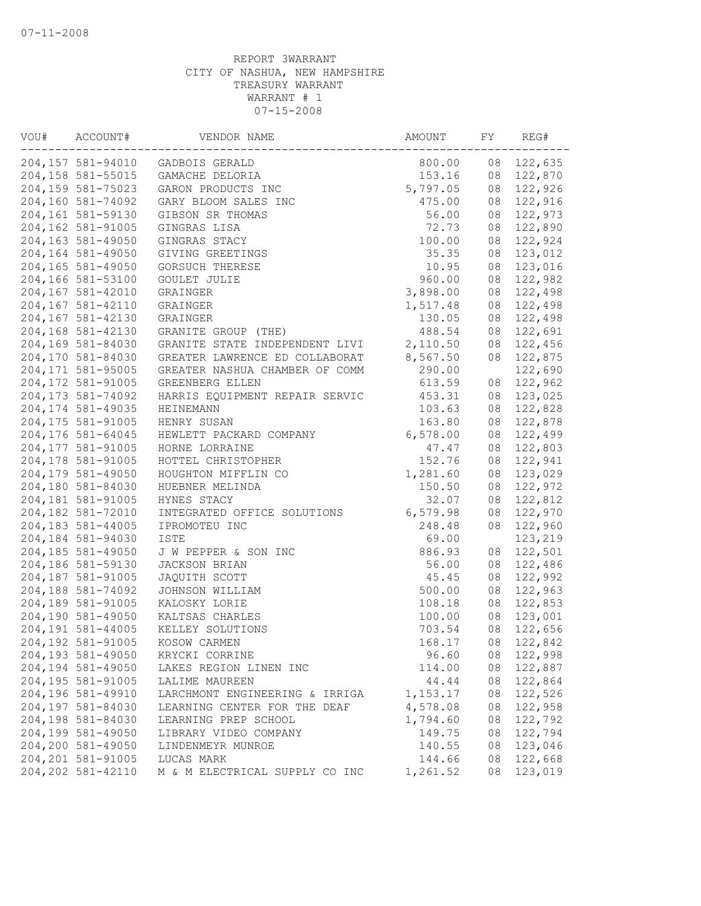| VOU# | ACCOUNT#           | VENDOR NAME                    | AMOUNT   | FY | REG#       |
|------|--------------------|--------------------------------|----------|----|------------|
|      | 204,157 581-94010  | GADBOIS GERALD                 | 800.00   | 08 | 122,635    |
|      | 204,158 581-55015  | GAMACHE DELORIA                | 153.16   | 08 | 122,870    |
|      | 204,159 581-75023  | GARON PRODUCTS INC             | 5,797.05 | 08 | 122,926    |
|      | 204,160 581-74092  | GARY BLOOM SALES INC           | 475.00   | 08 | 122,916    |
|      | 204,161 581-59130  | GIBSON SR THOMAS               | 56.00    | 08 | 122,973    |
|      | 204,162 581-91005  | GINGRAS LISA                   | 72.73    | 08 | 122,890    |
|      | 204,163 581-49050  | GINGRAS STACY                  | 100.00   | 08 | 122,924    |
|      | 204,164 581-49050  | GIVING GREETINGS               | 35.35    | 08 | 123,012    |
|      | 204,165 581-49050  | GORSUCH THERESE                | 10.95    | 08 | 123,016    |
|      | 204,166 581-53100  | GOULET JULIE                   | 960.00   | 08 | 122,982    |
|      | 204,167 581-42010  | GRAINGER                       | 3,898.00 | 08 | 122,498    |
|      | 204,167 581-42110  | GRAINGER                       | 1,517.48 | 08 | 122,498    |
|      | 204,167 581-42130  | GRAINGER                       | 130.05   | 08 | 122,498    |
|      | 204,168 581-42130  | GRANITE GROUP (THE)            | 488.54   | 08 | 122,691    |
|      | 204,169 581-84030  | GRANITE STATE INDEPENDENT LIVI | 2,110.50 | 08 | 122,456    |
|      | 204,170 581-84030  | GREATER LAWRENCE ED COLLABORAT | 8,567.50 | 08 | 122,875    |
|      | 204, 171 581-95005 | GREATER NASHUA CHAMBER OF COMM | 290.00   |    | 122,690    |
|      | 204, 172 581-91005 | GREENBERG ELLEN                | 613.59   | 08 | 122,962    |
|      | 204, 173 581-74092 | HARRIS EQUIPMENT REPAIR SERVIC | 453.31   | 08 | 123,025    |
|      | 204, 174 581-49035 | HEINEMANN                      | 103.63   | 08 | 122,828    |
|      | 204,175 581-91005  | HENRY SUSAN                    | 163.80   | 08 | 122,878    |
|      | 204,176 581-64045  | HEWLETT PACKARD COMPANY        | 6,578.00 | 08 | 122,499    |
|      | 204, 177 581-91005 | HORNE LORRAINE                 | 47.47    | 08 | 122,803    |
|      | 204,178 581-91005  | HOTTEL CHRISTOPHER             | 152.76   | 08 | 122,941    |
|      | 204,179 581-49050  | HOUGHTON MIFFLIN CO            | 1,281.60 | 08 | 123,029    |
|      | 204,180 581-84030  | HUEBNER MELINDA                | 150.50   | 08 | 122,972    |
|      | 204,181 581-91005  | HYNES STACY                    | 32.07    | 08 | 122,812    |
|      | 204,182 581-72010  | INTEGRATED OFFICE SOLUTIONS    | 6,579.98 | 08 | 122,970    |
|      | 204,183 581-44005  | IPROMOTEU INC                  | 248.48   | 08 | 122,960    |
|      | 204,184 581-94030  | <b>ISTE</b>                    | 69.00    |    | 123,219    |
|      | 204,185 581-49050  | J W PEPPER & SON INC           | 886.93   | 08 | 122,501    |
|      | 204,186 581-59130  | JACKSON BRIAN                  | 56.00    | 08 | 122,486    |
|      | 204,187 581-91005  | JAQUITH SCOTT                  | 45.45    | 08 | 122,992    |
|      | 204,188 581-74092  | JOHNSON WILLIAM                | 500.00   | 08 | 122,963    |
|      | 204,189 581-91005  | KALOSKY LORIE                  | 108.18   | 08 | 122,853    |
|      | 204,190 581-49050  | KALTSAS CHARLES                | 100.00   | 08 | 123,001    |
|      | 204,191 581-44005  | KELLEY SOLUTIONS               | 703.54   | 08 | 122,656    |
|      | 204,192 581-91005  | KOSOW CARMEN                   | 168.17   |    | 08 122,842 |
|      | 204,193 581-49050  | KRYCKI CORRINE                 | 96.60    |    | 08 122,998 |
|      | 204,194 581-49050  | LAKES REGION LINEN INC         | 114.00   | 08 | 122,887    |
|      | 204,195 581-91005  | LALIME MAUREEN                 | 44.44    | 08 | 122,864    |
|      | 204,196 581-49910  | LARCHMONT ENGINEERING & IRRIGA | 1,153.17 | 08 | 122,526    |
|      | 204,197 581-84030  | LEARNING CENTER FOR THE DEAF   | 4,578.08 | 08 | 122,958    |
|      | 204,198 581-84030  | LEARNING PREP SCHOOL           | 1,794.60 | 08 | 122,792    |
|      | 204,199 581-49050  | LIBRARY VIDEO COMPANY          | 149.75   | 08 | 122,794    |
|      | 204,200 581-49050  | LINDENMEYR MUNROE              | 140.55   | 08 | 123,046    |
|      | 204, 201 581-91005 | LUCAS MARK                     | 144.66   | 08 | 122,668    |
|      | 204, 202 581-42110 | M & M ELECTRICAL SUPPLY CO INC | 1,261.52 | 08 | 123,019    |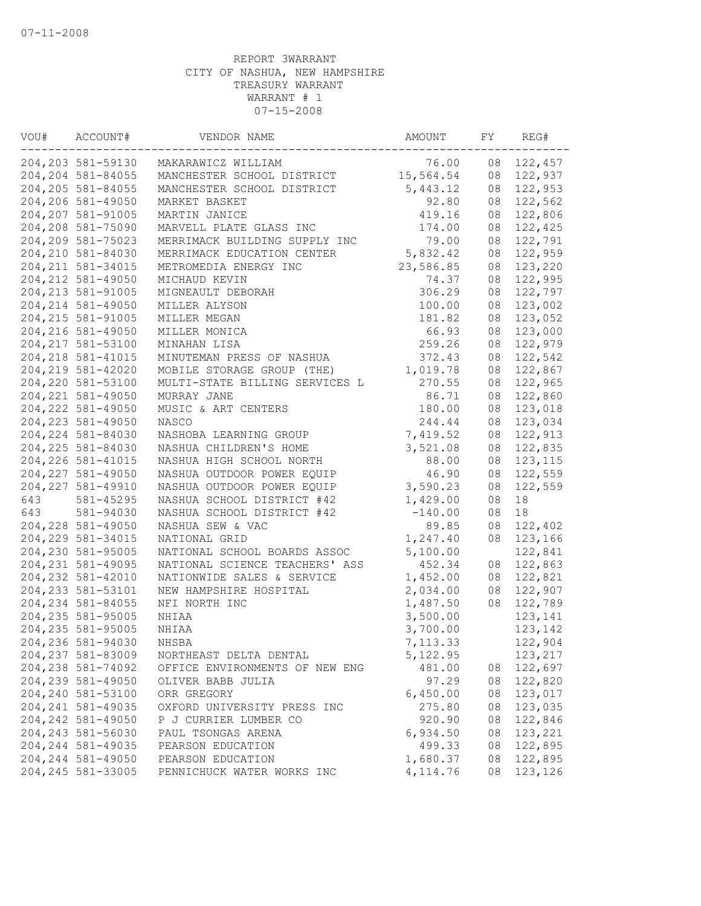| VOU# | ACCOUNT#           | VENDOR NAME                    | AMOUNT    | FY | REG#    |
|------|--------------------|--------------------------------|-----------|----|---------|
|      | 204,203 581-59130  | MAKARAWICZ WILLIAM             | 76.00     | 08 | 122,457 |
|      | 204, 204 581-84055 | MANCHESTER SCHOOL DISTRICT     | 15,564.54 | 08 | 122,937 |
|      | 204,205 581-84055  | MANCHESTER SCHOOL DISTRICT     | 5,443.12  | 08 | 122,953 |
|      | 204,206 581-49050  | MARKET BASKET                  | 92.80     | 08 | 122,562 |
|      | 204, 207 581-91005 | MARTIN JANICE                  | 419.16    | 08 | 122,806 |
|      | 204,208 581-75090  | MARVELL PLATE GLASS INC        | 174.00    | 08 | 122,425 |
|      | 204,209 581-75023  | MERRIMACK BUILDING SUPPLY INC  | 79.00     | 08 | 122,791 |
|      | 204, 210 581-84030 | MERRIMACK EDUCATION CENTER     | 5,832.42  | 08 | 122,959 |
|      | 204, 211 581-34015 | METROMEDIA ENERGY INC          | 23,586.85 | 08 | 123,220 |
|      | 204, 212 581-49050 | MICHAUD KEVIN                  | 74.37     | 08 | 122,995 |
|      | 204, 213 581-91005 | MIGNEAULT DEBORAH              | 306.29    | 08 | 122,797 |
|      | 204, 214 581-49050 | MILLER ALYSON                  | 100.00    | 08 | 123,002 |
|      | 204, 215 581-91005 | MILLER MEGAN                   | 181.82    | 08 | 123,052 |
|      | 204, 216 581-49050 | MILLER MONICA                  | 66.93     | 08 | 123,000 |
|      | 204, 217 581-53100 | MINAHAN LISA                   | 259.26    | 08 | 122,979 |
|      | 204, 218 581-41015 | MINUTEMAN PRESS OF NASHUA      | 372.43    | 08 | 122,542 |
|      | 204, 219 581-42020 | MOBILE STORAGE GROUP (THE)     | 1,019.78  | 08 | 122,867 |
|      | 204, 220 581-53100 | MULTI-STATE BILLING SERVICES L | 270.55    | 08 | 122,965 |
|      | 204, 221 581-49050 | MURRAY JANE                    | 86.71     | 08 | 122,860 |
|      | 204, 222 581-49050 | MUSIC & ART CENTERS            | 180.00    | 08 | 123,018 |
|      | 204, 223 581-49050 | <b>NASCO</b>                   | 244.44    | 08 | 123,034 |
|      | 204, 224 581-84030 | NASHOBA LEARNING GROUP         | 7,419.52  | 08 | 122,913 |
|      | 204, 225 581-84030 | NASHUA CHILDREN'S HOME         | 3,521.08  | 08 | 122,835 |
|      | 204, 226 581-41015 | NASHUA HIGH SCHOOL NORTH       | 88.00     | 08 | 123,115 |
|      | 204, 227 581-49050 | NASHUA OUTDOOR POWER EQUIP     | 46.90     | 08 | 122,559 |
|      | 204, 227 581-49910 | NASHUA OUTDOOR POWER EQUIP     | 3,590.23  | 08 | 122,559 |
| 643  | 581-45295          | NASHUA SCHOOL DISTRICT #42     | 1,429.00  | 08 | 18      |
| 643  | 581-94030          | NASHUA SCHOOL DISTRICT #42     | $-140.00$ | 08 | 18      |
|      | 204, 228 581-49050 | NASHUA SEW & VAC               | 89.85     | 08 | 122,402 |
|      | 204, 229 581-34015 | NATIONAL GRID                  | 1,247.40  | 08 | 123,166 |
|      | 204,230 581-95005  | NATIONAL SCHOOL BOARDS ASSOC   | 5,100.00  |    | 122,841 |
|      | 204, 231 581-49095 | NATIONAL SCIENCE TEACHERS' ASS | 452.34    | 08 | 122,863 |
|      | 204, 232 581-42010 | NATIONWIDE SALES & SERVICE     | 1,452.00  | 08 | 122,821 |
|      | 204, 233 581-53101 | NEW HAMPSHIRE HOSPITAL         | 2,034.00  | 08 | 122,907 |
|      | 204, 234 581-84055 | NFI NORTH INC                  | 1,487.50  | 08 | 122,789 |
|      | 204, 235 581-95005 | NHIAA                          | 3,500.00  |    | 123,141 |
|      | 204, 235 581-95005 | NHIAA                          | 3,700.00  |    | 123,142 |
|      | 204,236 581-94030  | NHSBA                          | 7,113.33  |    | 122,904 |
|      | 204, 237 581-83009 | NORTHEAST DELTA DENTAL         | 5, 122.95 |    | 123,217 |
|      | 204, 238 581-74092 | OFFICE ENVIRONMENTS OF NEW ENG | 481.00    | 08 | 122,697 |
|      | 204,239 581-49050  | OLIVER BABB JULIA              | 97.29     | 08 | 122,820 |
|      | 204, 240 581-53100 | ORR GREGORY                    | 6,450.00  | 08 | 123,017 |
|      | 204, 241 581-49035 | OXFORD UNIVERSITY PRESS INC    | 275.80    | 08 | 123,035 |
|      | 204, 242 581-49050 | P J CURRIER LUMBER CO          | 920.90    | 08 | 122,846 |
|      | 204, 243 581-56030 | PAUL TSONGAS ARENA             | 6,934.50  | 08 | 123,221 |
|      | 204, 244 581-49035 | PEARSON EDUCATION              | 499.33    | 08 | 122,895 |
|      | 204, 244 581-49050 | PEARSON EDUCATION              | 1,680.37  | 08 | 122,895 |
|      | 204, 245 581-33005 | PENNICHUCK WATER WORKS INC     | 4, 114.76 | 08 | 123,126 |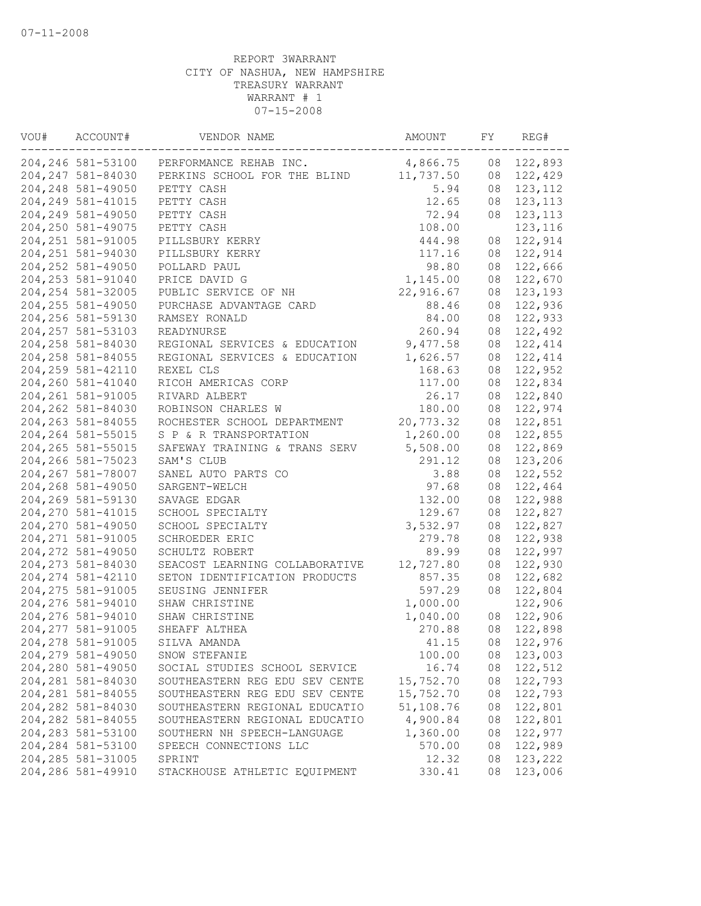| VOU# | ACCOUNT#           | VENDOR NAME                                                     | AMOUNT    | FY | REG#       |
|------|--------------------|-----------------------------------------------------------------|-----------|----|------------|
|      |                    | 204, 246 581-53100 PERFORMANCE REHAB INC.                       | 4,866.75  | 08 | 122,893    |
|      | 204, 247 581-84030 | PERKINS SCHOOL FOR THE BLIND 11,737.50                          |           | 08 | 122,429    |
|      | 204, 248 581-49050 | PETTY CASH                                                      | 5.94      | 08 | 123,112    |
|      | 204, 249 581-41015 | PETTY CASH                                                      | 12.65     | 08 | 123, 113   |
|      | 204,249 581-49050  | PETTY CASH                                                      | 72.94     | 08 | 123,113    |
|      | 204, 250 581-49075 | PETTY CASH                                                      | 108.00    |    | 123,116    |
|      | 204, 251 581-91005 | PILLSBURY KERRY                                                 | 444.98    | 08 | 122,914    |
|      | 204, 251 581-94030 | PILLSBURY KERRY                                                 | 117.16    | 08 | 122,914    |
|      | 204, 252 581-49050 | POLLARD PAUL                                                    | 98.80     | 08 | 122,666    |
|      | 204, 253 581-91040 | PRICE DAVID G                                                   | 1,145.00  | 08 | 122,670    |
|      | 204, 254 581-32005 | PUBLIC SERVICE OF NH                                            | 22,916.67 | 08 | 123,193    |
|      | 204, 255 581-49050 | PURCHASE ADVANTAGE CARD                                         | 88.46     | 08 | 122,936    |
|      | 204, 256 581-59130 | RAMSEY RONALD                                                   | 84.00     | 08 | 122,933    |
|      | 204, 257 581-53103 | READYNURSE                                                      | 260.94    | 08 | 122,492    |
|      | 204, 258 581-84030 | REGIONAL SERVICES & EDUCATION                                   | 9,477.58  | 08 | 122,414    |
|      | 204, 258 581-84055 | REGIONAL SERVICES & EDUCATION                                   | 1,626.57  | 08 | 122,414    |
|      | 204, 259 581-42110 | REXEL CLS                                                       | 168.63    | 08 | 122,952    |
|      | 204,260 581-41040  | RICOH AMERICAS CORP                                             | 117.00    | 08 | 122,834    |
|      | 204, 261 581-91005 | RIVARD ALBERT                                                   | 26.17     | 08 | 122,840    |
|      | 204, 262 581-84030 | ROBINSON CHARLES W                                              | 180.00    | 08 | 122,974    |
|      | 204, 263 581-84055 | ROCHESTER SCHOOL DEPARTMENT 20,773.32                           |           | 08 | 122,851    |
|      | 204, 264 581-55015 | S P & R TRANSPORTATION                                          | 1,260.00  | 08 | 122,855    |
|      | 204, 265 581-55015 | SAFEWAY TRAINING & TRANS SERV                                   | 5,508.00  | 08 | 122,869    |
|      | 204,266 581-75023  | SAM'S CLUB                                                      | 291.12    | 08 | 123,206    |
|      | 204, 267 581-78007 | SANEL AUTO PARTS CO                                             | 3.88      | 08 | 122,552    |
|      | 204,268 581-49050  | SARGENT-WELCH                                                   | 97.68     | 08 | 122,464    |
|      | 204,269 581-59130  | SAVAGE EDGAR                                                    | 132.00    | 08 | 122,988    |
|      | 204, 270 581-41015 | SCHOOL SPECIALTY                                                | 129.67    | 08 | 122,827    |
|      | 204, 270 581-49050 | SCHOOL SPECIALTY                                                | 3,532.97  | 08 | 122,827    |
|      | 204, 271 581-91005 | SCHROEDER ERIC                                                  | 279.78    | 08 | 122,938    |
|      | 204, 272 581-49050 |                                                                 | 89.99     | 08 | 122,997    |
|      | 204, 273 581-84030 | SCHULTZ ROBERT                                                  | 12,727.80 |    | 122,930    |
|      |                    | SEACOST LEARNING COLLABORATIVE<br>SETON IDENTIFICATION PRODUCTS | 857.35    | 08 |            |
|      | 204, 274 581-42110 |                                                                 |           | 08 | 122,682    |
|      | 204, 275 581-91005 | SEUSING JENNIFER                                                | 597.29    | 08 | 122,804    |
|      | 204, 276 581-94010 | SHAW CHRISTINE                                                  | 1,000.00  |    | 122,906    |
|      | 204, 276 581-94010 | SHAW CHRISTINE                                                  | 1,040.00  | 08 | 122,906    |
|      | 204, 277 581-91005 | SHEAFF ALTHEA                                                   | 270.88    | 08 | 122,898    |
|      | 204, 278 581-91005 | SILVA AMANDA                                                    | 41.15     |    | 08 122,976 |
|      | 204,279 581-49050  | SNOW STEFANIE                                                   | 100.00    | 08 | 123,003    |
|      | 204,280 581-49050  | SOCIAL STUDIES SCHOOL SERVICE                                   | 16.74     | 08 | 122,512    |
|      | 204,281 581-84030  | SOUTHEASTERN REG EDU SEV CENTE                                  | 15,752.70 | 08 | 122,793    |
|      | 204, 281 581-84055 | SOUTHEASTERN REG EDU SEV CENTE                                  | 15,752.70 | 08 | 122,793    |
|      | 204, 282 581-84030 | SOUTHEASTERN REGIONAL EDUCATIO                                  | 51,108.76 | 08 | 122,801    |
|      | 204, 282 581-84055 | SOUTHEASTERN REGIONAL EDUCATIO                                  | 4,900.84  | 08 | 122,801    |
|      | 204,283 581-53100  | SOUTHERN NH SPEECH-LANGUAGE                                     | 1,360.00  | 08 | 122,977    |
|      | 204,284 581-53100  | SPEECH CONNECTIONS LLC                                          | 570.00    | 08 | 122,989    |
|      | 204, 285 581-31005 | SPRINT                                                          | 12.32     | 08 | 123,222    |
|      | 204,286 581-49910  | STACKHOUSE ATHLETIC EQUIPMENT                                   | 330.41    | 08 | 123,006    |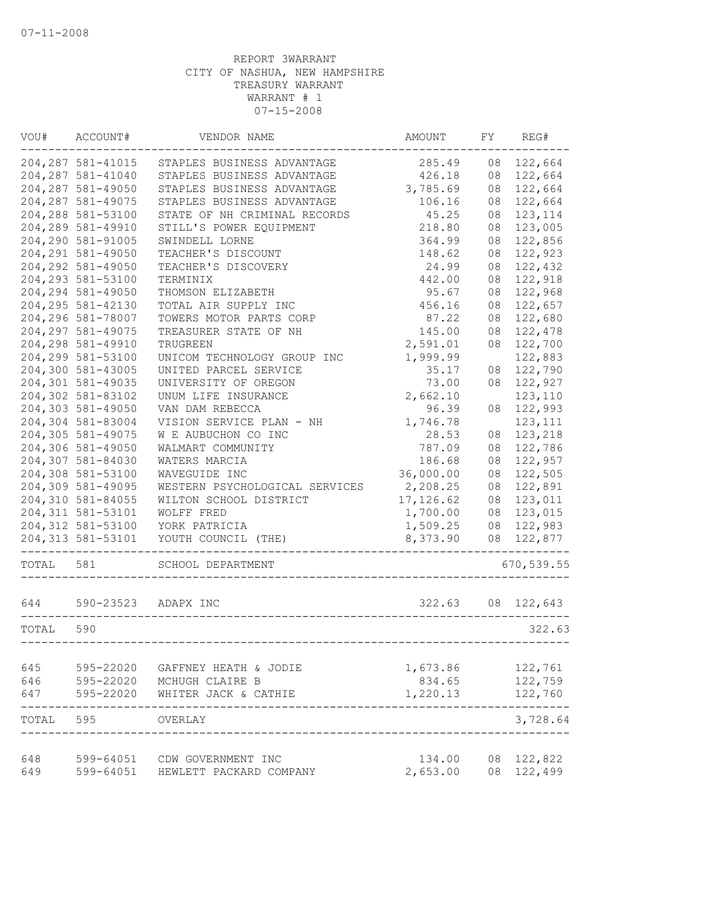| VOU#  | ACCOUNT#           | VENDOR NAME                    | AMOUNT     | FY | REG#        |
|-------|--------------------|--------------------------------|------------|----|-------------|
|       | 204, 287 581-41015 | STAPLES BUSINESS ADVANTAGE     | 285.49     | 08 | 122,664     |
|       | 204, 287 581-41040 | STAPLES BUSINESS ADVANTAGE     | 426.18     | 08 | 122,664     |
|       | 204, 287 581-49050 | STAPLES BUSINESS ADVANTAGE     | 3,785.69   | 08 | 122,664     |
|       | 204, 287 581-49075 | STAPLES BUSINESS ADVANTAGE     | 106.16     | 08 | 122,664     |
|       | 204,288 581-53100  | STATE OF NH CRIMINAL RECORDS   | 45.25      | 08 | 123, 114    |
|       | 204,289 581-49910  | STILL'S POWER EQUIPMENT        | 218.80     | 08 | 123,005     |
|       | 204,290 581-91005  | SWINDELL LORNE                 | 364.99     | 08 | 122,856     |
|       | 204, 291 581-49050 | TEACHER'S DISCOUNT             | 148.62     | 08 | 122,923     |
|       | 204, 292 581-49050 | TEACHER'S DISCOVERY            | 24.99      | 08 | 122,432     |
|       | 204, 293 581-53100 | TERMINIX                       | 442.00     | 08 | 122,918     |
|       | 204, 294 581-49050 | THOMSON ELIZABETH              | 95.67      | 08 | 122,968     |
|       | 204, 295 581-42130 | TOTAL AIR SUPPLY INC           | 456.16     | 08 | 122,657     |
|       | 204,296 581-78007  | TOWERS MOTOR PARTS CORP        | 87.22      | 08 | 122,680     |
|       | 204, 297 581-49075 | TREASURER STATE OF NH          | 145.00     | 08 | 122,478     |
|       | 204,298 581-49910  | TRUGREEN                       | 2,591.01   | 08 | 122,700     |
|       | 204,299 581-53100  | UNICOM TECHNOLOGY GROUP INC    | 1,999.99   |    | 122,883     |
|       | 204,300 581-43005  | UNITED PARCEL SERVICE          | 35.17      | 08 | 122,790     |
|       | 204,301 581-49035  | UNIVERSITY OF OREGON           | 73.00      | 08 | 122,927     |
|       | 204,302 581-83102  | UNUM LIFE INSURANCE            | 2,662.10   |    | 123,110     |
|       | 204,303 581-49050  | VAN DAM REBECCA                | 96.39      | 08 | 122,993     |
|       | 204,304 581-83004  | VISION SERVICE PLAN - NH       | 1,746.78   |    | 123, 111    |
|       | 204,305 581-49075  | W E AUBUCHON CO INC            | 28.53      | 08 | 123,218     |
|       | 204,306 581-49050  | WALMART COMMUNITY              | 787.09     | 08 | 122,786     |
|       | 204,307 581-84030  | WATERS MARCIA                  | 186.68     | 08 | 122,957     |
|       | 204,308 581-53100  | WAVEGUIDE INC                  | 36,000.00  | 08 | 122,505     |
|       | 204,309 581-49095  | WESTERN PSYCHOLOGICAL SERVICES | 2,208.25   | 08 | 122,891     |
|       | 204,310 581-84055  | WILTON SCHOOL DISTRICT         | 17, 126.62 | 08 | 123,011     |
|       | 204, 311 581-53101 | WOLFF FRED                     | 1,700.00   | 08 | 123,015     |
|       | 204,312 581-53100  | YORK PATRICIA                  | 1,509.25   | 08 | 122,983     |
|       | 204, 313 581-53101 | YOUTH COUNCIL (THE)            | 8,373.90   | 08 | 122,877     |
| TOTAL | 581                | SCHOOL DEPARTMENT              |            |    | 670, 539.55 |
| 644   | 590-23523          | ADAPX INC                      | 322.63     |    | 08 122,643  |
| TOTAL | 590                |                                |            |    | 322.63      |
| 645   | 595-22020          | GAFFNEY HEATH & JODIE          | 1,673.86   |    | 122,761     |
| 646   | 595-22020          | MCHUGH CLAIRE B                | 834.65     |    | 122,759     |
| 647   | 595-22020          | WHITER JACK & CATHIE           | 1,220.13   |    | 122,760     |
| TOTAL | 595                | OVERLAY                        |            |    | 3,728.64    |
| 648   |                    | 599-64051 CDW GOVERNMENT INC   | 134.00     | 08 | 122,822     |
| 649   | 599-64051          | HEWLETT PACKARD COMPANY        | 2,653.00   |    | 08 122,499  |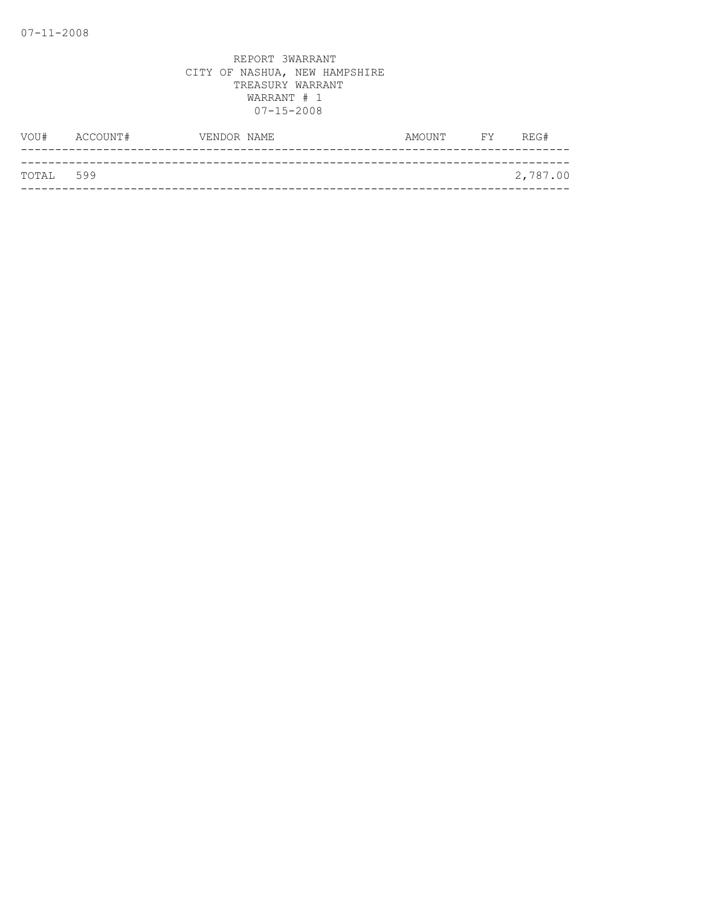| VOU#      | ACCOUNT# | VENDOR NAME | AMOUNT FY | REG#     |
|-----------|----------|-------------|-----------|----------|
|           |          |             |           |          |
| TOTAL 599 |          |             |           | 2,787.00 |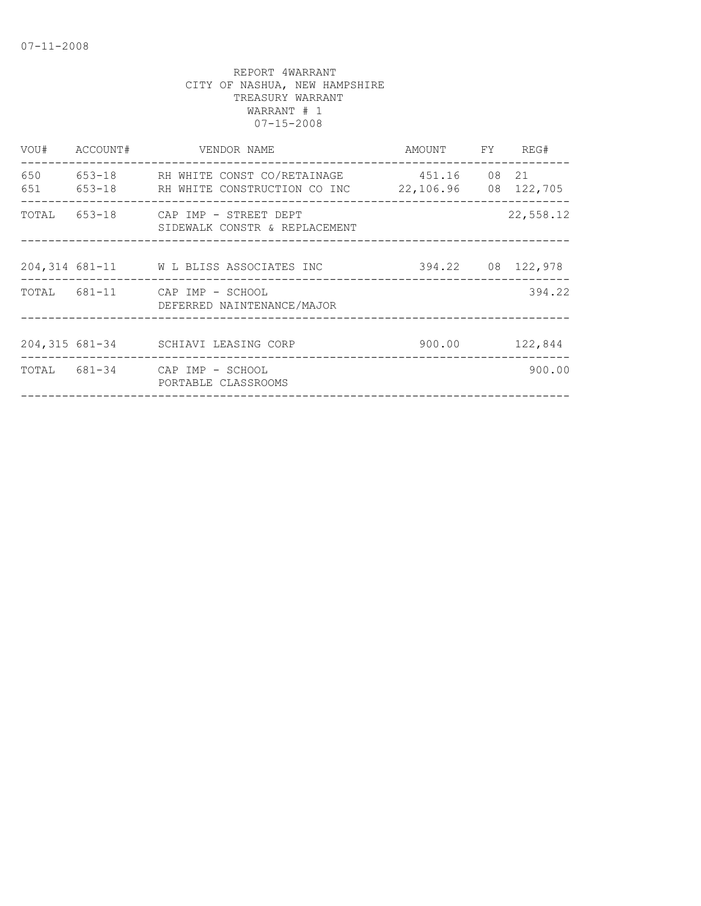| SIDEWALK CONSTR & REPLACEMENT |                                                                                                                                                                     |                                         | 22,558.12                                                                                                                                          |
|-------------------------------|---------------------------------------------------------------------------------------------------------------------------------------------------------------------|-----------------------------------------|----------------------------------------------------------------------------------------------------------------------------------------------------|
|                               |                                                                                                                                                                     |                                         |                                                                                                                                                    |
| DEFERRED NAINTENANCE/MAJOR    |                                                                                                                                                                     |                                         | 394.22                                                                                                                                             |
|                               |                                                                                                                                                                     |                                         |                                                                                                                                                    |
| PORTABLE CLASSROOMS           |                                                                                                                                                                     |                                         | 900.00                                                                                                                                             |
|                               | ACCOUNT# VENDOR NAME<br>TOTAL 653-18 CAP IMP - STREET DEPT<br>TOTAL 681-11 CAP IMP - SCHOOL<br>204,315 681-34 SCHIAVI LEASING CORP<br>TOTAL 681-34 CAP IMP - SCHOOL | 204,314 681-11 W L BLISS ASSOCIATES INC | AMOUNT FY REG#<br>653-18 RH WHITE CONST CO/RETAINAGE 451.16 08 21<br>653-18 BH WHITE CONSTRUCTION CO INC 22,106.96 08 122,705<br>394.22 08 122,978 |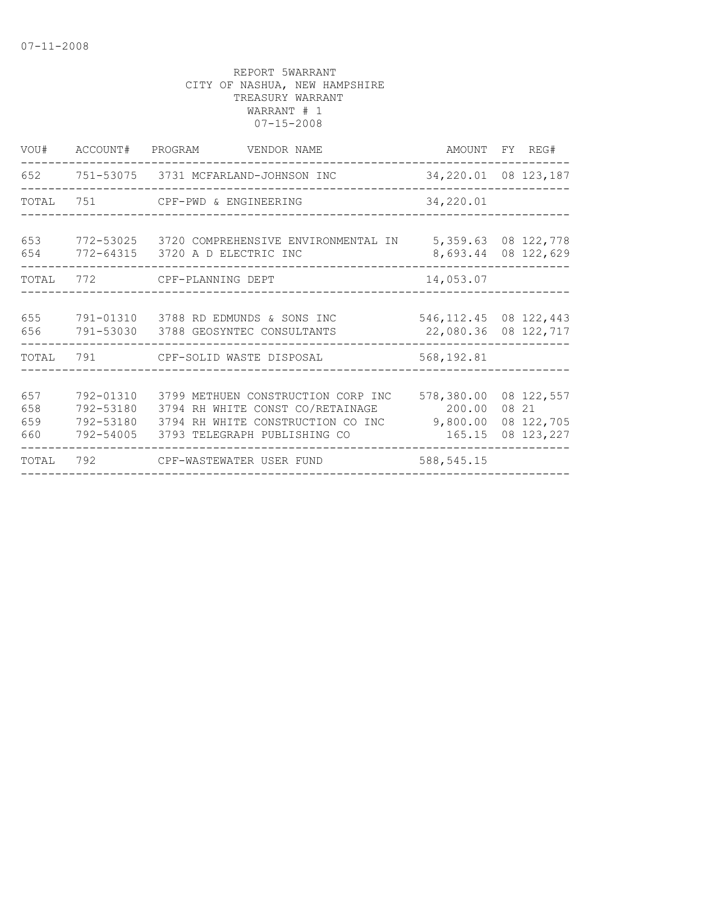| ACCOUNT#                            | VENDOR NAME<br>PROGRAM                                                                                                                      | AMOUNT                                                                                                                                                                                                                                                                                                 | FY REG#                                                  |
|-------------------------------------|---------------------------------------------------------------------------------------------------------------------------------------------|--------------------------------------------------------------------------------------------------------------------------------------------------------------------------------------------------------------------------------------------------------------------------------------------------------|----------------------------------------------------------|
|                                     |                                                                                                                                             |                                                                                                                                                                                                                                                                                                        | 34, 220.01 08 123, 187                                   |
| 751                                 |                                                                                                                                             | 34,220.01                                                                                                                                                                                                                                                                                              |                                                          |
|                                     |                                                                                                                                             |                                                                                                                                                                                                                                                                                                        | 5, 359.63 08 122, 778<br>8,693.44 08 122,629             |
| 772                                 | CPF-PLANNING DEPT                                                                                                                           | 14,053.07                                                                                                                                                                                                                                                                                              |                                                          |
|                                     |                                                                                                                                             | 546, 112.45 08 122, 443                                                                                                                                                                                                                                                                                | 22,080.36 08 122,717                                     |
| 791                                 |                                                                                                                                             | 568,192.81                                                                                                                                                                                                                                                                                             |                                                          |
| 792-01310<br>792-53180<br>792-53180 | 3799 METHUEN CONSTRUCTION CORP INC<br>3794 RH WHITE CONST CO/RETAINAGE<br>3794 RH WHITE CONSTRUCTION CO INC<br>3793 TELEGRAPH PUBLISHING CO | 578,380.00<br>200.00<br>165.15                                                                                                                                                                                                                                                                         | 08 122,557<br>08 21<br>9,800.00 08 122,705<br>08 123,227 |
| 792                                 |                                                                                                                                             | 588, 545.15                                                                                                                                                                                                                                                                                            |                                                          |
|                                     |                                                                                                                                             | 751-53075 3731 MCFARLAND-JOHNSON INC<br>CPF-PWD & ENGINEERING<br>772-53025 3720 COMPREHENSIVE ENVIRONMENTAL IN<br>772-64315 3720 A D ELECTRIC INC<br>791-01310 3788 RD EDMUNDS & SONS INC<br>791-53030 3788 GEOSYNTEC CONSULTANTS<br>CPF-SOLID WASTE DISPOSAL<br>792-54005<br>CPF-WASTEWATER USER FUND |                                                          |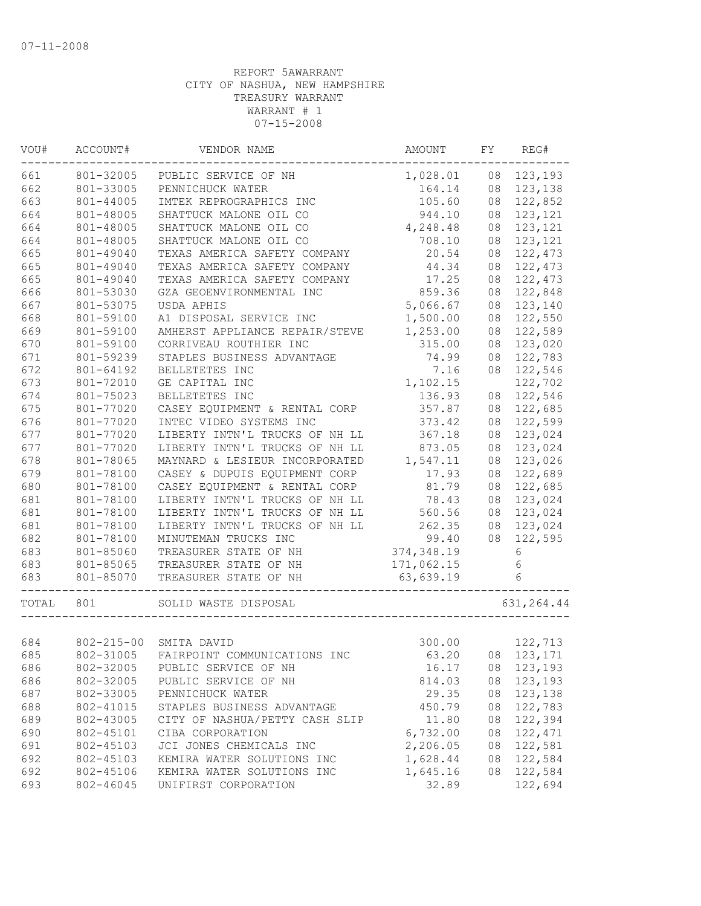| 1,028.01<br>123,193<br>801-32005<br>PUBLIC SERVICE OF NH<br>08<br>801-33005<br>PENNICHUCK WATER<br>123,138<br>164.14<br>08<br>801-44005<br>105.60<br>122,852<br>IMTEK REPROGRAPHICS INC<br>08<br>944.10<br>08<br>123,121<br>801-48005<br>SHATTUCK MALONE OIL CO<br>801-48005<br>SHATTUCK MALONE OIL CO<br>4,248.48<br>123, 121<br>08<br>801-48005<br>SHATTUCK MALONE OIL CO<br>708.10<br>08<br>123,121<br>801-49040<br>TEXAS AMERICA SAFETY COMPANY<br>20.54<br>122,473<br>08<br>122,473<br>801-49040<br>TEXAS AMERICA SAFETY COMPANY<br>44.34<br>08<br>122,473<br>801-49040<br>TEXAS AMERICA SAFETY COMPANY<br>17.25<br>08<br>801-53030<br>859.36<br>122,848<br>GZA GEOENVIRONMENTAL INC<br>08<br>801-53075<br>USDA APHIS<br>5,066.67<br>08<br>123,140<br>801-59100<br>A1 DISPOSAL SERVICE INC<br>1,500.00<br>122,550<br>08<br>801-59100<br>08<br>122,589<br>AMHERST APPLIANCE REPAIR/STEVE<br>1,253.00<br>801-59100<br>315.00<br>123,020<br>CORRIVEAU ROUTHIER INC<br>08<br>671<br>801-59239<br>122,783<br>STAPLES BUSINESS ADVANTAGE<br>74.99<br>08<br>672<br>122,546<br>801-64192<br>BELLETETES INC<br>7.16<br>08<br>673<br>1,102.15<br>801-72010<br>122,702<br>GE CAPITAL INC<br>674<br>136.93<br>122,546<br>801-75023<br>BELLETETES INC<br>08<br>675<br>801-77020<br>357.87<br>122,685<br>CASEY EQUIPMENT & RENTAL CORP<br>08<br>676<br>801-77020<br>INTEC VIDEO SYSTEMS INC<br>373.42<br>08<br>122,599<br>677<br>801-77020<br>LIBERTY INTN'L TRUCKS OF NH LL<br>123,024<br>367.18<br>08<br>677<br>801-77020<br>LIBERTY INTN'L TRUCKS OF NH LL<br>08<br>123,024<br>873.05<br>678<br>801-78065<br>123,026<br>MAYNARD & LESIEUR INCORPORATED<br>1,547.11<br>08<br>679<br>122,689<br>801-78100<br>CASEY & DUPUIS EQUIPMENT CORP<br>17.93<br>08<br>680<br>122,685<br>801-78100<br>CASEY EQUIPMENT & RENTAL CORP<br>81.79<br>08<br>681<br>LIBERTY INTN'L TRUCKS OF NH LL<br>78.43<br>123,024<br>801-78100<br>08<br>681<br>801-78100<br>123,024<br>LIBERTY INTN'L TRUCKS OF NH LL<br>560.56<br>08<br>681<br>123,024<br>801-78100<br>LIBERTY INTN'L TRUCKS OF NH LL<br>262.35<br>08<br>682<br>122,595<br>801-78100<br>MINUTEMAN TRUCKS INC<br>99.40<br>08<br>683<br>801-85060<br>TREASURER STATE OF NH<br>374, 348.19<br>6<br>6<br>683<br>801-85065<br>TREASURER STATE OF NH<br>171,062.15<br>683<br>801-85070<br>TREASURER STATE OF NH<br>63,639.19<br>6<br>_____________<br>801<br>SOLID WASTE DISPOSAL<br>631, 264.44<br>122,713<br>802-215-00 SMITA DAVID<br>300.00<br>802-31005 FAIRPOINT COMMUNICATIONS INC<br>63.20 08 123,171<br>802-32005<br>PUBLIC SERVICE OF NH<br>16.17<br>123,193<br>08<br>802-32005<br>814.03<br>08<br>123,193<br>PUBLIC SERVICE OF NH<br>802-33005<br>29.35<br>08<br>123,138<br>PENNICHUCK WATER<br>122,783<br>802-41015<br>STAPLES BUSINESS ADVANTAGE<br>450.79<br>08<br>122,394<br>11.80<br>802-43005<br>CITY OF NASHUA/PETTY CASH SLIP<br>08<br>6,732.00<br>122,471<br>802-45101<br>CIBA CORPORATION<br>08<br>2,206.05<br>802-45103<br>JCI JONES CHEMICALS INC<br>122,581<br>08<br>802-45103<br>KEMIRA WATER SOLUTIONS INC<br>1,628.44<br>08<br>122,584<br>802-45106<br>KEMIRA WATER SOLUTIONS INC<br>1,645.16<br>08<br>122,584<br>122,694<br>802-46045<br>UNIFIRST CORPORATION<br>32.89 | VOU#  | ACCOUNT# | VENDOR NAME | AMOUNT | FΥ | REG# |
|---------------------------------------------------------------------------------------------------------------------------------------------------------------------------------------------------------------------------------------------------------------------------------------------------------------------------------------------------------------------------------------------------------------------------------------------------------------------------------------------------------------------------------------------------------------------------------------------------------------------------------------------------------------------------------------------------------------------------------------------------------------------------------------------------------------------------------------------------------------------------------------------------------------------------------------------------------------------------------------------------------------------------------------------------------------------------------------------------------------------------------------------------------------------------------------------------------------------------------------------------------------------------------------------------------------------------------------------------------------------------------------------------------------------------------------------------------------------------------------------------------------------------------------------------------------------------------------------------------------------------------------------------------------------------------------------------------------------------------------------------------------------------------------------------------------------------------------------------------------------------------------------------------------------------------------------------------------------------------------------------------------------------------------------------------------------------------------------------------------------------------------------------------------------------------------------------------------------------------------------------------------------------------------------------------------------------------------------------------------------------------------------------------------------------------------------------------------------------------------------------------------------------------------------------------------------------------------------------------------------------------------------------------------------------------------------------------------------------------------------------------------------------------------------------------------------------------------------------------------------------------------------------------------------------------------------------------------------------------------------------------------------------------------------------------------------------------------------------------------------------------------------------------------------------------------------------------------------------|-------|----------|-------------|--------|----|------|
|                                                                                                                                                                                                                                                                                                                                                                                                                                                                                                                                                                                                                                                                                                                                                                                                                                                                                                                                                                                                                                                                                                                                                                                                                                                                                                                                                                                                                                                                                                                                                                                                                                                                                                                                                                                                                                                                                                                                                                                                                                                                                                                                                                                                                                                                                                                                                                                                                                                                                                                                                                                                                                                                                                                                                                                                                                                                                                                                                                                                                                                                                                                                                                                                                           | 661   |          |             |        |    |      |
|                                                                                                                                                                                                                                                                                                                                                                                                                                                                                                                                                                                                                                                                                                                                                                                                                                                                                                                                                                                                                                                                                                                                                                                                                                                                                                                                                                                                                                                                                                                                                                                                                                                                                                                                                                                                                                                                                                                                                                                                                                                                                                                                                                                                                                                                                                                                                                                                                                                                                                                                                                                                                                                                                                                                                                                                                                                                                                                                                                                                                                                                                                                                                                                                                           | 662   |          |             |        |    |      |
|                                                                                                                                                                                                                                                                                                                                                                                                                                                                                                                                                                                                                                                                                                                                                                                                                                                                                                                                                                                                                                                                                                                                                                                                                                                                                                                                                                                                                                                                                                                                                                                                                                                                                                                                                                                                                                                                                                                                                                                                                                                                                                                                                                                                                                                                                                                                                                                                                                                                                                                                                                                                                                                                                                                                                                                                                                                                                                                                                                                                                                                                                                                                                                                                                           | 663   |          |             |        |    |      |
|                                                                                                                                                                                                                                                                                                                                                                                                                                                                                                                                                                                                                                                                                                                                                                                                                                                                                                                                                                                                                                                                                                                                                                                                                                                                                                                                                                                                                                                                                                                                                                                                                                                                                                                                                                                                                                                                                                                                                                                                                                                                                                                                                                                                                                                                                                                                                                                                                                                                                                                                                                                                                                                                                                                                                                                                                                                                                                                                                                                                                                                                                                                                                                                                                           | 664   |          |             |        |    |      |
|                                                                                                                                                                                                                                                                                                                                                                                                                                                                                                                                                                                                                                                                                                                                                                                                                                                                                                                                                                                                                                                                                                                                                                                                                                                                                                                                                                                                                                                                                                                                                                                                                                                                                                                                                                                                                                                                                                                                                                                                                                                                                                                                                                                                                                                                                                                                                                                                                                                                                                                                                                                                                                                                                                                                                                                                                                                                                                                                                                                                                                                                                                                                                                                                                           | 664   |          |             |        |    |      |
|                                                                                                                                                                                                                                                                                                                                                                                                                                                                                                                                                                                                                                                                                                                                                                                                                                                                                                                                                                                                                                                                                                                                                                                                                                                                                                                                                                                                                                                                                                                                                                                                                                                                                                                                                                                                                                                                                                                                                                                                                                                                                                                                                                                                                                                                                                                                                                                                                                                                                                                                                                                                                                                                                                                                                                                                                                                                                                                                                                                                                                                                                                                                                                                                                           | 664   |          |             |        |    |      |
|                                                                                                                                                                                                                                                                                                                                                                                                                                                                                                                                                                                                                                                                                                                                                                                                                                                                                                                                                                                                                                                                                                                                                                                                                                                                                                                                                                                                                                                                                                                                                                                                                                                                                                                                                                                                                                                                                                                                                                                                                                                                                                                                                                                                                                                                                                                                                                                                                                                                                                                                                                                                                                                                                                                                                                                                                                                                                                                                                                                                                                                                                                                                                                                                                           | 665   |          |             |        |    |      |
|                                                                                                                                                                                                                                                                                                                                                                                                                                                                                                                                                                                                                                                                                                                                                                                                                                                                                                                                                                                                                                                                                                                                                                                                                                                                                                                                                                                                                                                                                                                                                                                                                                                                                                                                                                                                                                                                                                                                                                                                                                                                                                                                                                                                                                                                                                                                                                                                                                                                                                                                                                                                                                                                                                                                                                                                                                                                                                                                                                                                                                                                                                                                                                                                                           | 665   |          |             |        |    |      |
|                                                                                                                                                                                                                                                                                                                                                                                                                                                                                                                                                                                                                                                                                                                                                                                                                                                                                                                                                                                                                                                                                                                                                                                                                                                                                                                                                                                                                                                                                                                                                                                                                                                                                                                                                                                                                                                                                                                                                                                                                                                                                                                                                                                                                                                                                                                                                                                                                                                                                                                                                                                                                                                                                                                                                                                                                                                                                                                                                                                                                                                                                                                                                                                                                           | 665   |          |             |        |    |      |
|                                                                                                                                                                                                                                                                                                                                                                                                                                                                                                                                                                                                                                                                                                                                                                                                                                                                                                                                                                                                                                                                                                                                                                                                                                                                                                                                                                                                                                                                                                                                                                                                                                                                                                                                                                                                                                                                                                                                                                                                                                                                                                                                                                                                                                                                                                                                                                                                                                                                                                                                                                                                                                                                                                                                                                                                                                                                                                                                                                                                                                                                                                                                                                                                                           | 666   |          |             |        |    |      |
|                                                                                                                                                                                                                                                                                                                                                                                                                                                                                                                                                                                                                                                                                                                                                                                                                                                                                                                                                                                                                                                                                                                                                                                                                                                                                                                                                                                                                                                                                                                                                                                                                                                                                                                                                                                                                                                                                                                                                                                                                                                                                                                                                                                                                                                                                                                                                                                                                                                                                                                                                                                                                                                                                                                                                                                                                                                                                                                                                                                                                                                                                                                                                                                                                           | 667   |          |             |        |    |      |
|                                                                                                                                                                                                                                                                                                                                                                                                                                                                                                                                                                                                                                                                                                                                                                                                                                                                                                                                                                                                                                                                                                                                                                                                                                                                                                                                                                                                                                                                                                                                                                                                                                                                                                                                                                                                                                                                                                                                                                                                                                                                                                                                                                                                                                                                                                                                                                                                                                                                                                                                                                                                                                                                                                                                                                                                                                                                                                                                                                                                                                                                                                                                                                                                                           | 668   |          |             |        |    |      |
|                                                                                                                                                                                                                                                                                                                                                                                                                                                                                                                                                                                                                                                                                                                                                                                                                                                                                                                                                                                                                                                                                                                                                                                                                                                                                                                                                                                                                                                                                                                                                                                                                                                                                                                                                                                                                                                                                                                                                                                                                                                                                                                                                                                                                                                                                                                                                                                                                                                                                                                                                                                                                                                                                                                                                                                                                                                                                                                                                                                                                                                                                                                                                                                                                           | 669   |          |             |        |    |      |
|                                                                                                                                                                                                                                                                                                                                                                                                                                                                                                                                                                                                                                                                                                                                                                                                                                                                                                                                                                                                                                                                                                                                                                                                                                                                                                                                                                                                                                                                                                                                                                                                                                                                                                                                                                                                                                                                                                                                                                                                                                                                                                                                                                                                                                                                                                                                                                                                                                                                                                                                                                                                                                                                                                                                                                                                                                                                                                                                                                                                                                                                                                                                                                                                                           | 670   |          |             |        |    |      |
|                                                                                                                                                                                                                                                                                                                                                                                                                                                                                                                                                                                                                                                                                                                                                                                                                                                                                                                                                                                                                                                                                                                                                                                                                                                                                                                                                                                                                                                                                                                                                                                                                                                                                                                                                                                                                                                                                                                                                                                                                                                                                                                                                                                                                                                                                                                                                                                                                                                                                                                                                                                                                                                                                                                                                                                                                                                                                                                                                                                                                                                                                                                                                                                                                           |       |          |             |        |    |      |
|                                                                                                                                                                                                                                                                                                                                                                                                                                                                                                                                                                                                                                                                                                                                                                                                                                                                                                                                                                                                                                                                                                                                                                                                                                                                                                                                                                                                                                                                                                                                                                                                                                                                                                                                                                                                                                                                                                                                                                                                                                                                                                                                                                                                                                                                                                                                                                                                                                                                                                                                                                                                                                                                                                                                                                                                                                                                                                                                                                                                                                                                                                                                                                                                                           |       |          |             |        |    |      |
|                                                                                                                                                                                                                                                                                                                                                                                                                                                                                                                                                                                                                                                                                                                                                                                                                                                                                                                                                                                                                                                                                                                                                                                                                                                                                                                                                                                                                                                                                                                                                                                                                                                                                                                                                                                                                                                                                                                                                                                                                                                                                                                                                                                                                                                                                                                                                                                                                                                                                                                                                                                                                                                                                                                                                                                                                                                                                                                                                                                                                                                                                                                                                                                                                           |       |          |             |        |    |      |
|                                                                                                                                                                                                                                                                                                                                                                                                                                                                                                                                                                                                                                                                                                                                                                                                                                                                                                                                                                                                                                                                                                                                                                                                                                                                                                                                                                                                                                                                                                                                                                                                                                                                                                                                                                                                                                                                                                                                                                                                                                                                                                                                                                                                                                                                                                                                                                                                                                                                                                                                                                                                                                                                                                                                                                                                                                                                                                                                                                                                                                                                                                                                                                                                                           |       |          |             |        |    |      |
|                                                                                                                                                                                                                                                                                                                                                                                                                                                                                                                                                                                                                                                                                                                                                                                                                                                                                                                                                                                                                                                                                                                                                                                                                                                                                                                                                                                                                                                                                                                                                                                                                                                                                                                                                                                                                                                                                                                                                                                                                                                                                                                                                                                                                                                                                                                                                                                                                                                                                                                                                                                                                                                                                                                                                                                                                                                                                                                                                                                                                                                                                                                                                                                                                           |       |          |             |        |    |      |
|                                                                                                                                                                                                                                                                                                                                                                                                                                                                                                                                                                                                                                                                                                                                                                                                                                                                                                                                                                                                                                                                                                                                                                                                                                                                                                                                                                                                                                                                                                                                                                                                                                                                                                                                                                                                                                                                                                                                                                                                                                                                                                                                                                                                                                                                                                                                                                                                                                                                                                                                                                                                                                                                                                                                                                                                                                                                                                                                                                                                                                                                                                                                                                                                                           |       |          |             |        |    |      |
|                                                                                                                                                                                                                                                                                                                                                                                                                                                                                                                                                                                                                                                                                                                                                                                                                                                                                                                                                                                                                                                                                                                                                                                                                                                                                                                                                                                                                                                                                                                                                                                                                                                                                                                                                                                                                                                                                                                                                                                                                                                                                                                                                                                                                                                                                                                                                                                                                                                                                                                                                                                                                                                                                                                                                                                                                                                                                                                                                                                                                                                                                                                                                                                                                           |       |          |             |        |    |      |
|                                                                                                                                                                                                                                                                                                                                                                                                                                                                                                                                                                                                                                                                                                                                                                                                                                                                                                                                                                                                                                                                                                                                                                                                                                                                                                                                                                                                                                                                                                                                                                                                                                                                                                                                                                                                                                                                                                                                                                                                                                                                                                                                                                                                                                                                                                                                                                                                                                                                                                                                                                                                                                                                                                                                                                                                                                                                                                                                                                                                                                                                                                                                                                                                                           |       |          |             |        |    |      |
|                                                                                                                                                                                                                                                                                                                                                                                                                                                                                                                                                                                                                                                                                                                                                                                                                                                                                                                                                                                                                                                                                                                                                                                                                                                                                                                                                                                                                                                                                                                                                                                                                                                                                                                                                                                                                                                                                                                                                                                                                                                                                                                                                                                                                                                                                                                                                                                                                                                                                                                                                                                                                                                                                                                                                                                                                                                                                                                                                                                                                                                                                                                                                                                                                           |       |          |             |        |    |      |
|                                                                                                                                                                                                                                                                                                                                                                                                                                                                                                                                                                                                                                                                                                                                                                                                                                                                                                                                                                                                                                                                                                                                                                                                                                                                                                                                                                                                                                                                                                                                                                                                                                                                                                                                                                                                                                                                                                                                                                                                                                                                                                                                                                                                                                                                                                                                                                                                                                                                                                                                                                                                                                                                                                                                                                                                                                                                                                                                                                                                                                                                                                                                                                                                                           |       |          |             |        |    |      |
|                                                                                                                                                                                                                                                                                                                                                                                                                                                                                                                                                                                                                                                                                                                                                                                                                                                                                                                                                                                                                                                                                                                                                                                                                                                                                                                                                                                                                                                                                                                                                                                                                                                                                                                                                                                                                                                                                                                                                                                                                                                                                                                                                                                                                                                                                                                                                                                                                                                                                                                                                                                                                                                                                                                                                                                                                                                                                                                                                                                                                                                                                                                                                                                                                           |       |          |             |        |    |      |
|                                                                                                                                                                                                                                                                                                                                                                                                                                                                                                                                                                                                                                                                                                                                                                                                                                                                                                                                                                                                                                                                                                                                                                                                                                                                                                                                                                                                                                                                                                                                                                                                                                                                                                                                                                                                                                                                                                                                                                                                                                                                                                                                                                                                                                                                                                                                                                                                                                                                                                                                                                                                                                                                                                                                                                                                                                                                                                                                                                                                                                                                                                                                                                                                                           |       |          |             |        |    |      |
|                                                                                                                                                                                                                                                                                                                                                                                                                                                                                                                                                                                                                                                                                                                                                                                                                                                                                                                                                                                                                                                                                                                                                                                                                                                                                                                                                                                                                                                                                                                                                                                                                                                                                                                                                                                                                                                                                                                                                                                                                                                                                                                                                                                                                                                                                                                                                                                                                                                                                                                                                                                                                                                                                                                                                                                                                                                                                                                                                                                                                                                                                                                                                                                                                           |       |          |             |        |    |      |
|                                                                                                                                                                                                                                                                                                                                                                                                                                                                                                                                                                                                                                                                                                                                                                                                                                                                                                                                                                                                                                                                                                                                                                                                                                                                                                                                                                                                                                                                                                                                                                                                                                                                                                                                                                                                                                                                                                                                                                                                                                                                                                                                                                                                                                                                                                                                                                                                                                                                                                                                                                                                                                                                                                                                                                                                                                                                                                                                                                                                                                                                                                                                                                                                                           |       |          |             |        |    |      |
|                                                                                                                                                                                                                                                                                                                                                                                                                                                                                                                                                                                                                                                                                                                                                                                                                                                                                                                                                                                                                                                                                                                                                                                                                                                                                                                                                                                                                                                                                                                                                                                                                                                                                                                                                                                                                                                                                                                                                                                                                                                                                                                                                                                                                                                                                                                                                                                                                                                                                                                                                                                                                                                                                                                                                                                                                                                                                                                                                                                                                                                                                                                                                                                                                           |       |          |             |        |    |      |
|                                                                                                                                                                                                                                                                                                                                                                                                                                                                                                                                                                                                                                                                                                                                                                                                                                                                                                                                                                                                                                                                                                                                                                                                                                                                                                                                                                                                                                                                                                                                                                                                                                                                                                                                                                                                                                                                                                                                                                                                                                                                                                                                                                                                                                                                                                                                                                                                                                                                                                                                                                                                                                                                                                                                                                                                                                                                                                                                                                                                                                                                                                                                                                                                                           |       |          |             |        |    |      |
|                                                                                                                                                                                                                                                                                                                                                                                                                                                                                                                                                                                                                                                                                                                                                                                                                                                                                                                                                                                                                                                                                                                                                                                                                                                                                                                                                                                                                                                                                                                                                                                                                                                                                                                                                                                                                                                                                                                                                                                                                                                                                                                                                                                                                                                                                                                                                                                                                                                                                                                                                                                                                                                                                                                                                                                                                                                                                                                                                                                                                                                                                                                                                                                                                           |       |          |             |        |    |      |
|                                                                                                                                                                                                                                                                                                                                                                                                                                                                                                                                                                                                                                                                                                                                                                                                                                                                                                                                                                                                                                                                                                                                                                                                                                                                                                                                                                                                                                                                                                                                                                                                                                                                                                                                                                                                                                                                                                                                                                                                                                                                                                                                                                                                                                                                                                                                                                                                                                                                                                                                                                                                                                                                                                                                                                                                                                                                                                                                                                                                                                                                                                                                                                                                                           |       |          |             |        |    |      |
|                                                                                                                                                                                                                                                                                                                                                                                                                                                                                                                                                                                                                                                                                                                                                                                                                                                                                                                                                                                                                                                                                                                                                                                                                                                                                                                                                                                                                                                                                                                                                                                                                                                                                                                                                                                                                                                                                                                                                                                                                                                                                                                                                                                                                                                                                                                                                                                                                                                                                                                                                                                                                                                                                                                                                                                                                                                                                                                                                                                                                                                                                                                                                                                                                           |       |          |             |        |    |      |
|                                                                                                                                                                                                                                                                                                                                                                                                                                                                                                                                                                                                                                                                                                                                                                                                                                                                                                                                                                                                                                                                                                                                                                                                                                                                                                                                                                                                                                                                                                                                                                                                                                                                                                                                                                                                                                                                                                                                                                                                                                                                                                                                                                                                                                                                                                                                                                                                                                                                                                                                                                                                                                                                                                                                                                                                                                                                                                                                                                                                                                                                                                                                                                                                                           | TOTAL |          |             |        |    |      |
|                                                                                                                                                                                                                                                                                                                                                                                                                                                                                                                                                                                                                                                                                                                                                                                                                                                                                                                                                                                                                                                                                                                                                                                                                                                                                                                                                                                                                                                                                                                                                                                                                                                                                                                                                                                                                                                                                                                                                                                                                                                                                                                                                                                                                                                                                                                                                                                                                                                                                                                                                                                                                                                                                                                                                                                                                                                                                                                                                                                                                                                                                                                                                                                                                           |       |          |             |        |    |      |
|                                                                                                                                                                                                                                                                                                                                                                                                                                                                                                                                                                                                                                                                                                                                                                                                                                                                                                                                                                                                                                                                                                                                                                                                                                                                                                                                                                                                                                                                                                                                                                                                                                                                                                                                                                                                                                                                                                                                                                                                                                                                                                                                                                                                                                                                                                                                                                                                                                                                                                                                                                                                                                                                                                                                                                                                                                                                                                                                                                                                                                                                                                                                                                                                                           | 684   |          |             |        |    |      |
|                                                                                                                                                                                                                                                                                                                                                                                                                                                                                                                                                                                                                                                                                                                                                                                                                                                                                                                                                                                                                                                                                                                                                                                                                                                                                                                                                                                                                                                                                                                                                                                                                                                                                                                                                                                                                                                                                                                                                                                                                                                                                                                                                                                                                                                                                                                                                                                                                                                                                                                                                                                                                                                                                                                                                                                                                                                                                                                                                                                                                                                                                                                                                                                                                           | 685   |          |             |        |    |      |
|                                                                                                                                                                                                                                                                                                                                                                                                                                                                                                                                                                                                                                                                                                                                                                                                                                                                                                                                                                                                                                                                                                                                                                                                                                                                                                                                                                                                                                                                                                                                                                                                                                                                                                                                                                                                                                                                                                                                                                                                                                                                                                                                                                                                                                                                                                                                                                                                                                                                                                                                                                                                                                                                                                                                                                                                                                                                                                                                                                                                                                                                                                                                                                                                                           | 686   |          |             |        |    |      |
|                                                                                                                                                                                                                                                                                                                                                                                                                                                                                                                                                                                                                                                                                                                                                                                                                                                                                                                                                                                                                                                                                                                                                                                                                                                                                                                                                                                                                                                                                                                                                                                                                                                                                                                                                                                                                                                                                                                                                                                                                                                                                                                                                                                                                                                                                                                                                                                                                                                                                                                                                                                                                                                                                                                                                                                                                                                                                                                                                                                                                                                                                                                                                                                                                           | 686   |          |             |        |    |      |
|                                                                                                                                                                                                                                                                                                                                                                                                                                                                                                                                                                                                                                                                                                                                                                                                                                                                                                                                                                                                                                                                                                                                                                                                                                                                                                                                                                                                                                                                                                                                                                                                                                                                                                                                                                                                                                                                                                                                                                                                                                                                                                                                                                                                                                                                                                                                                                                                                                                                                                                                                                                                                                                                                                                                                                                                                                                                                                                                                                                                                                                                                                                                                                                                                           | 687   |          |             |        |    |      |
|                                                                                                                                                                                                                                                                                                                                                                                                                                                                                                                                                                                                                                                                                                                                                                                                                                                                                                                                                                                                                                                                                                                                                                                                                                                                                                                                                                                                                                                                                                                                                                                                                                                                                                                                                                                                                                                                                                                                                                                                                                                                                                                                                                                                                                                                                                                                                                                                                                                                                                                                                                                                                                                                                                                                                                                                                                                                                                                                                                                                                                                                                                                                                                                                                           | 688   |          |             |        |    |      |
|                                                                                                                                                                                                                                                                                                                                                                                                                                                                                                                                                                                                                                                                                                                                                                                                                                                                                                                                                                                                                                                                                                                                                                                                                                                                                                                                                                                                                                                                                                                                                                                                                                                                                                                                                                                                                                                                                                                                                                                                                                                                                                                                                                                                                                                                                                                                                                                                                                                                                                                                                                                                                                                                                                                                                                                                                                                                                                                                                                                                                                                                                                                                                                                                                           | 689   |          |             |        |    |      |
|                                                                                                                                                                                                                                                                                                                                                                                                                                                                                                                                                                                                                                                                                                                                                                                                                                                                                                                                                                                                                                                                                                                                                                                                                                                                                                                                                                                                                                                                                                                                                                                                                                                                                                                                                                                                                                                                                                                                                                                                                                                                                                                                                                                                                                                                                                                                                                                                                                                                                                                                                                                                                                                                                                                                                                                                                                                                                                                                                                                                                                                                                                                                                                                                                           | 690   |          |             |        |    |      |
|                                                                                                                                                                                                                                                                                                                                                                                                                                                                                                                                                                                                                                                                                                                                                                                                                                                                                                                                                                                                                                                                                                                                                                                                                                                                                                                                                                                                                                                                                                                                                                                                                                                                                                                                                                                                                                                                                                                                                                                                                                                                                                                                                                                                                                                                                                                                                                                                                                                                                                                                                                                                                                                                                                                                                                                                                                                                                                                                                                                                                                                                                                                                                                                                                           | 691   |          |             |        |    |      |
|                                                                                                                                                                                                                                                                                                                                                                                                                                                                                                                                                                                                                                                                                                                                                                                                                                                                                                                                                                                                                                                                                                                                                                                                                                                                                                                                                                                                                                                                                                                                                                                                                                                                                                                                                                                                                                                                                                                                                                                                                                                                                                                                                                                                                                                                                                                                                                                                                                                                                                                                                                                                                                                                                                                                                                                                                                                                                                                                                                                                                                                                                                                                                                                                                           | 692   |          |             |        |    |      |
|                                                                                                                                                                                                                                                                                                                                                                                                                                                                                                                                                                                                                                                                                                                                                                                                                                                                                                                                                                                                                                                                                                                                                                                                                                                                                                                                                                                                                                                                                                                                                                                                                                                                                                                                                                                                                                                                                                                                                                                                                                                                                                                                                                                                                                                                                                                                                                                                                                                                                                                                                                                                                                                                                                                                                                                                                                                                                                                                                                                                                                                                                                                                                                                                                           | 692   |          |             |        |    |      |
|                                                                                                                                                                                                                                                                                                                                                                                                                                                                                                                                                                                                                                                                                                                                                                                                                                                                                                                                                                                                                                                                                                                                                                                                                                                                                                                                                                                                                                                                                                                                                                                                                                                                                                                                                                                                                                                                                                                                                                                                                                                                                                                                                                                                                                                                                                                                                                                                                                                                                                                                                                                                                                                                                                                                                                                                                                                                                                                                                                                                                                                                                                                                                                                                                           | 693   |          |             |        |    |      |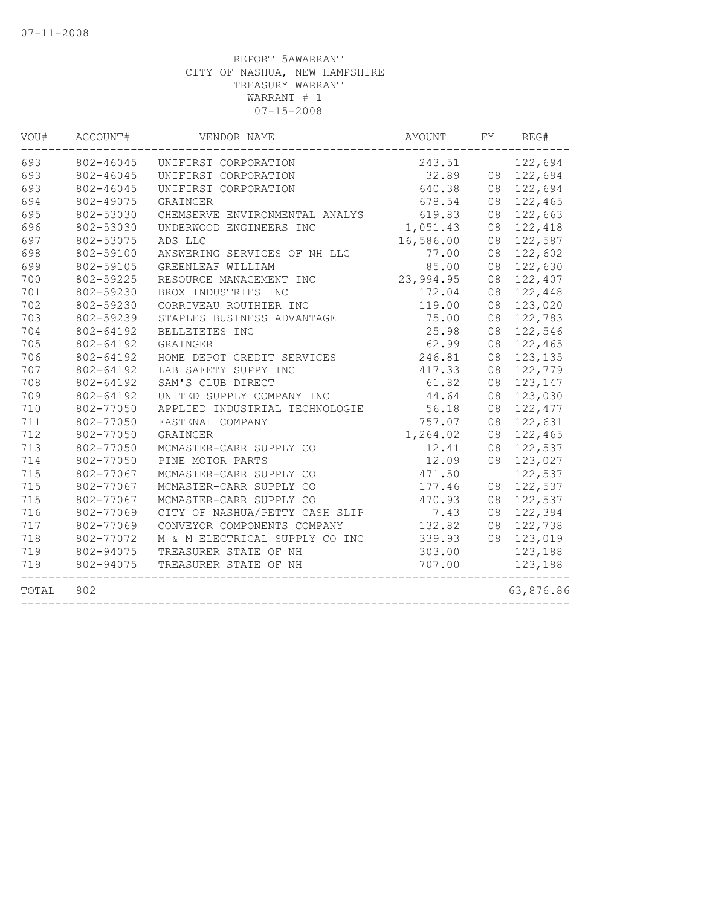| VOU#  | ACCOUNT#  | VENDOR NAME                    | AMOUNT    | FY | REG#       |
|-------|-----------|--------------------------------|-----------|----|------------|
| 693   | 802-46045 | UNIFIRST CORPORATION           | 243.51    |    | 122,694    |
| 693   | 802-46045 | UNIFIRST CORPORATION           | 32.89     |    | 08 122,694 |
| 693   | 802-46045 | UNIFIRST CORPORATION           | 640.38    |    | 08 122,694 |
| 694   | 802-49075 | GRAINGER                       | 678.54    | 08 | 122,465    |
| 695   | 802-53030 | CHEMSERVE ENVIRONMENTAL ANALYS | 619.83    | 08 | 122,663    |
| 696   | 802-53030 | UNDERWOOD ENGINEERS INC        | 1,051.43  | 08 | 122,418    |
| 697   | 802-53075 | ADS LLC                        | 16,586.00 | 08 | 122,587    |
| 698   | 802-59100 | ANSWERING SERVICES OF NH LLC   | 77.00     | 08 | 122,602    |
| 699   | 802-59105 | GREENLEAF WILLIAM              | 85.00     | 08 | 122,630    |
| 700   | 802-59225 | RESOURCE MANAGEMENT INC        | 23,994.95 | 08 | 122,407    |
| 701   | 802-59230 | BROX INDUSTRIES INC            | 172.04    | 08 | 122,448    |
| 702   | 802-59230 | CORRIVEAU ROUTHIER INC         | 119.00    | 08 | 123,020    |
| 703   | 802-59239 | STAPLES BUSINESS ADVANTAGE     | 75.00     | 08 | 122,783    |
| 704   | 802-64192 | BELLETETES INC                 | 25.98     | 08 | 122,546    |
| 705   | 802-64192 | GRAINGER                       | 62.99     | 08 | 122,465    |
| 706   | 802-64192 | HOME DEPOT CREDIT SERVICES     | 246.81    | 08 | 123,135    |
| 707   | 802-64192 | LAB SAFETY SUPPY INC           | 417.33    | 08 | 122,779    |
| 708   | 802-64192 | SAM'S CLUB DIRECT              | 61.82     | 08 | 123,147    |
| 709   | 802-64192 | UNITED SUPPLY COMPANY INC      | 44.64     | 08 | 123,030    |
| 710   | 802-77050 | APPLIED INDUSTRIAL TECHNOLOGIE | 56.18     | 08 | 122,477    |
| 711   | 802-77050 | FASTENAL COMPANY               | 757.07    | 08 | 122,631    |
| 712   | 802-77050 | GRAINGER                       | 1,264.02  | 08 | 122,465    |
| 713   | 802-77050 | MCMASTER-CARR SUPPLY CO        | 12.41     | 08 | 122,537    |
| 714   | 802-77050 | PINE MOTOR PARTS               | 12.09     | 08 | 123,027    |
| 715   | 802-77067 | MCMASTER-CARR SUPPLY CO        | 471.50    |    | 122,537    |
| 715   | 802-77067 | MCMASTER-CARR SUPPLY CO        | 177.46    | 08 | 122,537    |
| 715   | 802-77067 | MCMASTER-CARR SUPPLY CO        | 470.93    | 08 | 122,537    |
| 716   | 802-77069 | CITY OF NASHUA/PETTY CASH SLIP | 7.43      | 08 | 122,394    |
| 717   | 802-77069 | CONVEYOR COMPONENTS COMPANY    | 132.82    | 08 | 122,738    |
| 718   | 802-77072 | M & M ELECTRICAL SUPPLY CO INC | 339.93    |    | 08 123,019 |
| 719   | 802-94075 | TREASURER STATE OF NH          | 303.00    |    | 123,188    |
| 719   | 802-94075 | TREASURER STATE OF NH          | 707.00    |    | 123,188    |
| TOTAL | 802       |                                |           |    | 63,876.86  |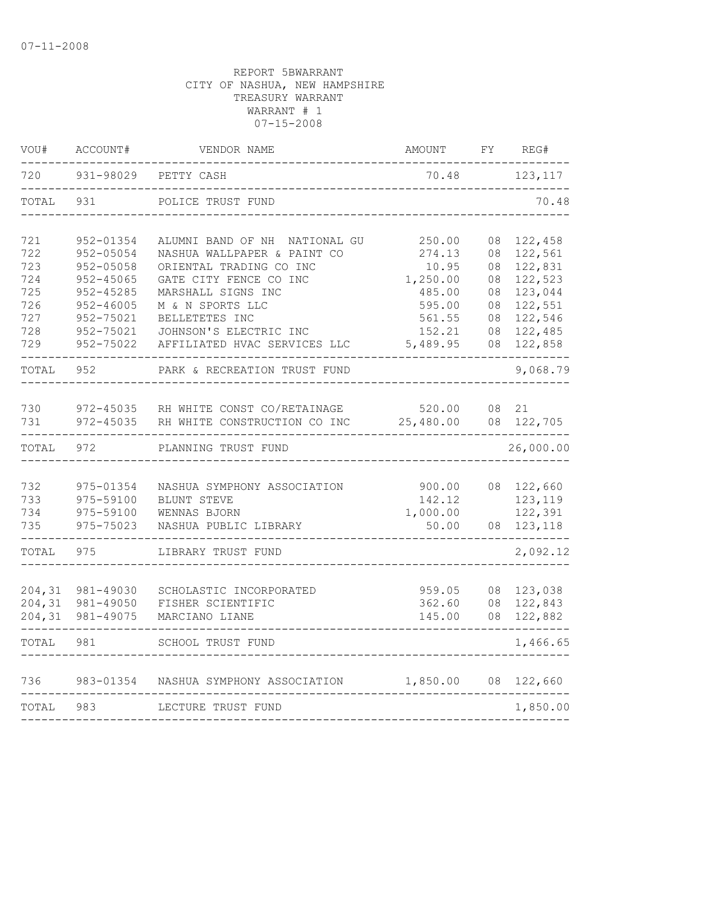| VOU#       | ACCOUNT#                  | VENDOR NAME                                            | AMOUNT             | FΥ       | REG#               |
|------------|---------------------------|--------------------------------------------------------|--------------------|----------|--------------------|
| 720        | 931-98029                 | PETTY CASH                                             | 70.48              |          | 123, 117           |
| TOTAL      | 931                       | POLICE TRUST FUND                                      |                    |          | 70.48              |
| 721        | 952-01354                 | ALUMNI BAND OF NH<br>NATIONAL GU                       | 250.00             | 08       | 122,458            |
| 722        | $952 - 05054$             | NASHUA WALLPAPER & PAINT CO                            | 274.13             | 08       | 122,561            |
| 723        | 952-05058                 | ORIENTAL TRADING CO INC                                | 10.95              | 08       | 122,831            |
| 724        | 952-45065                 | GATE CITY FENCE CO INC                                 | 1,250.00           | 08       | 122,523            |
| 725        | 952-45285                 | MARSHALL SIGNS INC                                     | 485.00             | 08       | 123,044            |
| 726        | $952 - 46005$             | M & N SPORTS LLC                                       | 595.00             | 08       | 122,551            |
| 727        | 952-75021                 | BELLETETES INC                                         | 561.55             | 08       | 122,546            |
| 728<br>729 | 952-75021<br>952-75022    | JOHNSON'S ELECTRIC INC<br>AFFILIATED HVAC SERVICES LLC | 152.21<br>5,489.95 | 08<br>08 | 122,485<br>122,858 |
| TOTAL      | 952                       | PARK & RECREATION TRUST FUND                           |                    |          | 9,068.79           |
|            |                           |                                                        |                    |          |                    |
| 730        | 972-45035                 | RH WHITE CONST CO/RETAINAGE                            | 520.00             | 08       | 21                 |
| 731        | 972-45035<br>------------ | RH WHITE CONSTRUCTION CO INC                           | 25,480.00          | 08       | 122,705            |
| TOTAL      | 972                       | PLANNING TRUST FUND                                    |                    |          | 26,000.00          |
|            |                           |                                                        |                    |          |                    |
| 732        | 975-01354                 | NASHUA SYMPHONY ASSOCIATION                            | 900.00             | 08       | 122,660            |
| 733        | 975-59100                 | BLUNT STEVE                                            | 142.12             |          | 123,119            |
| 734        | 975-59100                 | WENNAS BJORN                                           | 1,000.00           |          | 122,391            |
| 735        | 975-75023                 | NASHUA PUBLIC LIBRARY                                  | 50.00              | 08       | 123,118            |
| TOTAL      | 975                       | LIBRARY TRUST FUND                                     |                    |          | 2,092.12           |
| 204,31     | 981-49030                 | SCHOLASTIC INCORPORATED                                | 959.05             | 08       | 123,038            |
| 204,31     | 981-49050                 | FISHER SCIENTIFIC                                      | 362.60             | 08       | 122,843            |
| 204,31     | 981-49075                 | MARCIANO LIANE                                         | 145.00             | 08       | 122,882            |
| TOTAL      | 981                       | SCHOOL TRUST FUND                                      |                    |          | 1,466.65           |
| 736        | 983-01354                 | NASHUA SYMPHONY ASSOCIATION                            | 1,850.00           | 08       | 122,660            |
|            |                           |                                                        |                    |          |                    |
| TOTAL      | 983                       | LECTURE TRUST FUND                                     |                    |          | 1,850.00           |
|            |                           |                                                        |                    |          |                    |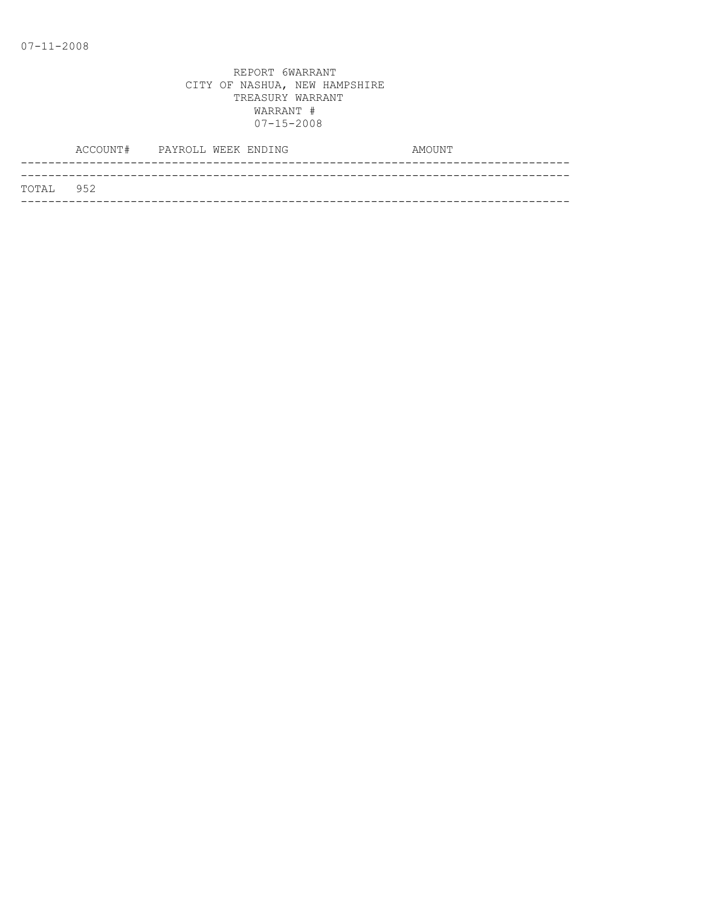|           | ACCOUNT# PAYROLL WEEK ENDING |  | AMOUNT |  |
|-----------|------------------------------|--|--------|--|
|           |                              |  |        |  |
| TOTAL 952 |                              |  |        |  |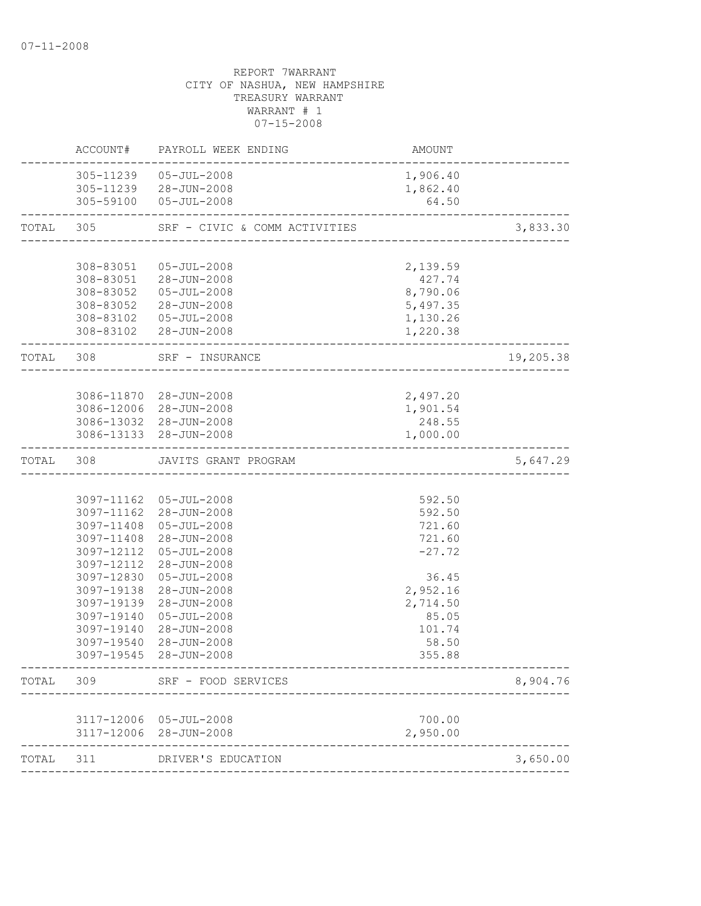|           |                          | ACCOUNT# PAYROLL WEEK ENDING                                            | AMOUNT                        |           |
|-----------|--------------------------|-------------------------------------------------------------------------|-------------------------------|-----------|
|           |                          | 305-11239 05-JUL-2008<br>305-11239 28-JUN-2008<br>305-59100 05-JUL-2008 | 1,906.40<br>1,862.40<br>64.50 |           |
| TOTAL 305 |                          | SRF - CIVIC & COMM ACTIVITIES                                           |                               | 3,833.30  |
|           |                          |                                                                         |                               |           |
|           | 308-83051                | 05-JUL-2008<br>308-83051 28-JUN-2008                                    | 2,139.59<br>427.74            |           |
|           |                          | 308-83052  05-JUL-2008                                                  | 8,790.06                      |           |
|           |                          | 308-83052 28-JUN-2008                                                   | 5,497.35                      |           |
|           |                          | 308-83102  05-JUL-2008                                                  | 1,130.26                      |           |
|           |                          | 308-83102 28-JUN-2008                                                   | 1,220.38                      |           |
| TOTAL 308 |                          | SRF - INSURANCE                                                         |                               | 19,205.38 |
|           |                          |                                                                         |                               |           |
|           |                          | 3086-11870 28-JUN-2008                                                  | 2,497.20                      |           |
|           |                          | 3086-12006 28-JUN-2008                                                  | 1,901.54                      |           |
|           |                          | 3086-13032 28-JUN-2008<br>3086-13133 28-JUN-2008                        | 248.55<br>1,000.00            |           |
|           |                          |                                                                         |                               |           |
| TOTAL     | 308                      | JAVITS GRANT PROGRAM<br>_____________________________                   |                               | 5,647.29  |
|           |                          |                                                                         |                               |           |
|           |                          | 3097-11162 05-JUL-2008                                                  | 592.50                        |           |
|           |                          | 3097-11162 28-JUN-2008                                                  | 592.50                        |           |
|           | 3097-11408               | $05 - JUL - 2008$                                                       | 721.60                        |           |
|           | 3097-11408<br>3097-12112 | 28-JUN-2008<br>$05 - JUL - 2008$                                        | 721.60<br>$-27.72$            |           |
|           | 3097-12112               | 28-JUN-2008                                                             |                               |           |
|           | 3097-12830               | 05-JUL-2008                                                             | 36.45                         |           |
|           | 3097-19138               | 28-JUN-2008                                                             | 2,952.16                      |           |
|           | 3097-19139               | 28-JUN-2008                                                             | 2,714.50                      |           |
|           | 3097-19140               | $05 - JUL - 2008$                                                       | 85.05                         |           |
|           | 3097-19140               | 28-JUN-2008                                                             | 101.74                        |           |
|           | 3097-19540               | 28-JUN-2008                                                             | 58.50                         |           |
|           |                          | 3097-19545 28-JUN-2008                                                  | 355.88                        |           |
| TOTAL     | 309                      | SRF - FOOD SERVICES                                                     |                               | 8,904.76  |
|           |                          |                                                                         |                               |           |
|           |                          | 3117-12006 05-JUL-2008<br>3117-12006 28-JUN-2008                        | 700.00<br>2,950.00            |           |
|           |                          |                                                                         |                               |           |
| TOTAL     | 311                      | DRIVER'S EDUCATION                                                      |                               | 3,650.00  |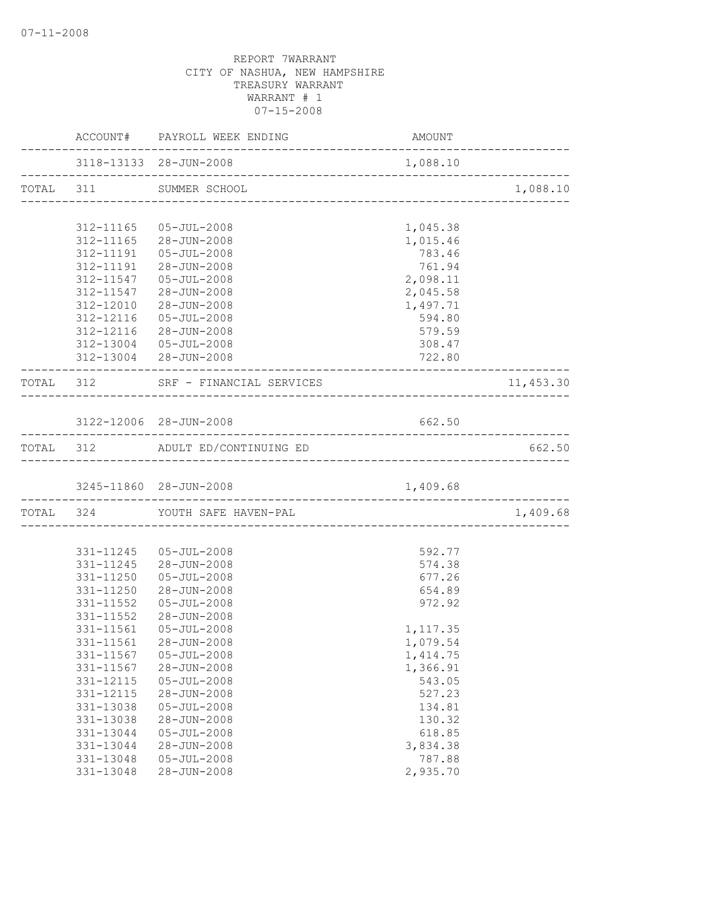|           | ACCOUNT# PAYROLL WEEK ENDING         | <b>AMOUNT</b>        |                   |
|-----------|--------------------------------------|----------------------|-------------------|
|           | 3118-13133 28-JUN-2008               | 1,088.10             | ----------------- |
|           | TOTAL 311 SUMMER SCHOOL              |                      | 1,088.10          |
|           |                                      |                      |                   |
|           | 312-11165  05-JUL-2008               | 1,045.38             |                   |
|           | 312-11165 28-JUN-2008                | 1,015.46             |                   |
|           | 312-11191  05-JUL-2008               | 783.46               |                   |
|           | 312-11191 28-JUN-2008                | 761.94               |                   |
|           | 312-11547  05-JUL-2008               | 2,098.11             |                   |
|           | 312-11547 28-JUN-2008                | 2,045.58             |                   |
|           | 312-12010 28-JUN-2008                | 1,497.71             |                   |
|           | 312-12116  05-JUL-2008               | 594.80               |                   |
|           | 312-12116 28-JUN-2008                | 579.59               |                   |
|           | 312-13004 05-JUL-2008                | 308.47               |                   |
|           | 312-13004 28-JUN-2008                | 722.80               |                   |
|           | TOTAL 312 SRF - FINANCIAL SERVICES   |                      | 11,453.30         |
|           |                                      |                      |                   |
|           | 3122-12006 28-JUN-2008               | 662.50               |                   |
|           | TOTAL 312 ADULT ED/CONTINUING ED     |                      | 662.50            |
|           |                                      |                      |                   |
|           | $3245 - 11860$ $28 - JUN - 2008$     | 1,409.68             |                   |
|           | TOTAL 324 YOUTH SAFE HAVEN-PAL       |                      | 1,409.68          |
|           |                                      |                      |                   |
|           | 331-11245  05-JUL-2008               | 592.77               |                   |
|           | 331-11245 28-JUN-2008                | 574.38               |                   |
|           | 331-11250 05-JUL-2008                | 677.26               |                   |
|           | 331-11250 28-JUN-2008                | 654.89               |                   |
|           | 331-11552 05-JUL-2008                | 972.92               |                   |
| 331-11552 | 28-JUN-2008<br>331-11561 05-JUL-2008 |                      |                   |
|           | $331 - 11561$ $28 - JUN - 2008$      | 1,117.35<br>1,079.54 |                   |
| 331-11567 | $05 - JUL - 2008$                    |                      |                   |
| 331-11567 | 28-JUN-2008                          | 1,414.75<br>1,366.91 |                   |
| 331-12115 | $05 - JUL - 2008$                    | 543.05               |                   |
| 331-12115 | $28 - JUN - 2008$                    | 527.23               |                   |
| 331-13038 | $05 - JUL - 2008$                    | 134.81               |                   |
| 331-13038 | $28 - JUN - 2008$                    | 130.32               |                   |
| 331-13044 | $05 - JUL - 2008$                    | 618.85               |                   |
| 331-13044 | 28-JUN-2008                          | 3,834.38             |                   |
| 331-13048 | $05 - JUL - 2008$                    | 787.88               |                   |
| 331-13048 | 28-JUN-2008                          | 2,935.70             |                   |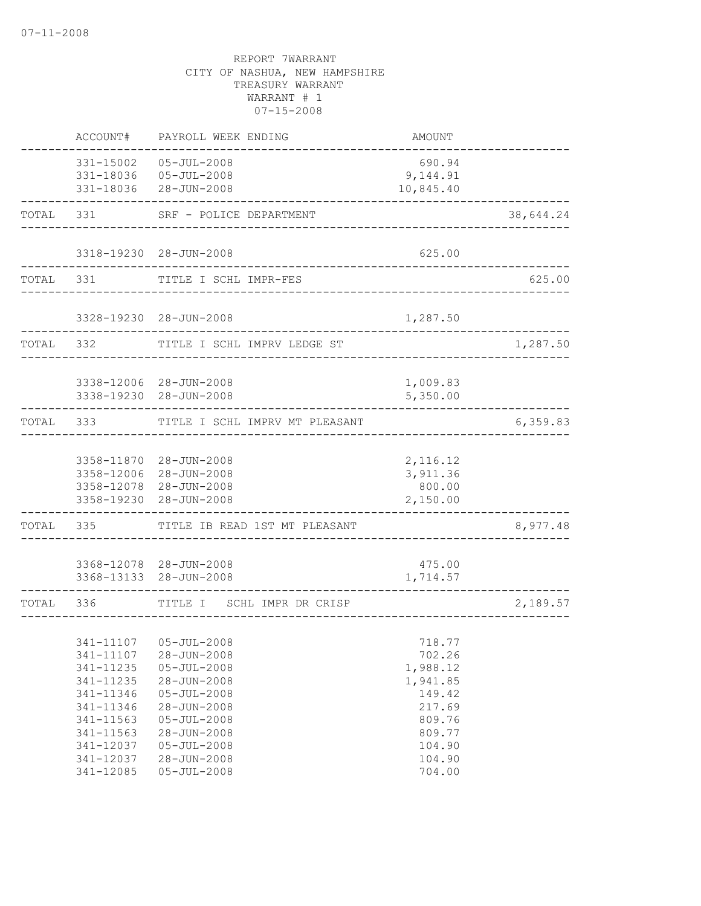|           | ACCOUNT#                                                                                                                       | PAYROLL WEEK ENDING                                                                                                                                                                                        | AMOUNT                                                                                                         |           |
|-----------|--------------------------------------------------------------------------------------------------------------------------------|------------------------------------------------------------------------------------------------------------------------------------------------------------------------------------------------------------|----------------------------------------------------------------------------------------------------------------|-----------|
|           |                                                                                                                                | 331-15002  05-JUL-2008<br>331-18036  05-JUL-2008<br>331-18036 28-JUN-2008                                                                                                                                  | 690.94<br>9,144.91<br>10,845.40                                                                                |           |
| TOTAL     | 331                                                                                                                            | SRF - POLICE DEPARTMENT                                                                                                                                                                                    |                                                                                                                | 38,644.24 |
|           |                                                                                                                                | 3318-19230 28-JUN-2008                                                                                                                                                                                     | 625.00                                                                                                         |           |
|           | TOTAL 331                                                                                                                      | TITLE I SCHL IMPR-FES                                                                                                                                                                                      |                                                                                                                | 625.00    |
|           |                                                                                                                                | 3328-19230 28-JUN-2008                                                                                                                                                                                     | 1,287.50                                                                                                       |           |
| TOTAL 332 |                                                                                                                                | TITLE I SCHL IMPRV LEDGE ST                                                                                                                                                                                |                                                                                                                | 1,287.50  |
|           |                                                                                                                                | 3338-12006 28-JUN-2008<br>3338-19230 28-JUN-2008                                                                                                                                                           | 1,009.83<br>5,350.00                                                                                           |           |
| TOTAL     | 333                                                                                                                            | TITLE I SCHL IMPRV MT PLEASANT                                                                                                                                                                             |                                                                                                                | 6,359.83  |
|           |                                                                                                                                | 3358-11870 28-JUN-2008<br>3358-12006 28-JUN-2008<br>3358-12078 28-JUN-2008<br>3358-19230 28-JUN-2008                                                                                                       | 2, 116.12<br>3,911.36<br>800.00<br>2,150.00                                                                    |           |
| TOTAL     | 335                                                                                                                            | TITLE IB READ 1ST MT PLEASANT                                                                                                                                                                              |                                                                                                                | 8,977.48  |
|           |                                                                                                                                | 3368-12078 28-JUN-2008<br>3368-13133 28-JUN-2008                                                                                                                                                           | 475.00<br>1,714.57                                                                                             |           |
| TOTAL     | 336                                                                                                                            | TITLE I SCHL IMPR DR CRISP                                                                                                                                                                                 |                                                                                                                | 2,189.57  |
|           | 341-11107<br>341-11235<br>341-11235<br>341-11346<br>341-11346<br>341-11563<br>341-11563<br>341-12037<br>341-12037<br>341-12085 | 341-11107  05-JUL-2008<br>28-JUN-2008<br>$05 - JUL - 2008$<br>28-JUN-2008<br>$05 - JUL - 2008$<br>28-JUN-2008<br>$05 - JUL - 2008$<br>28-JUN-2008<br>$05 - JUL - 2008$<br>28-JUN-2008<br>$05 - JUL - 2008$ | 718.77<br>702.26<br>1,988.12<br>1,941.85<br>149.42<br>217.69<br>809.76<br>809.77<br>104.90<br>104.90<br>704.00 |           |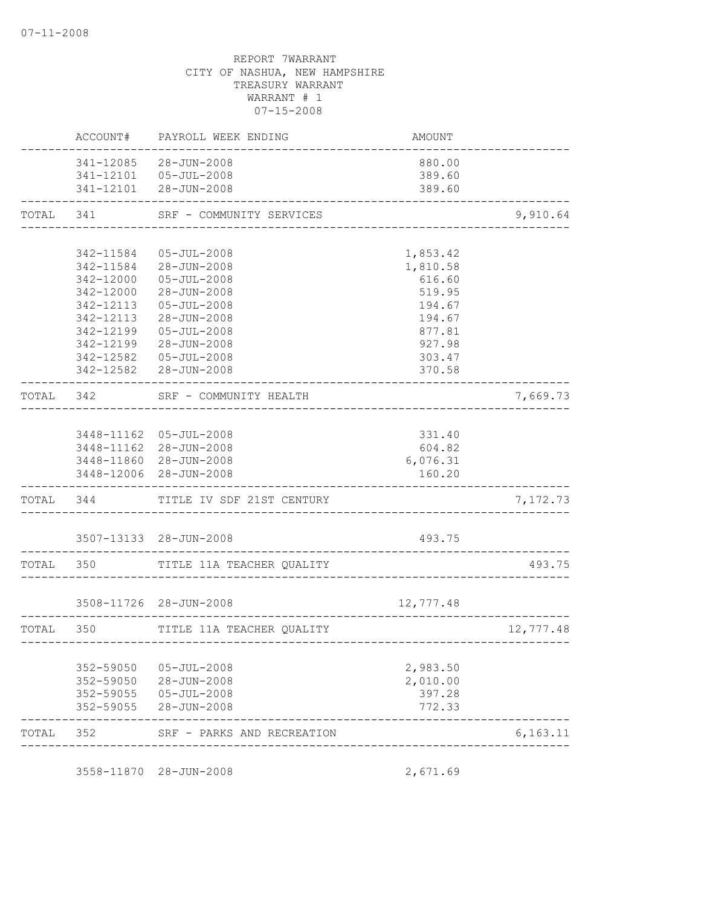|           | ACCOUNT#  | PAYROLL WEEK ENDING                                   | AMOUNT    |           |
|-----------|-----------|-------------------------------------------------------|-----------|-----------|
|           |           | 341-12085 28-JUN-2008                                 | 880.00    |           |
|           |           | 341-12101  05-JUL-2008                                | 389.60    |           |
|           |           | 341-12101 28-JUN-2008                                 | 389.60    |           |
| TOTAL     | 341       | SRF - COMMUNITY SERVICES                              |           | 9,910.64  |
|           |           |                                                       |           |           |
|           | 342-11584 | $05 - JUL - 2008$                                     | 1,853.42  |           |
|           | 342-11584 | 28-JUN-2008                                           | 1,810.58  |           |
|           |           | 342-12000 05-JUL-2008                                 | 616.60    |           |
|           | 342-12000 | 28-JUN-2008                                           | 519.95    |           |
|           |           | 342-12113  05-JUL-2008                                | 194.67    |           |
|           |           | 342-12113 28-JUN-2008                                 | 194.67    |           |
|           | 342-12199 | $05 - JUL - 2008$                                     | 877.81    |           |
|           | 342-12199 | 28-JUN-2008                                           | 927.98    |           |
|           |           | 342-12582  05-JUL-2008                                | 303.47    |           |
|           |           | 342-12582 28-JUN-2008                                 | 370.58    |           |
| TOTAL 342 |           | SRF - COMMUNITY HEALTH<br>___________________________ |           | 7,669.73  |
|           |           |                                                       |           |           |
|           |           | 3448-11162 05-JUL-2008                                | 331.40    |           |
|           |           | 3448-11162 28-JUN-2008                                | 604.82    |           |
|           |           | 3448-11860 28-JUN-2008                                | 6,076.31  |           |
|           |           | 3448-12006 28-JUN-2008                                | 160.20    |           |
|           |           | TOTAL 344 TITLE IV SDF 21ST CENTURY                   |           | 7,172.73  |
|           |           |                                                       |           |           |
|           |           | 3507-13133 28-JUN-2008                                | 493.75    |           |
| TOTAL     | 350       | TITLE 11A TEACHER QUALITY                             |           | 493.75    |
|           |           | 3508-11726 28-JUN-2008                                | 12,777.48 |           |
|           |           |                                                       |           |           |
|           |           | TOTAL 350 TITLE 11A TEACHER QUALITY<br>-----------    |           | 12,777.48 |
|           | 352-59050 | $05 - JUL - 2008$                                     | 2,983.50  |           |
|           | 352-59050 | 28-JUN-2008                                           | 2,010.00  |           |
|           | 352-59055 | $05 - JUL - 2008$                                     | 397.28    |           |
|           | 352-59055 | 28-JUN-2008                                           | 772.33    |           |
|           |           |                                                       |           |           |

3558-11870 28-JUN-2008 2,671.69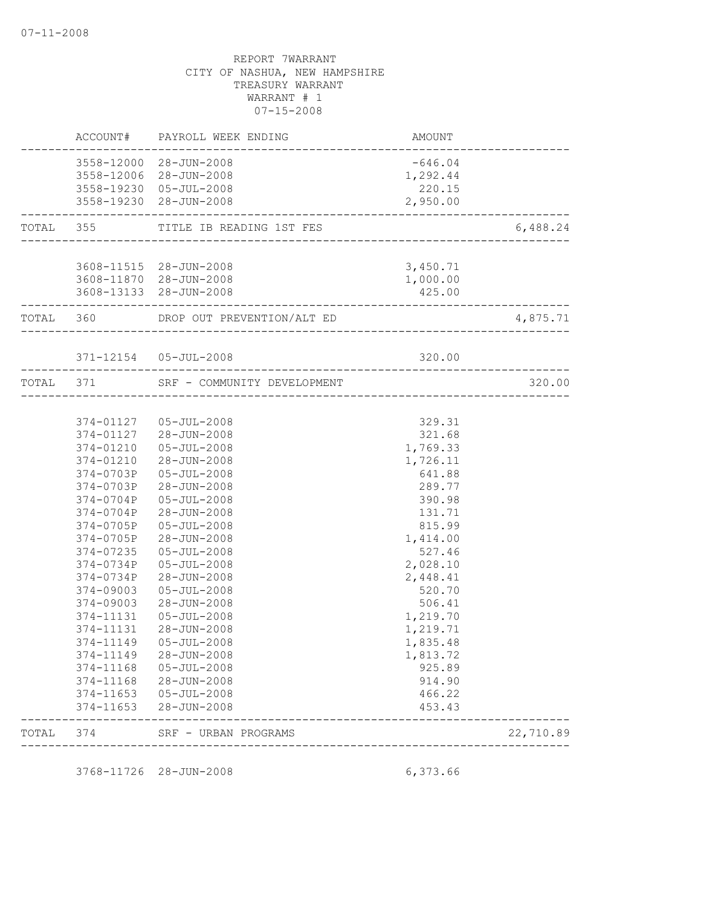|                        | ACCOUNT# PAYROLL WEEK ENDING                     | AMOUNT                                                        |          |
|------------------------|--------------------------------------------------|---------------------------------------------------------------|----------|
|                        | 3558-12000 28-JUN-2008<br>3558-12006 28-JUN-2008 | $-646.04$<br>1,292.44                                         |          |
|                        | 3558-19230 05-JUL-2008<br>3558-19230 28-JUN-2008 | 220.15<br>2,950.00<br>_________________                       |          |
|                        | TOTAL 355 TITLE IB READING 1ST FES               |                                                               | 6,488.24 |
|                        | 3608-11515 28-JUN-2008                           | 3,450.71                                                      |          |
|                        | 3608-11870 28-JUN-2008<br>3608-13133 28-JUN-2008 | 1,000.00<br>425.00                                            |          |
| ------------           | TOTAL 360 DROP OUT PREVENTION/ALT ED             | _____________________________________<br>____________________ | 4,875.71 |
|                        | 371-12154  05-JUL-2008                           | 320.00                                                        |          |
|                        | TOTAL 371 SRF - COMMUNITY DEVELOPMENT            |                                                               | 320.00   |
|                        |                                                  |                                                               |          |
|                        | 374-01127  05-JUL-2008                           | 329.31                                                        |          |
|                        | 374-01127 28-JUN-2008                            | 321.68                                                        |          |
|                        | 374-01210  05-JUL-2008                           | 1,769.33                                                      |          |
|                        | 374-01210 28-JUN-2008                            | 1,726.11                                                      |          |
| 374-0703P              | $05 - JUL - 2008$                                | 641.88                                                        |          |
| 374-0703P              | 28-JUN-2008                                      | 289.77                                                        |          |
| 374-0704P              | $05 - JUL - 2008$                                | 390.98                                                        |          |
| 374-0704P              | 28-JUN-2008                                      | 131.71                                                        |          |
| 374-0705P              | $05 - JUL - 2008$                                | 815.99                                                        |          |
| 374-0705P<br>374-07235 | 28-JUN-2008<br>$05 - JUL - 2008$                 | 1,414.00<br>527.46                                            |          |
| 374-0734P              | $05 - JUL - 2008$                                | 2,028.10                                                      |          |
| 374-0734P              | 28-JUN-2008                                      | 2,448.41                                                      |          |
| 374-09003              | $05 - JUL - 2008$                                | 520.70                                                        |          |
| 374-09003              | 28-JUN-2008                                      | 506.41                                                        |          |
| 374-11131              | $05 - JUL - 2008$                                | 1,219.70                                                      |          |
| 374-11131              | 28-JUN-2008                                      | 1,219.71                                                      |          |
| 374-11149              | $05 - JUL - 2008$                                | 1,835.48                                                      |          |
| 374-11149              | 28-JUN-2008                                      | 1,813.72                                                      |          |
| 374-11168              | $05 - JUL - 2008$                                | 925.89                                                        |          |
| 374-11168              | 28-JUN-2008                                      | 914.90                                                        |          |
| 374-11653              | $05 - JUL - 2008$                                | 466.22                                                        |          |
| 374-11653              | $28 - JUN - 2008$                                | 453.43                                                        |          |
|                        |                                                  |                                                               |          |

3768-11726 28-JUN-2008 6,373.66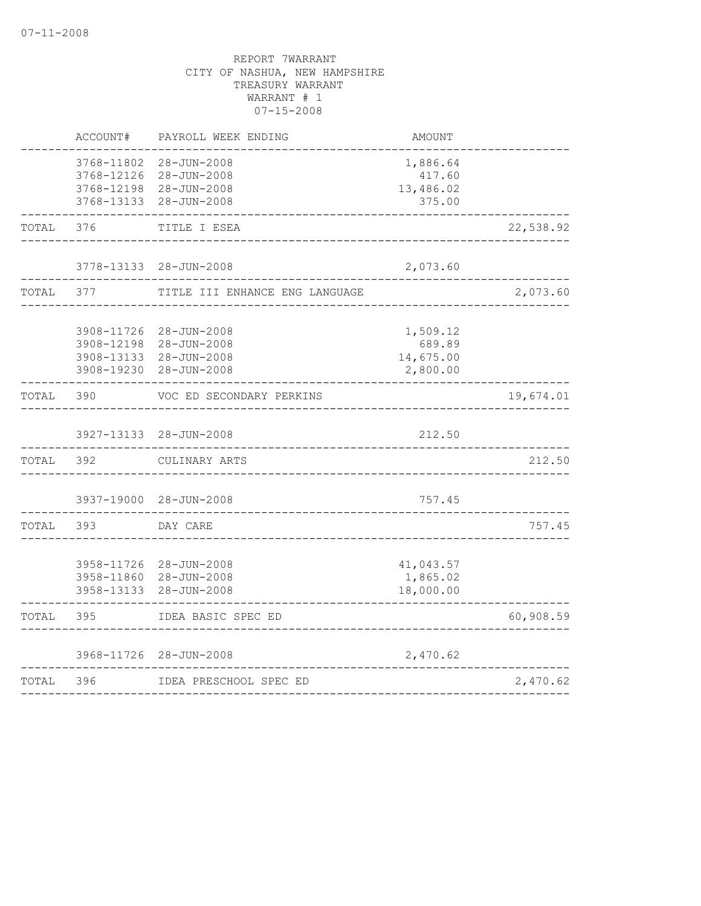|       | ACCOUNT#                                             | PAYROLL WEEK ENDING                                      | AMOUNT                                      |           |
|-------|------------------------------------------------------|----------------------------------------------------------|---------------------------------------------|-----------|
|       | 3768-11802<br>3768-12126<br>3768-12198<br>3768-13133 | 28-JUN-2008<br>28-JUN-2008<br>28-JUN-2008<br>28-JUN-2008 | 1,886.64<br>417.60<br>13,486.02<br>375.00   |           |
| TOTAL | 376                                                  | TITLE I ESEA                                             |                                             | 22,538.92 |
|       | 3778-13133                                           | 28-JUN-2008                                              | 2,073.60                                    |           |
| TOTAL | 377                                                  | TITLE III ENHANCE ENG LANGUAGE                           |                                             | 2,073.60  |
|       | 3908-11726<br>3908-12198<br>3908-13133<br>3908-19230 | 28-JUN-2008<br>28-JUN-2008<br>28-JUN-2008<br>28-JUN-2008 | 1,509.12<br>689.89<br>14,675.00<br>2,800.00 |           |
| TOTAL | 390                                                  | VOC ED SECONDARY PERKINS                                 |                                             | 19,674.01 |
|       | 3927-13133                                           | 28-JUN-2008                                              | 212.50                                      |           |
| TOTAL | 392                                                  | CULINARY ARTS                                            |                                             | 212.50    |
|       | 3937-19000                                           | 28-JUN-2008                                              | 757.45                                      |           |
| TOTAL | 393                                                  | DAY CARE                                                 |                                             | 757.45    |
|       | 3958-11726<br>3958-11860<br>3958-13133               | 28-JUN-2008<br>28-JUN-2008<br>28-JUN-2008                | 41,043.57<br>1,865.02<br>18,000.00          |           |
| TOTAL | 395                                                  | IDEA BASIC SPEC ED                                       |                                             | 60,908.59 |
|       | 3968-11726                                           | 28-JUN-2008                                              | 2,470.62                                    |           |
| TOTAL | 396                                                  | IDEA PRESCHOOL SPEC ED                                   |                                             | 2,470.62  |
|       |                                                      |                                                          |                                             |           |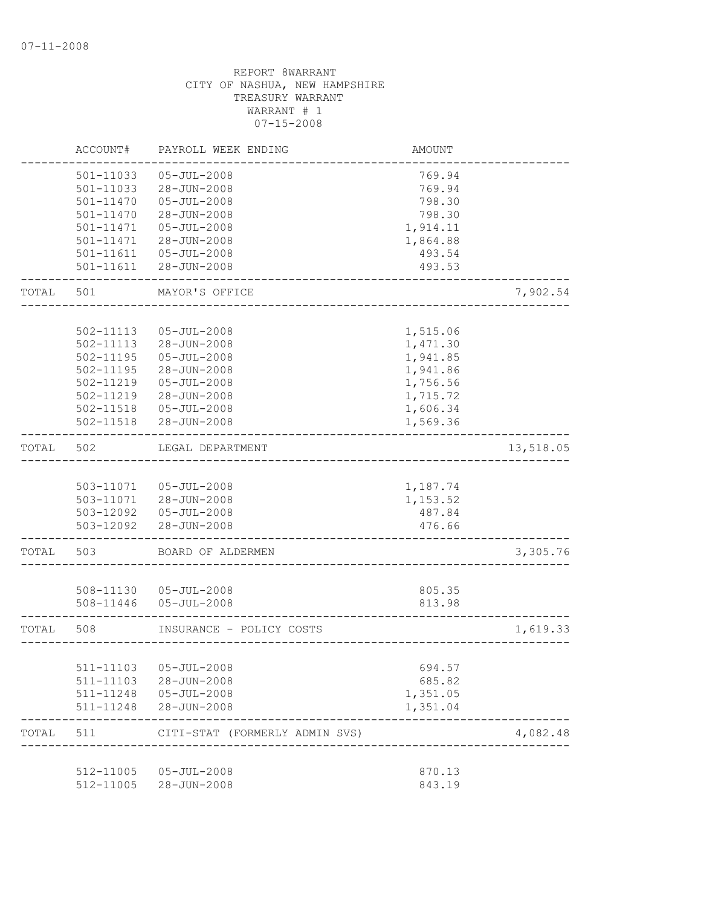|       | ACCOUNT#               | PAYROLL WEEK ENDING                             | <b>AMOUNT</b>        |           |
|-------|------------------------|-------------------------------------------------|----------------------|-----------|
|       | 501-11033              | $05 - JUL - 2008$                               | 769.94               |           |
|       | 501-11033              | 28-JUN-2008                                     | 769.94               |           |
|       | 501-11470              | $05 - JUL - 2008$                               | 798.30               |           |
|       | 501-11470              | 28-JUN-2008                                     | 798.30               |           |
|       | 501-11471              | $05 - JUL - 2008$                               | 1,914.11             |           |
|       | 501-11471              | 28-JUN-2008                                     | 1,864.88             |           |
|       | $501 - 11611$          | $05 - JUL - 2008$                               | 493.54               |           |
|       | 501-11611              | $28 - JUN - 2008$                               | 493.53               |           |
| TOTAL | 501                    | MAYOR'S OFFICE                                  |                      | 7,902.54  |
|       |                        |                                                 |                      |           |
|       | 502-11113              | $05 - JUL - 2008$                               | 1,515.06             |           |
|       | 502-11113              | $28 - JUN - 2008$                               | 1,471.30             |           |
|       | 502-11195              | $05 - JUL - 2008$                               | 1,941.85             |           |
|       | 502-11195              | 28-JUN-2008                                     | 1,941.86             |           |
|       | 502-11219              | $05 - JUL - 2008$                               | 1,756.56             |           |
|       | 502-11219              | $28 - JUN - 2008$                               | 1,715.72             |           |
|       | 502-11518              | $05 - JUL - 2008$                               | 1,606.34             |           |
|       | 502-11518              | 28-JUN-2008                                     | 1,569.36             |           |
| TOTAL | 502                    | LEGAL DEPARTMENT                                |                      | 13,518.05 |
|       |                        |                                                 |                      |           |
|       |                        | 503-11071  05-JUL-2008                          | 1,187.74             |           |
|       |                        | 503-11071 28-JUN-2008<br>503-12092  05-JUL-2008 | 1,153.52<br>487.84   |           |
|       | 503-12092              | 28-JUN-2008                                     | 476.66               |           |
| TOTAL | 503                    | BOARD OF ALDERMEN                               |                      | 3,305.76  |
|       |                        |                                                 |                      |           |
|       |                        | 508-11130 05-JUL-2008                           | 805.35               |           |
|       | 508-11446              | $05 - JUL - 2008$                               | 813.98               |           |
| TOTAL | 508                    | INSURANCE - POLICY COSTS                        |                      | 1,619.33  |
|       |                        |                                                 | ____________________ |           |
|       | 511-11103              | $05 - JUL - 2008$                               | 694.57               |           |
|       | 511-11103              | 28-JUN-2008                                     | 685.82               |           |
|       | 511-11248              | $05 - JUL - 2008$                               | 1,351.05             |           |
|       | 511-11248              | 28-JUN-2008                                     | 1,351.04             |           |
| TOTAL | 511                    | CITI-STAT (FORMERLY ADMIN SVS)                  |                      | 4,082.48  |
|       |                        |                                                 |                      |           |
|       | 512-11005<br>512-11005 | $05 - JUL - 2008$<br>28-JUN-2008                | 870.13<br>843.19     |           |
|       |                        |                                                 |                      |           |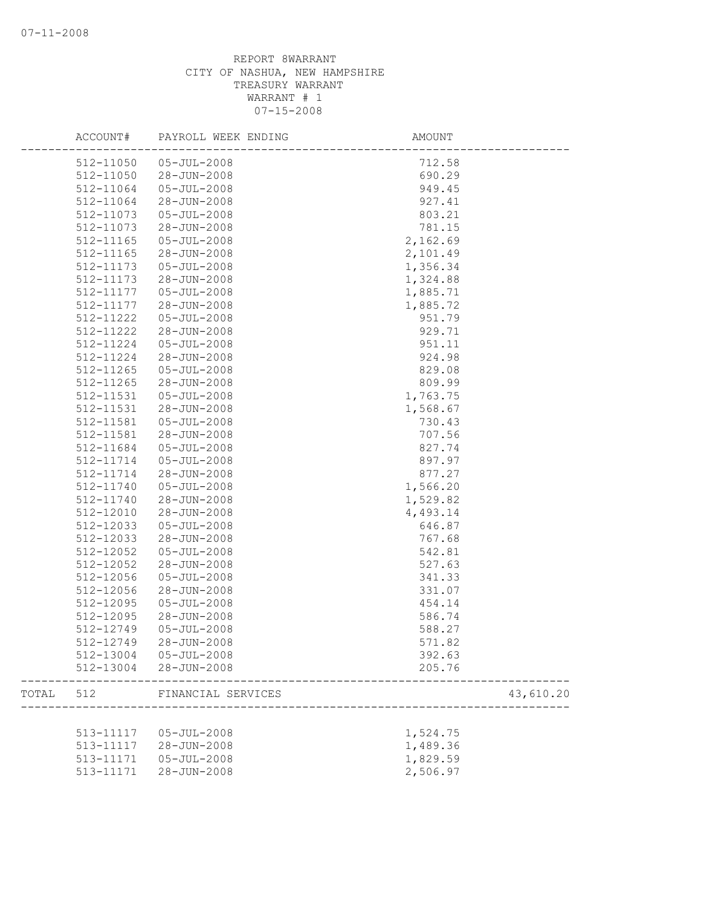|       | ACCOUNT#  | PAYROLL WEEK ENDING | AMOUNT    |
|-------|-----------|---------------------|-----------|
|       | 512-11050 | $05 - JUL - 2008$   | 712.58    |
|       | 512-11050 | 28-JUN-2008         | 690.29    |
|       | 512-11064 | $05 - JUL - 2008$   | 949.45    |
|       | 512-11064 | 28-JUN-2008         | 927.41    |
|       | 512-11073 | $05 - JUL - 2008$   | 803.21    |
|       | 512-11073 | 28-JUN-2008         | 781.15    |
|       | 512-11165 | $05 - JUL - 2008$   | 2,162.69  |
|       | 512-11165 | 28-JUN-2008         | 2,101.49  |
|       | 512-11173 | $05 - JUL - 2008$   | 1,356.34  |
|       | 512-11173 | 28-JUN-2008         | 1,324.88  |
|       | 512-11177 | $05 - JUL - 2008$   | 1,885.71  |
|       | 512-11177 | 28-JUN-2008         | 1,885.72  |
|       | 512-11222 | $05 - JUL - 2008$   | 951.79    |
|       | 512-11222 | 28-JUN-2008         | 929.71    |
|       | 512-11224 | $05 - JUL - 2008$   | 951.11    |
|       | 512-11224 | 28-JUN-2008         | 924.98    |
|       | 512-11265 | $05 - JUL - 2008$   | 829.08    |
|       | 512-11265 | 28-JUN-2008         | 809.99    |
|       | 512-11531 | $05 - JUL - 2008$   | 1,763.75  |
|       | 512-11531 | 28-JUN-2008         | 1,568.67  |
|       | 512-11581 | $05 - JUL - 2008$   | 730.43    |
|       | 512-11581 | 28-JUN-2008         | 707.56    |
|       | 512-11684 | $05 - JUL - 2008$   | 827.74    |
|       | 512-11714 | $05 - JUL - 2008$   | 897.97    |
|       | 512-11714 | 28-JUN-2008         | 877.27    |
|       | 512-11740 | $05 - JUL - 2008$   | 1,566.20  |
|       | 512-11740 | 28-JUN-2008         | 1,529.82  |
|       | 512-12010 | 28-JUN-2008         | 4,493.14  |
|       | 512-12033 | $05 - JUL - 2008$   | 646.87    |
|       | 512-12033 | 28-JUN-2008         | 767.68    |
|       | 512-12052 | $05 - JUL - 2008$   | 542.81    |
|       | 512-12052 | 28-JUN-2008         | 527.63    |
|       | 512-12056 | $05 - JUL - 2008$   | 341.33    |
|       | 512-12056 | 28-JUN-2008         | 331.07    |
|       | 512-12095 | $05 - JUL - 2008$   | 454.14    |
|       | 512-12095 | 28-JUN-2008         | 586.74    |
|       | 512-12749 | $05 - JUL - 2008$   | 588.27    |
|       | 512-12749 | 28-JUN-2008         | 571.82    |
|       | 512-13004 | $05 - JUL - 2008$   | 392.63    |
|       | 512-13004 | $28 - JUN - 2008$   | 205.76    |
| TOTAL | 512       | FINANCIAL SERVICES  | 43,610.20 |
|       |           |                     |           |
|       | 513-11117 | $05 - JUL - 2008$   | 1,524.75  |
|       | 513-11117 | 28-JUN-2008         | 1,489.36  |
|       | 513-11171 | $05 - JUL - 2008$   | 1,829.59  |
|       | 513-11171 | 28-JUN-2008         | 2,506.97  |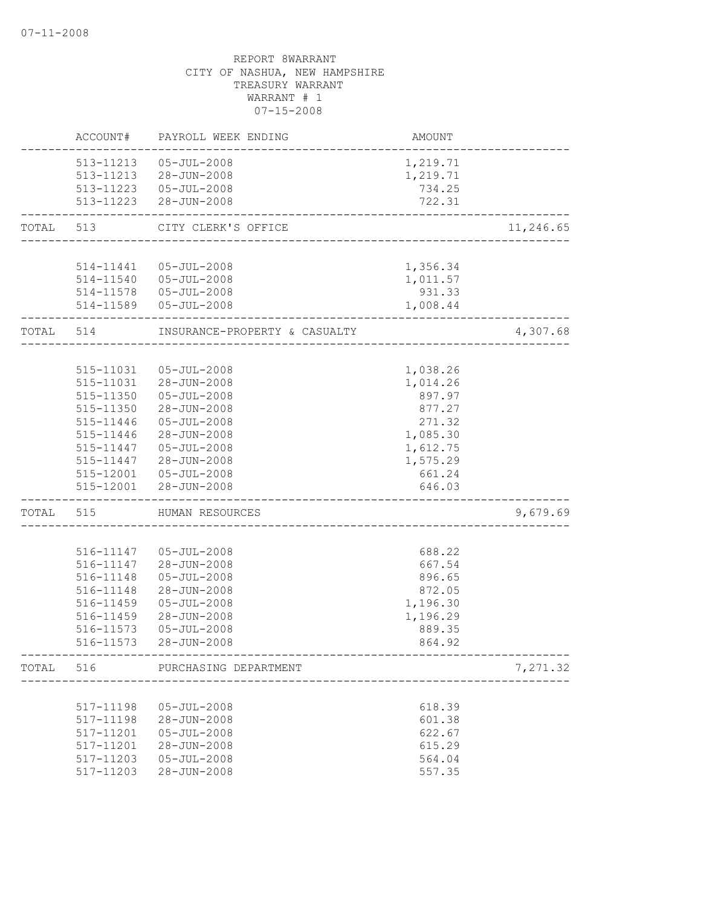|           | ACCOUNT#               | PAYROLL WEEK ENDING                              | AMOUNT               |           |
|-----------|------------------------|--------------------------------------------------|----------------------|-----------|
|           |                        | 513-11213  05-JUL-2008<br>513-11213 28-JUN-2008  | 1,219.71<br>1,219.71 |           |
|           |                        | 513-11223  05-JUL-2008<br>513-11223 28-JUN-2008  | 734.25<br>722.31     |           |
| TOTAL     | 513                    | CITY CLERK'S OFFICE                              |                      | 11,246.65 |
|           |                        | 514-11441  05-JUL-2008                           | 1,356.34             |           |
|           |                        | 514-11540  05-JUL-2008<br>514-11578  05-JUL-2008 | 1,011.57<br>931.33   |           |
|           |                        | 514-11589  05-JUL-2008                           | 1,008.44             |           |
| TOTAL 514 |                        | INSURANCE-PROPERTY & CASUALTY                    |                      | 4,307.68  |
|           | 515-11031              | $05 - JUL - 2008$                                | 1,038.26             |           |
|           |                        | 515-11031 28-JUN-2008                            | 1,014.26             |           |
|           |                        | 515-11350 05-JUL-2008                            | 897.97               |           |
|           | 515-11446              | 515-11350 28-JUN-2008<br>$05 - JUL - 2008$       | 877.27<br>271.32     |           |
|           | 515-11446              | 28-JUN-2008                                      | 1,085.30             |           |
|           | 515-11447              | 05-JUL-2008                                      | 1,612.75             |           |
|           | 515-11447              | 28-JUN-2008                                      | 1,575.29             |           |
|           |                        | 515-12001  05-JUL-2008                           | 661.24               |           |
|           |                        | 515-12001 28-JUN-2008                            | 646.03               |           |
| TOTAL     | 515                    | HUMAN RESOURCES                                  |                      | 9,679.69  |
|           |                        | 516-11147  05-JUL-2008                           | 688.22               |           |
|           | 516-11147              | 28-JUN-2008                                      | 667.54               |           |
|           | 516-11148              | $05 - JUL - 2008$                                | 896.65               |           |
|           | 516-11148              | 28-JUN-2008                                      | 872.05               |           |
|           | 516-11459              | $05 - JUL - 2008$                                | 1,196.30             |           |
|           | 516-11459              | 28-JUN-2008                                      | 1,196.29             |           |
|           | 516-11573<br>516-11573 | $05 - JUL - 2008$<br>28-JUN-2008                 | 889.35<br>864.92     |           |
| TOTAL     | 516                    | PURCHASING DEPARTMENT                            |                      | 7,271.32  |
|           |                        | <u>. List is de la de la de la de</u>            |                      |           |
|           | 517-11198              | $05 - JUL - 2008$                                | 618.39               |           |
|           | 517-11198              | 28-JUN-2008                                      | 601.38               |           |
|           | 517-11201              | $05 - JUL - 2008$                                | 622.67               |           |
|           | 517-11201<br>517-11203 | 28-JUN-2008                                      | 615.29               |           |
|           | 517-11203              | $05 - JUL - 2008$<br>28-JUN-2008                 | 564.04<br>557.35     |           |
|           |                        |                                                  |                      |           |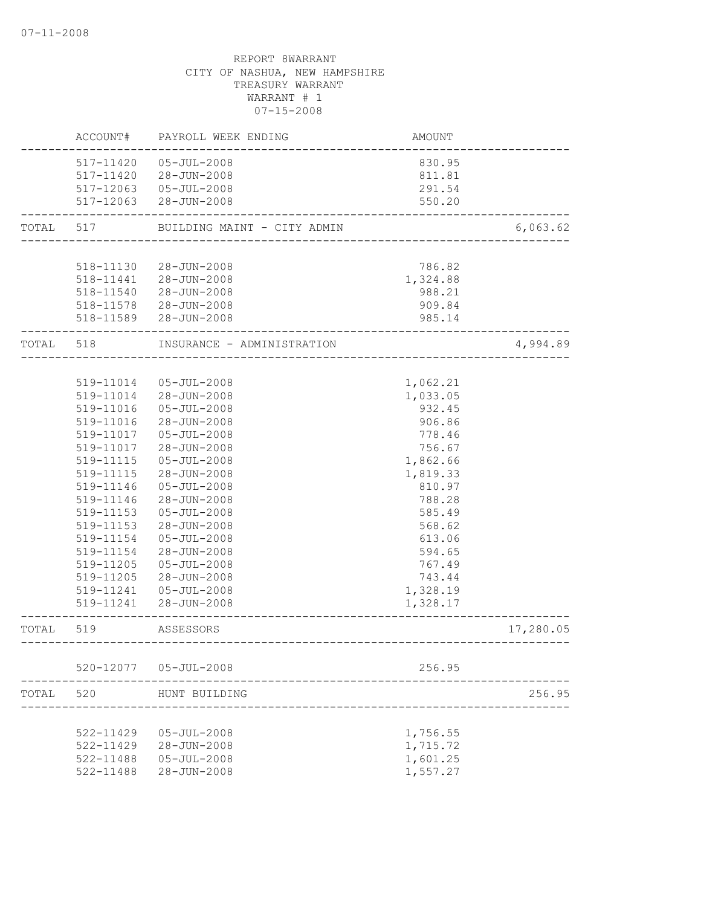|           | ACCOUNT#  | PAYROLL WEEK ENDING         | AMOUNT   |           |
|-----------|-----------|-----------------------------|----------|-----------|
|           |           | 517-11420  05-JUL-2008      | 830.95   |           |
|           |           | 517-11420 28-JUN-2008       | 811.81   |           |
|           |           | 517-12063  05-JUL-2008      | 291.54   |           |
|           |           | 517-12063 28-JUN-2008       | 550.20   |           |
| TOTAL     | 517       | BUILDING MAINT - CITY ADMIN |          | 6,063.62  |
|           |           |                             |          |           |
|           | 518-11130 | 28-JUN-2008                 | 786.82   |           |
|           |           | 518-11441 28-JUN-2008       | 1,324.88 |           |
|           |           | 518-11540 28-JUN-2008       | 988.21   |           |
|           |           | 518-11578 28-JUN-2008       | 909.84   |           |
|           |           | 518-11589 28-JUN-2008       | 985.14   |           |
| TOTAL 518 |           | INSURANCE - ADMINISTRATION  |          | 4,994.89  |
|           |           |                             |          |           |
|           | 519-11014 | 05-JUL-2008                 | 1,062.21 |           |
|           |           | 519-11014 28-JUN-2008       | 1,033.05 |           |
|           | 519-11016 | $05 - JUL - 2008$           | 932.45   |           |
|           | 519-11016 | 28-JUN-2008                 | 906.86   |           |
|           | 519-11017 | 05-JUL-2008                 | 778.46   |           |
|           | 519-11017 | 28-JUN-2008                 | 756.67   |           |
|           | 519-11115 | $05 - JUL - 2008$           | 1,862.66 |           |
|           | 519-11115 | 28-JUN-2008                 | 1,819.33 |           |
|           | 519-11146 | $05 - JUL - 2008$           | 810.97   |           |
|           | 519-11146 | $28 - JUN - 2008$           | 788.28   |           |
|           | 519-11153 | $05 - JUL - 2008$           | 585.49   |           |
|           | 519-11153 | 28-JUN-2008                 | 568.62   |           |
|           | 519-11154 | $05 - JUL - 2008$           | 613.06   |           |
|           | 519-11154 | 28-JUN-2008                 | 594.65   |           |
|           | 519-11205 | $05 - JUL - 2008$           | 767.49   |           |
|           | 519-11205 | 28-JUN-2008                 | 743.44   |           |
|           | 519-11241 | $05 - JUL - 2008$           | 1,328.19 |           |
|           | 519-11241 | 28-JUN-2008                 | 1,328.17 |           |
| TOTAL     | 519       | ASSESSORS                   |          | 17,280.05 |
|           |           |                             |          |           |
|           |           | 520-12077  05-JUL-2008      | 256.95   |           |
| TOTAL     | 520       | HUNT BUILDING               |          | 256.95    |
|           |           |                             |          |           |
|           | 522-11429 | $05 - JUL - 2008$           | 1,756.55 |           |
|           | 522-11429 | 28-JUN-2008                 | 1,715.72 |           |
|           | 522-11488 | $05 - JUL - 2008$           | 1,601.25 |           |
|           | 522-11488 | 28-JUN-2008                 | 1,557.27 |           |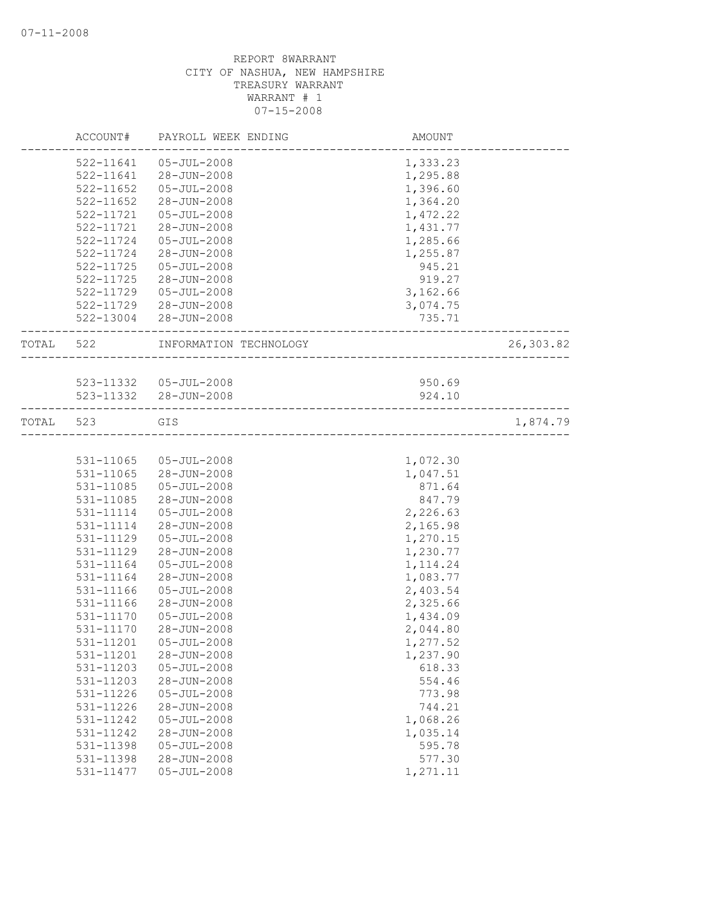|       | ACCOUNT#      | PAYROLL WEEK ENDING    | AMOUNT    |           |
|-------|---------------|------------------------|-----------|-----------|
|       | 522-11641     | $05 - JUL - 2008$      | 1,333.23  |           |
|       | 522-11641     | 28-JUN-2008            | 1,295.88  |           |
|       | 522-11652     | $05 - JUL - 2008$      | 1,396.60  |           |
|       | 522-11652     | 28-JUN-2008            | 1,364.20  |           |
|       | 522-11721     | $05 - JUL - 2008$      | 1,472.22  |           |
|       | 522-11721     | 28-JUN-2008            | 1,431.77  |           |
|       | 522-11724     | $05 - JUL - 2008$      | 1,285.66  |           |
|       | 522-11724     | 28-JUN-2008            | 1,255.87  |           |
|       | $522 - 11725$ | $05 - JUL - 2008$      | 945.21    |           |
|       | 522-11725     | 28-JUN-2008            | 919.27    |           |
|       | 522-11729     | $05 - JUL - 2008$      | 3,162.66  |           |
|       | 522-11729     | 28-JUN-2008            | 3,074.75  |           |
|       |               | 522-13004 28-JUN-2008  | 735.71    |           |
| TOTAL | 522           | INFORMATION TECHNOLOGY |           | 26,303.82 |
|       |               |                        |           |           |
|       |               | 523-11332  05-JUL-2008 | 950.69    |           |
|       |               | 523-11332 28-JUN-2008  | 924.10    |           |
| TOTAL | 523           | GIS                    |           | 1,874.79  |
|       |               |                        |           |           |
|       | 531-11065     | 05-JUL-2008            | 1,072.30  |           |
|       | 531-11065     | 28-JUN-2008            | 1,047.51  |           |
|       | 531-11085     | $05 - JUL - 2008$      | 871.64    |           |
|       | 531-11085     | 28-JUN-2008            | 847.79    |           |
|       | 531-11114     | $05 - JUL - 2008$      | 2,226.63  |           |
|       | 531-11114     | 28-JUN-2008            | 2,165.98  |           |
|       | 531-11129     | $05 - JUL - 2008$      | 1,270.15  |           |
|       | 531-11129     | 28-JUN-2008            | 1,230.77  |           |
|       | 531-11164     | $05 - JUL - 2008$      | 1, 114.24 |           |
|       | 531-11164     | 28-JUN-2008            | 1,083.77  |           |
|       | 531-11166     | $05 - JUL - 2008$      | 2,403.54  |           |
|       | 531-11166     | 28-JUN-2008            | 2,325.66  |           |
|       | $531 - 11170$ | $05 - JUL - 2008$      | 1,434.09  |           |
|       | 531-11170     | 28-JUN-2008            | 2,044.80  |           |
|       | 531-11201     | $05 - JUL - 2008$      | 1,277.52  |           |
|       | 531-11201     | 28-JUN-2008            | 1,237.90  |           |
|       | 531-11203     | $05 - JUL - 2008$      | 618.33    |           |
|       | 531-11203     | 28-JUN-2008            | 554.46    |           |
|       | 531-11226     | $05 - JUL - 2008$      | 773.98    |           |
|       | 531-11226     | 28-JUN-2008            | 744.21    |           |
|       | 531-11242     | $05 - JUL - 2008$      | 1,068.26  |           |
|       | 531-11242     | 28-JUN-2008            | 1,035.14  |           |
|       | 531-11398     | $05 - JUL - 2008$      | 595.78    |           |
|       | 531-11398     | 28-JUN-2008            | 577.30    |           |
|       | 531-11477     | $05 - JUL - 2008$      | 1,271.11  |           |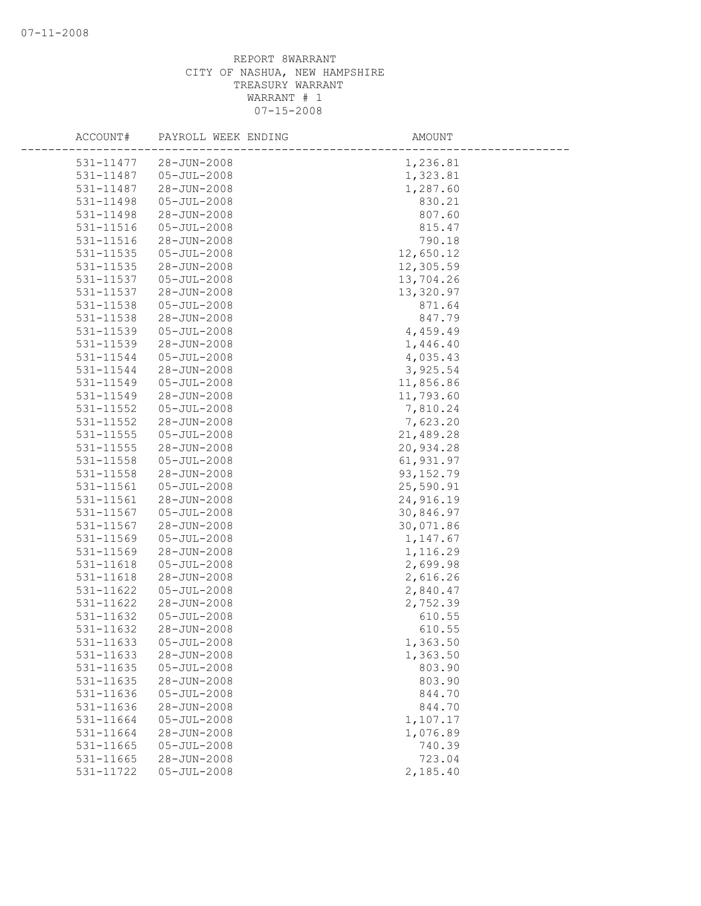| ACCOUNT#                   | PAYROLL WEEK ENDING                    | AMOUNT               |
|----------------------------|----------------------------------------|----------------------|
| 531-11477                  | 28-JUN-2008                            | 1,236.81             |
| 531-11487                  | $05 - JUL - 2008$                      | 1,323.81             |
| 531-11487                  | 28-JUN-2008                            | 1,287.60             |
| 531-11498                  | $05 - JUL - 2008$                      | 830.21               |
| 531-11498                  | 28-JUN-2008                            | 807.60               |
| 531-11516                  | $05 - JUL - 2008$                      | 815.47               |
| 531-11516                  | 28-JUN-2008                            | 790.18               |
| 531-11535                  | $05 - JUL - 2008$                      | 12,650.12            |
| 531-11535                  | 28-JUN-2008                            | 12,305.59            |
| 531-11537                  | 05-JUL-2008                            | 13,704.26            |
| 531-11537                  | 28-JUN-2008                            | 13,320.97            |
| 531-11538                  | $05 - JUL - 2008$                      | 871.64               |
| 531-11538                  | 28-JUN-2008                            | 847.79               |
| 531-11539                  | $05 - JUL - 2008$                      | 4,459.49             |
| 531-11539                  | 28-JUN-2008                            | 1,446.40             |
| 531-11544                  | $05 - JUL - 2008$                      | 4,035.43             |
| 531-11544                  | 28-JUN-2008                            | 3,925.54             |
| 531-11549                  | $05 - JUL - 2008$                      | 11,856.86            |
| 531-11549                  | 28-JUN-2008                            | 11,793.60            |
| 531-11552                  | $05 - JUL - 2008$                      | 7,810.24             |
|                            | 28-JUN-2008                            | 7,623.20             |
| 531-11552<br>$531 - 11555$ | $05 - JUL - 2008$                      | 21,489.28            |
| 531-11555                  | 28-JUN-2008                            | 20,934.28            |
| 531-11558                  | $05 - JUL - 2008$                      | 61,931.97            |
| 531-11558                  | 28-JUN-2008                            | 93, 152.79           |
| 531-11561                  | $05 - JUL - 2008$                      | 25,590.91            |
| 531-11561                  |                                        |                      |
|                            | 28-JUN-2008                            | 24,916.19            |
| 531-11567<br>531-11567     | $05 - JUL - 2008$<br>28-JUN-2008       | 30,846.97            |
|                            | $05 - JUL - 2008$                      | 30,071.86            |
| 531-11569                  | 28-JUN-2008                            | 1,147.67             |
| 531-11569<br>531-11618     | $05 - JUL - 2008$                      | 1,116.29<br>2,699.98 |
| 531-11618                  | 28-JUN-2008                            | 2,616.26             |
|                            |                                        | 2,840.47             |
| 531-11622<br>531-11622     | $05 - JUL - 2008$<br>$28 - JUN - 2008$ | 2,752.39             |
| 531-11632                  | $05 - JUL - 2008$                      | 610.55               |
| 531-11632                  | 28-JUN-2008                            |                      |
|                            | $05 - JUL - 2008$                      | 610.55               |
| 531-11633                  |                                        | 1,363.50             |
| 531-11633                  | 28-JUN-2008<br>$05 - JUL - 2008$       | 1,363.50             |
| 531-11635                  |                                        | 803.90               |
| 531-11635                  | 28-JUN-2008<br>$05 - JUL - 2008$       | 803.90               |
| 531-11636                  |                                        | 844.70               |
| 531-11636                  | 28-JUN-2008<br>$05 - JUL - 2008$       | 844.70               |
| 531-11664                  |                                        | 1,107.17             |
| 531-11664                  | 28-JUN-2008<br>$05 - JUL - 2008$       | 1,076.89             |
| 531-11665                  |                                        | 740.39               |
| 531-11665                  | 28-JUN-2008                            | 723.04               |
| 531-11722                  | $05 - JUL - 2008$                      | 2,185.40             |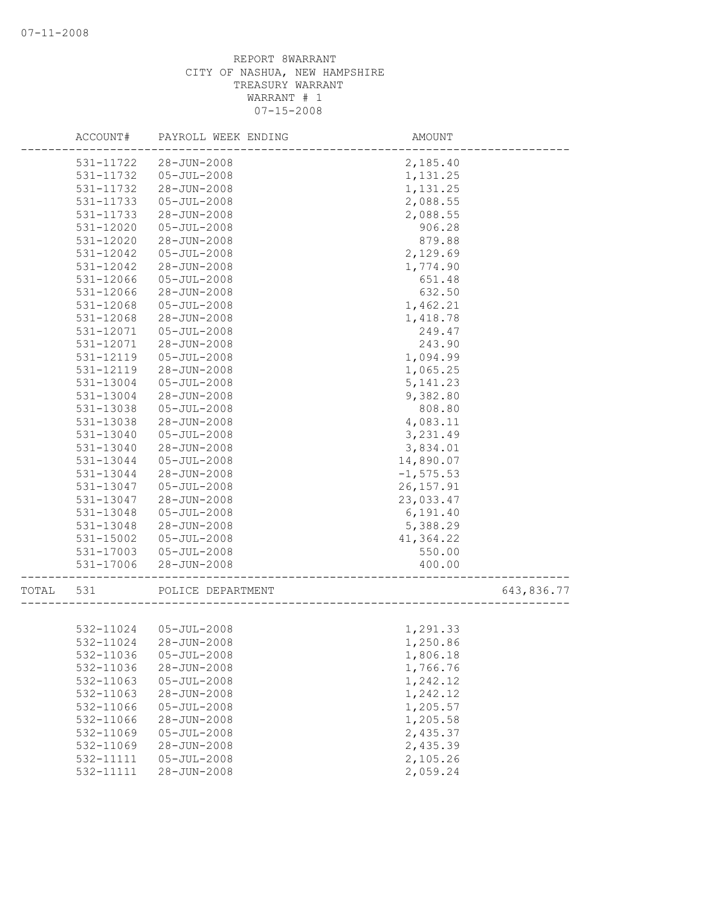|       | ACCOUNT#  | PAYROLL WEEK ENDING | AMOUNT       |  |
|-------|-----------|---------------------|--------------|--|
|       | 531-11722 | 28-JUN-2008         | 2,185.40     |  |
|       | 531-11732 | $05 - JUL - 2008$   | 1,131.25     |  |
|       | 531-11732 | 28-JUN-2008         | 1,131.25     |  |
|       | 531-11733 | $05 - JUL - 2008$   | 2,088.55     |  |
|       | 531-11733 | 28-JUN-2008         | 2,088.55     |  |
|       | 531-12020 | $05 - JUL - 2008$   | 906.28       |  |
|       | 531-12020 | 28-JUN-2008         | 879.88       |  |
|       | 531-12042 | $05 - JUL - 2008$   | 2,129.69     |  |
|       | 531-12042 | 28-JUN-2008         | 1,774.90     |  |
|       | 531-12066 | $05 - JUL - 2008$   | 651.48       |  |
|       | 531-12066 | 28-JUN-2008         | 632.50       |  |
|       | 531-12068 | $05 - JUL - 2008$   | 1,462.21     |  |
|       | 531-12068 | $28 - JUN - 2008$   | 1,418.78     |  |
|       | 531-12071 | $05 - JUL - 2008$   | 249.47       |  |
|       | 531-12071 | 28-JUN-2008         | 243.90       |  |
|       | 531-12119 | $05 - JUL - 2008$   | 1,094.99     |  |
|       | 531-12119 | 28-JUN-2008         | 1,065.25     |  |
|       | 531-13004 | $05 - JUL - 2008$   | 5, 141.23    |  |
|       | 531-13004 | 28-JUN-2008         | 9,382.80     |  |
|       | 531-13038 | $05 - JUL - 2008$   | 808.80       |  |
|       | 531-13038 | 28-JUN-2008         | 4,083.11     |  |
|       | 531-13040 | $05 - JUL - 2008$   | 3,231.49     |  |
|       | 531-13040 | 28-JUN-2008         | 3,834.01     |  |
|       | 531-13044 | $05 - JUL - 2008$   | 14,890.07    |  |
|       | 531-13044 | 28-JUN-2008         | $-1, 575.53$ |  |
|       | 531-13047 | $05 - JUL - 2008$   | 26, 157.91   |  |
|       | 531-13047 | 28-JUN-2008         | 23,033.47    |  |
|       | 531-13048 | $05 - JUL - 2008$   | 6,191.40     |  |
|       | 531-13048 | 28-JUN-2008         | 5,388.29     |  |
|       | 531-15002 | $05 - JUL - 2008$   | 41,364.22    |  |
|       | 531-17003 | $05 - JUL - 2008$   | 550.00       |  |
|       | 531-17006 | $28 - JUN - 2008$   | 400.00       |  |
| TOTAL | 531       | POLICE DEPARTMENT   | 643,836.77   |  |
|       |           |                     |              |  |
|       | 532-11024 | $05 - JUL - 2008$   | 1,291.33     |  |
|       | 532-11024 | $28 - JUN - 2008$   | 1,250.86     |  |
|       | 532-11036 | $05 - JUL - 2008$   | 1,806.18     |  |
|       | 532-11036 | 28-JUN-2008         | 1,766.76     |  |
|       | 532-11063 | $05 - JUL - 2008$   | 1,242.12     |  |
|       | 532-11063 | 28-JUN-2008         | 1,242.12     |  |
|       | 532-11066 | $05 - JUL - 2008$   | 1,205.57     |  |
|       | 532-11066 | 28-JUN-2008         | 1,205.58     |  |
|       | 532-11069 | $05 - JUL - 2008$   | 2,435.37     |  |
|       | 532-11069 | 28-JUN-2008         | 2,435.39     |  |
|       | 532-11111 | $05 - JUL - 2008$   | 2,105.26     |  |
|       | 532-11111 | 28-JUN-2008         | 2,059.24     |  |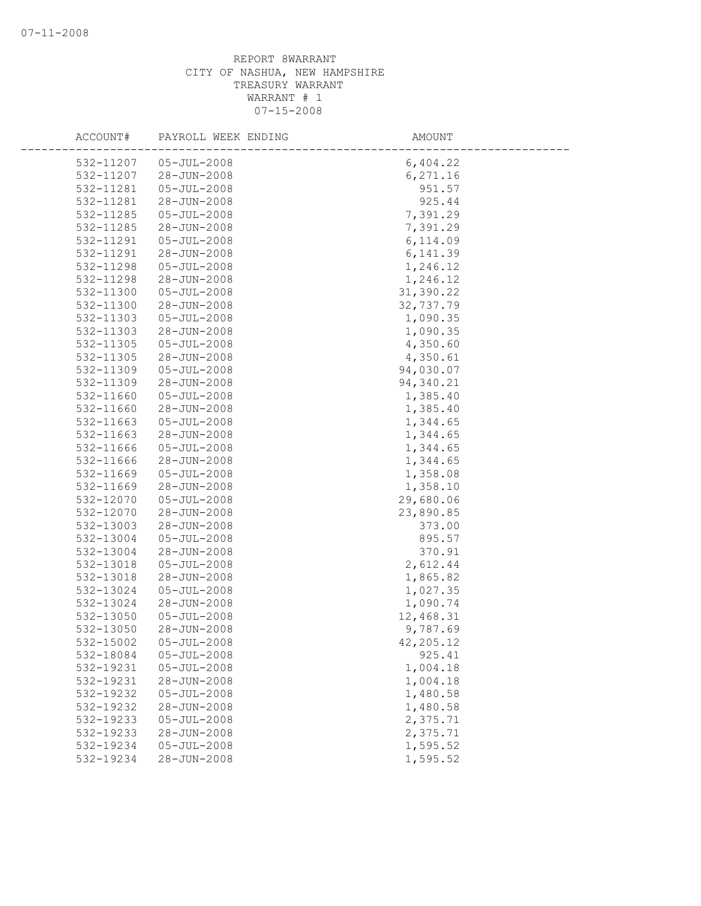| ACCOUNT#  | PAYROLL WEEK ENDING              | AMOUNT               |  |
|-----------|----------------------------------|----------------------|--|
| 532-11207 | $05 - JUL - 2008$                | 6,404.22             |  |
| 532-11207 | 28-JUN-2008                      | 6,271.16             |  |
| 532-11281 | $05 - JUL - 2008$                | 951.57               |  |
| 532-11281 | 28-JUN-2008                      | 925.44               |  |
| 532-11285 | $05 - JUL - 2008$                | 7,391.29             |  |
| 532-11285 | 28-JUN-2008                      | 7,391.29             |  |
| 532-11291 | $05 - JUL - 2008$                | 6,114.09             |  |
| 532-11291 | 28-JUN-2008                      | 6,141.39             |  |
| 532-11298 | $05 - JUL - 2008$                | 1,246.12             |  |
| 532-11298 | 28-JUN-2008                      | 1,246.12             |  |
| 532-11300 | $05 - JUL - 2008$                | 31,390.22            |  |
| 532-11300 | 28-JUN-2008                      | 32,737.79            |  |
| 532-11303 | $05 - JUL - 2008$                | 1,090.35             |  |
| 532-11303 | 28-JUN-2008                      | 1,090.35             |  |
| 532-11305 | $05 - JUL - 2008$                | 4,350.60             |  |
| 532-11305 | 28-JUN-2008                      | 4,350.61             |  |
| 532-11309 | $05 - JUL - 2008$                | 94,030.07            |  |
| 532-11309 | 28-JUN-2008                      | 94,340.21            |  |
| 532-11660 | $05 - JUL - 2008$                | 1,385.40             |  |
| 532-11660 | 28-JUN-2008                      | 1,385.40             |  |
| 532-11663 | $05 - JUL - 2008$                | 1,344.65             |  |
| 532-11663 | 28-JUN-2008                      | 1,344.65             |  |
| 532-11666 | $05 - JUL - 2008$                | 1,344.65             |  |
| 532-11666 | 28-JUN-2008                      | 1,344.65             |  |
| 532-11669 | $05 - JUL - 2008$                | 1,358.08             |  |
| 532-11669 | 28-JUN-2008                      | 1,358.10             |  |
| 532-12070 | $05 - JUL - 2008$                | 29,680.06            |  |
| 532-12070 | 28-JUN-2008                      | 23,890.85            |  |
| 532-13003 | 28-JUN-2008                      | 373.00               |  |
| 532-13004 | $05 - JUL - 2008$                | 895.57               |  |
| 532-13004 | 28-JUN-2008                      | 370.91               |  |
| 532-13018 | $05 - JUL - 2008$                | 2,612.44             |  |
| 532-13018 | 28-JUN-2008                      | 1,865.82             |  |
| 532-13024 | $05 - JUL - 2008$                | 1,027.35             |  |
| 532-13024 | $28 - JUN - 2008$                | 1,090.74             |  |
| 532-13050 | $05 - JUL - 2008$                | 12,468.31            |  |
| 532-13050 | $28 - JUN - 2008$                | 9,787.69             |  |
| 532-15002 | $05 - JUL - 2008$                | 42,205.12            |  |
| 532-18084 | $05 - JUL - 2008$                | 925.41               |  |
| 532-19231 | $05 - JUL - 2008$                | 1,004.18             |  |
| 532-19231 | 28-JUN-2008                      | 1,004.18             |  |
| 532-19232 | $05 - JUL - 2008$                | 1,480.58<br>1,480.58 |  |
| 532-19232 | 28-JUN-2008                      |                      |  |
| 532-19233 | $05 - JUL - 2008$<br>28-JUN-2008 | 2,375.71             |  |
| 532-19233 | $05 - JUL - 2008$                | 2,375.71             |  |
| 532-19234 |                                  | 1,595.52             |  |
| 532-19234 | $28 - JUN - 2008$                | 1,595.52             |  |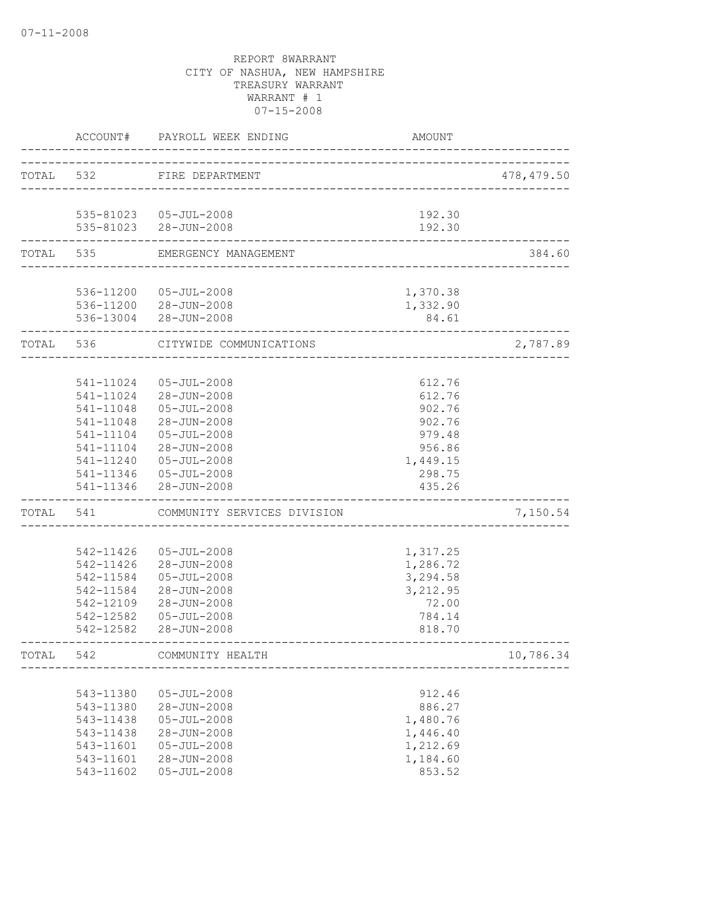|           | ACCOUNT#                                                                                             | PAYROLL WEEK ENDING                                                                                                                                              | AMOUNT                                                                                   |             |
|-----------|------------------------------------------------------------------------------------------------------|------------------------------------------------------------------------------------------------------------------------------------------------------------------|------------------------------------------------------------------------------------------|-------------|
| TOTAL 532 |                                                                                                      | FIRE DEPARTMENT                                                                                                                                                  |                                                                                          | 478, 479.50 |
|           |                                                                                                      | 535-81023  05-JUL-2008<br>535-81023 28-JUN-2008                                                                                                                  | 192.30<br>192.30                                                                         |             |
| TOTAL     | 535                                                                                                  | EMERGENCY MANAGEMENT                                                                                                                                             |                                                                                          | 384.60      |
|           |                                                                                                      | 536-11200 05-JUL-2008<br>536-11200 28-JUN-2008<br>536-13004 28-JUN-2008                                                                                          | 1,370.38<br>1,332.90<br>84.61                                                            |             |
| TOTAL 536 |                                                                                                      | CITYWIDE COMMUNICATIONS                                                                                                                                          |                                                                                          | 2,787.89    |
|           | 541-11024<br>541-11024<br>541-11048<br>541-11048<br>541-11104<br>541-11104<br>541-11240<br>541-11346 | $05 - JUL - 2008$<br>28-JUN-2008<br>$05 - JUL - 2008$<br>28-JUN-2008<br>05-JUL-2008<br>28-JUN-2008<br>$05 - JUL - 2008$<br>541-11346  05-JUL-2008<br>28-JUN-2008 | 612.76<br>612.76<br>902.76<br>902.76<br>979.48<br>956.86<br>1,449.15<br>298.75<br>435.26 |             |
| TOTAL     | 541                                                                                                  | COMMUNITY SERVICES DIVISION                                                                                                                                      |                                                                                          | 7,150.54    |
|           | 542-11426<br>542-11426<br>542-11584<br>542-11584<br>542-12109<br>542-12582                           | $05 - JUL - 2008$<br>28-JUN-2008<br>$05 - JUL - 2008$<br>28-JUN-2008<br>28-JUN-2008<br>$05 - JUL - 2008$<br>542-12582 28-JUN-2008                                | 1,317.25<br>1,286.72<br>3,294.58<br>3,212.95<br>72.00<br>784.14<br>818.70                |             |
| TOTAL     | 542                                                                                                  | COMMUNITY HEALTH                                                                                                                                                 |                                                                                          | 10,786.34   |
|           | 543-11380<br>543-11380<br>543-11438<br>543-11438<br>543-11601<br>543-11601<br>543-11602              | $05 - JUL - 2008$<br>28-JUN-2008<br>$05 - JUL - 2008$<br>28-JUN-2008<br>$05 - JUL - 2008$<br>28-JUN-2008<br>$05 - JUL - 2008$                                    | 912.46<br>886.27<br>1,480.76<br>1,446.40<br>1,212.69<br>1,184.60<br>853.52               |             |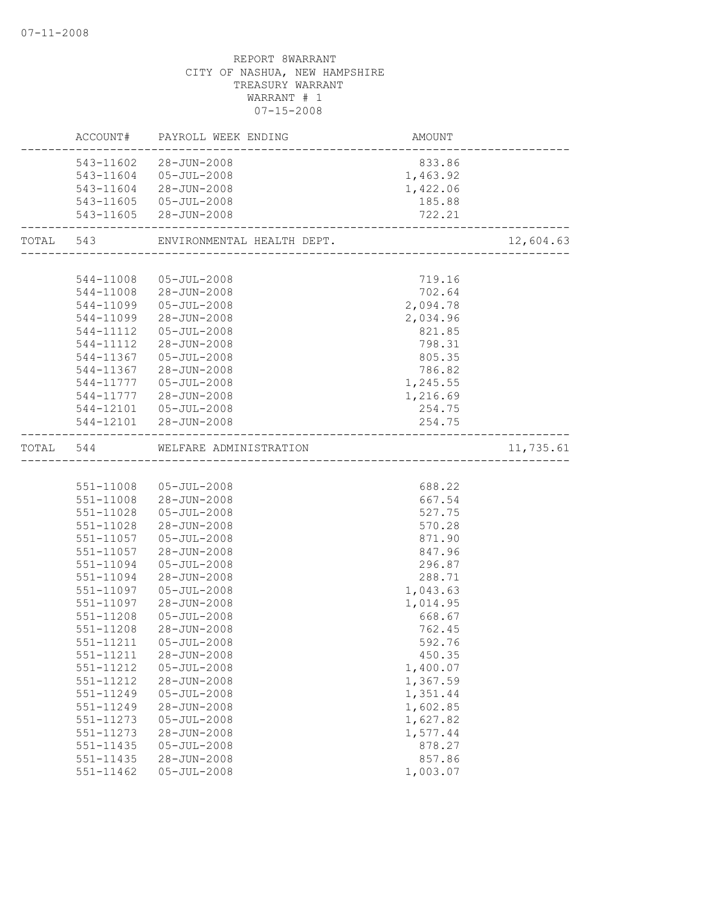|           |               | ACCOUNT# PAYROLL WEEK ENDING | AMOUNT                                         |           |
|-----------|---------------|------------------------------|------------------------------------------------|-----------|
|           |               | 543-11602 28-JUN-2008        | 833.86                                         |           |
|           |               | 543-11604 05-JUL-2008        | 1,463.92                                       |           |
|           |               | 543-11604 28-JUN-2008        | 1,422.06                                       |           |
|           |               | 543-11605  05-JUL-2008       | 185.88                                         |           |
|           |               | 543-11605 28-JUN-2008        | 722.21<br>-------------------------------      |           |
| TOTAL 543 |               |                              |                                                | 12,604.63 |
|           |               |                              |                                                |           |
|           |               | 544-11008 05-JUL-2008        | 719.16                                         |           |
|           |               | 544-11008 28-JUN-2008        | 702.64                                         |           |
|           |               | 544-11099  05-JUL-2008       | 2,094.78                                       |           |
|           |               | 544-11099 28-JUN-2008        | 2,034.96                                       |           |
|           | 544-11112     | 05-JUL-2008                  | 821.85                                         |           |
|           | 544-11112     | 28-JUN-2008                  | 798.31                                         |           |
|           | 544-11367     | $05 - JUL - 2008$            | 805.35                                         |           |
|           | 544-11367     | 28-JUN-2008                  | 786.82                                         |           |
|           | 544-11777     | $05 - JUL - 2008$            | 1,245.55                                       |           |
|           | 544-11777     | 28-JUN-2008                  | 1,216.69                                       |           |
|           |               | 544-12101  05-JUL-2008       | 254.75                                         |           |
|           |               | 544-12101 28-JUN-2008        | 254.75<br>____________________________________ |           |
|           | TOTAL 544     | WELFARE ADMINISTRATION       |                                                | 11,735.61 |
|           |               |                              |                                                |           |
|           |               | 551-11008  05-JUL-2008       | 688.22                                         |           |
|           |               | 551-11008 28-JUN-2008        | 667.54                                         |           |
|           |               | 551-11028  05-JUL-2008       | 527.75                                         |           |
|           | 551-11028     | 28-JUN-2008                  | 570.28                                         |           |
|           |               | 551-11057  05-JUL-2008       | 871.90                                         |           |
|           | 551-11057     | 28-JUN-2008                  | 847.96                                         |           |
|           | 551-11094     | 05-JUL-2008                  | 296.87                                         |           |
|           | 551-11094     | 28-JUN-2008                  | 288.71                                         |           |
|           | 551-11097     | $05 - JUL - 2008$            | 1,043.63                                       |           |
|           | 551-11097     | 28-JUN-2008                  | 1,014.95                                       |           |
|           | 551-11208     | $05 - JUL - 2008$            | 668.67                                         |           |
|           | 551-11208     | 28-JUN-2008                  | 762.45                                         |           |
|           |               | 551-11211  05-JUL-2008       | 592.76                                         |           |
|           | 551-11211     | 28-JUN-2008                  | 450.35                                         |           |
|           | 551-11212     | $05 - JUL - 2008$            | 1,400.07                                       |           |
|           | 551-11212     | 28-JUN-2008                  | 1,367.59                                       |           |
|           | 551-11249     | $05 - JUL - 2008$            | 1,351.44                                       |           |
|           | 551-11249     | 28-JUN-2008                  | 1,602.85                                       |           |
|           | 551-11273     | $05 - JUL - 2008$            | 1,627.82                                       |           |
|           | 551-11273     | 28-JUN-2008                  | 1,577.44                                       |           |
|           | 551-11435     | $05 - JUL - 2008$            | 878.27                                         |           |
|           | 551-11435     | 28-JUN-2008                  | 857.86                                         |           |
|           | $551 - 11462$ | $05 - JUL - 2008$            | 1,003.07                                       |           |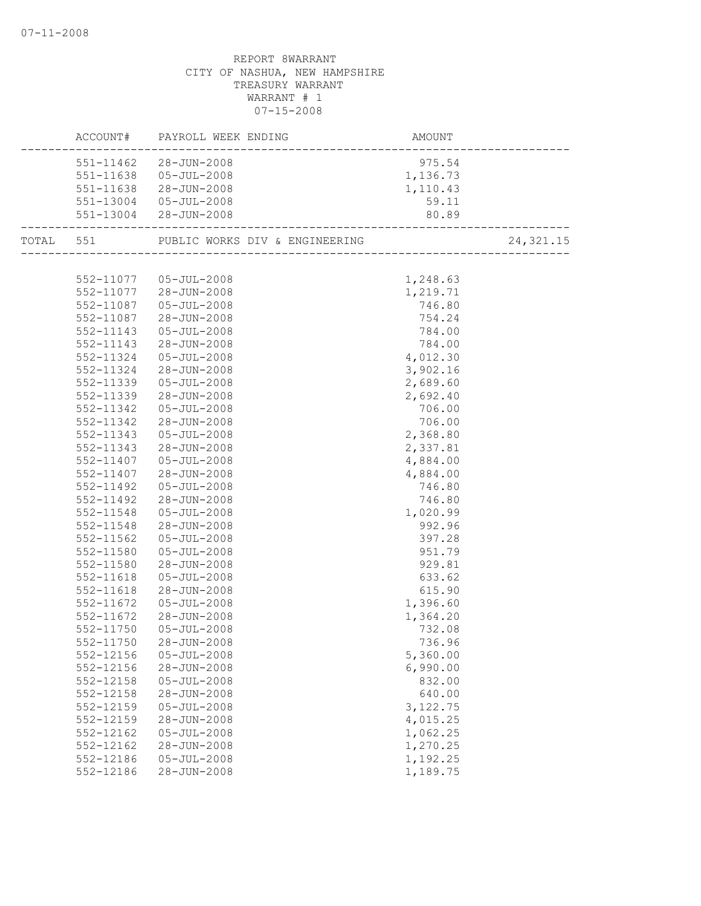| ACCOUNT#  | PAYROLL WEEK ENDING<br>AMOUNT<br>------------------------ |          |            |
|-----------|-----------------------------------------------------------|----------|------------|
|           | 551-11462 28-JUN-2008                                     | 975.54   |            |
|           | 551-11638  05-JUL-2008                                    | 1,136.73 |            |
|           | 551-11638 28-JUN-2008                                     | 1,110.43 |            |
|           | 551-13004 05-JUL-2008                                     | 59.11    |            |
|           | 551-13004 28-JUN-2008                                     | 80.89    |            |
|           | TOTAL 551 PUBLIC WORKS DIV & ENGINEERING 2011             |          | 24, 321.15 |
|           |                                                           |          |            |
|           | 552-11077 05-JUL-2008                                     | 1,248.63 |            |
|           | 552-11077 28-JUN-2008                                     | 1,219.71 |            |
| 552-11087 | $05 - JUL - 2008$                                         | 746.80   |            |
| 552-11087 | $28 - JUN - 2008$                                         | 754.24   |            |
| 552-11143 | 05-JUL-2008                                               | 784.00   |            |
| 552-11143 | 28-JUN-2008                                               | 784.00   |            |
| 552-11324 | $05 - JUL - 2008$                                         | 4,012.30 |            |
| 552-11324 | 28-JUN-2008                                               | 3,902.16 |            |
| 552-11339 | 05-JUL-2008                                               | 2,689.60 |            |
| 552-11339 | 28-JUN-2008                                               | 2,692.40 |            |
| 552-11342 | $05 - JUL - 2008$                                         | 706.00   |            |
| 552-11342 | 28-JUN-2008                                               | 706.00   |            |
| 552-11343 | 05-JUL-2008                                               | 2,368.80 |            |
| 552-11343 | 28-JUN-2008                                               | 2,337.81 |            |
| 552-11407 | $05 - JUL - 2008$                                         | 4,884.00 |            |
| 552-11407 | 28-JUN-2008                                               | 4,884.00 |            |
| 552-11492 | 05-JUL-2008                                               | 746.80   |            |
| 552-11492 | 28-JUN-2008                                               | 746.80   |            |
| 552-11548 | 05-JUL-2008                                               | 1,020.99 |            |
| 552-11548 | 28-JUN-2008                                               | 992.96   |            |
| 552-11562 | $05 - JUL - 2008$                                         | 397.28   |            |
| 552-11580 | $05 - JUL - 2008$                                         | 951.79   |            |
| 552-11580 | 28-JUN-2008                                               | 929.81   |            |
| 552-11618 | $05 - JUL - 2008$                                         | 633.62   |            |
| 552-11618 | 28-JUN-2008                                               | 615.90   |            |
| 552-11672 | $05 - JUL - 2008$                                         | 1,396.60 |            |
| 552-11672 | 28-JUN-2008                                               | 1,364.20 |            |
| 552-11750 | $05 - JUL - 2008$                                         | 732.08   |            |
|           | 552-11750 28-JUN-2008                                     | 736.96   |            |
| 552-12156 | $05 - JUL - 2008$                                         | 5,360.00 |            |
| 552-12156 | $28 - JUN - 2008$                                         | 6,990.00 |            |
| 552-12158 | $05 - JUL - 2008$                                         | 832.00   |            |
| 552-12158 | 28-JUN-2008                                               | 640.00   |            |
| 552-12159 | $05 - JUL - 2008$                                         | 3,122.75 |            |
| 552-12159 | 28-JUN-2008                                               | 4,015.25 |            |
| 552-12162 | $05 - JUL - 2008$                                         | 1,062.25 |            |
| 552-12162 | 28-JUN-2008                                               | 1,270.25 |            |
| 552-12186 | $05 - JUL - 2008$                                         | 1,192.25 |            |
| 552-12186 | 28-JUN-2008                                               | 1,189.75 |            |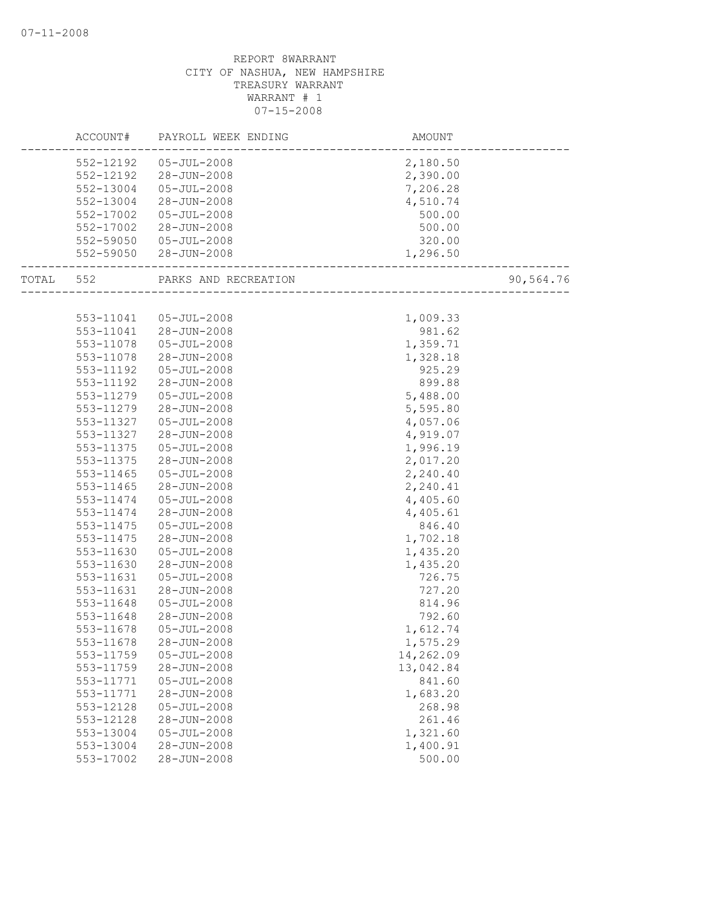|           |           | ACCOUNT# PAYROLL WEEK ENDING | AMOUNT                               |           |
|-----------|-----------|------------------------------|--------------------------------------|-----------|
|           |           | 552-12192  05-JUL-2008       | 2,180.50                             |           |
|           |           | 552-12192 28-JUN-2008        | 2,390.00                             |           |
|           | 552-13004 | $05 - JUL - 2008$            | 7,206.28                             |           |
|           | 552-13004 | 28-JUN-2008                  | 4,510.74                             |           |
|           | 552-17002 | $05 - JUL - 2008$            | 500.00                               |           |
|           | 552-17002 | 28-JUN-2008                  | 500.00                               |           |
|           |           | 552-59050 05-JUL-2008        | 320.00                               |           |
|           |           | 552-59050 28-JUN-2008        | 1,296.50<br>________________________ |           |
| TOTAL 552 |           | PARKS AND RECREATION         |                                      | 90,564.76 |
|           |           |                              |                                      |           |
|           | 553-11041 | 05-JUL-2008                  | 1,009.33                             |           |
|           |           | 553-11041 28-JUN-2008        | 981.62                               |           |
|           | 553-11078 | $05 - JUL - 2008$            | 1,359.71                             |           |
|           | 553-11078 | 28-JUN-2008                  | 1,328.18                             |           |
|           | 553-11192 | $05 - JUL - 2008$            | 925.29                               |           |
|           | 553-11192 | 28-JUN-2008                  | 899.88                               |           |
|           | 553-11279 | $05 - JUL - 2008$            | 5,488.00                             |           |
|           | 553-11279 | 28-JUN-2008                  | 5,595.80                             |           |
|           | 553-11327 | $05 - JUL - 2008$            | 4,057.06                             |           |
|           | 553-11327 | 28-JUN-2008                  | 4,919.07                             |           |
|           | 553-11375 | $05 - JUL - 2008$            | 1,996.19                             |           |
|           | 553-11375 | 28-JUN-2008                  | 2,017.20                             |           |
|           | 553-11465 | $05 - JUL - 2008$            | 2,240.40                             |           |
|           | 553-11465 | 28-JUN-2008                  | 2,240.41                             |           |
|           | 553-11474 | $05 - JUL - 2008$            | 4,405.60                             |           |
|           | 553-11474 | 28-JUN-2008                  | 4,405.61                             |           |
|           | 553-11475 | $05 - JUL - 2008$            | 846.40                               |           |
|           | 553-11475 | 28-JUN-2008                  | 1,702.18                             |           |
|           | 553-11630 | $05 - JUL - 2008$            | 1,435.20                             |           |
|           | 553-11630 | 28-JUN-2008                  | 1,435.20                             |           |
|           | 553-11631 | $05 - JUL - 2008$            | 726.75                               |           |
|           | 553-11631 | 28-JUN-2008                  | 727.20                               |           |
|           | 553-11648 | $05 - JUL - 2008$            | 814.96                               |           |
|           | 553-11648 | 28-JUN-2008                  | 792.60                               |           |
|           | 553-11678 | $05 - JUL - 2008$            | 1,612.74                             |           |
|           | 553-11678 | 28-JUN-2008                  | 1,575.29                             |           |
|           | 553-11759 | $05 - JUL - 2008$            | 14,262.09                            |           |
|           | 553-11759 | $28 - JUN - 2008$            | 13,042.84                            |           |
|           | 553-11771 | $05 - JUL - 2008$            | 841.60                               |           |
|           | 553-11771 | $28 - JUN - 2008$            | 1,683.20                             |           |
|           | 553-12128 | $05 - JUL - 2008$            | 268.98                               |           |
|           | 553-12128 | 28-JUN-2008                  | 261.46                               |           |
|           | 553-13004 | $05 - JUL - 2008$            | 1,321.60                             |           |
|           | 553-13004 | 28-JUN-2008                  | 1,400.91                             |           |
|           | 553-17002 | 28-JUN-2008                  | 500.00                               |           |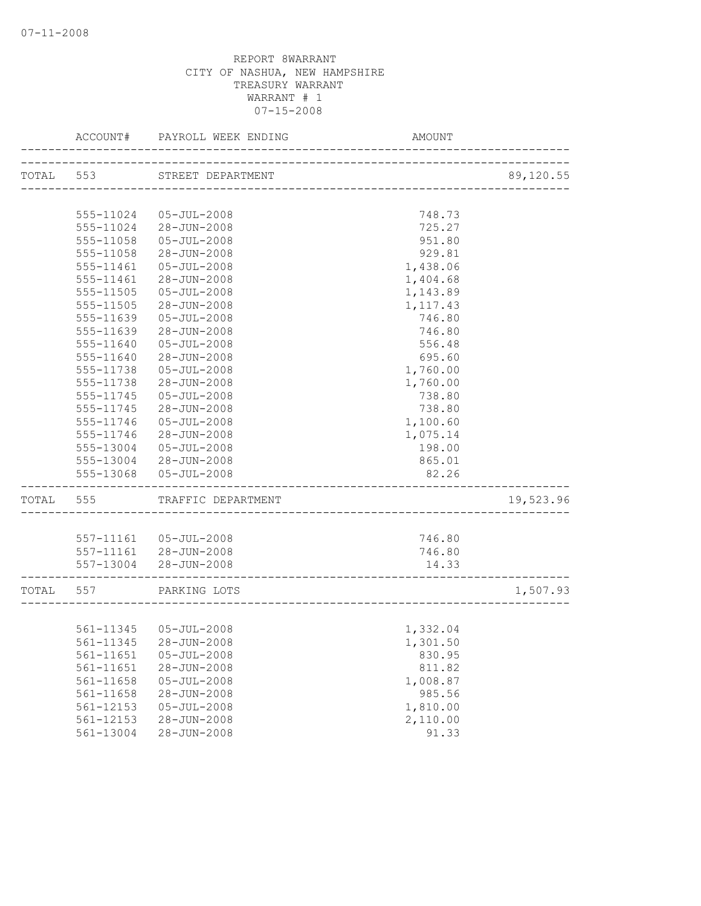|       | ACCOUNT#      | PAYROLL WEEK ENDING    | AMOUNT                   |           |
|-------|---------------|------------------------|--------------------------|-----------|
|       | TOTAL 553     | STREET DEPARTMENT      |                          | 89,120.55 |
|       |               |                        | ------------------------ |           |
|       | 555-11024     | $05 - JUL - 2008$      | 748.73                   |           |
|       | 555-11024     | 28-JUN-2008            | 725.27                   |           |
|       | 555-11058     | $05 - JUL - 2008$      | 951.80                   |           |
|       | 555-11058     | 28-JUN-2008            | 929.81                   |           |
|       | 555-11461     | $05 - JUL - 2008$      | 1,438.06                 |           |
|       | 555-11461     | 28-JUN-2008            | 1,404.68                 |           |
|       | 555-11505     | $05 - JUL - 2008$      | 1,143.89                 |           |
|       | 555-11505     | 28-JUN-2008            | 1,117.43                 |           |
|       | 555-11639     | $05 - JUL - 2008$      | 746.80                   |           |
|       | 555-11639     | 28-JUN-2008            | 746.80                   |           |
|       | 555-11640     | $05 - JUL - 2008$      | 556.48                   |           |
|       | 555-11640     | 28-JUN-2008            | 695.60                   |           |
|       | 555-11738     | $05 - JUL - 2008$      | 1,760.00                 |           |
|       | 555-11738     | 28-JUN-2008            | 1,760.00                 |           |
|       | 555-11745     | $05 - JUL - 2008$      | 738.80                   |           |
|       | 555-11745     | 28-JUN-2008            | 738.80                   |           |
|       | 555-11746     | $05 - JUL - 2008$      | 1,100.60                 |           |
|       | 555-11746     | 28-JUN-2008            | 1,075.14                 |           |
|       | 555-13004     | $05 - JUL - 2008$      | 198.00                   |           |
|       | 555-13004     | 28-JUN-2008            | 865.01                   |           |
|       | 555-13068     | $05 - JUL - 2008$      | 82.26                    |           |
| TOTAL | 555           | TRAFFIC DEPARTMENT     |                          | 19,523.96 |
|       |               | 557-11161  05-JUL-2008 | 746.80                   |           |
|       |               | 557-11161 28-JUN-2008  | 746.80                   |           |
|       |               | 557-13004 28-JUN-2008  | 14.33                    |           |
|       |               |                        |                          |           |
| TOTAL | 557           | PARKING LOTS           |                          | 1,507.93  |
|       |               |                        |                          |           |
|       |               | 561-11345  05-JUL-2008 | 1,332.04                 |           |
|       | 561-11345     | 28-JUN-2008            | 1,301.50                 |           |
|       | 561-11651     | $05 - JUL - 2008$      | 830.95                   |           |
|       | 561-11651     | 28-JUN-2008            | 811.82                   |           |
|       | 561-11658     | $05 - JUL - 2008$      | 1,008.87                 |           |
|       | 561-11658     | 28-JUN-2008            | 985.56                   |           |
|       | 561-12153     | $05 - JUL - 2008$      | 1,810.00                 |           |
|       | $561 - 12153$ | $28 - JUN - 2008$      | 2,110.00                 |           |
|       | 561-13004     | 28-JUN-2008            | 91.33                    |           |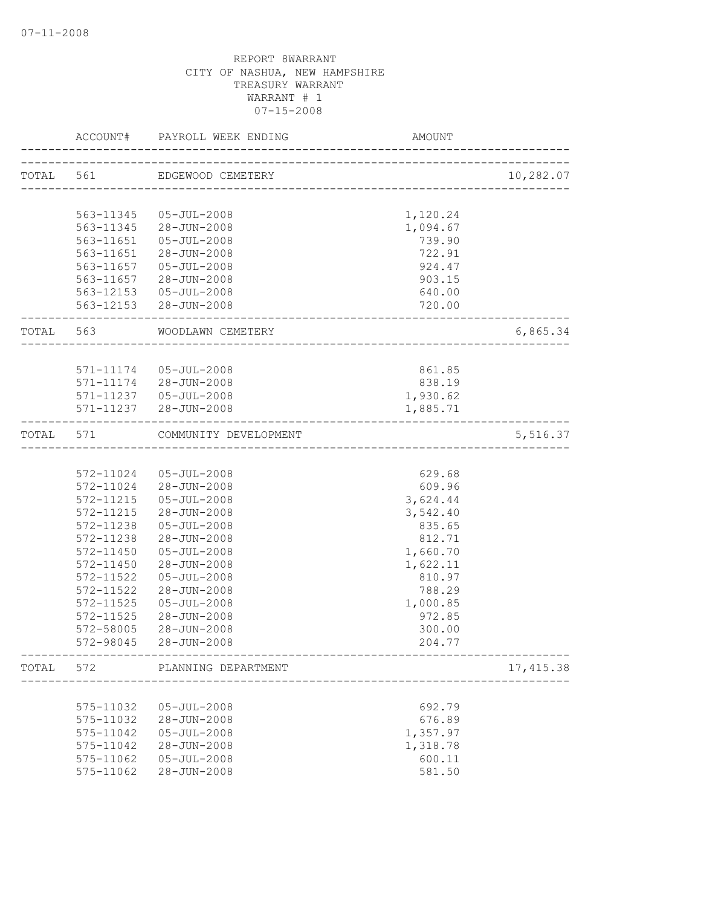|           |               | ACCOUNT# PAYROLL WEEK ENDING                        | AMOUNT   |            |
|-----------|---------------|-----------------------------------------------------|----------|------------|
| TOTAL 561 |               | EDGEWOOD CEMETERY                                   |          | 10,282.07  |
|           |               |                                                     |          |            |
|           | 563-11345     | 05-JUL-2008                                         | 1,120.24 |            |
|           |               | 563-11345 28-JUN-2008                               | 1,094.67 |            |
|           | 563-11651     | $05 - JUL - 2008$                                   | 739.90   |            |
|           | 563-11651     | 28-JUN-2008                                         | 722.91   |            |
|           |               | 563-11657  05-JUL-2008                              | 924.47   |            |
|           |               | 563-11657 28-JUN-2008                               | 903.15   |            |
|           |               | 563-12153  05-JUL-2008                              | 640.00   |            |
|           |               | 563-12153 28-JUN-2008                               | 720.00   |            |
| TOTAL 563 |               | WOODLAWN CEMETERY<br>______________________________ |          | 6,865.34   |
|           |               |                                                     |          |            |
|           |               | 571-11174  05-JUL-2008                              | 861.85   |            |
|           |               | 571-11174 28-JUN-2008                               | 838.19   |            |
|           |               | 571-11237  05-JUL-2008                              | 1,930.62 |            |
|           |               | 571-11237 28-JUN-2008                               | 1,885.71 |            |
| TOTAL 571 |               | COMMUNITY DEVELOPMENT                               |          | 5,516.37   |
|           |               |                                                     |          |            |
|           |               | 572-11024 05-JUL-2008                               | 629.68   |            |
|           |               | 572-11024 28-JUN-2008                               | 609.96   |            |
|           |               | 572-11215  05-JUL-2008                              | 3,624.44 |            |
|           |               | 572-11215 28-JUN-2008                               | 3,542.40 |            |
|           |               | 572-11238  05-JUL-2008                              | 835.65   |            |
|           | 572-11238     | 28-JUN-2008                                         | 812.71   |            |
|           | $572 - 11450$ | 05-JUL-2008                                         | 1,660.70 |            |
|           | 572-11450     | 28-JUN-2008                                         | 1,622.11 |            |
|           | 572-11522     | $05 - JUL - 2008$                                   | 810.97   |            |
|           | 572-11522     | 28-JUN-2008                                         | 788.29   |            |
|           | 572-11525     | $05 - JUL - 2008$                                   | 1,000.85 |            |
|           | 572-11525     | 28-JUN-2008                                         | 972.85   |            |
|           | 572-58005     | 28-JUN-2008                                         | 300.00   |            |
|           | 572-98045     | 28-JUN-2008                                         | 204.77   |            |
| TOTAL     | 572           | PLANNING DEPARTMENT<br>--------------------         |          | 17, 415.38 |
|           |               |                                                     |          |            |
|           | 575-11032     | $05 - JUL - 2008$                                   | 692.79   |            |
|           | 575-11032     | 28-JUN-2008                                         | 676.89   |            |
|           | 575-11042     | $05 - JUL - 2008$                                   | 1,357.97 |            |
|           | 575-11042     | 28-JUN-2008                                         | 1,318.78 |            |
|           | 575-11062     | $05 - JUL - 2008$                                   | 600.11   |            |
|           | 575-11062     | 28-JUN-2008                                         | 581.50   |            |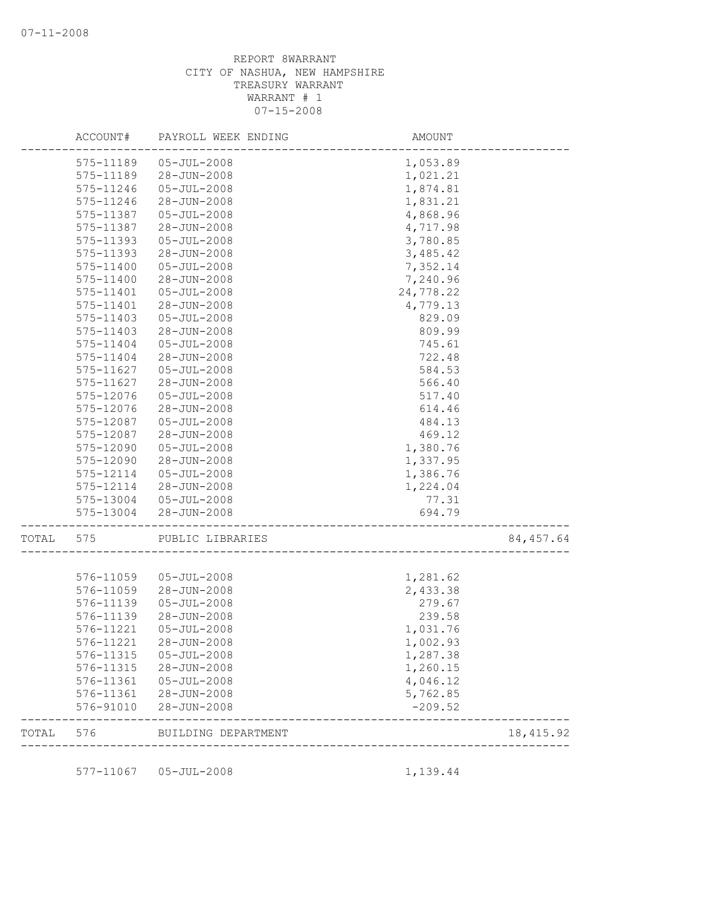|       | ACCOUNT#               | PAYROLL WEEK ENDING        | AMOUNT                               |            |
|-------|------------------------|----------------------------|--------------------------------------|------------|
|       | 575-11189              | $05 - JUL - 2008$          | 1,053.89                             |            |
|       | 575-11189              | 28-JUN-2008                | 1,021.21                             |            |
|       | 575-11246              | $05 - JUL - 2008$          | 1,874.81                             |            |
|       | 575-11246              | 28-JUN-2008                | 1,831.21                             |            |
|       | 575-11387              | $05 - JUL - 2008$          | 4,868.96                             |            |
|       | 575-11387              | 28-JUN-2008                | 4,717.98                             |            |
|       | 575-11393              | $05 - JUL - 2008$          | 3,780.85                             |            |
|       | 575-11393              | 28-JUN-2008                | 3,485.42                             |            |
|       | 575-11400              | $05 - JUL - 2008$          | 7,352.14                             |            |
|       | 575-11400              | 28-JUN-2008                | 7,240.96                             |            |
|       | 575-11401              | $05 - JUL - 2008$          | 24,778.22                            |            |
|       | 575-11401              | 28-JUN-2008                | 4,779.13                             |            |
|       | 575-11403              | $05 - JUL - 2008$          | 829.09                               |            |
|       | 575-11403              | 28-JUN-2008                | 809.99                               |            |
|       | 575-11404              | $05 - JUL - 2008$          | 745.61                               |            |
|       | 575-11404              | 28-JUN-2008                | 722.48                               |            |
|       | 575-11627              | $05 - JUL - 2008$          | 584.53                               |            |
|       | 575-11627              | $28 - JUN - 2008$          | 566.40                               |            |
|       | 575-12076              | $05 - JUL - 2008$          | 517.40                               |            |
|       | 575-12076              | 28-JUN-2008                | 614.46                               |            |
|       | 575-12087              | $05 - JUL - 2008$          | 484.13                               |            |
|       | 575-12087              | 28-JUN-2008                | 469.12                               |            |
|       | 575-12090              | $05 - JUL - 2008$          | 1,380.76                             |            |
|       | 575-12090              | 28-JUN-2008                | 1,337.95                             |            |
|       | 575-12114              | $05 - JUL - 2008$          | 1,386.76                             |            |
|       | 575-12114              | 28-JUN-2008                | 1,224.04                             |            |
|       |                        | 575-13004 05-JUL-2008      | 77.31                                |            |
|       | 575-13004              | 28-JUN-2008                | 694.79                               |            |
| TOTAL | 575                    | PUBLIC LIBRARIES           |                                      | 84,457.64  |
|       |                        |                            |                                      |            |
|       | 576-11059              | 05-JUL-2008                | 1,281.62                             |            |
|       | 576-11059<br>576-11139 | 28-JUN-2008                | 2,433.38<br>279.67                   |            |
|       |                        | $05 - JUL - 2008$          |                                      |            |
|       | 576-11139              | 28-JUN-2008                | 239.58                               |            |
|       | 576-11221              | $05 - JUL - 2008$          | 1,031.76                             |            |
|       | 576-11221              | $28 - JUN - 2008$          | 1,002.93                             |            |
|       | 576-11315              | $05 - JUL - 2008$          | 1,287.38                             |            |
|       | 576-11315              | 28-JUN-2008                | 1,260.15                             |            |
|       | 576-11361              | 05-JUL-2008                | 4,046.12                             |            |
|       | 576-11361<br>576-91010 | 28-JUN-2008<br>28-JUN-2008 | 5,762.85<br>$-209.52$                |            |
| TOTAL | 576                    | BUILDING DEPARTMENT        |                                      | 18, 415.92 |
|       |                        |                            | ------------------------------------ |            |
|       |                        | 577-11067 05-JUL-2008      | 1,139.44                             |            |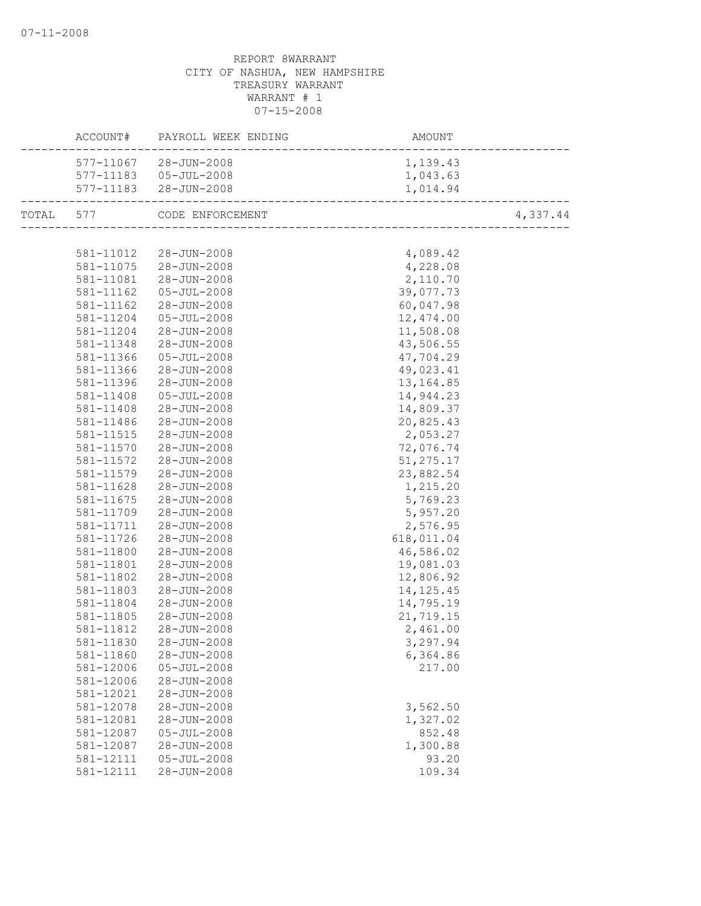|           | ACCOUNT#  | PAYROLL WEEK ENDING    | AMOUNT      |          |
|-----------|-----------|------------------------|-------------|----------|
|           |           | 577-11067 28-JUN-2008  | 1,139.43    |          |
|           |           | 577-11183  05-JUL-2008 | 1,043.63    |          |
|           |           | 577-11183 28-JUN-2008  | 1,014.94    |          |
| TOTAL 577 |           | CODE ENFORCEMENT       |             | 4,337.44 |
|           |           |                        |             |          |
|           |           | 581-11012 28-JUN-2008  | 4,089.42    |          |
|           |           | 581-11075 28-JUN-2008  | 4,228.08    |          |
|           |           | 581-11081 28-JUN-2008  | 2,110.70    |          |
|           | 581-11162 | 05-JUL-2008            | 39,077.73   |          |
|           | 581-11162 | 28-JUN-2008            | 60,047.98   |          |
|           | 581-11204 | 05-JUL-2008            | 12,474.00   |          |
|           | 581-11204 | 28-JUN-2008            | 11,508.08   |          |
|           | 581-11348 | 28-JUN-2008            | 43,506.55   |          |
|           | 581-11366 | 05-JUL-2008            | 47,704.29   |          |
|           | 581-11366 | 28-JUN-2008            | 49,023.41   |          |
|           | 581-11396 | 28-JUN-2008            | 13, 164.85  |          |
|           | 581-11408 | 05-JUL-2008            | 14,944.23   |          |
|           | 581-11408 | 28-JUN-2008            | 14,809.37   |          |
|           | 581-11486 | 28-JUN-2008            | 20,825.43   |          |
|           | 581-11515 | 28-JUN-2008            | 2,053.27    |          |
|           | 581-11570 | $28 - JUN - 2008$      | 72,076.74   |          |
|           | 581-11572 | 28-JUN-2008            | 51, 275.17  |          |
|           | 581-11579 | 28-JUN-2008            | 23,882.54   |          |
|           | 581-11628 | 28-JUN-2008            | 1,215.20    |          |
|           | 581-11675 | $28 - JUN - 2008$      | 5,769.23    |          |
|           | 581-11709 | 28-JUN-2008            | 5,957.20    |          |
|           | 581-11711 | 28-JUN-2008            | 2,576.95    |          |
|           | 581-11726 | 28-JUN-2008            | 618,011.04  |          |
|           | 581-11800 | 28-JUN-2008            | 46,586.02   |          |
|           | 581-11801 | 28-JUN-2008            | 19,081.03   |          |
|           | 581-11802 | 28-JUN-2008            | 12,806.92   |          |
|           | 581-11803 | 28-JUN-2008            | 14, 125. 45 |          |
|           | 581-11804 | 28-JUN-2008            | 14,795.19   |          |
|           | 581-11805 | 28-JUN-2008            | 21,719.15   |          |
|           | 581-11812 | 28-JUN-2008            | 2,461.00    |          |
|           | 581-11830 | 28-JUN-2008            | 3,297.94    |          |
|           | 581-11860 | 28-JUN-2008            | 6,364.86    |          |
|           | 581-12006 | $05 - JUL - 2008$      | 217.00      |          |
|           | 581-12006 | 28-JUN-2008            |             |          |
|           | 581-12021 | 28-JUN-2008            |             |          |
|           | 581-12078 | 28-JUN-2008            | 3,562.50    |          |
|           | 581-12081 | 28-JUN-2008            | 1,327.02    |          |
|           | 581-12087 | $05 - JUL - 2008$      | 852.48      |          |
|           | 581-12087 | 28-JUN-2008            | 1,300.88    |          |
|           | 581-12111 | $05 - JUL - 2008$      | 93.20       |          |
|           | 581-12111 | $28 - JUN - 2008$      | 109.34      |          |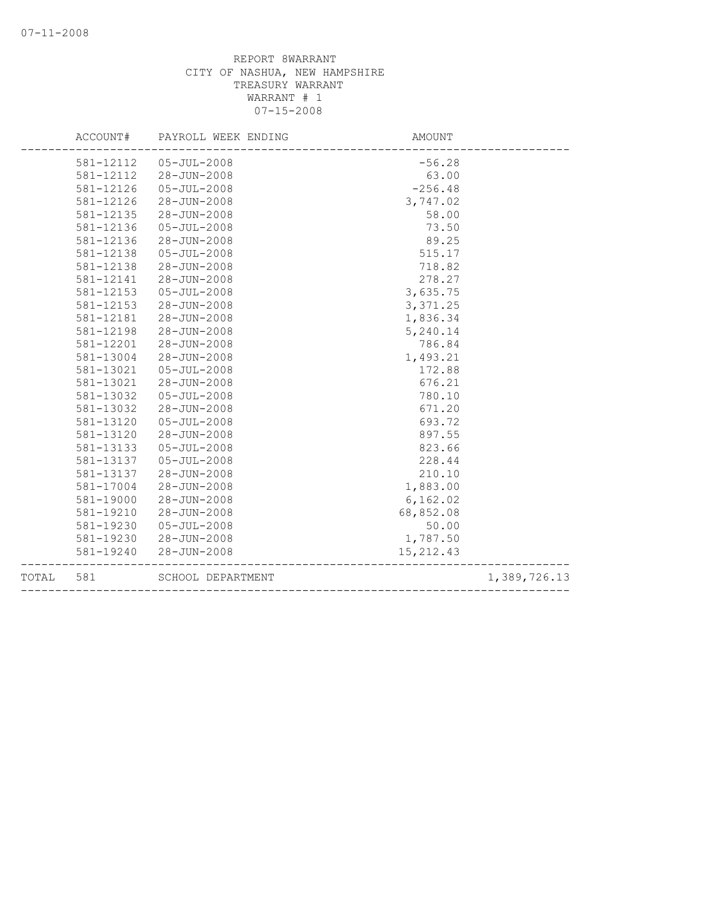|       | ACCOUNT#  | PAYROLL WEEK ENDING | AMOUNT               |              |
|-------|-----------|---------------------|----------------------|--------------|
|       | 581-12112 | $05 - JUL - 2008$   | $-56.28$             |              |
|       | 581-12112 | $28 - JUN - 2008$   | 63.00                |              |
|       | 581-12126 | $05 - JUL - 2008$   | $-256.48$            |              |
|       | 581-12126 | 28-JUN-2008         | 3,747.02             |              |
|       | 581-12135 | 28-JUN-2008         | 58.00                |              |
|       | 581-12136 | $05 - JUL - 2008$   | 73.50                |              |
|       | 581-12136 | 28-JUN-2008         | 89.25                |              |
|       | 581-12138 | $05 - JUL - 2008$   | 515.17               |              |
|       | 581-12138 | 28-JUN-2008         | 718.82               |              |
|       | 581-12141 | 28-JUN-2008         | 278.27               |              |
|       | 581-12153 | $05 - JUL - 2008$   | 3,635.75             |              |
|       | 581-12153 | 28-JUN-2008         | 3,371.25             |              |
|       | 581-12181 | 28-JUN-2008         | 1,836.34             |              |
|       | 581-12198 | 28-JUN-2008         | 5,240.14             |              |
|       | 581-12201 | 28-JUN-2008         | 786.84               |              |
|       | 581-13004 | 28-JUN-2008         | 1,493.21             |              |
|       | 581-13021 | $05 - JUL - 2008$   | 172.88               |              |
|       | 581-13021 | 28-JUN-2008         | 676.21               |              |
|       | 581-13032 | $05 - JUL - 2008$   | 780.10               |              |
|       | 581-13032 | 28-JUN-2008         | 671.20               |              |
|       | 581-13120 | $05 - JUL - 2008$   | 693.72               |              |
|       | 581-13120 | 28-JUN-2008         | 897.55               |              |
|       | 581-13133 | $05 - JUL - 2008$   | 823.66               |              |
|       | 581-13137 | $05 - JUL - 2008$   | 228.44               |              |
|       | 581-13137 | 28-JUN-2008         | 210.10               |              |
|       | 581-17004 | $28 - JUN - 2008$   | 1,883.00             |              |
|       | 581-19000 | 28-JUN-2008         | 6, 162.02            |              |
|       | 581-19210 | 28-JUN-2008         | 68,852.08            |              |
|       | 581-19230 | $05 - JUL - 2008$   | 50.00                |              |
|       | 581-19230 | 28-JUN-2008         | 1,787.50             |              |
|       | 581-19240 | $28 - JUN - 2008$   | 15,212.43            |              |
| TOTAL | 581       | SCHOOL DEPARTMENT   | ____________________ | 1,389,726.13 |
|       |           |                     |                      |              |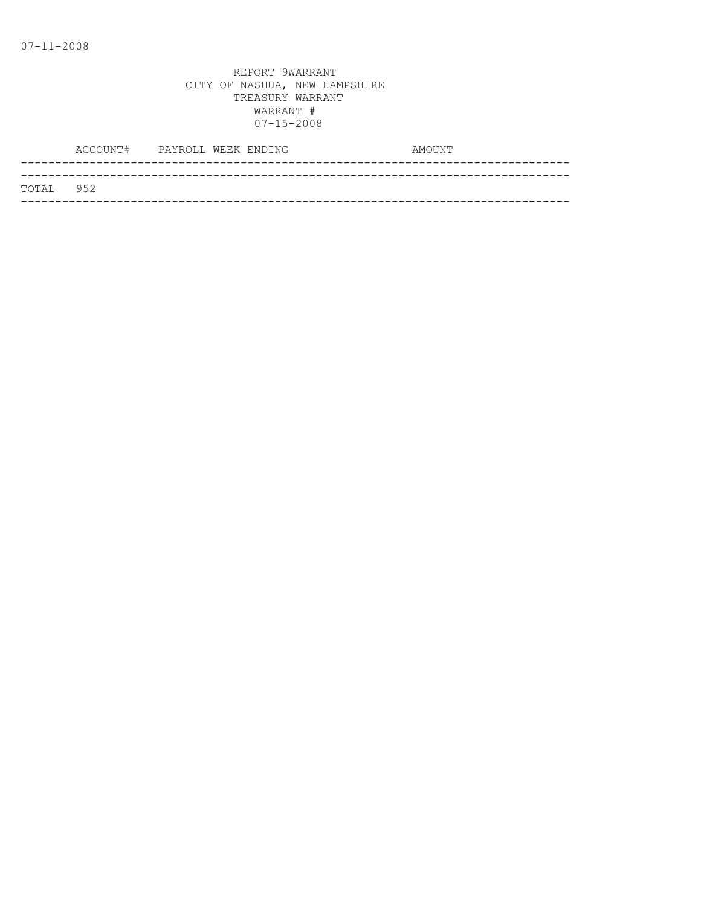|           | ACCOUNT# PAYROLL WEEK ENDING |  | AMOUNT |
|-----------|------------------------------|--|--------|
|           |                              |  |        |
| TOTAL 952 |                              |  |        |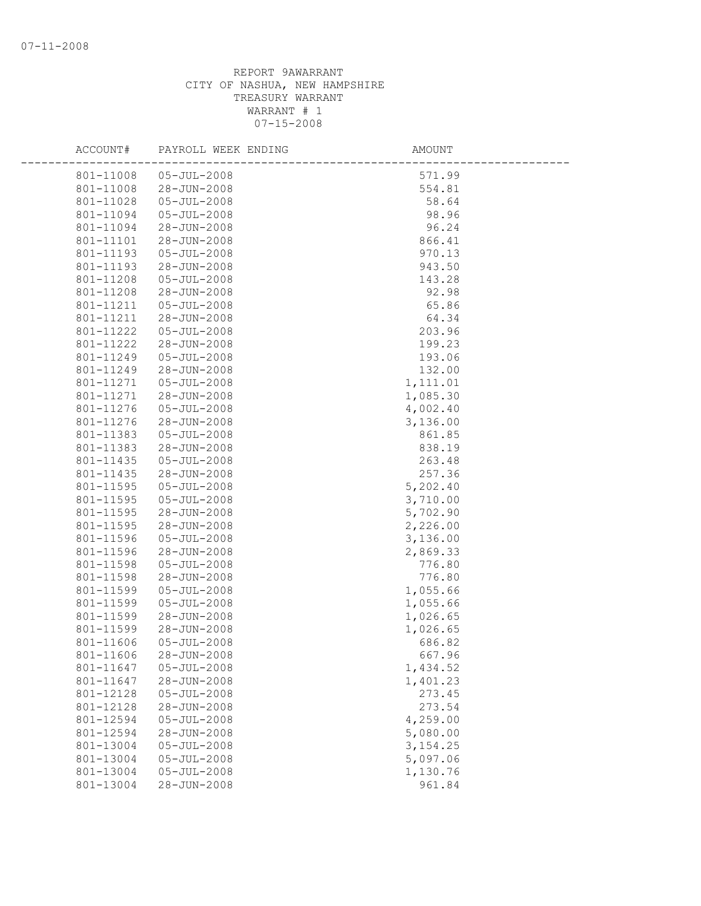| ACCOUNT#  | PAYROLL WEEK ENDING   | AMOUNT    |
|-----------|-----------------------|-----------|
| 801-11008 | $05 - JUL - 2008$     | 571.99    |
|           | 801-11008 28-JUN-2008 | 554.81    |
| 801-11028 | $05 - JUL - 2008$     | 58.64     |
| 801-11094 | $05 - JUL - 2008$     | 98.96     |
| 801-11094 | 28-JUN-2008           | 96.24     |
| 801-11101 | 28-JUN-2008           | 866.41    |
| 801-11193 | $05 - JUL - 2008$     | 970.13    |
| 801-11193 | 28-JUN-2008           | 943.50    |
| 801-11208 | $05 - JUL - 2008$     | 143.28    |
| 801-11208 | 28-JUN-2008           | 92.98     |
| 801-11211 | $05 - JUL - 2008$     | 65.86     |
| 801-11211 | 28-JUN-2008           | 64.34     |
| 801-11222 | 05-JUL-2008           | 203.96    |
| 801-11222 | 28-JUN-2008           | 199.23    |
| 801-11249 | $05 - JUL - 2008$     | 193.06    |
| 801-11249 | 28-JUN-2008           | 132.00    |
| 801-11271 | $05 - JUL - 2008$     | 1,111.01  |
| 801-11271 | 28-JUN-2008           | 1,085.30  |
| 801-11276 | $05 - JUL - 2008$     | 4,002.40  |
| 801-11276 | 28-JUN-2008           | 3,136.00  |
| 801-11383 | $05 - JUL - 2008$     | 861.85    |
| 801-11383 | 28-JUN-2008           | 838.19    |
| 801-11435 | $05 - JUL - 2008$     | 263.48    |
| 801-11435 | 28-JUN-2008           | 257.36    |
| 801-11595 | 05-JUL-2008           | 5,202.40  |
| 801-11595 | 05-JUL-2008           | 3,710.00  |
| 801-11595 | 28-JUN-2008           | 5,702.90  |
| 801-11595 | 28-JUN-2008           | 2,226.00  |
| 801-11596 | $05 - JUL - 2008$     | 3,136.00  |
| 801-11596 | 28-JUN-2008           | 2,869.33  |
| 801-11598 | $05 - JUL - 2008$     | 776.80    |
| 801-11598 | 28-JUN-2008           | 776.80    |
| 801-11599 | $05 - JUL - 2008$     | 1,055.66  |
| 801-11599 | $05 - JUL - 2008$     | 1,055.66  |
| 801-11599 | 28-JUN-2008           | 1,026.65  |
| 801-11599 | 28-JUN-2008           | 1,026.65  |
| 801-11606 | $05 - JUL - 2008$     | 686.82    |
| 801-11606 | 28-JUN-2008           | 667.96    |
| 801-11647 | $05 - JUL - 2008$     | 1,434.52  |
| 801-11647 | $28 - JUN - 2008$     | 1,401.23  |
| 801-12128 | $05 - JUL - 2008$     | 273.45    |
| 801-12128 | 28-JUN-2008           | 273.54    |
| 801-12594 | $05 - JUL - 2008$     | 4,259.00  |
| 801-12594 | 28-JUN-2008           | 5,080.00  |
| 801-13004 | $05 - JUL - 2008$     | 3, 154.25 |
| 801-13004 | $05 - JUL - 2008$     | 5,097.06  |
| 801-13004 | $05 - JUL - 2008$     | 1,130.76  |
| 801-13004 | 28-JUN-2008           | 961.84    |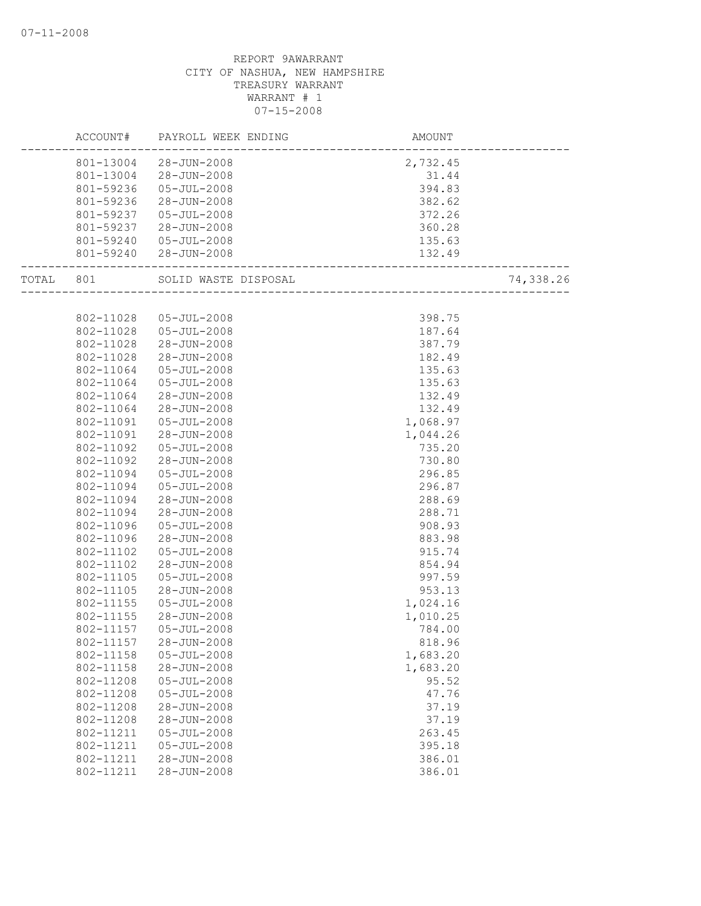|           |           | ACCOUNT# PAYROLL WEEK ENDING | AMOUNT   |           |
|-----------|-----------|------------------------------|----------|-----------|
|           |           | 801-13004 28-JUN-2008        | 2,732.45 |           |
|           |           | 801-13004 28-JUN-2008        | 31.44    |           |
|           | 801-59236 | $05 - JUL - 2008$            | 394.83   |           |
|           | 801-59236 | 28-JUN-2008                  | 382.62   |           |
|           | 801-59237 | $05 - JUL - 2008$            | 372.26   |           |
|           | 801-59237 | 28-JUN-2008                  | 360.28   |           |
|           |           | 801-59240 05-JUL-2008        | 135.63   |           |
|           |           | 801-59240 28-JUN-2008        | 132.49   |           |
| TOTAL 801 |           | SOLID WASTE DISPOSAL         |          | 74,338.26 |
|           |           |                              |          |           |
|           | 802-11028 | 05-JUL-2008                  | 398.75   |           |
|           | 802-11028 | $05 - JUL - 2008$            | 187.64   |           |
|           | 802-11028 | 28-JUN-2008                  | 387.79   |           |
|           | 802-11028 | 28-JUN-2008                  | 182.49   |           |
|           | 802-11064 | $05 - JUL - 2008$            | 135.63   |           |
|           | 802-11064 | $05 - JUL - 2008$            | 135.63   |           |
|           | 802-11064 | 28-JUN-2008                  | 132.49   |           |
|           | 802-11064 | 28-JUN-2008                  | 132.49   |           |
|           | 802-11091 | $05 - JUL - 2008$            | 1,068.97 |           |
|           | 802-11091 | 28-JUN-2008                  | 1,044.26 |           |
|           | 802-11092 | $05 - JUL - 2008$            | 735.20   |           |
|           | 802-11092 | 28-JUN-2008                  | 730.80   |           |
|           | 802-11094 | $05 - JUL - 2008$            | 296.85   |           |
|           | 802-11094 | $05 - JUL - 2008$            | 296.87   |           |
|           | 802-11094 | 28-JUN-2008                  | 288.69   |           |
|           | 802-11094 | 28-JUN-2008                  | 288.71   |           |
|           | 802-11096 | $05 - JUL - 2008$            | 908.93   |           |
|           | 802-11096 | 28-JUN-2008                  | 883.98   |           |
|           | 802-11102 | $05 - JUL - 2008$            | 915.74   |           |
|           | 802-11102 | 28-JUN-2008                  | 854.94   |           |
|           | 802-11105 | $05 - JUL - 2008$            | 997.59   |           |
|           | 802-11105 | 28-JUN-2008                  | 953.13   |           |
|           | 802-11155 | $05 - JUL - 2008$            | 1,024.16 |           |
|           | 802-11155 | 28-JUN-2008                  | 1,010.25 |           |
|           | 802-11157 | $05 - JUL - 2008$            | 784.00   |           |
|           | 802-11157 | 28-JUN-2008                  | 818.96   |           |
|           | 802-11158 | $05 - JUL - 2008$            | 1,683.20 |           |
|           | 802-11158 | 28-JUN-2008                  | 1,683.20 |           |
|           | 802-11208 | $05 - JUL - 2008$            | 95.52    |           |
|           | 802-11208 | $05 - JUL - 2008$            | 47.76    |           |
|           | 802-11208 | $28 - JUN - 2008$            | 37.19    |           |
|           | 802-11208 | 28-JUN-2008                  | 37.19    |           |
|           | 802-11211 | $05 - JUL - 2008$            | 263.45   |           |
|           | 802-11211 | $05 - JUL - 2008$            | 395.18   |           |
|           | 802-11211 | 28-JUN-2008                  | 386.01   |           |
|           | 802-11211 | $28 - JUN - 2008$            | 386.01   |           |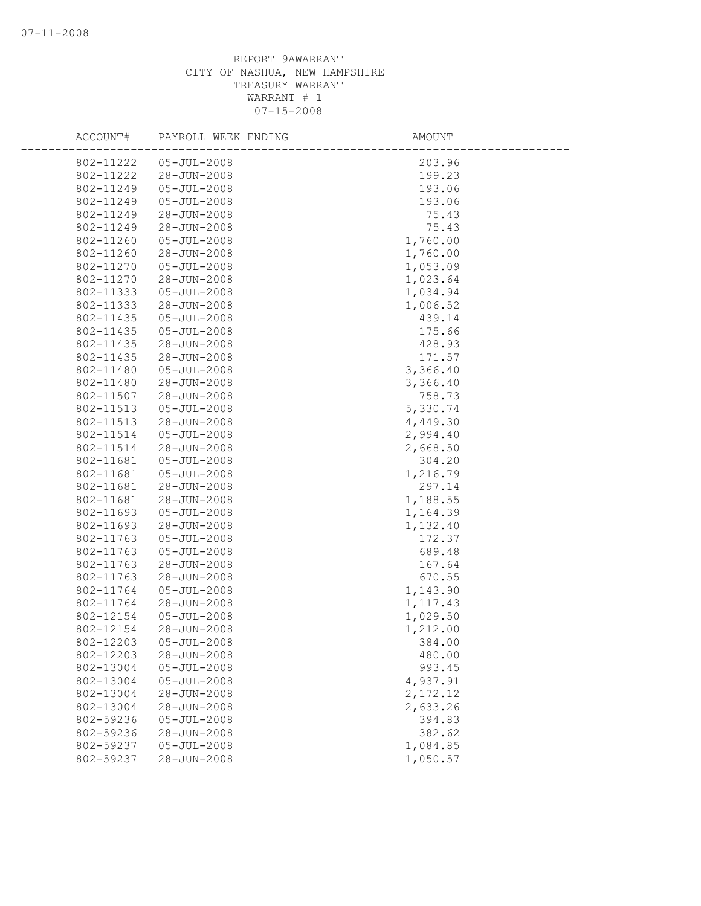| ACCOUNT#               | PAYROLL WEEK ENDING              | AMOUNT                |  |
|------------------------|----------------------------------|-----------------------|--|
| 802-11222              | $05 - JUL - 2008$                | 203.96                |  |
| 802-11222              | 28-JUN-2008                      | 199.23                |  |
| 802-11249              | $05 - JUL - 2008$                | 193.06                |  |
| 802-11249              | $05 - JUL - 2008$                | 193.06                |  |
| 802-11249              | 28-JUN-2008                      | 75.43                 |  |
| 802-11249              | 28-JUN-2008                      | 75.43                 |  |
| 802-11260              | $05 - JUL - 2008$                | 1,760.00              |  |
| 802-11260              | $28 - JUN - 2008$                | 1,760.00              |  |
| 802-11270              | $05 - JUL - 2008$                | 1,053.09              |  |
| 802-11270              | 28-JUN-2008                      | 1,023.64              |  |
| 802-11333              | $05 - JUL - 2008$                | 1,034.94              |  |
| 802-11333              | 28-JUN-2008                      | 1,006.52              |  |
| 802-11435              | $05 - JUL - 2008$                | 439.14                |  |
| 802-11435              | $05 - JUL - 2008$                | 175.66                |  |
| 802-11435              | 28-JUN-2008                      | 428.93                |  |
| 802-11435              | 28-JUN-2008                      | 171.57                |  |
| 802-11480              | $05 - JUL - 2008$                | 3,366.40              |  |
| 802-11480              | 28-JUN-2008                      | 3,366.40              |  |
| 802-11507              | 28-JUN-2008                      | 758.73                |  |
| 802-11513              | $05 - JUL - 2008$                | 5,330.74              |  |
| 802-11513              | 28-JUN-2008                      | 4,449.30              |  |
| 802-11514              | $05 - JUL - 2008$                | 2,994.40              |  |
| 802-11514              | $28 - JUN - 2008$                | 2,668.50              |  |
| 802-11681              | $05 - JUL - 2008$                | 304.20                |  |
| 802-11681              | $05 - JUL - 2008$                | 1,216.79              |  |
| 802-11681              | 28-JUN-2008                      | 297.14                |  |
| 802-11681              | 28-JUN-2008                      | 1,188.55              |  |
| 802-11693              | $05 - JUL - 2008$                | 1,164.39              |  |
| 802-11693              | 28-JUN-2008                      | 1,132.40              |  |
| 802-11763              | $05 - JUL - 2008$                | 172.37                |  |
| 802-11763              | $05 - JUL - 2008$                | 689.48                |  |
| 802-11763              | 28-JUN-2008                      | 167.64                |  |
| 802-11763<br>802-11764 | 28-JUN-2008<br>$05 - JUL - 2008$ | 670.55                |  |
| 802-11764              | 28-JUN-2008                      | 1,143.90              |  |
|                        | $05 - JUL - 2008$                | 1, 117.43<br>1,029.50 |  |
| 802-12154<br>802-12154 | 28-JUN-2008                      | 1,212.00              |  |
| 802-12203              | $05 - JUL - 2008$                | 384.00                |  |
| 802-12203              | 28-JUN-2008                      | 480.00                |  |
| 802-13004              | $05 - JUL - 2008$                | 993.45                |  |
| 802-13004              | $05 - JUL - 2008$                | 4,937.91              |  |
| 802-13004              | 28-JUN-2008                      | 2,172.12              |  |
| 802-13004              | 28-JUN-2008                      | 2,633.26              |  |
| 802-59236              | $05 - JUL - 2008$                | 394.83                |  |
| 802-59236              | 28-JUN-2008                      | 382.62                |  |
| 802-59237              | $05 - JUL - 2008$                | 1,084.85              |  |
| 802-59237              | 28-JUN-2008                      | 1,050.57              |  |
|                        |                                  |                       |  |